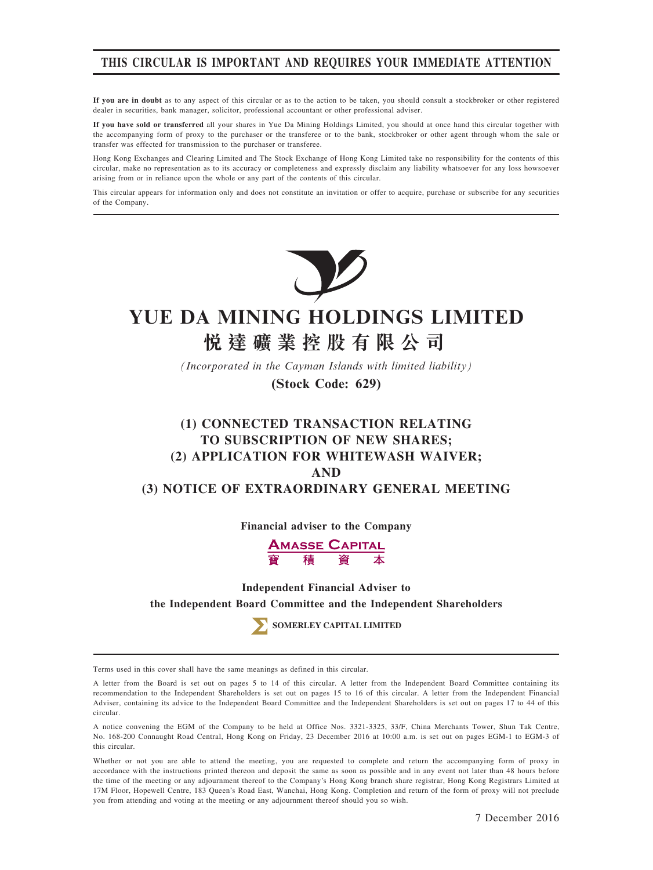# THIS CIRCULAR IS IMPORTANT AND REQUIRES YOUR IMMEDIATE ATTENTION

If you are in doubt as to any aspect of this circular or as to the action to be taken, you should consult a stockbroker or other registered dealer in securities, bank manager, solicitor, professional accountant or other professional adviser.

If you have sold or transferred all your shares in Yue Da Mining Holdings Limited, you should at once hand this circular together with the accompanying form of proxy to the purchaser or the transferee or to the bank, stockbroker or other agent through whom the sale or transfer was effected for transmission to the purchaser or transferee.

Hong Kong Exchanges and Clearing Limited and The Stock Exchange of Hong Kong Limited take no responsibility for the contents of this circular, make no representation as to its accuracy or completeness and expressly disclaim any liability whatsoever for any loss howsoever arising from or in reliance upon the whole or any part of the contents of this circular.

This circular appears for information only and does not constitute an invitation or offer to acquire, purchase or subscribe for any securities of the Company.



# **YUE DA MINING HOLDINGS LIMITED**

**悅達礦業控股有限公司**

*(Incorporated in the Cayman Islands with limited liability)*

**(Stock Code: 629)**

# (1) CONNECTED TRANSACTION RELATING TO SUBSCRIPTION OF NEW SHARES; (2) APPLICATION FOR WHITEWASH WAIVER; AND (3) NOTICE OF EXTRAORDINARY GENERAL MEETING

Financial adviser to the Company

# AMASSE CAPITAL

Independent Financial Adviser to

the Independent Board Committee and the Independent Shareholders



Terms used in this cover shall have the same meanings as defined in this circular.

A letter from the Board is set out on pages 5 to 14 of this circular. A letter from the Independent Board Committee containing its recommendation to the Independent Shareholders is set out on pages 15 to 16 of this circular. A letter from the Independent Financial Adviser, containing its advice to the Independent Board Committee and the Independent Shareholders is set out on pages 17 to 44 of this circular.

A notice convening the EGM of the Company to be held at Office Nos. 3321-3325, 33/F, China Merchants Tower, Shun Tak Centre, No. 168-200 Connaught Road Central, Hong Kong on Friday, 23 December 2016 at 10:00 a.m. is set out on pages EGM-1 to EGM-3 of this circular.

Whether or not you are able to attend the meeting, you are requested to complete and return the accompanying form of proxy in accordance with the instructions printed thereon and deposit the same as soon as possible and in any event not later than 48 hours before the time of the meeting or any adjournment thereof to the Company's Hong Kong branch share registrar, Hong Kong Registrars Limited at 17M Floor, Hopewell Centre, 183 Queen's Road East, Wanchai, Hong Kong. Completion and return of the form of proxy will not preclude you from attending and voting at the meeting or any adjournment thereof should you so wish.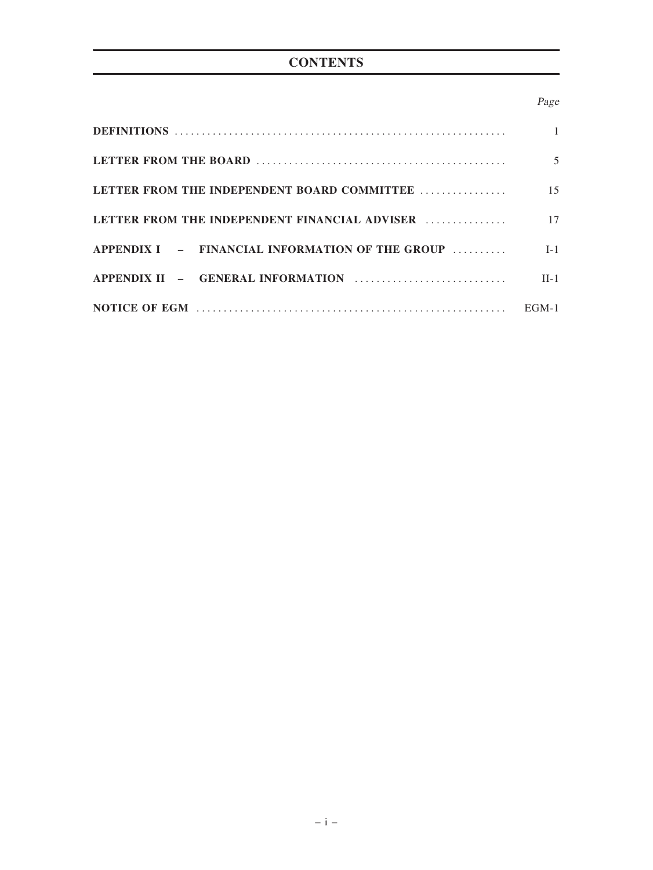# **CONTENTS**

# Page

|                                                 | 5      |
|-------------------------------------------------|--------|
| LETTER FROM THE INDEPENDENT BOARD COMMITTEE     | 15     |
| LETTER FROM THE INDEPENDENT FINANCIAL ADVISER   | 17     |
| APPENDIX I - FINANCIAL INFORMATION OF THE GROUP | $I-1$  |
|                                                 | $II-1$ |
|                                                 | EGM-1  |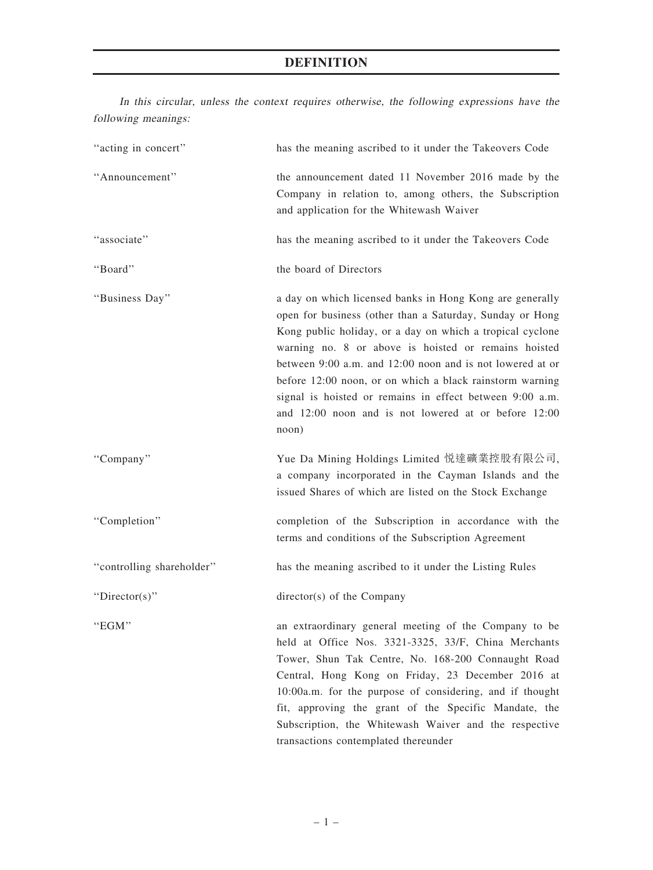# DEFINITION

In this circular, unless the context requires otherwise, the following expressions have the following meanings:

| "acting in concert"       | has the meaning ascribed to it under the Takeovers Code                                                                                                                                                                                                                                                                                                                                                                                                                                         |
|---------------------------|-------------------------------------------------------------------------------------------------------------------------------------------------------------------------------------------------------------------------------------------------------------------------------------------------------------------------------------------------------------------------------------------------------------------------------------------------------------------------------------------------|
| "Announcement"            | the announcement dated 11 November 2016 made by the<br>Company in relation to, among others, the Subscription<br>and application for the Whitewash Waiver                                                                                                                                                                                                                                                                                                                                       |
| "associate"               | has the meaning ascribed to it under the Takeovers Code                                                                                                                                                                                                                                                                                                                                                                                                                                         |
| "Board"                   | the board of Directors                                                                                                                                                                                                                                                                                                                                                                                                                                                                          |
| "Business Day"            | a day on which licensed banks in Hong Kong are generally<br>open for business (other than a Saturday, Sunday or Hong<br>Kong public holiday, or a day on which a tropical cyclone<br>warning no. 8 or above is hoisted or remains hoisted<br>between 9:00 a.m. and 12:00 noon and is not lowered at or<br>before 12:00 noon, or on which a black rainstorm warning<br>signal is hoisted or remains in effect between 9:00 a.m.<br>and 12:00 noon and is not lowered at or before 12:00<br>noon) |
| "Company"                 | Yue Da Mining Holdings Limited 悦達礦業控股有限公司,<br>a company incorporated in the Cayman Islands and the<br>issued Shares of which are listed on the Stock Exchange                                                                                                                                                                                                                                                                                                                                   |
| "Completion"              | completion of the Subscription in accordance with the<br>terms and conditions of the Subscription Agreement                                                                                                                                                                                                                                                                                                                                                                                     |
| "controlling shareholder" | has the meaning ascribed to it under the Listing Rules                                                                                                                                                                                                                                                                                                                                                                                                                                          |
| "Director(s)"             | director(s) of the Company                                                                                                                                                                                                                                                                                                                                                                                                                                                                      |
| "EGM"                     | an extraordinary general meeting of the Company to be<br>held at Office Nos. 3321-3325, 33/F, China Merchants<br>Tower, Shun Tak Centre, No. 168-200 Connaught Road<br>Central, Hong Kong on Friday, 23 December 2016 at<br>10:00a.m. for the purpose of considering, and if thought<br>fit, approving the grant of the Specific Mandate, the<br>Subscription, the Whitewash Waiver and the respective<br>transactions contemplated thereunder                                                  |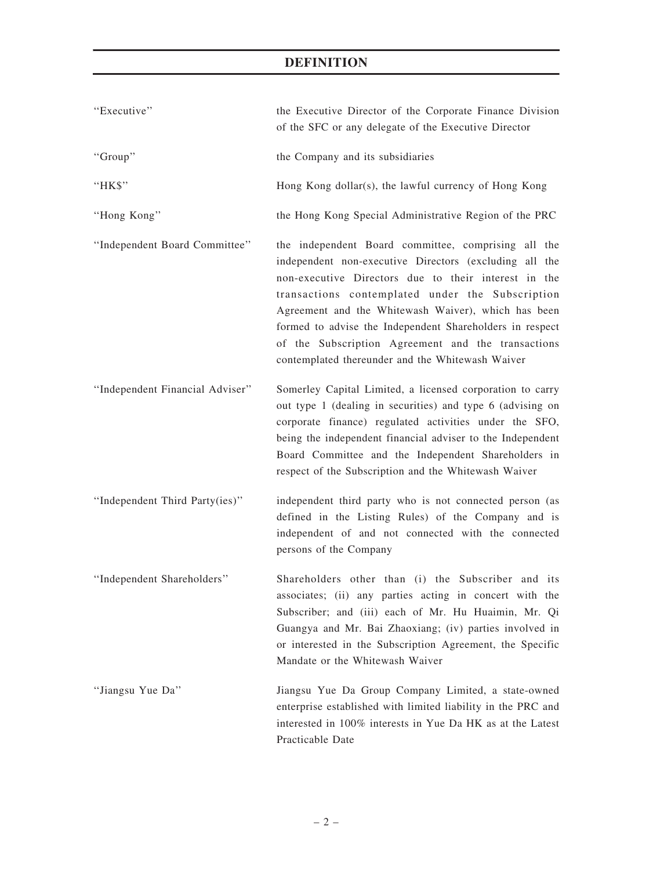# DEFINITION

| "Executive"                     | the Executive Director of the Corporate Finance Division<br>of the SFC or any delegate of the Executive Director                                                                                                                                                                                                                                                                                                                                       |
|---------------------------------|--------------------------------------------------------------------------------------------------------------------------------------------------------------------------------------------------------------------------------------------------------------------------------------------------------------------------------------------------------------------------------------------------------------------------------------------------------|
| "Group"                         | the Company and its subsidiaries                                                                                                                                                                                                                                                                                                                                                                                                                       |
| "HK\$"                          | Hong Kong dollar(s), the lawful currency of Hong Kong                                                                                                                                                                                                                                                                                                                                                                                                  |
| "Hong Kong"                     | the Hong Kong Special Administrative Region of the PRC                                                                                                                                                                                                                                                                                                                                                                                                 |
| "Independent Board Committee"   | the independent Board committee, comprising all the<br>independent non-executive Directors (excluding all the<br>non-executive Directors due to their interest in the<br>transactions contemplated under the Subscription<br>Agreement and the Whitewash Waiver), which has been<br>formed to advise the Independent Shareholders in respect<br>of the Subscription Agreement and the transactions<br>contemplated thereunder and the Whitewash Waiver |
| "Independent Financial Adviser" | Somerley Capital Limited, a licensed corporation to carry<br>out type 1 (dealing in securities) and type 6 (advising on<br>corporate finance) regulated activities under the SFO,<br>being the independent financial adviser to the Independent<br>Board Committee and the Independent Shareholders in<br>respect of the Subscription and the Whitewash Waiver                                                                                         |
| "Independent Third Party(ies)"  | independent third party who is not connected person (as<br>defined in the Listing Rules) of the Company and is<br>independent of and not connected with the connected<br>persons of the Company                                                                                                                                                                                                                                                        |
| "Independent Shareholders"      | Shareholders other than (i) the Subscriber and its<br>associates; (ii) any parties acting in concert with the<br>Subscriber; and (iii) each of Mr. Hu Huaimin, Mr. Qi<br>Guangya and Mr. Bai Zhaoxiang; (iv) parties involved in<br>or interested in the Subscription Agreement, the Specific<br>Mandate or the Whitewash Waiver                                                                                                                       |
| "Jiangsu Yue Da"                | Jiangsu Yue Da Group Company Limited, a state-owned<br>enterprise established with limited liability in the PRC and<br>interested in 100% interests in Yue Da HK as at the Latest<br>Practicable Date                                                                                                                                                                                                                                                  |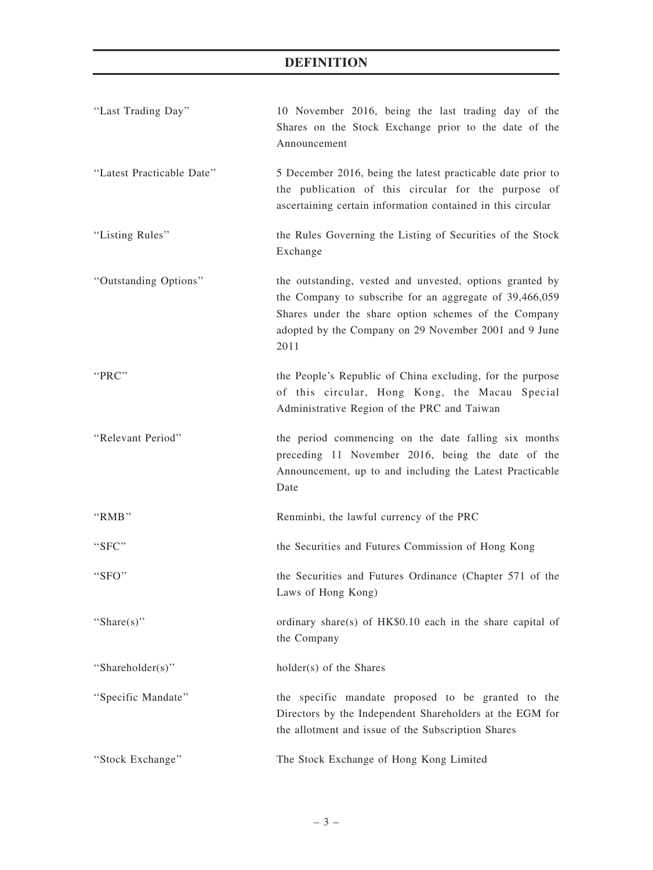| "Last Trading Day"        | 10 November 2016, being the last trading day of the<br>Shares on the Stock Exchange prior to the date of the<br>Announcement                                                                                                                 |
|---------------------------|----------------------------------------------------------------------------------------------------------------------------------------------------------------------------------------------------------------------------------------------|
| "Latest Practicable Date" | 5 December 2016, being the latest practicable date prior to<br>the publication of this circular for the purpose of<br>ascertaining certain information contained in this circular                                                            |
| "Listing Rules"           | the Rules Governing the Listing of Securities of the Stock<br>Exchange                                                                                                                                                                       |
| "Outstanding Options"     | the outstanding, vested and unvested, options granted by<br>the Company to subscribe for an aggregate of 39,466,059<br>Shares under the share option schemes of the Company<br>adopted by the Company on 29 November 2001 and 9 June<br>2011 |
| "PRC"                     | the People's Republic of China excluding, for the purpose<br>of this circular, Hong Kong, the Macau Special<br>Administrative Region of the PRC and Taiwan                                                                                   |
| "Relevant Period"         | the period commencing on the date falling six months<br>preceding 11 November 2016, being the date of the<br>Announcement, up to and including the Latest Practicable<br>Date                                                                |
| " $RMB"$                  | Renminbi, the lawful currency of the PRC                                                                                                                                                                                                     |
| "SFC"                     | the Securities and Futures Commission of Hong Kong                                                                                                                                                                                           |
| "SFO"                     | the Securities and Futures Ordinance (Chapter 571 of the<br>Laws of Hong Kong)                                                                                                                                                               |
| "Share $(s)$ "            | ordinary share(s) of $HK$0.10$ each in the share capital of<br>the Company                                                                                                                                                                   |
| "Shareholder(s)"          | holder(s) of the Shares                                                                                                                                                                                                                      |
| "Specific Mandate"        | the specific mandate proposed to be granted to the<br>Directors by the Independent Shareholders at the EGM for<br>the allotment and issue of the Subscription Shares                                                                         |
| "Stock Exchange"          | The Stock Exchange of Hong Kong Limited                                                                                                                                                                                                      |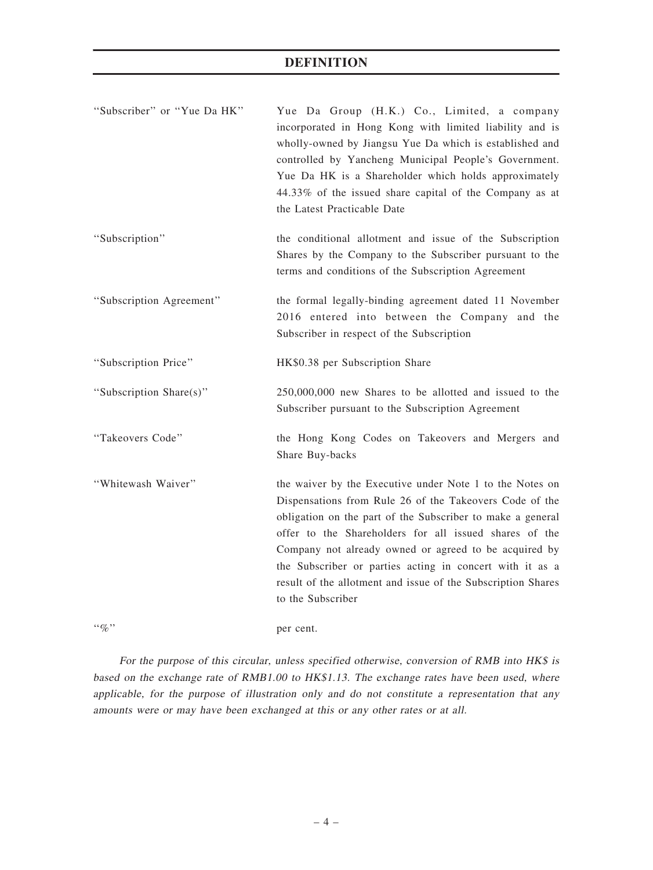| "Subscriber" or "Yue Da HK" | Yue Da Group (H.K.) Co., Limited, a company<br>incorporated in Hong Kong with limited liability and is<br>wholly-owned by Jiangsu Yue Da which is established and<br>controlled by Yancheng Municipal People's Government.<br>Yue Da HK is a Shareholder which holds approximately<br>44.33% of the issued share capital of the Company as at<br>the Latest Practicable Date                                                                          |
|-----------------------------|-------------------------------------------------------------------------------------------------------------------------------------------------------------------------------------------------------------------------------------------------------------------------------------------------------------------------------------------------------------------------------------------------------------------------------------------------------|
| "Subscription"              | the conditional allotment and issue of the Subscription<br>Shares by the Company to the Subscriber pursuant to the<br>terms and conditions of the Subscription Agreement                                                                                                                                                                                                                                                                              |
| "Subscription Agreement"    | the formal legally-binding agreement dated 11 November<br>2016 entered into between the Company and the<br>Subscriber in respect of the Subscription                                                                                                                                                                                                                                                                                                  |
| "Subscription Price"        | HK\$0.38 per Subscription Share                                                                                                                                                                                                                                                                                                                                                                                                                       |
| "Subscription Share(s)"     | 250,000,000 new Shares to be allotted and issued to the<br>Subscriber pursuant to the Subscription Agreement                                                                                                                                                                                                                                                                                                                                          |
| "Takeovers Code"            | the Hong Kong Codes on Takeovers and Mergers and<br>Share Buy-backs                                                                                                                                                                                                                                                                                                                                                                                   |
| "Whitewash Waiver"          | the waiver by the Executive under Note 1 to the Notes on<br>Dispensations from Rule 26 of the Takeovers Code of the<br>obligation on the part of the Subscriber to make a general<br>offer to the Shareholders for all issued shares of the<br>Company not already owned or agreed to be acquired by<br>the Subscriber or parties acting in concert with it as a<br>result of the allotment and issue of the Subscription Shares<br>to the Subscriber |
| $\lq\lq q_0$ "              | per cent.                                                                                                                                                                                                                                                                                                                                                                                                                                             |

For the purpose of this circular, unless specified otherwise, conversion of RMB into HK\$ is based on the exchange rate of RMB1.00 to HK\$1.13. The exchange rates have been used, where applicable, for the purpose of illustration only and do not constitute <sup>a</sup> representation that any amounts were or may have been exchanged at this or any other rates or at all.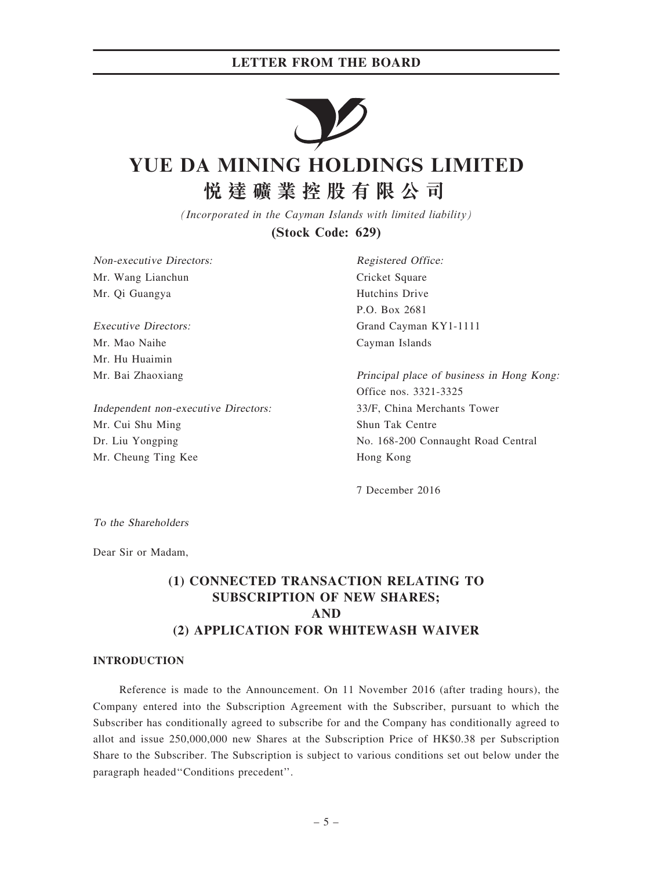# V

# **YUE DA MINING HOLDINGS LIMITED 悅達礦業控股有限公司**

*(Incorporated in the Cayman Islands with limited liability)* **(Stock Code: 629)**

Non-executive Directors: Mr. Wang Lianchun Mr. Qi Guangya

Executive Directors: Mr. Mao Naihe Mr. Hu Huaimin Mr. Bai Zhaoxiang

Independent non-executive Directors: Mr. Cui Shu Ming Dr. Liu Yongping Mr. Cheung Ting Kee

Registered Office: Cricket Square Hutchins Drive P.O. Box 2681 Grand Cayman KY1-1111 Cayman Islands

Principal place of business in Hong Kong: Office nos. 3321-3325 33/F, China Merchants Tower Shun Tak Centre No. 168-200 Connaught Road Central Hong Kong

7 December 2016

To the Shareholders

Dear Sir or Madam,

# (1) CONNECTED TRANSACTION RELATING TO SUBSCRIPTION OF NEW SHARES; AND (2) APPLICATION FOR WHITEWASH WAIVER

#### INTRODUCTION

Reference is made to the Announcement. On 11 November 2016 (after trading hours), the Company entered into the Subscription Agreement with the Subscriber, pursuant to which the Subscriber has conditionally agreed to subscribe for and the Company has conditionally agreed to allot and issue 250,000,000 new Shares at the Subscription Price of HK\$0.38 per Subscription Share to the Subscriber. The Subscription is subject to various conditions set out below under the paragraph headed''Conditions precedent''.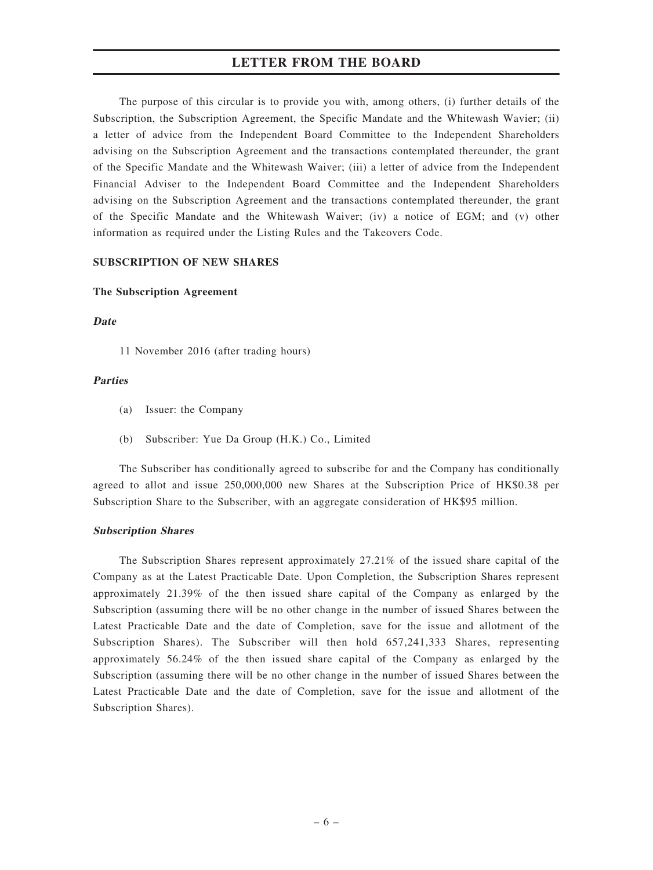The purpose of this circular is to provide you with, among others, (i) further details of the Subscription, the Subscription Agreement, the Specific Mandate and the Whitewash Wavier; (ii) a letter of advice from the Independent Board Committee to the Independent Shareholders advising on the Subscription Agreement and the transactions contemplated thereunder, the grant of the Specific Mandate and the Whitewash Waiver; (iii) a letter of advice from the Independent Financial Adviser to the Independent Board Committee and the Independent Shareholders advising on the Subscription Agreement and the transactions contemplated thereunder, the grant of the Specific Mandate and the Whitewash Waiver; (iv) a notice of EGM; and (v) other information as required under the Listing Rules and the Takeovers Code.

#### SUBSCRIPTION OF NEW SHARES

#### The Subscription Agreement

#### Date

11 November 2016 (after trading hours)

#### **Parties**

- (a) Issuer: the Company
- (b) Subscriber: Yue Da Group (H.K.) Co., Limited

The Subscriber has conditionally agreed to subscribe for and the Company has conditionally agreed to allot and issue 250,000,000 new Shares at the Subscription Price of HK\$0.38 per Subscription Share to the Subscriber, with an aggregate consideration of HK\$95 million.

#### Subscription Shares

The Subscription Shares represent approximately 27.21% of the issued share capital of the Company as at the Latest Practicable Date. Upon Completion, the Subscription Shares represent approximately 21.39% of the then issued share capital of the Company as enlarged by the Subscription (assuming there will be no other change in the number of issued Shares between the Latest Practicable Date and the date of Completion, save for the issue and allotment of the Subscription Shares). The Subscriber will then hold 657,241,333 Shares, representing approximately 56.24% of the then issued share capital of the Company as enlarged by the Subscription (assuming there will be no other change in the number of issued Shares between the Latest Practicable Date and the date of Completion, save for the issue and allotment of the Subscription Shares).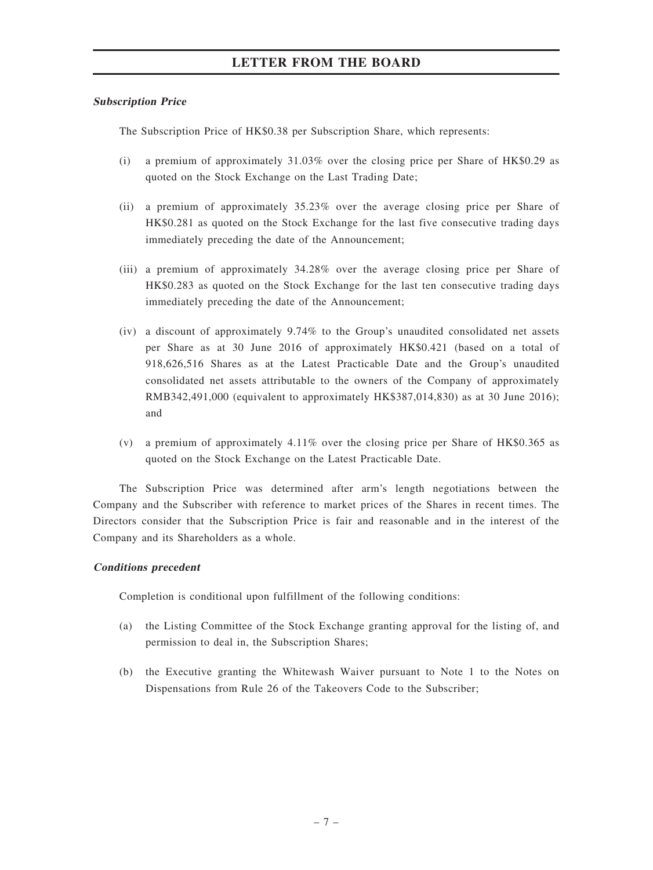#### Subscription Price

The Subscription Price of HK\$0.38 per Subscription Share, which represents:

- (i) a premium of approximately 31.03% over the closing price per Share of HK\$0.29 as quoted on the Stock Exchange on the Last Trading Date;
- (ii) a premium of approximately 35.23% over the average closing price per Share of HK\$0.281 as quoted on the Stock Exchange for the last five consecutive trading days immediately preceding the date of the Announcement;
- (iii) a premium of approximately 34.28% over the average closing price per Share of HK\$0.283 as quoted on the Stock Exchange for the last ten consecutive trading days immediately preceding the date of the Announcement;
- (iv) a discount of approximately 9.74% to the Group's unaudited consolidated net assets per Share as at 30 June 2016 of approximately HK\$0.421 (based on a total of 918,626,516 Shares as at the Latest Practicable Date and the Group's unaudited consolidated net assets attributable to the owners of the Company of approximately RMB342,491,000 (equivalent to approximately HK\$387,014,830) as at 30 June 2016); and
- (v) a premium of approximately 4.11% over the closing price per Share of HK\$0.365 as quoted on the Stock Exchange on the Latest Practicable Date.

The Subscription Price was determined after arm's length negotiations between the Company and the Subscriber with reference to market prices of the Shares in recent times. The Directors consider that the Subscription Price is fair and reasonable and in the interest of the Company and its Shareholders as a whole.

#### Conditions precedent

Completion is conditional upon fulfillment of the following conditions:

- (a) the Listing Committee of the Stock Exchange granting approval for the listing of, and permission to deal in, the Subscription Shares;
- (b) the Executive granting the Whitewash Waiver pursuant to Note 1 to the Notes on Dispensations from Rule 26 of the Takeovers Code to the Subscriber;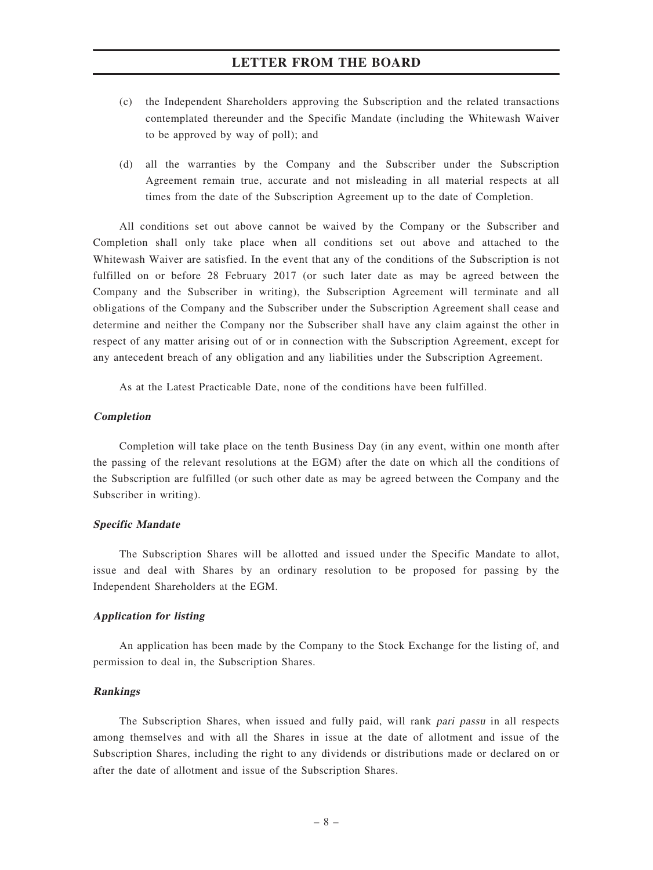- (c) the Independent Shareholders approving the Subscription and the related transactions contemplated thereunder and the Specific Mandate (including the Whitewash Waiver to be approved by way of poll); and
- (d) all the warranties by the Company and the Subscriber under the Subscription Agreement remain true, accurate and not misleading in all material respects at all times from the date of the Subscription Agreement up to the date of Completion.

All conditions set out above cannot be waived by the Company or the Subscriber and Completion shall only take place when all conditions set out above and attached to the Whitewash Waiver are satisfied. In the event that any of the conditions of the Subscription is not fulfilled on or before 28 February 2017 (or such later date as may be agreed between the Company and the Subscriber in writing), the Subscription Agreement will terminate and all obligations of the Company and the Subscriber under the Subscription Agreement shall cease and determine and neither the Company nor the Subscriber shall have any claim against the other in respect of any matter arising out of or in connection with the Subscription Agreement, except for any antecedent breach of any obligation and any liabilities under the Subscription Agreement.

As at the Latest Practicable Date, none of the conditions have been fulfilled.

#### Completion

Completion will take place on the tenth Business Day (in any event, within one month after the passing of the relevant resolutions at the EGM) after the date on which all the conditions of the Subscription are fulfilled (or such other date as may be agreed between the Company and the Subscriber in writing).

#### Specific Mandate

The Subscription Shares will be allotted and issued under the Specific Mandate to allot, issue and deal with Shares by an ordinary resolution to be proposed for passing by the Independent Shareholders at the EGM.

#### Application for listing

An application has been made by the Company to the Stock Exchange for the listing of, and permission to deal in, the Subscription Shares.

#### Rankings

The Subscription Shares, when issued and fully paid, will rank pari passu in all respects among themselves and with all the Shares in issue at the date of allotment and issue of the Subscription Shares, including the right to any dividends or distributions made or declared on or after the date of allotment and issue of the Subscription Shares.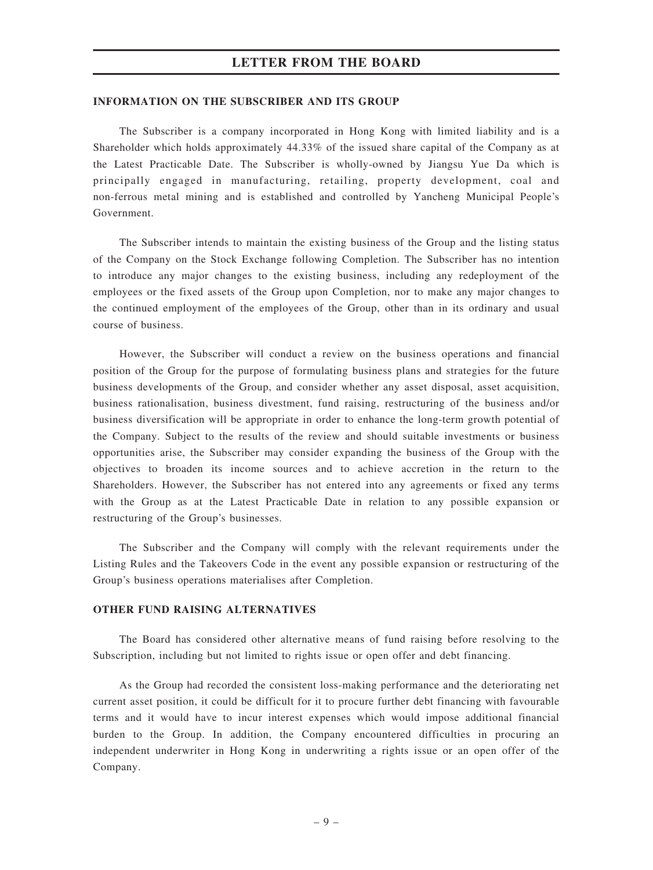#### INFORMATION ON THE SUBSCRIBER AND ITS GROUP

The Subscriber is a company incorporated in Hong Kong with limited liability and is a Shareholder which holds approximately 44.33% of the issued share capital of the Company as at the Latest Practicable Date. The Subscriber is wholly-owned by Jiangsu Yue Da which is principally engaged in manufacturing, retailing, property development, coal and non-ferrous metal mining and is established and controlled by Yancheng Municipal People's Government.

The Subscriber intends to maintain the existing business of the Group and the listing status of the Company on the Stock Exchange following Completion. The Subscriber has no intention to introduce any major changes to the existing business, including any redeployment of the employees or the fixed assets of the Group upon Completion, nor to make any major changes to the continued employment of the employees of the Group, other than in its ordinary and usual course of business.

However, the Subscriber will conduct a review on the business operations and financial position of the Group for the purpose of formulating business plans and strategies for the future business developments of the Group, and consider whether any asset disposal, asset acquisition, business rationalisation, business divestment, fund raising, restructuring of the business and/or business diversification will be appropriate in order to enhance the long-term growth potential of the Company. Subject to the results of the review and should suitable investments or business opportunities arise, the Subscriber may consider expanding the business of the Group with the objectives to broaden its income sources and to achieve accretion in the return to the Shareholders. However, the Subscriber has not entered into any agreements or fixed any terms with the Group as at the Latest Practicable Date in relation to any possible expansion or restructuring of the Group's businesses.

The Subscriber and the Company will comply with the relevant requirements under the Listing Rules and the Takeovers Code in the event any possible expansion or restructuring of the Group's business operations materialises after Completion.

#### OTHER FUND RAISING ALTERNATIVES

The Board has considered other alternative means of fund raising before resolving to the Subscription, including but not limited to rights issue or open offer and debt financing.

As the Group had recorded the consistent loss-making performance and the deteriorating net current asset position, it could be difficult for it to procure further debt financing with favourable terms and it would have to incur interest expenses which would impose additional financial burden to the Group. In addition, the Company encountered difficulties in procuring an independent underwriter in Hong Kong in underwriting a rights issue or an open offer of the Company.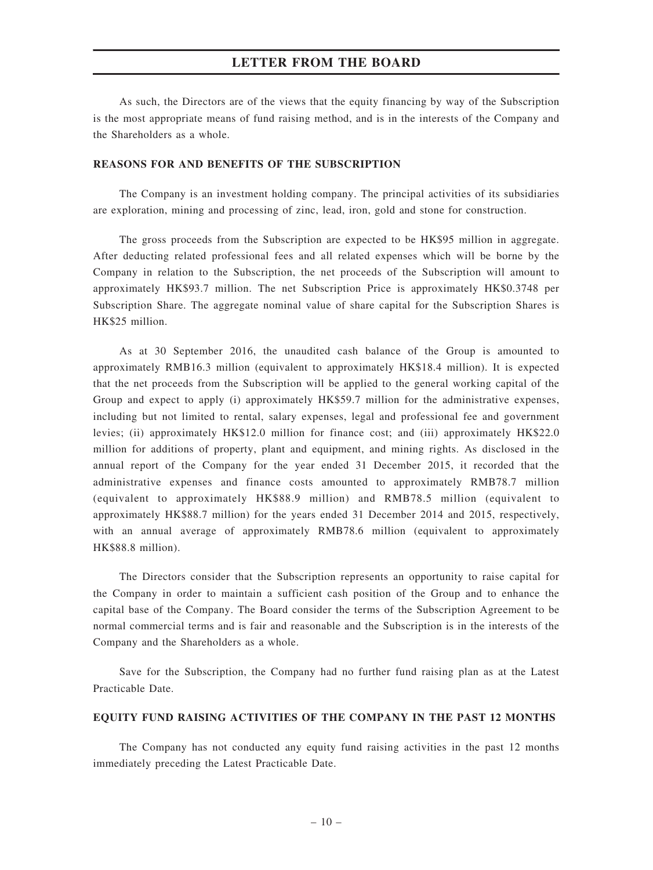As such, the Directors are of the views that the equity financing by way of the Subscription is the most appropriate means of fund raising method, and is in the interests of the Company and the Shareholders as a whole.

#### REASONS FOR AND BENEFITS OF THE SUBSCRIPTION

The Company is an investment holding company. The principal activities of its subsidiaries are exploration, mining and processing of zinc, lead, iron, gold and stone for construction.

The gross proceeds from the Subscription are expected to be HK\$95 million in aggregate. After deducting related professional fees and all related expenses which will be borne by the Company in relation to the Subscription, the net proceeds of the Subscription will amount to approximately HK\$93.7 million. The net Subscription Price is approximately HK\$0.3748 per Subscription Share. The aggregate nominal value of share capital for the Subscription Shares is HK\$25 million.

As at 30 September 2016, the unaudited cash balance of the Group is amounted to approximately RMB16.3 million (equivalent to approximately HK\$18.4 million). It is expected that the net proceeds from the Subscription will be applied to the general working capital of the Group and expect to apply (i) approximately HK\$59.7 million for the administrative expenses, including but not limited to rental, salary expenses, legal and professional fee and government levies; (ii) approximately HK\$12.0 million for finance cost; and (iii) approximately HK\$22.0 million for additions of property, plant and equipment, and mining rights. As disclosed in the annual report of the Company for the year ended 31 December 2015, it recorded that the administrative expenses and finance costs amounted to approximately RMB78.7 million (equivalent to approximately HK\$88.9 million) and RMB78.5 million (equivalent to approximately HK\$88.7 million) for the years ended 31 December 2014 and 2015, respectively, with an annual average of approximately RMB78.6 million (equivalent to approximately HK\$88.8 million).

The Directors consider that the Subscription represents an opportunity to raise capital for the Company in order to maintain a sufficient cash position of the Group and to enhance the capital base of the Company. The Board consider the terms of the Subscription Agreement to be normal commercial terms and is fair and reasonable and the Subscription is in the interests of the Company and the Shareholders as a whole.

Save for the Subscription, the Company had no further fund raising plan as at the Latest Practicable Date.

#### EQUITY FUND RAISING ACTIVITIES OF THE COMPANY IN THE PAST 12 MONTHS

The Company has not conducted any equity fund raising activities in the past 12 months immediately preceding the Latest Practicable Date.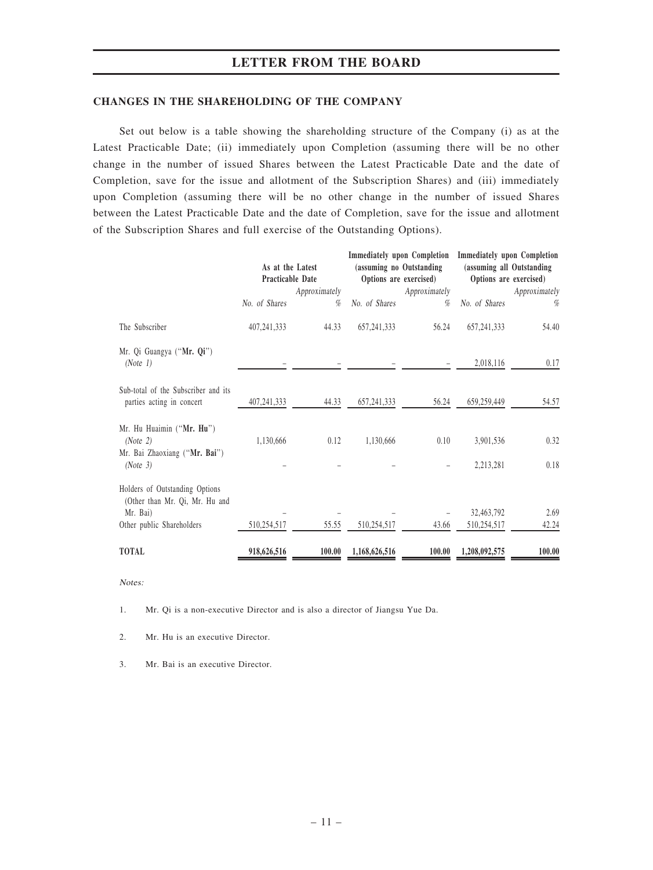#### CHANGES IN THE SHAREHOLDING OF THE COMPANY

Set out below is a table showing the shareholding structure of the Company (i) as at the Latest Practicable Date; (ii) immediately upon Completion (assuming there will be no other change in the number of issued Shares between the Latest Practicable Date and the date of Completion, save for the issue and allotment of the Subscription Shares) and (iii) immediately upon Completion (assuming there will be no other change in the number of issued Shares between the Latest Practicable Date and the date of Completion, save for the issue and allotment of the Subscription Shares and full exercise of the Outstanding Options).

|                                                                              | As at the Latest<br>Practicable Date |               | (assuming no Outstanding)<br>Options are exercised) | Immediately upon Completion | <b>Immediately upon Completion</b><br>(assuming all Outstanding<br>Options are exercised) |               |  |
|------------------------------------------------------------------------------|--------------------------------------|---------------|-----------------------------------------------------|-----------------------------|-------------------------------------------------------------------------------------------|---------------|--|
|                                                                              |                                      | Approximately |                                                     | Approximately               |                                                                                           | Approximately |  |
|                                                                              | No. of Shares                        | %             | No. of Shares                                       | $\%$                        | No. of Shares                                                                             | %             |  |
| The Subscriber                                                               | 407,241,333                          | 44.33         | 657, 241, 333                                       | 56.24                       | 657, 241, 333                                                                             | 54.40         |  |
| Mr. Qi Guangya ("Mr. Qi")<br>(Note 1)                                        |                                      |               |                                                     |                             | 2,018,116                                                                                 | 0.17          |  |
| Sub-total of the Subscriber and its<br>parties acting in concert             | 407, 241, 333                        | 44.33         | 657, 241, 333                                       | 56.24                       | 659,259,449                                                                               | 54.57         |  |
| Mr. Hu Huaimin ("Mr. Hu")<br>(Note 2)<br>Mr. Bai Zhaoxiang ("Mr. Bai")       | 1,130,666                            | 0.12          | 1,130,666                                           | 0.10                        | 3,901,536                                                                                 | 0.32          |  |
| (Note 3)                                                                     |                                      |               |                                                     |                             | 2,213,281                                                                                 | 0.18          |  |
| Holders of Outstanding Options<br>(Other than Mr. Qi, Mr. Hu and<br>Mr. Bai) |                                      |               |                                                     |                             | 32,463,792                                                                                | 2.69          |  |
| Other public Shareholders                                                    | 510,254,517                          | 55.55         | 510,254,517                                         | 43.66                       | 510,254,517                                                                               | 42.24         |  |
| <b>TOTAL</b>                                                                 | 918,626,516                          | 100.00        | 1,168,626,516                                       | 100.00                      | 1,208,092,575                                                                             | 100.00        |  |

#### Notes:

1. Mr. Qi is a non-executive Director and is also a director of Jiangsu Yue Da.

2. Mr. Hu is an executive Director.

3. Mr. Bai is an executive Director.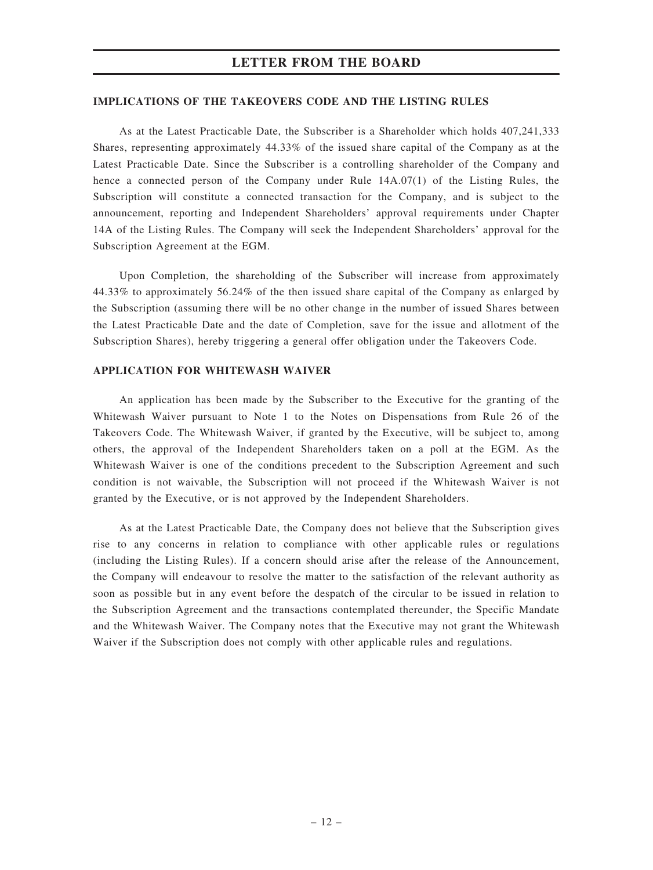#### IMPLICATIONS OF THE TAKEOVERS CODE AND THE LISTING RULES

As at the Latest Practicable Date, the Subscriber is a Shareholder which holds 407,241,333 Shares, representing approximately 44.33% of the issued share capital of the Company as at the Latest Practicable Date. Since the Subscriber is a controlling shareholder of the Company and hence a connected person of the Company under Rule 14A.07(1) of the Listing Rules, the Subscription will constitute a connected transaction for the Company, and is subject to the announcement, reporting and Independent Shareholders' approval requirements under Chapter 14A of the Listing Rules. The Company will seek the Independent Shareholders' approval for the Subscription Agreement at the EGM.

Upon Completion, the shareholding of the Subscriber will increase from approximately 44.33% to approximately 56.24% of the then issued share capital of the Company as enlarged by the Subscription (assuming there will be no other change in the number of issued Shares between the Latest Practicable Date and the date of Completion, save for the issue and allotment of the Subscription Shares), hereby triggering a general offer obligation under the Takeovers Code.

#### APPLICATION FOR WHITEWASH WAIVER

An application has been made by the Subscriber to the Executive for the granting of the Whitewash Waiver pursuant to Note 1 to the Notes on Dispensations from Rule 26 of the Takeovers Code. The Whitewash Waiver, if granted by the Executive, will be subject to, among others, the approval of the Independent Shareholders taken on a poll at the EGM. As the Whitewash Waiver is one of the conditions precedent to the Subscription Agreement and such condition is not waivable, the Subscription will not proceed if the Whitewash Waiver is not granted by the Executive, or is not approved by the Independent Shareholders.

As at the Latest Practicable Date, the Company does not believe that the Subscription gives rise to any concerns in relation to compliance with other applicable rules or regulations (including the Listing Rules). If a concern should arise after the release of the Announcement, the Company will endeavour to resolve the matter to the satisfaction of the relevant authority as soon as possible but in any event before the despatch of the circular to be issued in relation to the Subscription Agreement and the transactions contemplated thereunder, the Specific Mandate and the Whitewash Waiver. The Company notes that the Executive may not grant the Whitewash Waiver if the Subscription does not comply with other applicable rules and regulations.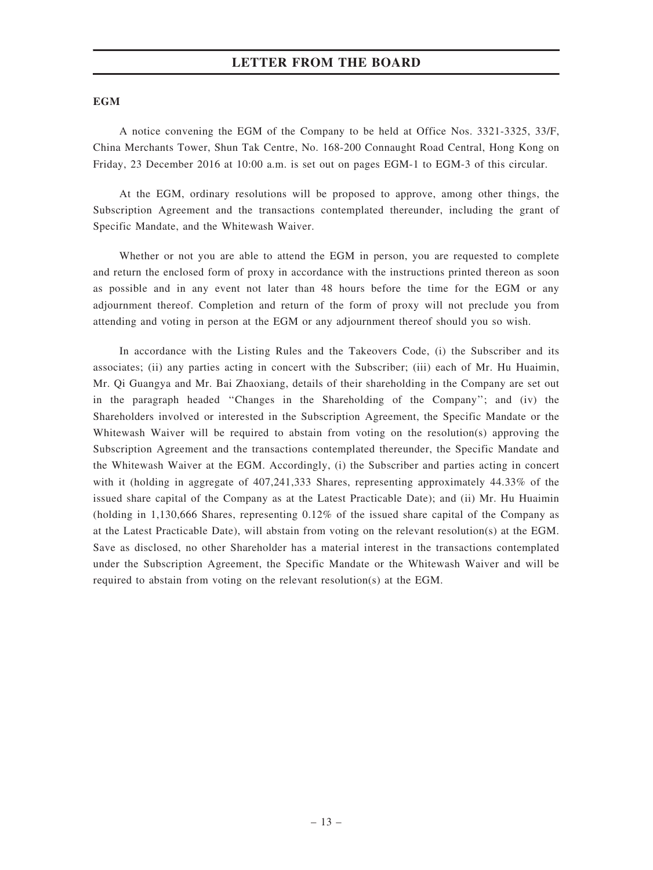#### **EGM**

A notice convening the EGM of the Company to be held at Office Nos. 3321-3325, 33/F, China Merchants Tower, Shun Tak Centre, No. 168-200 Connaught Road Central, Hong Kong on Friday, 23 December 2016 at 10:00 a.m. is set out on pages EGM-1 to EGM-3 of this circular.

At the EGM, ordinary resolutions will be proposed to approve, among other things, the Subscription Agreement and the transactions contemplated thereunder, including the grant of Specific Mandate, and the Whitewash Waiver.

Whether or not you are able to attend the EGM in person, you are requested to complete and return the enclosed form of proxy in accordance with the instructions printed thereon as soon as possible and in any event not later than 48 hours before the time for the EGM or any adjournment thereof. Completion and return of the form of proxy will not preclude you from attending and voting in person at the EGM or any adjournment thereof should you so wish.

In accordance with the Listing Rules and the Takeovers Code, (i) the Subscriber and its associates; (ii) any parties acting in concert with the Subscriber; (iii) each of Mr. Hu Huaimin, Mr. Qi Guangya and Mr. Bai Zhaoxiang, details of their shareholding in the Company are set out in the paragraph headed ''Changes in the Shareholding of the Company''; and (iv) the Shareholders involved or interested in the Subscription Agreement, the Specific Mandate or the Whitewash Waiver will be required to abstain from voting on the resolution(s) approving the Subscription Agreement and the transactions contemplated thereunder, the Specific Mandate and the Whitewash Waiver at the EGM. Accordingly, (i) the Subscriber and parties acting in concert with it (holding in aggregate of 407,241,333 Shares, representing approximately 44.33% of the issued share capital of the Company as at the Latest Practicable Date); and (ii) Mr. Hu Huaimin (holding in 1,130,666 Shares, representing 0.12% of the issued share capital of the Company as at the Latest Practicable Date), will abstain from voting on the relevant resolution(s) at the EGM. Save as disclosed, no other Shareholder has a material interest in the transactions contemplated under the Subscription Agreement, the Specific Mandate or the Whitewash Waiver and will be required to abstain from voting on the relevant resolution(s) at the EGM.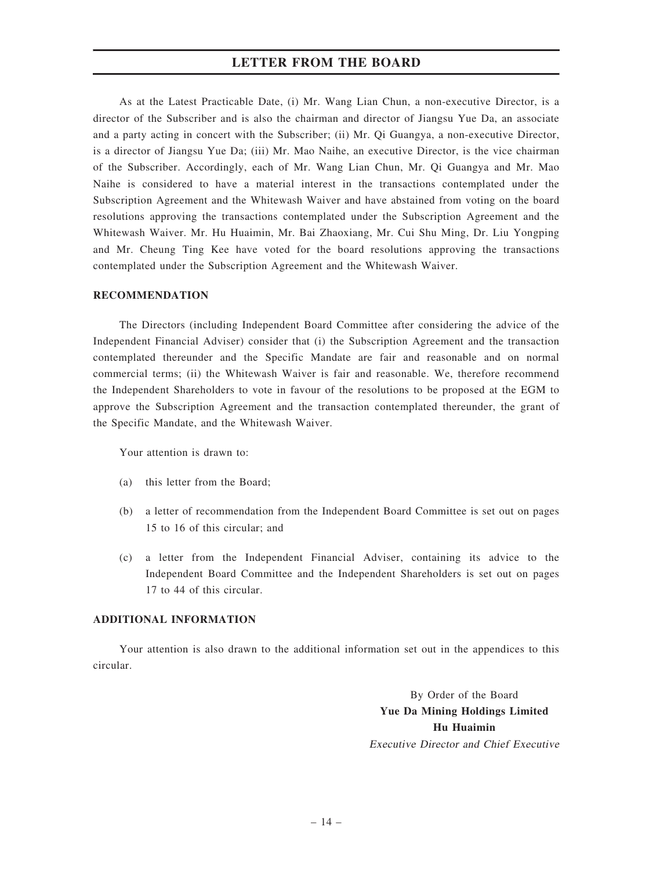As at the Latest Practicable Date, (i) Mr. Wang Lian Chun, a non-executive Director, is a director of the Subscriber and is also the chairman and director of Jiangsu Yue Da, an associate and a party acting in concert with the Subscriber; (ii) Mr. Qi Guangya, a non-executive Director, is a director of Jiangsu Yue Da; (iii) Mr. Mao Naihe, an executive Director, is the vice chairman of the Subscriber. Accordingly, each of Mr. Wang Lian Chun, Mr. Qi Guangya and Mr. Mao Naihe is considered to have a material interest in the transactions contemplated under the Subscription Agreement and the Whitewash Waiver and have abstained from voting on the board resolutions approving the transactions contemplated under the Subscription Agreement and the Whitewash Waiver. Mr. Hu Huaimin, Mr. Bai Zhaoxiang, Mr. Cui Shu Ming, Dr. Liu Yongping and Mr. Cheung Ting Kee have voted for the board resolutions approving the transactions contemplated under the Subscription Agreement and the Whitewash Waiver.

#### RECOMMENDATION

The Directors (including Independent Board Committee after considering the advice of the Independent Financial Adviser) consider that (i) the Subscription Agreement and the transaction contemplated thereunder and the Specific Mandate are fair and reasonable and on normal commercial terms; (ii) the Whitewash Waiver is fair and reasonable. We, therefore recommend the Independent Shareholders to vote in favour of the resolutions to be proposed at the EGM to approve the Subscription Agreement and the transaction contemplated thereunder, the grant of the Specific Mandate, and the Whitewash Waiver.

Your attention is drawn to:

- (a) this letter from the Board;
- (b) a letter of recommendation from the Independent Board Committee is set out on pages 15 to 16 of this circular; and
- (c) a letter from the Independent Financial Adviser, containing its advice to the Independent Board Committee and the Independent Shareholders is set out on pages 17 to 44 of this circular.

# ADDITIONAL INFORMATION

Your attention is also drawn to the additional information set out in the appendices to this circular.

> By Order of the Board Yue Da Mining Holdings Limited Hu Huaimin Executive Director and Chief Executive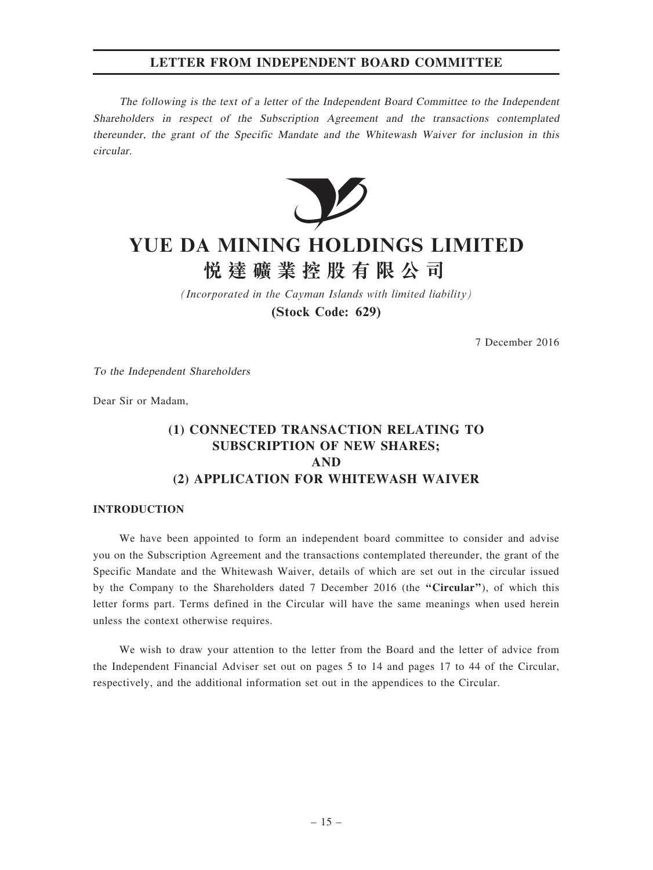# LETTER FROM INDEPENDENT BOARD COMMITTEE

The following is the text of <sup>a</sup> letter of the Independent Board Committee to the Independent Shareholders in respect of the Subscription Agreement and the transactions contemplated thereunder, the grant of the Specific Mandate and the Whitewash Waiver for inclusion in this circular.



# **YUE DA MINING HOLDINGS LIMITED 悅達礦業控股有限公司**

*(Incorporated in the Cayman Islands with limited liability)*

**(Stock Code: 629)**

7 December 2016

To the Independent Shareholders

Dear Sir or Madam,

# (1) CONNECTED TRANSACTION RELATING TO SUBSCRIPTION OF NEW SHARES; AND (2) APPLICATION FOR WHITEWASH WAIVER

#### **INTRODUCTION**

We have been appointed to form an independent board committee to consider and advise you on the Subscription Agreement and the transactions contemplated thereunder, the grant of the Specific Mandate and the Whitewash Waiver, details of which are set out in the circular issued by the Company to the Shareholders dated 7 December 2016 (the "Circular"), of which this letter forms part. Terms defined in the Circular will have the same meanings when used herein unless the context otherwise requires.

We wish to draw your attention to the letter from the Board and the letter of advice from the Independent Financial Adviser set out on pages 5 to 14 and pages 17 to 44 of the Circular, respectively, and the additional information set out in the appendices to the Circular.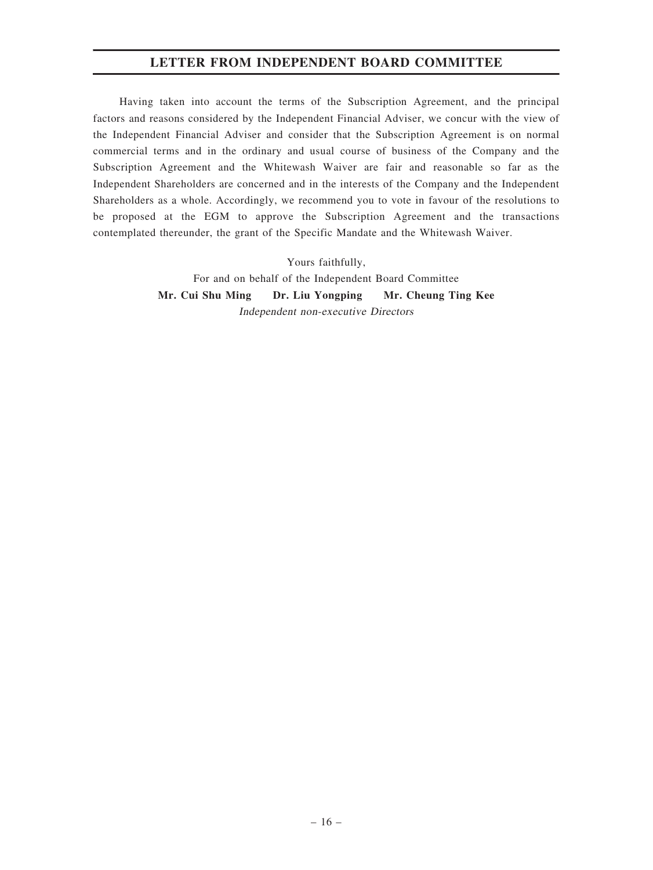# LETTER FROM INDEPENDENT BOARD COMMITTEE

Having taken into account the terms of the Subscription Agreement, and the principal factors and reasons considered by the Independent Financial Adviser, we concur with the view of the Independent Financial Adviser and consider that the Subscription Agreement is on normal commercial terms and in the ordinary and usual course of business of the Company and the Subscription Agreement and the Whitewash Waiver are fair and reasonable so far as the Independent Shareholders are concerned and in the interests of the Company and the Independent Shareholders as a whole. Accordingly, we recommend you to vote in favour of the resolutions to be proposed at the EGM to approve the Subscription Agreement and the transactions contemplated thereunder, the grant of the Specific Mandate and the Whitewash Waiver.

> Yours faithfully, For and on behalf of the Independent Board Committee Mr. Cui Shu Ming Dr. Liu Yongping Mr. Cheung Ting Kee Independent non-executive Directors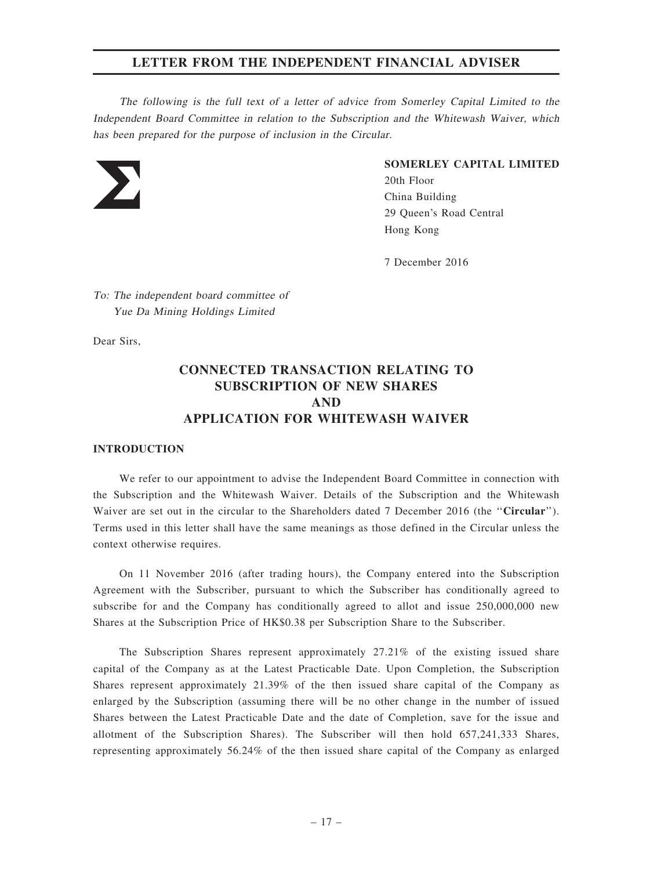The following is the full text of <sup>a</sup> letter of advice from Somerley Capital Limited to the Independent Board Committee in relation to the Subscription and the Whitewash Waiver, which has been prepared for the purpose of inclusion in the Circular.



#### SOMERLEY CAPITAL LIMITED

20th Floor China Building 29 Queen's Road Central Hong Kong

7 December 2016

To: The independent board committee of Yue Da Mining Holdings Limited

Dear Sirs,

# CONNECTED TRANSACTION RELATING TO SUBSCRIPTION OF NEW SHARES AND APPLICATION FOR WHITEWASH WAIVER

#### INTRODUCTION

We refer to our appointment to advise the Independent Board Committee in connection with the Subscription and the Whitewash Waiver. Details of the Subscription and the Whitewash Waiver are set out in the circular to the Shareholders dated 7 December 2016 (the "Circular"). Terms used in this letter shall have the same meanings as those defined in the Circular unless the context otherwise requires.

On 11 November 2016 (after trading hours), the Company entered into the Subscription Agreement with the Subscriber, pursuant to which the Subscriber has conditionally agreed to subscribe for and the Company has conditionally agreed to allot and issue 250,000,000 new Shares at the Subscription Price of HK\$0.38 per Subscription Share to the Subscriber.

The Subscription Shares represent approximately 27.21% of the existing issued share capital of the Company as at the Latest Practicable Date. Upon Completion, the Subscription Shares represent approximately 21.39% of the then issued share capital of the Company as enlarged by the Subscription (assuming there will be no other change in the number of issued Shares between the Latest Practicable Date and the date of Completion, save for the issue and allotment of the Subscription Shares). The Subscriber will then hold 657,241,333 Shares, representing approximately 56.24% of the then issued share capital of the Company as enlarged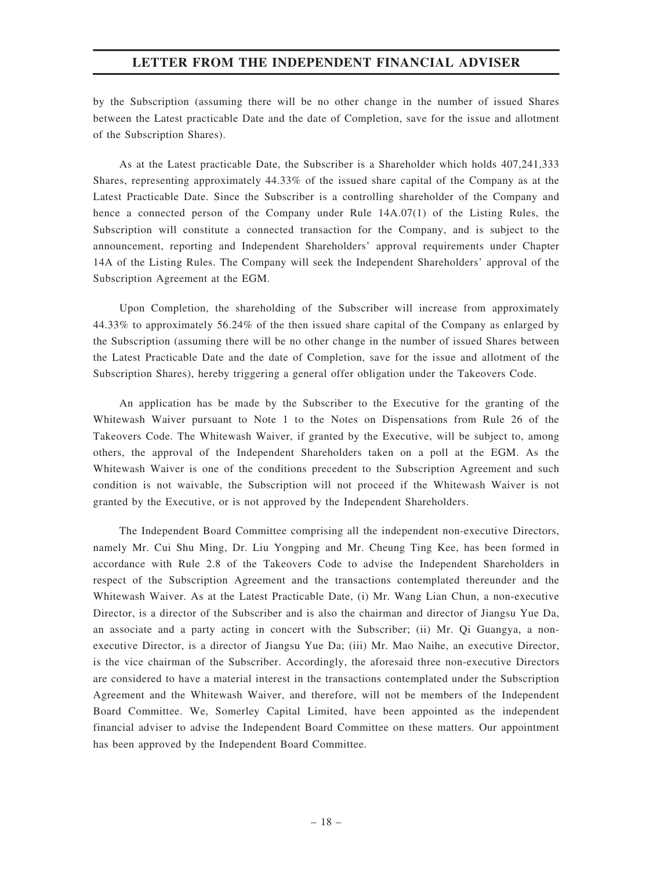by the Subscription (assuming there will be no other change in the number of issued Shares between the Latest practicable Date and the date of Completion, save for the issue and allotment of the Subscription Shares).

As at the Latest practicable Date, the Subscriber is a Shareholder which holds 407,241,333 Shares, representing approximately 44.33% of the issued share capital of the Company as at the Latest Practicable Date. Since the Subscriber is a controlling shareholder of the Company and hence a connected person of the Company under Rule 14A.07(1) of the Listing Rules, the Subscription will constitute a connected transaction for the Company, and is subject to the announcement, reporting and Independent Shareholders' approval requirements under Chapter 14A of the Listing Rules. The Company will seek the Independent Shareholders' approval of the Subscription Agreement at the EGM.

Upon Completion, the shareholding of the Subscriber will increase from approximately 44.33% to approximately 56.24% of the then issued share capital of the Company as enlarged by the Subscription (assuming there will be no other change in the number of issued Shares between the Latest Practicable Date and the date of Completion, save for the issue and allotment of the Subscription Shares), hereby triggering a general offer obligation under the Takeovers Code.

An application has be made by the Subscriber to the Executive for the granting of the Whitewash Waiver pursuant to Note 1 to the Notes on Dispensations from Rule 26 of the Takeovers Code. The Whitewash Waiver, if granted by the Executive, will be subject to, among others, the approval of the Independent Shareholders taken on a poll at the EGM. As the Whitewash Waiver is one of the conditions precedent to the Subscription Agreement and such condition is not waivable, the Subscription will not proceed if the Whitewash Waiver is not granted by the Executive, or is not approved by the Independent Shareholders.

The Independent Board Committee comprising all the independent non-executive Directors, namely Mr. Cui Shu Ming, Dr. Liu Yongping and Mr. Cheung Ting Kee, has been formed in accordance with Rule 2.8 of the Takeovers Code to advise the Independent Shareholders in respect of the Subscription Agreement and the transactions contemplated thereunder and the Whitewash Waiver. As at the Latest Practicable Date, (i) Mr. Wang Lian Chun, a non-executive Director, is a director of the Subscriber and is also the chairman and director of Jiangsu Yue Da, an associate and a party acting in concert with the Subscriber; (ii) Mr. Qi Guangya, a nonexecutive Director, is a director of Jiangsu Yue Da; (iii) Mr. Mao Naihe, an executive Director, is the vice chairman of the Subscriber. Accordingly, the aforesaid three non-executive Directors are considered to have a material interest in the transactions contemplated under the Subscription Agreement and the Whitewash Waiver, and therefore, will not be members of the Independent Board Committee. We, Somerley Capital Limited, have been appointed as the independent financial adviser to advise the Independent Board Committee on these matters. Our appointment has been approved by the Independent Board Committee.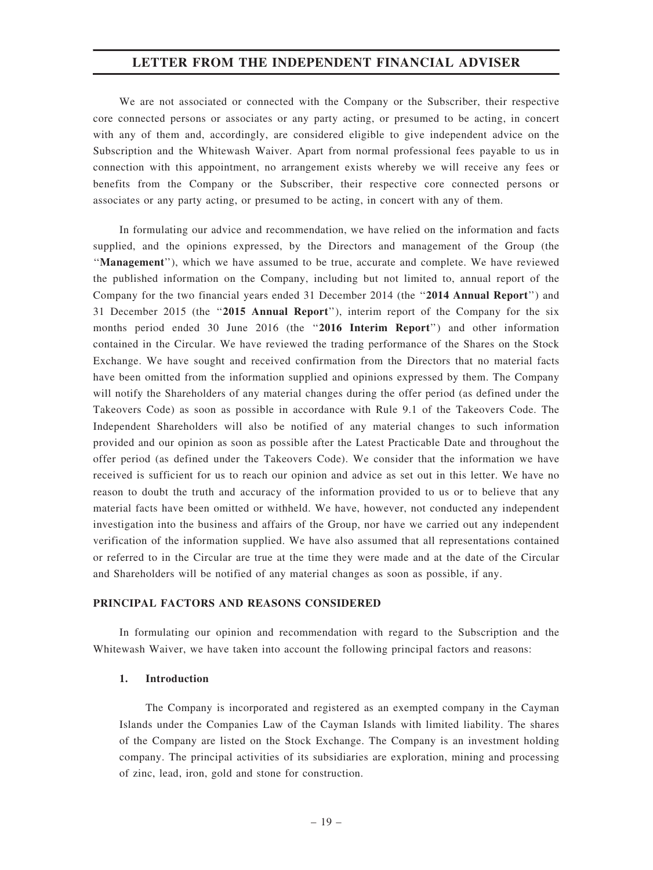We are not associated or connected with the Company or the Subscriber, their respective core connected persons or associates or any party acting, or presumed to be acting, in concert with any of them and, accordingly, are considered eligible to give independent advice on the Subscription and the Whitewash Waiver. Apart from normal professional fees payable to us in connection with this appointment, no arrangement exists whereby we will receive any fees or benefits from the Company or the Subscriber, their respective core connected persons or associates or any party acting, or presumed to be acting, in concert with any of them.

In formulating our advice and recommendation, we have relied on the information and facts supplied, and the opinions expressed, by the Directors and management of the Group (the ''Management''), which we have assumed to be true, accurate and complete. We have reviewed the published information on the Company, including but not limited to, annual report of the Company for the two financial years ended 31 December 2014 (the "2014 Annual Report") and 31 December 2015 (the ''2015 Annual Report''), interim report of the Company for the six months period ended 30 June 2016 (the "2016 Interim Report") and other information contained in the Circular. We have reviewed the trading performance of the Shares on the Stock Exchange. We have sought and received confirmation from the Directors that no material facts have been omitted from the information supplied and opinions expressed by them. The Company will notify the Shareholders of any material changes during the offer period (as defined under the Takeovers Code) as soon as possible in accordance with Rule 9.1 of the Takeovers Code. The Independent Shareholders will also be notified of any material changes to such information provided and our opinion as soon as possible after the Latest Practicable Date and throughout the offer period (as defined under the Takeovers Code). We consider that the information we have received is sufficient for us to reach our opinion and advice as set out in this letter. We have no reason to doubt the truth and accuracy of the information provided to us or to believe that any material facts have been omitted or withheld. We have, however, not conducted any independent investigation into the business and affairs of the Group, nor have we carried out any independent verification of the information supplied. We have also assumed that all representations contained or referred to in the Circular are true at the time they were made and at the date of the Circular and Shareholders will be notified of any material changes as soon as possible, if any.

#### PRINCIPAL FACTORS AND REASONS CONSIDERED

In formulating our opinion and recommendation with regard to the Subscription and the Whitewash Waiver, we have taken into account the following principal factors and reasons:

#### 1. Introduction

The Company is incorporated and registered as an exempted company in the Cayman Islands under the Companies Law of the Cayman Islands with limited liability. The shares of the Company are listed on the Stock Exchange. The Company is an investment holding company. The principal activities of its subsidiaries are exploration, mining and processing of zinc, lead, iron, gold and stone for construction.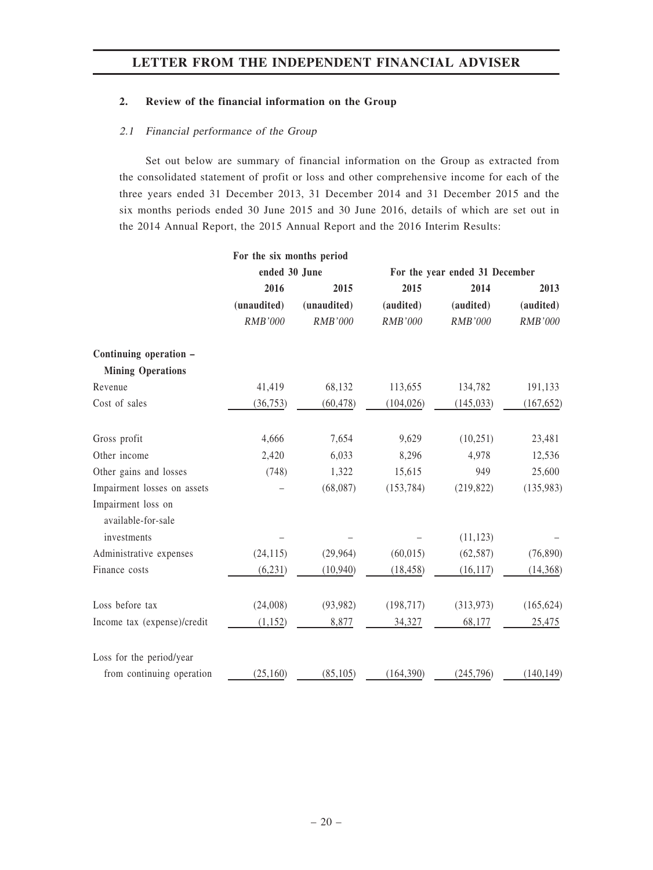#### 2. Review of the financial information on the Group

#### 2.1 Financial performance of the Group

Set out below are summary of financial information on the Group as extracted from the consolidated statement of profit or loss and other comprehensive income for each of the three years ended 31 December 2013, 31 December 2014 and 31 December 2015 and the six months periods ended 30 June 2015 and 30 June 2016, details of which are set out in the 2014 Annual Report, the 2015 Annual Report and the 2016 Interim Results:

|                             | For the six months period |             |                                |            |            |  |
|-----------------------------|---------------------------|-------------|--------------------------------|------------|------------|--|
|                             | ended 30 June             |             | For the year ended 31 December |            |            |  |
|                             | 2016                      | 2015        | 2015                           | 2014       | 2013       |  |
|                             | (unaudited)               | (unaudited) | (audited)                      | (audited)  | (audited)  |  |
|                             | RMB'000                   | RMB'000     | RMB'000                        | RMB'000    | RMB'000    |  |
| Continuing operation -      |                           |             |                                |            |            |  |
| <b>Mining Operations</b>    |                           |             |                                |            |            |  |
| Revenue                     | 41,419                    | 68,132      | 113,655                        | 134,782    | 191,133    |  |
| Cost of sales               | (36, 753)                 | (60, 478)   | (104, 026)                     | (145, 033) | (167, 652) |  |
| Gross profit                | 4,666                     | 7,654       | 9,629                          | (10,251)   | 23,481     |  |
| Other income                | 2,420                     | 6,033       | 8,296                          | 4,978      | 12,536     |  |
| Other gains and losses      | (748)                     | 1,322       | 15,615                         | 949        | 25,600     |  |
| Impairment losses on assets |                           | (68,087)    | (153, 784)                     | (219, 822) | (135, 983) |  |
| Impairment loss on          |                           |             |                                |            |            |  |
| available-for-sale          |                           |             |                                |            |            |  |
| investments                 |                           |             |                                | (11, 123)  |            |  |
| Administrative expenses     | (24, 115)                 | (29, 964)   | (60, 015)                      | (62, 587)  | (76, 890)  |  |
| Finance costs               | (6, 231)                  | (10, 940)   | (18, 458)                      | (16, 117)  | (14, 368)  |  |
| Loss before tax             | (24,008)                  | (93, 982)   | (198, 717)                     | (313,973)  | (165, 624) |  |
| Income tax (expense)/credit | (1, 152)                  | 8,877       | 34,327                         | 68,177     | 25,475     |  |
| Loss for the period/year    |                           |             |                                |            |            |  |
| from continuing operation   | (25,160)                  | (85, 105)   | (164,390)                      | (245,796)  | (140, 149) |  |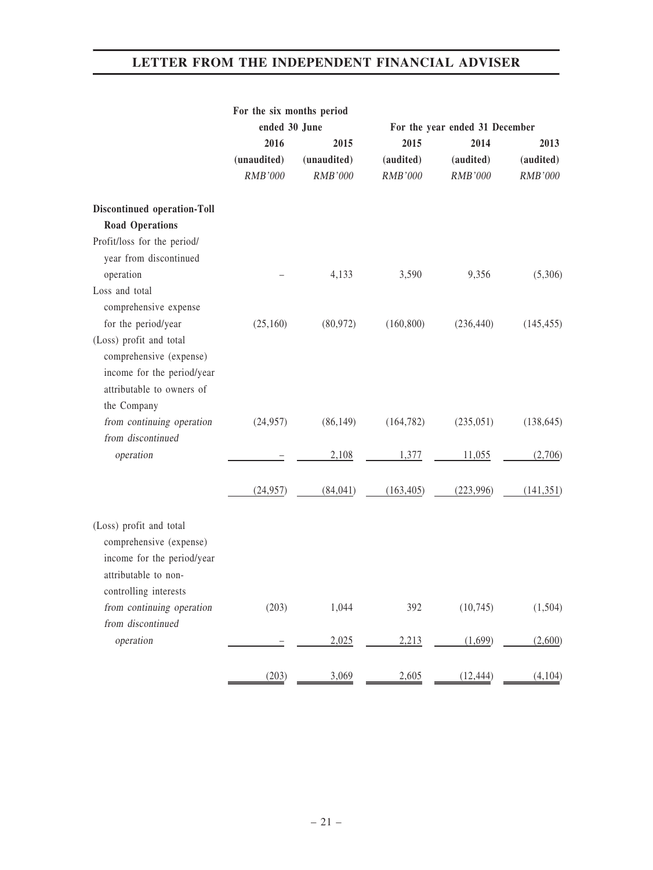|                                    | For the six months period |                |                                |            |            |  |
|------------------------------------|---------------------------|----------------|--------------------------------|------------|------------|--|
|                                    | ended 30 June             |                | For the year ended 31 December |            |            |  |
|                                    | 2016                      | 2015           | 2015                           | 2014       | 2013       |  |
|                                    | (unaudited)               | (unaudited)    | (audited)                      | (audited)  | (audited)  |  |
|                                    | <b>RMB'000</b>            | <b>RMB'000</b> | RMB'000                        | RMB'000    | RMB'000    |  |
| <b>Discontinued operation-Toll</b> |                           |                |                                |            |            |  |
| <b>Road Operations</b>             |                           |                |                                |            |            |  |
| Profit/loss for the period/        |                           |                |                                |            |            |  |
| year from discontinued             |                           |                |                                |            |            |  |
| operation                          |                           | 4,133          | 3,590                          | 9,356      | (5,306)    |  |
| Loss and total                     |                           |                |                                |            |            |  |
| comprehensive expense              |                           |                |                                |            |            |  |
| for the period/year                | (25, 160)                 | (80, 972)      | (160, 800)                     | (236, 440) | (145, 455) |  |
| (Loss) profit and total            |                           |                |                                |            |            |  |
| comprehensive (expense)            |                           |                |                                |            |            |  |
| income for the period/year         |                           |                |                                |            |            |  |
| attributable to owners of          |                           |                |                                |            |            |  |
| the Company                        |                           |                |                                |            |            |  |
| from continuing operation          | (24, 957)                 | (86, 149)      | (164, 782)                     | (235,051)  | (138, 645) |  |
| from discontinued                  |                           |                |                                |            |            |  |
| operation                          |                           | 2,108          | 1,377                          | 11,055     | (2,706)    |  |
|                                    | (24, 957)                 | (84, 041)      | (163, 405)                     | (223,996)  | (141, 351) |  |
| (Loss) profit and total            |                           |                |                                |            |            |  |
| comprehensive (expense)            |                           |                |                                |            |            |  |
| income for the period/year         |                           |                |                                |            |            |  |
| attributable to non-               |                           |                |                                |            |            |  |
| controlling interests              |                           |                |                                |            |            |  |
| from continuing operation          | (203)                     | 1,044          | 392                            | (10, 745)  | (1,504)    |  |
| from discontinued                  |                           |                |                                |            |            |  |
| operation                          |                           | 2,025          | 2,213                          | (1,699)    | (2,600)    |  |
|                                    | (203)                     | 3,069          | 2,605                          | (12, 444)  | (4, 104)   |  |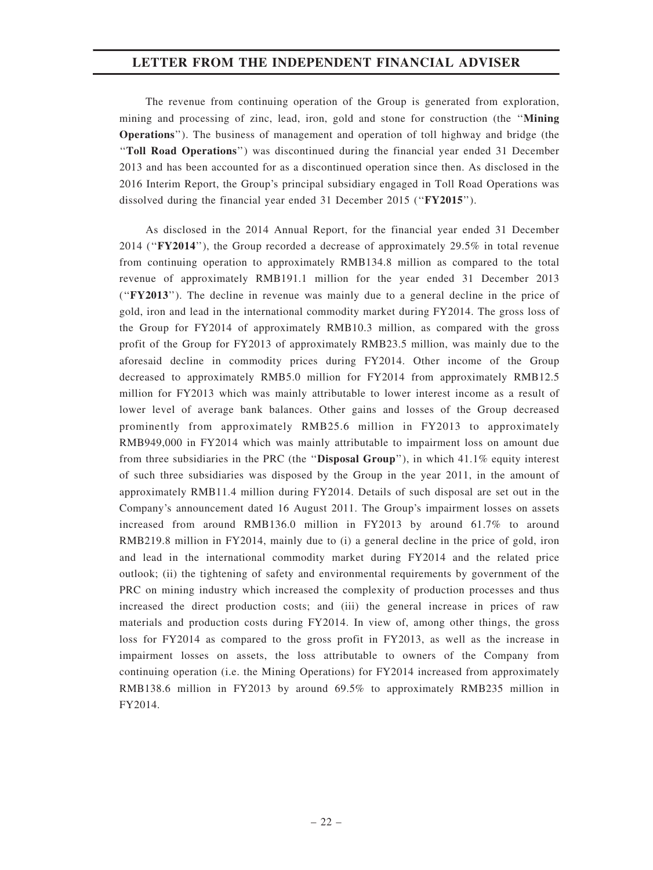The revenue from continuing operation of the Group is generated from exploration, mining and processing of zinc, lead, iron, gold and stone for construction (the "Mining") Operations''). The business of management and operation of toll highway and bridge (the ''Toll Road Operations'') was discontinued during the financial year ended 31 December 2013 and has been accounted for as a discontinued operation since then. As disclosed in the 2016 Interim Report, the Group's principal subsidiary engaged in Toll Road Operations was dissolved during the financial year ended 31 December 2015 (''FY2015'').

As disclosed in the 2014 Annual Report, for the financial year ended 31 December 2014 (''FY2014''), the Group recorded a decrease of approximately 29.5% in total revenue from continuing operation to approximately RMB134.8 million as compared to the total revenue of approximately RMB191.1 million for the year ended 31 December 2013 (''FY2013''). The decline in revenue was mainly due to a general decline in the price of gold, iron and lead in the international commodity market during FY2014. The gross loss of the Group for FY2014 of approximately RMB10.3 million, as compared with the gross profit of the Group for FY2013 of approximately RMB23.5 million, was mainly due to the aforesaid decline in commodity prices during FY2014. Other income of the Group decreased to approximately RMB5.0 million for FY2014 from approximately RMB12.5 million for FY2013 which was mainly attributable to lower interest income as a result of lower level of average bank balances. Other gains and losses of the Group decreased prominently from approximately RMB25.6 million in FY2013 to approximately RMB949,000 in FY2014 which was mainly attributable to impairment loss on amount due from three subsidiaries in the PRC (the "Disposal Group"), in which 41.1% equity interest of such three subsidiaries was disposed by the Group in the year 2011, in the amount of approximately RMB11.4 million during FY2014. Details of such disposal are set out in the Company's announcement dated 16 August 2011. The Group's impairment losses on assets increased from around RMB136.0 million in FY2013 by around 61.7% to around RMB219.8 million in FY2014, mainly due to (i) a general decline in the price of gold, iron and lead in the international commodity market during FY2014 and the related price outlook; (ii) the tightening of safety and environmental requirements by government of the PRC on mining industry which increased the complexity of production processes and thus increased the direct production costs; and (iii) the general increase in prices of raw materials and production costs during FY2014. In view of, among other things, the gross loss for FY2014 as compared to the gross profit in FY2013, as well as the increase in impairment losses on assets, the loss attributable to owners of the Company from continuing operation (i.e. the Mining Operations) for FY2014 increased from approximately RMB138.6 million in FY2013 by around 69.5% to approximately RMB235 million in FY2014.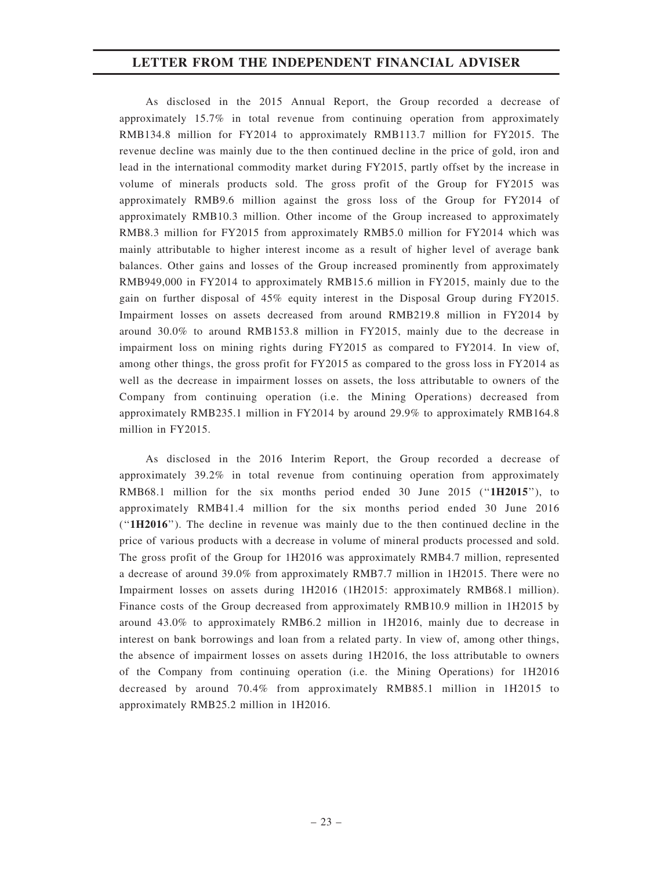As disclosed in the 2015 Annual Report, the Group recorded a decrease of approximately 15.7% in total revenue from continuing operation from approximately RMB134.8 million for FY2014 to approximately RMB113.7 million for FY2015. The revenue decline was mainly due to the then continued decline in the price of gold, iron and lead in the international commodity market during FY2015, partly offset by the increase in volume of minerals products sold. The gross profit of the Group for FY2015 was approximately RMB9.6 million against the gross loss of the Group for FY2014 of approximately RMB10.3 million. Other income of the Group increased to approximately RMB8.3 million for FY2015 from approximately RMB5.0 million for FY2014 which was mainly attributable to higher interest income as a result of higher level of average bank balances. Other gains and losses of the Group increased prominently from approximately RMB949,000 in FY2014 to approximately RMB15.6 million in FY2015, mainly due to the gain on further disposal of 45% equity interest in the Disposal Group during FY2015. Impairment losses on assets decreased from around RMB219.8 million in FY2014 by around 30.0% to around RMB153.8 million in FY2015, mainly due to the decrease in impairment loss on mining rights during FY2015 as compared to FY2014. In view of, among other things, the gross profit for FY2015 as compared to the gross loss in FY2014 as well as the decrease in impairment losses on assets, the loss attributable to owners of the Company from continuing operation (i.e. the Mining Operations) decreased from approximately RMB235.1 million in FY2014 by around 29.9% to approximately RMB164.8 million in FY2015.

As disclosed in the 2016 Interim Report, the Group recorded a decrease of approximately 39.2% in total revenue from continuing operation from approximately RMB68.1 million for the six months period ended 30 June 2015 ("1H2015"), to approximately RMB41.4 million for the six months period ended 30 June 2016 (''1H2016''). The decline in revenue was mainly due to the then continued decline in the price of various products with a decrease in volume of mineral products processed and sold. The gross profit of the Group for 1H2016 was approximately RMB4.7 million, represented a decrease of around 39.0% from approximately RMB7.7 million in 1H2015. There were no Impairment losses on assets during 1H2016 (1H2015: approximately RMB68.1 million). Finance costs of the Group decreased from approximately RMB10.9 million in 1H2015 by around 43.0% to approximately RMB6.2 million in 1H2016, mainly due to decrease in interest on bank borrowings and loan from a related party. In view of, among other things, the absence of impairment losses on assets during 1H2016, the loss attributable to owners of the Company from continuing operation (i.e. the Mining Operations) for 1H2016 decreased by around 70.4% from approximately RMB85.1 million in 1H2015 to approximately RMB25.2 million in 1H2016.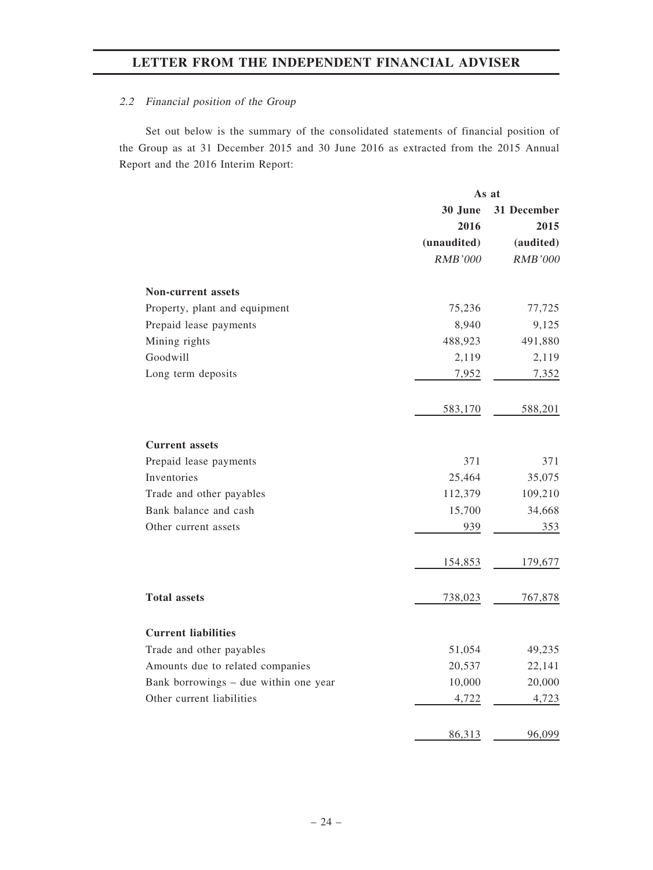## 2.2 Financial position of the Group

Set out below is the summary of the consolidated statements of financial position of the Group as at 31 December 2015 and 30 June 2016 as extracted from the 2015 Annual Report and the 2016 Interim Report:

|                                       | As at          |                |  |
|---------------------------------------|----------------|----------------|--|
|                                       | 30 June        | 31 December    |  |
|                                       | 2016           | 2015           |  |
|                                       | (unaudited)    | (audited)      |  |
|                                       | <b>RMB'000</b> | <b>RMB'000</b> |  |
| <b>Non-current assets</b>             |                |                |  |
| Property, plant and equipment         | 75,236         | 77,725         |  |
| Prepaid lease payments                | 8,940          | 9,125          |  |
| Mining rights                         | 488,923        | 491,880        |  |
| Goodwill                              | 2,119          | 2,119          |  |
| Long term deposits                    | 7,952          | 7,352          |  |
|                                       | 583,170        | 588,201        |  |
| <b>Current assets</b>                 |                |                |  |
| Prepaid lease payments                | 371            | 371            |  |
| Inventories                           | 25,464         | 35,075         |  |
| Trade and other payables              | 112,379        | 109,210        |  |
| Bank balance and cash                 | 15,700         | 34,668         |  |
| Other current assets                  | 939            | 353            |  |
|                                       | 154,853        | 179,677        |  |
| <b>Total assets</b>                   | 738,023        | 767,878        |  |
| <b>Current liabilities</b>            |                |                |  |
| Trade and other payables              | 51,054         | 49,235         |  |
| Amounts due to related companies      | 20,537         | 22,141         |  |
| Bank borrowings - due within one year | 10,000         | 20,000         |  |
| Other current liabilities             | 4,722          | 4,723          |  |
|                                       | 86,313         | 96,099         |  |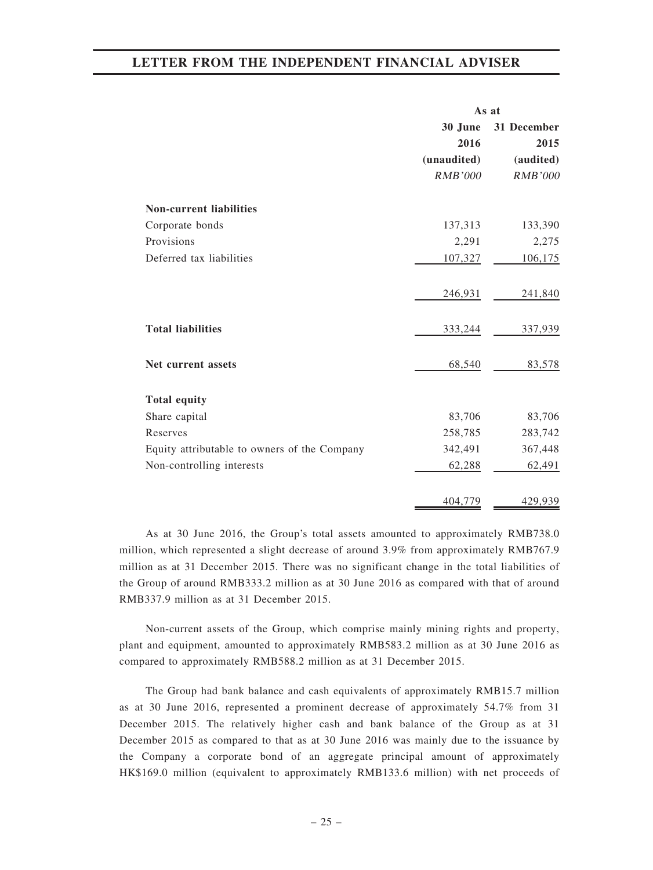|                                              |                | As at       |
|----------------------------------------------|----------------|-------------|
|                                              | 30 June        | 31 December |
|                                              | 2016           | 2015        |
|                                              | (unaudited)    | (audited)   |
|                                              | <b>RMB'000</b> | RMB'000     |
| <b>Non-current liabilities</b>               |                |             |
| Corporate bonds                              | 137,313        | 133,390     |
| Provisions                                   | 2,291          | 2,275       |
| Deferred tax liabilities                     | 107,327        | 106, 175    |
|                                              | 246,931        | 241,840     |
| <b>Total liabilities</b>                     | 333,244        | 337,939     |
| Net current assets                           | 68,540         | 83,578      |
| <b>Total equity</b>                          |                |             |
| Share capital                                | 83,706         | 83,706      |
| Reserves                                     | 258,785        | 283,742     |
| Equity attributable to owners of the Company | 342,491        | 367,448     |
| Non-controlling interests                    | 62,288         | 62,491      |
|                                              | 404,779        | 429,939     |

As at 30 June 2016, the Group's total assets amounted to approximately RMB738.0 million, which represented a slight decrease of around 3.9% from approximately RMB767.9 million as at 31 December 2015. There was no significant change in the total liabilities of the Group of around RMB333.2 million as at 30 June 2016 as compared with that of around RMB337.9 million as at 31 December 2015.

Non-current assets of the Group, which comprise mainly mining rights and property, plant and equipment, amounted to approximately RMB583.2 million as at 30 June 2016 as compared to approximately RMB588.2 million as at 31 December 2015.

The Group had bank balance and cash equivalents of approximately RMB15.7 million as at 30 June 2016, represented a prominent decrease of approximately 54.7% from 31 December 2015. The relatively higher cash and bank balance of the Group as at 31 December 2015 as compared to that as at 30 June 2016 was mainly due to the issuance by the Company a corporate bond of an aggregate principal amount of approximately HK\$169.0 million (equivalent to approximately RMB133.6 million) with net proceeds of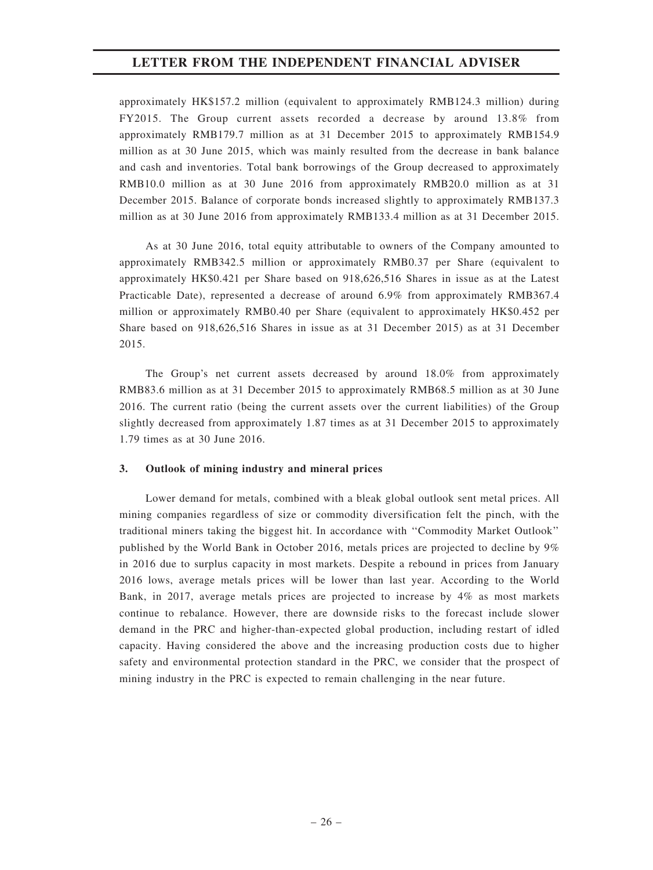approximately HK\$157.2 million (equivalent to approximately RMB124.3 million) during FY2015. The Group current assets recorded a decrease by around 13.8% from approximately RMB179.7 million as at 31 December 2015 to approximately RMB154.9 million as at 30 June 2015, which was mainly resulted from the decrease in bank balance and cash and inventories. Total bank borrowings of the Group decreased to approximately RMB10.0 million as at 30 June 2016 from approximately RMB20.0 million as at 31 December 2015. Balance of corporate bonds increased slightly to approximately RMB137.3 million as at 30 June 2016 from approximately RMB133.4 million as at 31 December 2015.

As at 30 June 2016, total equity attributable to owners of the Company amounted to approximately RMB342.5 million or approximately RMB0.37 per Share (equivalent to approximately HK\$0.421 per Share based on 918,626,516 Shares in issue as at the Latest Practicable Date), represented a decrease of around 6.9% from approximately RMB367.4 million or approximately RMB0.40 per Share (equivalent to approximately HK\$0.452 per Share based on 918,626,516 Shares in issue as at 31 December 2015) as at 31 December 2015.

The Group's net current assets decreased by around 18.0% from approximately RMB83.6 million as at 31 December 2015 to approximately RMB68.5 million as at 30 June 2016. The current ratio (being the current assets over the current liabilities) of the Group slightly decreased from approximately 1.87 times as at 31 December 2015 to approximately 1.79 times as at 30 June 2016.

#### 3. Outlook of mining industry and mineral prices

Lower demand for metals, combined with a bleak global outlook sent metal prices. All mining companies regardless of size or commodity diversification felt the pinch, with the traditional miners taking the biggest hit. In accordance with ''Commodity Market Outlook'' published by the World Bank in October 2016, metals prices are projected to decline by 9% in 2016 due to surplus capacity in most markets. Despite a rebound in prices from January 2016 lows, average metals prices will be lower than last year. According to the World Bank, in 2017, average metals prices are projected to increase by 4% as most markets continue to rebalance. However, there are downside risks to the forecast include slower demand in the PRC and higher-than-expected global production, including restart of idled capacity. Having considered the above and the increasing production costs due to higher safety and environmental protection standard in the PRC, we consider that the prospect of mining industry in the PRC is expected to remain challenging in the near future.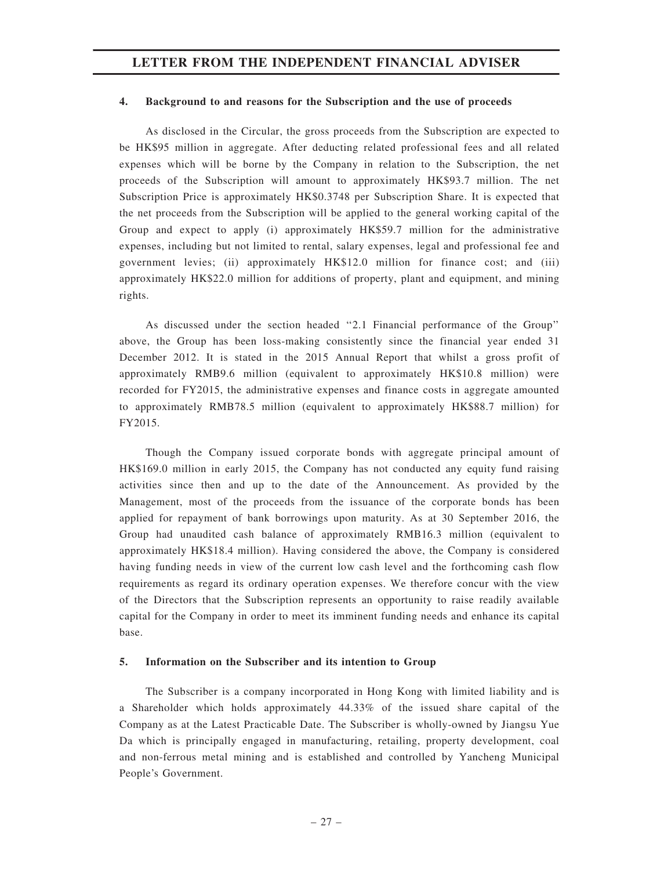#### 4. Background to and reasons for the Subscription and the use of proceeds

As disclosed in the Circular, the gross proceeds from the Subscription are expected to be HK\$95 million in aggregate. After deducting related professional fees and all related expenses which will be borne by the Company in relation to the Subscription, the net proceeds of the Subscription will amount to approximately HK\$93.7 million. The net Subscription Price is approximately HK\$0.3748 per Subscription Share. It is expected that the net proceeds from the Subscription will be applied to the general working capital of the Group and expect to apply (i) approximately HK\$59.7 million for the administrative expenses, including but not limited to rental, salary expenses, legal and professional fee and government levies; (ii) approximately HK\$12.0 million for finance cost; and (iii) approximately HK\$22.0 million for additions of property, plant and equipment, and mining rights.

As discussed under the section headed ''2.1 Financial performance of the Group'' above, the Group has been loss-making consistently since the financial year ended 31 December 2012. It is stated in the 2015 Annual Report that whilst a gross profit of approximately RMB9.6 million (equivalent to approximately HK\$10.8 million) were recorded for FY2015, the administrative expenses and finance costs in aggregate amounted to approximately RMB78.5 million (equivalent to approximately HK\$88.7 million) for FY2015.

Though the Company issued corporate bonds with aggregate principal amount of HK\$169.0 million in early 2015, the Company has not conducted any equity fund raising activities since then and up to the date of the Announcement. As provided by the Management, most of the proceeds from the issuance of the corporate bonds has been applied for repayment of bank borrowings upon maturity. As at 30 September 2016, the Group had unaudited cash balance of approximately RMB16.3 million (equivalent to approximately HK\$18.4 million). Having considered the above, the Company is considered having funding needs in view of the current low cash level and the forthcoming cash flow requirements as regard its ordinary operation expenses. We therefore concur with the view of the Directors that the Subscription represents an opportunity to raise readily available capital for the Company in order to meet its imminent funding needs and enhance its capital base.

#### 5. Information on the Subscriber and its intention to Group

The Subscriber is a company incorporated in Hong Kong with limited liability and is a Shareholder which holds approximately 44.33% of the issued share capital of the Company as at the Latest Practicable Date. The Subscriber is wholly-owned by Jiangsu Yue Da which is principally engaged in manufacturing, retailing, property development, coal and non-ferrous metal mining and is established and controlled by Yancheng Municipal People's Government.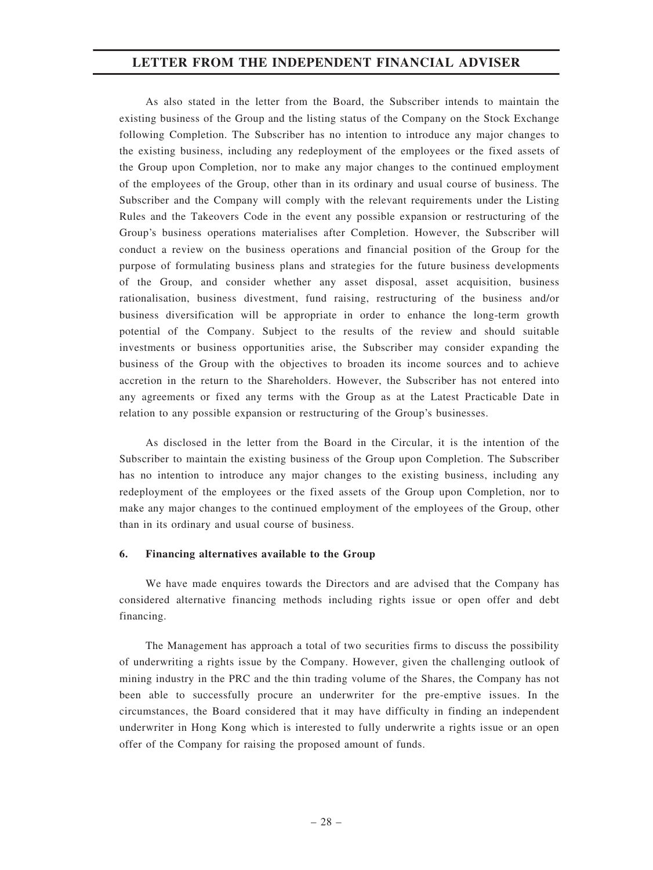As also stated in the letter from the Board, the Subscriber intends to maintain the existing business of the Group and the listing status of the Company on the Stock Exchange following Completion. The Subscriber has no intention to introduce any major changes to the existing business, including any redeployment of the employees or the fixed assets of the Group upon Completion, nor to make any major changes to the continued employment of the employees of the Group, other than in its ordinary and usual course of business. The Subscriber and the Company will comply with the relevant requirements under the Listing Rules and the Takeovers Code in the event any possible expansion or restructuring of the Group's business operations materialises after Completion. However, the Subscriber will conduct a review on the business operations and financial position of the Group for the purpose of formulating business plans and strategies for the future business developments of the Group, and consider whether any asset disposal, asset acquisition, business rationalisation, business divestment, fund raising, restructuring of the business and/or business diversification will be appropriate in order to enhance the long-term growth potential of the Company. Subject to the results of the review and should suitable investments or business opportunities arise, the Subscriber may consider expanding the business of the Group with the objectives to broaden its income sources and to achieve accretion in the return to the Shareholders. However, the Subscriber has not entered into any agreements or fixed any terms with the Group as at the Latest Practicable Date in relation to any possible expansion or restructuring of the Group's businesses.

As disclosed in the letter from the Board in the Circular, it is the intention of the Subscriber to maintain the existing business of the Group upon Completion. The Subscriber has no intention to introduce any major changes to the existing business, including any redeployment of the employees or the fixed assets of the Group upon Completion, nor to make any major changes to the continued employment of the employees of the Group, other than in its ordinary and usual course of business.

#### 6. Financing alternatives available to the Group

We have made enquires towards the Directors and are advised that the Company has considered alternative financing methods including rights issue or open offer and debt financing.

The Management has approach a total of two securities firms to discuss the possibility of underwriting a rights issue by the Company. However, given the challenging outlook of mining industry in the PRC and the thin trading volume of the Shares, the Company has not been able to successfully procure an underwriter for the pre-emptive issues. In the circumstances, the Board considered that it may have difficulty in finding an independent underwriter in Hong Kong which is interested to fully underwrite a rights issue or an open offer of the Company for raising the proposed amount of funds.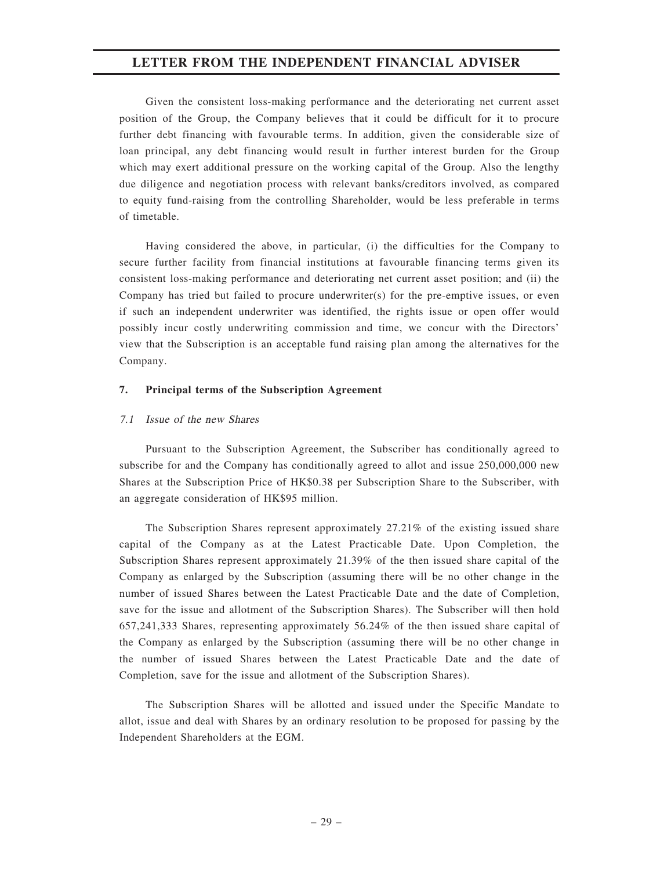Given the consistent loss-making performance and the deteriorating net current asset position of the Group, the Company believes that it could be difficult for it to procure further debt financing with favourable terms. In addition, given the considerable size of loan principal, any debt financing would result in further interest burden for the Group which may exert additional pressure on the working capital of the Group. Also the lengthy due diligence and negotiation process with relevant banks/creditors involved, as compared to equity fund-raising from the controlling Shareholder, would be less preferable in terms of timetable.

Having considered the above, in particular, (i) the difficulties for the Company to secure further facility from financial institutions at favourable financing terms given its consistent loss-making performance and deteriorating net current asset position; and (ii) the Company has tried but failed to procure underwriter(s) for the pre-emptive issues, or even if such an independent underwriter was identified, the rights issue or open offer would possibly incur costly underwriting commission and time, we concur with the Directors' view that the Subscription is an acceptable fund raising plan among the alternatives for the Company.

#### 7. Principal terms of the Subscription Agreement

#### 7.1 Issue of the new Shares

Pursuant to the Subscription Agreement, the Subscriber has conditionally agreed to subscribe for and the Company has conditionally agreed to allot and issue 250,000,000 new Shares at the Subscription Price of HK\$0.38 per Subscription Share to the Subscriber, with an aggregate consideration of HK\$95 million.

The Subscription Shares represent approximately 27.21% of the existing issued share capital of the Company as at the Latest Practicable Date. Upon Completion, the Subscription Shares represent approximately 21.39% of the then issued share capital of the Company as enlarged by the Subscription (assuming there will be no other change in the number of issued Shares between the Latest Practicable Date and the date of Completion, save for the issue and allotment of the Subscription Shares). The Subscriber will then hold 657,241,333 Shares, representing approximately 56.24% of the then issued share capital of the Company as enlarged by the Subscription (assuming there will be no other change in the number of issued Shares between the Latest Practicable Date and the date of Completion, save for the issue and allotment of the Subscription Shares).

The Subscription Shares will be allotted and issued under the Specific Mandate to allot, issue and deal with Shares by an ordinary resolution to be proposed for passing by the Independent Shareholders at the EGM.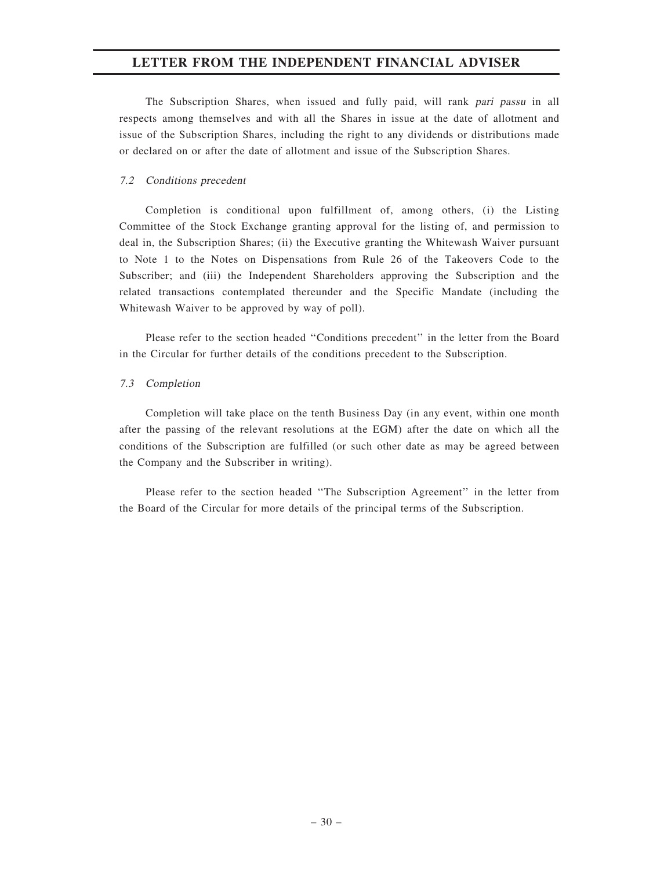The Subscription Shares, when issued and fully paid, will rank pari passu in all respects among themselves and with all the Shares in issue at the date of allotment and issue of the Subscription Shares, including the right to any dividends or distributions made or declared on or after the date of allotment and issue of the Subscription Shares.

#### 7.2 Conditions precedent

Completion is conditional upon fulfillment of, among others, (i) the Listing Committee of the Stock Exchange granting approval for the listing of, and permission to deal in, the Subscription Shares; (ii) the Executive granting the Whitewash Waiver pursuant to Note 1 to the Notes on Dispensations from Rule 26 of the Takeovers Code to the Subscriber; and (iii) the Independent Shareholders approving the Subscription and the related transactions contemplated thereunder and the Specific Mandate (including the Whitewash Waiver to be approved by way of poll).

Please refer to the section headed ''Conditions precedent'' in the letter from the Board in the Circular for further details of the conditions precedent to the Subscription.

#### 7.3 Completion

Completion will take place on the tenth Business Day (in any event, within one month after the passing of the relevant resolutions at the EGM) after the date on which all the conditions of the Subscription are fulfilled (or such other date as may be agreed between the Company and the Subscriber in writing).

Please refer to the section headed ''The Subscription Agreement'' in the letter from the Board of the Circular for more details of the principal terms of the Subscription.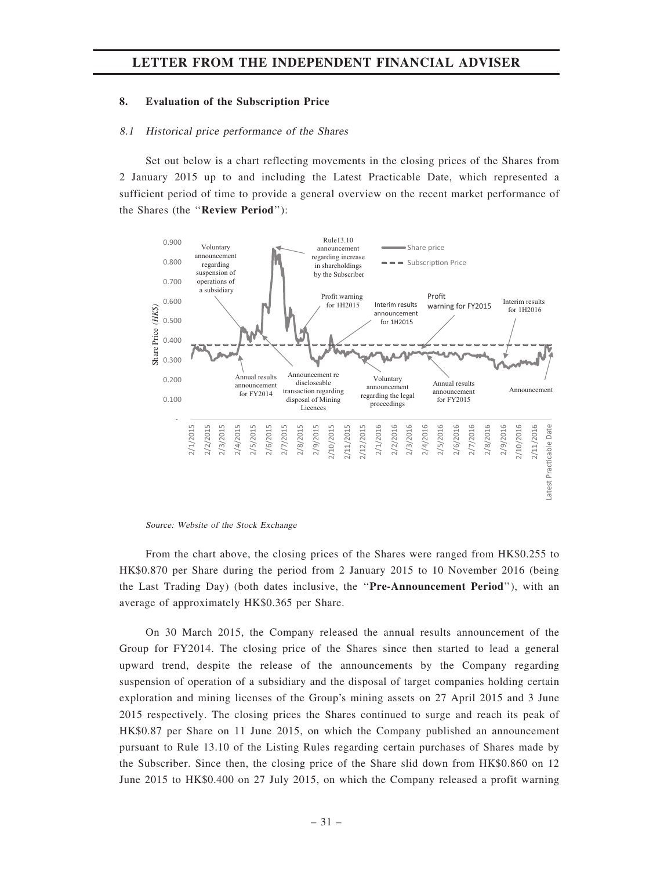#### 8. Evaluation of the Subscription Price

#### 8.1 Historical price performance of the Shares

Set out below is a chart reflecting movements in the closing prices of the Shares from 2 January 2015 up to and including the Latest Practicable Date, which represented a sufficient period of time to provide a general overview on the recent market performance of the Shares (the ''Review Period''):



#### Source: Website of the Stock Exchange

From the chart above, the closing prices of the Shares were ranged from HK\$0.255 to HK\$0.870 per Share during the period from 2 January 2015 to 10 November 2016 (being the Last Trading Day) (both dates inclusive, the "Pre-Announcement Period"), with an average of approximately HK\$0.365 per Share.

On 30 March 2015, the Company released the annual results announcement of the Group for FY2014. The closing price of the Shares since then started to lead a general upward trend, despite the release of the announcements by the Company regarding suspension of operation of a subsidiary and the disposal of target companies holding certain exploration and mining licenses of the Group's mining assets on 27 April 2015 and 3 June 2015 respectively. The closing prices the Shares continued to surge and reach its peak of HK\$0.87 per Share on 11 June 2015, on which the Company published an announcement pursuant to Rule 13.10 of the Listing Rules regarding certain purchases of Shares made by the Subscriber. Since then, the closing price of the Share slid down from HK\$0.860 on 12 June 2015 to HK\$0.400 on 27 July 2015, on which the Company released a profit warning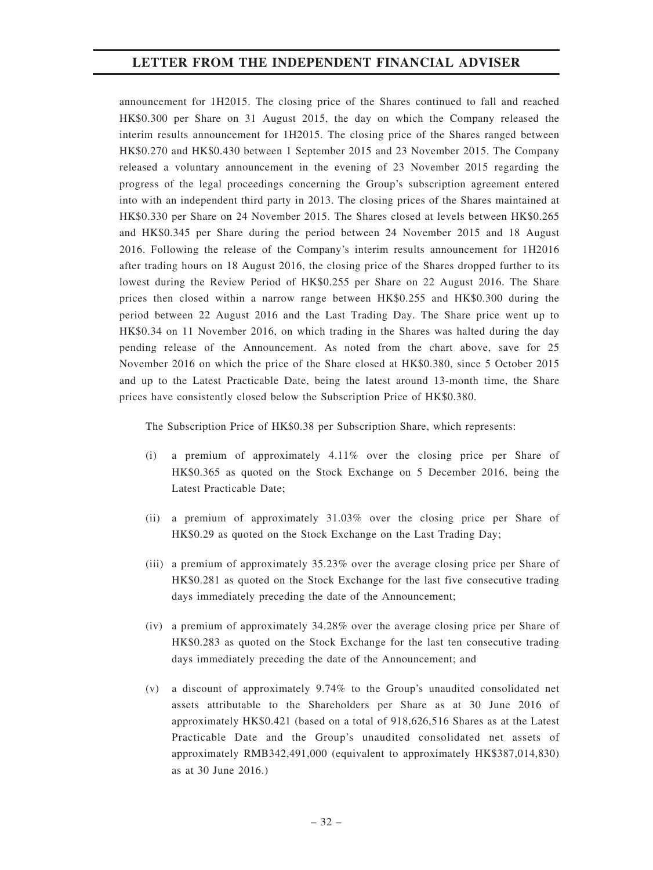announcement for 1H2015. The closing price of the Shares continued to fall and reached HK\$0.300 per Share on 31 August 2015, the day on which the Company released the interim results announcement for 1H2015. The closing price of the Shares ranged between HK\$0.270 and HK\$0.430 between 1 September 2015 and 23 November 2015. The Company released a voluntary announcement in the evening of 23 November 2015 regarding the progress of the legal proceedings concerning the Group's subscription agreement entered into with an independent third party in 2013. The closing prices of the Shares maintained at HK\$0.330 per Share on 24 November 2015. The Shares closed at levels between HK\$0.265 and HK\$0.345 per Share during the period between 24 November 2015 and 18 August 2016. Following the release of the Company's interim results announcement for 1H2016 after trading hours on 18 August 2016, the closing price of the Shares dropped further to its lowest during the Review Period of HK\$0.255 per Share on 22 August 2016. The Share prices then closed within a narrow range between HK\$0.255 and HK\$0.300 during the period between 22 August 2016 and the Last Trading Day. The Share price went up to HK\$0.34 on 11 November 2016, on which trading in the Shares was halted during the day pending release of the Announcement. As noted from the chart above, save for 25 November 2016 on which the price of the Share closed at HK\$0.380, since 5 October 2015 and up to the Latest Practicable Date, being the latest around 13-month time, the Share prices have consistently closed below the Subscription Price of HK\$0.380.

The Subscription Price of HK\$0.38 per Subscription Share, which represents:

- (i) a premium of approximately 4.11% over the closing price per Share of HK\$0.365 as quoted on the Stock Exchange on 5 December 2016, being the Latest Practicable Date;
- (ii) a premium of approximately 31.03% over the closing price per Share of HK\$0.29 as quoted on the Stock Exchange on the Last Trading Day;
- (iii) a premium of approximately 35.23% over the average closing price per Share of HK\$0.281 as quoted on the Stock Exchange for the last five consecutive trading days immediately preceding the date of the Announcement;
- (iv) a premium of approximately 34.28% over the average closing price per Share of HK\$0.283 as quoted on the Stock Exchange for the last ten consecutive trading days immediately preceding the date of the Announcement; and
- (v) a discount of approximately 9.74% to the Group's unaudited consolidated net assets attributable to the Shareholders per Share as at 30 June 2016 of approximately HK\$0.421 (based on a total of 918,626,516 Shares as at the Latest Practicable Date and the Group's unaudited consolidated net assets of approximately RMB342,491,000 (equivalent to approximately HK\$387,014,830) as at 30 June 2016.)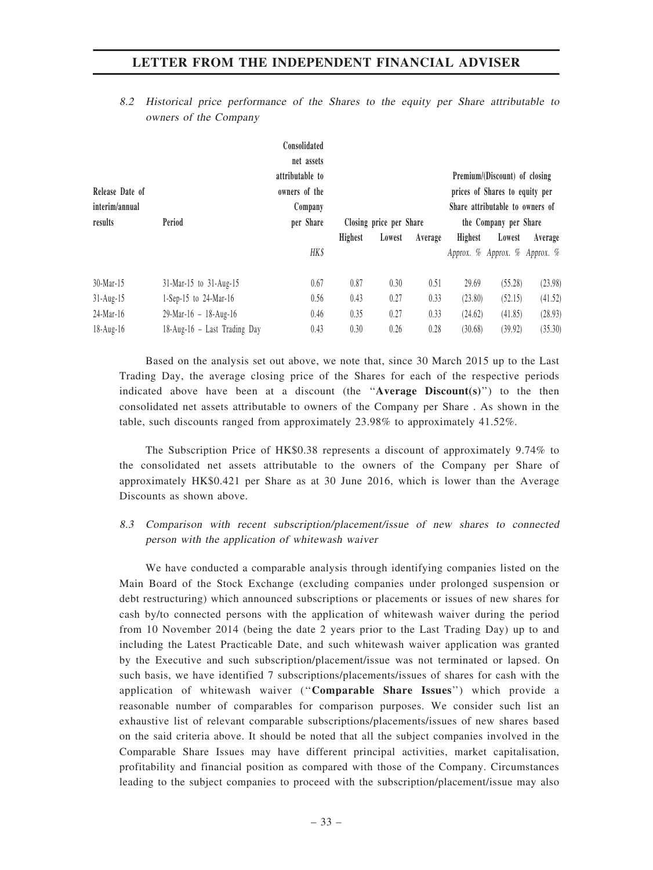|                 |                              | Consolidated    |         |                         |         |         |                                 |         |  |
|-----------------|------------------------------|-----------------|---------|-------------------------|---------|---------|---------------------------------|---------|--|
|                 |                              | net assets      |         |                         |         |         |                                 |         |  |
|                 |                              | attributable to |         |                         |         |         | Premium/(Discount) of closing   |         |  |
| Release Date of |                              | owners of the   |         |                         |         |         | prices of Shares to equity per  |         |  |
| interim/annual  |                              | Company         |         |                         |         |         | Share attributable to owners of |         |  |
| results         | Period<br>per Share          |                 |         | Closing price per Share |         |         | the Company per Share           |         |  |
|                 |                              |                 | Highest | Lowest                  | Average | Highest | Lowest                          | Average |  |
|                 |                              | HK\$            |         |                         |         |         | Approx. % Approx. % Approx. %   |         |  |
| $30$ -Mar-15    | 31-Mar-15 to 31-Aug-15       | 0.67            | 0.87    | 0.30                    | 0.51    | 29.69   | (55.28)                         | (23.98) |  |
| $31$ -Aug-15    | 1-Sep-15 to $24$ -Mar-16     | 0.56            | 0.43    | 0.27                    | 0.33    | (23.80) | (52.15)                         | (41.52) |  |
| $24-Mar-16$     | 29-Mar-16 - 18-Aug-16        | 0.46            | 0.35    | 0.27                    | 0.33    | (24.62) | (41.85)                         | (28.93) |  |
| $18$ -Aug- $16$ | 18-Aug-16 - Last Trading Day | 0.43            | 0.30    | 0.26                    | 0.28    | (30.68) | (39.92)                         | (35.30) |  |

8.2 Historical price performance of the Shares to the equity per Share attributable to owners of the Company

Based on the analysis set out above, we note that, since 30 March 2015 up to the Last Trading Day, the average closing price of the Shares for each of the respective periods indicated above have been at a discount (the "Average Discount(s)") to the then consolidated net assets attributable to owners of the Company per Share . As shown in the table, such discounts ranged from approximately 23.98% to approximately 41.52%.

The Subscription Price of HK\$0.38 represents a discount of approximately 9.74% to the consolidated net assets attributable to the owners of the Company per Share of approximately HK\$0.421 per Share as at 30 June 2016, which is lower than the Average Discounts as shown above.

# 8.3 Comparison with recent subscription/placement/issue of new shares to connected person with the application of whitewash waiver

We have conducted a comparable analysis through identifying companies listed on the Main Board of the Stock Exchange (excluding companies under prolonged suspension or debt restructuring) which announced subscriptions or placements or issues of new shares for cash by/to connected persons with the application of whitewash waiver during the period from 10 November 2014 (being the date 2 years prior to the Last Trading Day) up to and including the Latest Practicable Date, and such whitewash waiver application was granted by the Executive and such subscription/placement/issue was not terminated or lapsed. On such basis, we have identified 7 subscriptions/placements/issues of shares for cash with the application of whitewash waiver (''Comparable Share Issues'') which provide a reasonable number of comparables for comparison purposes. We consider such list an exhaustive list of relevant comparable subscriptions/placements/issues of new shares based on the said criteria above. It should be noted that all the subject companies involved in the Comparable Share Issues may have different principal activities, market capitalisation, profitability and financial position as compared with those of the Company. Circumstances leading to the subject companies to proceed with the subscription/placement/issue may also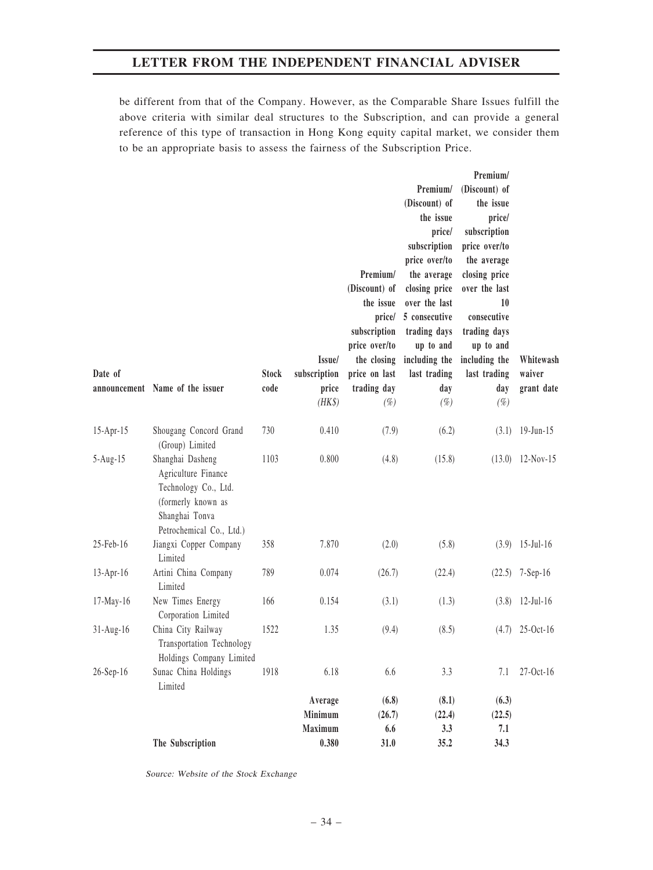be different from that of the Company. However, as the Comparable Share Issues fulfill the above criteria with similar deal structures to the Subscription, and can provide a general reference of this type of transaction in Hong Kong equity capital market, we consider them to be an appropriate basis to assess the fairness of the Subscription Price.

|           |                                                                                                                                     |              |              |               |               | Premium/      |                 |
|-----------|-------------------------------------------------------------------------------------------------------------------------------------|--------------|--------------|---------------|---------------|---------------|-----------------|
|           |                                                                                                                                     |              |              |               | Premium/      | (Discount) of |                 |
|           |                                                                                                                                     |              |              |               | (Discount) of | the issue     |                 |
|           |                                                                                                                                     |              |              |               | the issue     | price/        |                 |
|           |                                                                                                                                     |              |              |               | price/        | subscription  |                 |
|           |                                                                                                                                     |              |              |               | subscription  | price over/to |                 |
|           |                                                                                                                                     |              |              |               | price over/to | the average   |                 |
|           |                                                                                                                                     |              |              | Premium/      | the average   | closing price |                 |
|           |                                                                                                                                     |              |              | (Discount) of | closing price | over the last |                 |
|           |                                                                                                                                     |              |              | the issue     | over the last | 10            |                 |
|           |                                                                                                                                     |              |              | price/        | 5 consecutive | consecutive   |                 |
|           |                                                                                                                                     |              |              | subscription  | trading days  | trading days  |                 |
|           |                                                                                                                                     |              |              | price over/to | up to and     | up to and     |                 |
|           |                                                                                                                                     |              | Issue/       | the closing   | including the | including the | Whitewash       |
| Date of   |                                                                                                                                     | <b>Stock</b> | subscription | price on last | last trading  | last trading  | waiver          |
|           | announcement Name of the issuer                                                                                                     | code         | price        | trading day   | day           | day           | grant date      |
|           |                                                                                                                                     |              | $(HK\$       | $(\%)$        | $(\%)$        | $(\%)$        |                 |
| 15-Apr-15 | Shougang Concord Grand<br>(Group) Limited                                                                                           | 730          | 0.410        | (7.9)         | (6.2)         | (3.1)         | $19$ -Jun- $15$ |
| 5-Aug-15  | Shanghai Dasheng<br>Agriculture Finance<br>Technology Co., Ltd.<br>(formerly known as<br>Shanghai Tonva<br>Petrochemical Co., Ltd.) | 1103         | 0.800        | (4.8)         | (15.8)        | (13.0)        | 12-Nov-15       |
| 25-Feb-16 | Jiangxi Copper Company                                                                                                              | 358          | 7.870        | (2.0)         | (5.8)         | (3.9)         | $15$ -Jul-16    |
|           | Limited                                                                                                                             |              |              |               |               |               |                 |
| 13-Apr-16 | Artini China Company<br>Limited                                                                                                     | 789          | 0.074        | (26.7)        | (22.4)        | (22.5)        | 7-Sep-16        |
| 17-May-16 | New Times Energy<br>Corporation Limited                                                                                             | 166          | 0.154        | (3.1)         | (1.3)         | (3.8)         | $12$ -Jul- $16$ |
| 31-Aug-16 | China City Railway                                                                                                                  | 1522         | 1.35         | (9.4)         | (8.5)         | (4.7)         | 25-Oct-16       |
|           | Transportation Technology<br>Holdings Company Limited                                                                               |              |              |               |               |               |                 |
| 26-Sep-16 | Sunac China Holdings<br>Limited                                                                                                     | 1918         | 6.18         | 6.6           | 3.3           | 7.1           | 27-Oct-16       |
|           |                                                                                                                                     |              | Average      | (6.8)         | (8.1)         | (6.3)         |                 |
|           |                                                                                                                                     |              | Minimum      | (26.7)        | (22.4)        | (22.5)        |                 |
|           |                                                                                                                                     |              | Maximum      | 6.6           | 3.3           | 7.1           |                 |
|           | The Subscription                                                                                                                    |              | 0.380        | 31.0          | 35.2          | 34.3          |                 |

Source: Website of the Stock Exchange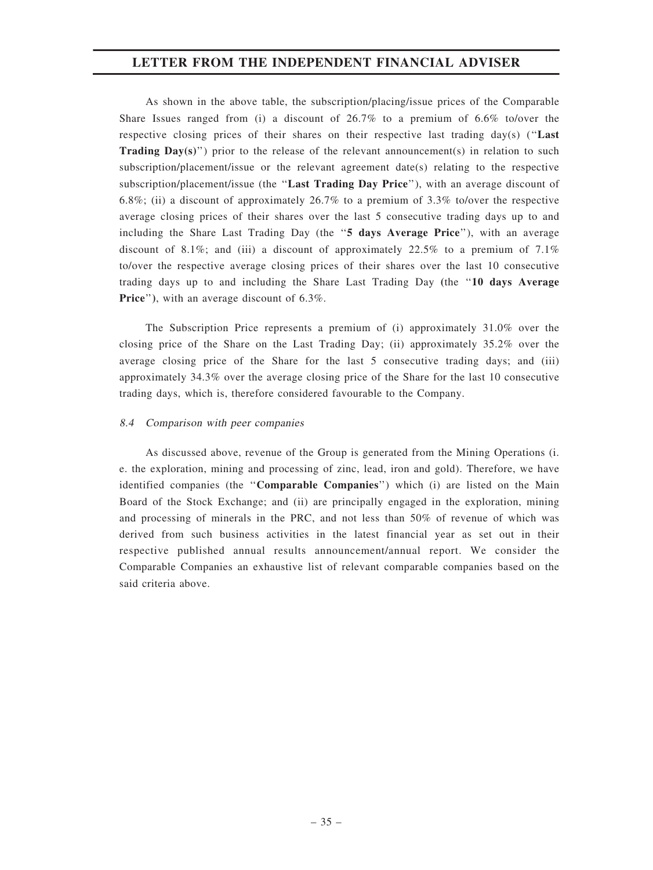As shown in the above table, the subscription/placing/issue prices of the Comparable Share Issues ranged from (i) a discount of 26.7% to a premium of 6.6% to/over the respective closing prices of their shares on their respective last trading day(s) ("Last **Trading Day(s)**") prior to the release of the relevant announcement(s) in relation to such subscription/placement/issue or the relevant agreement date(s) relating to the respective subscription/placement/issue (the "Last Trading Day Price"), with an average discount of 6.8%; (ii) a discount of approximately 26.7% to a premium of 3.3% to/over the respective average closing prices of their shares over the last 5 consecutive trading days up to and including the Share Last Trading Day (the "5 days Average Price"), with an average discount of 8.1%; and (iii) a discount of approximately 22.5% to a premium of 7.1% to/over the respective average closing prices of their shares over the last 10 consecutive trading days up to and including the Share Last Trading Day (the ''10 days Average Price"), with an average discount of  $6.3\%$ .

The Subscription Price represents a premium of (i) approximately 31.0% over the closing price of the Share on the Last Trading Day; (ii) approximately 35.2% over the average closing price of the Share for the last 5 consecutive trading days; and (iii) approximately 34.3% over the average closing price of the Share for the last 10 consecutive trading days, which is, therefore considered favourable to the Company.

## 8.4 Comparison with peer companies

As discussed above, revenue of the Group is generated from the Mining Operations (i. e. the exploration, mining and processing of zinc, lead, iron and gold). Therefore, we have identified companies (the "Comparable Companies") which (i) are listed on the Main Board of the Stock Exchange; and (ii) are principally engaged in the exploration, mining and processing of minerals in the PRC, and not less than 50% of revenue of which was derived from such business activities in the latest financial year as set out in their respective published annual results announcement/annual report. We consider the Comparable Companies an exhaustive list of relevant comparable companies based on the said criteria above.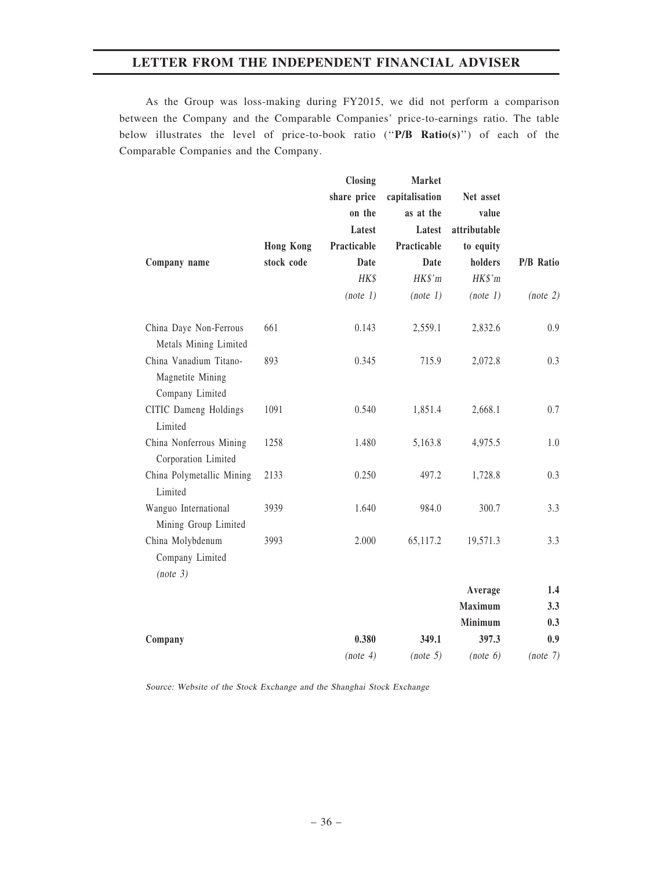As the Group was loss-making during FY2015, we did not perform a comparison between the Company and the Comparable Companies' price-to-earnings ratio. The table below illustrates the level of price-to-book ratio (''P/B Ratio(s)'') of each of the Comparable Companies and the Company.

|                                                               |                  | Closing     | <b>Market</b>  |                |           |
|---------------------------------------------------------------|------------------|-------------|----------------|----------------|-----------|
|                                                               |                  | share price | capitalisation | Net asset      |           |
|                                                               |                  | on the      | as at the      | value          |           |
|                                                               |                  | Latest      | Latest         | attributable   |           |
|                                                               | <b>Hong Kong</b> | Practicable | Practicable    | to equity      |           |
| Company name                                                  | stock code       | Date        | Date           | holders        | P/B Ratio |
|                                                               |                  | HK\$        | HK\$'m         | HK\$'m         |           |
|                                                               |                  | (note 1)    | (note 1)       | (note 1)       | (note 2)  |
| China Daye Non-Ferrous<br>Metals Mining Limited               | 661              | 0.143       | 2,559.1        | 2,832.6        | 0.9       |
| China Vanadium Titano-<br>Magnetite Mining<br>Company Limited | 893              | 0.345       | 715.9          | 2,072.8        | 0.3       |
| <b>CITIC Dameng Holdings</b><br>Limited                       | 1091             | 0.540       | 1,851.4        | 2,668.1        | 0.7       |
| China Nonferrous Mining<br>Corporation Limited                | 1258             | 1.480       | 5,163.8        | 4,975.5        | 1.0       |
| China Polymetallic Mining<br>Limited                          | 2133             | 0.250       | 497.2          | 1,728.8        | 0.3       |
| Wanguo International<br>Mining Group Limited                  | 3939             | 1.640       | 984.0          | 300.7          | 3.3       |
| China Molybdenum<br>Company Limited<br>(note 3)               | 3993             | 2.000       | 65,117.2       | 19,571.3       | 3.3       |
|                                                               |                  |             |                | Average        | 1.4       |
|                                                               |                  |             |                | <b>Maximum</b> | 3.3       |
|                                                               |                  |             |                | Minimum        | 0.3       |
| Company                                                       |                  | 0.380       | 349.1          | 397.3          | 0.9       |
|                                                               |                  | (note 4)    | (note 5)       | (note 6)       | (note 7)  |

Source: Website of the Stock Exchange and the Shanghai Stock Exchange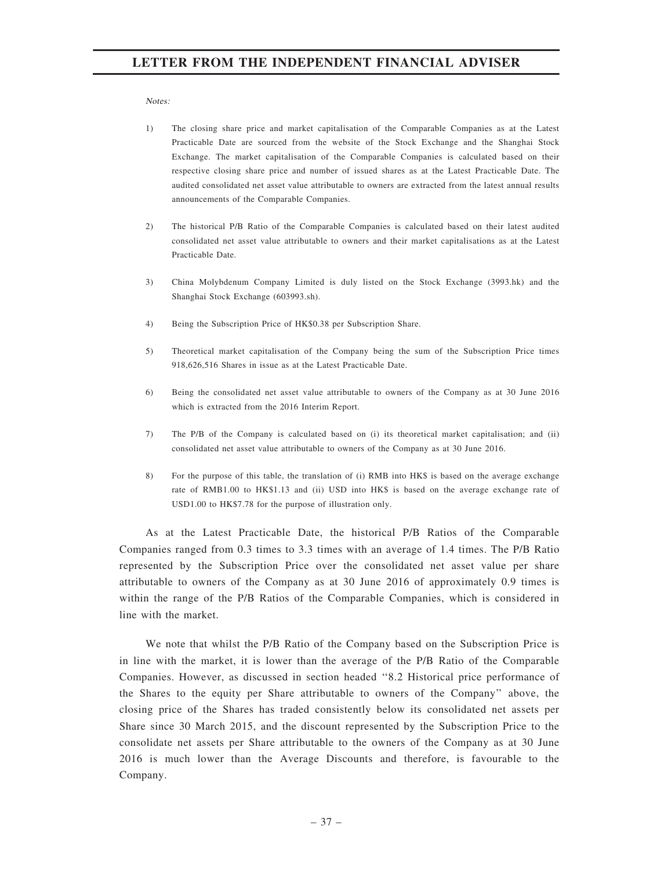### Notes:

- 1) The closing share price and market capitalisation of the Comparable Companies as at the Latest Practicable Date are sourced from the website of the Stock Exchange and the Shanghai Stock Exchange. The market capitalisation of the Comparable Companies is calculated based on their respective closing share price and number of issued shares as at the Latest Practicable Date. The audited consolidated net asset value attributable to owners are extracted from the latest annual results announcements of the Comparable Companies.
- 2) The historical P/B Ratio of the Comparable Companies is calculated based on their latest audited consolidated net asset value attributable to owners and their market capitalisations as at the Latest Practicable Date.
- 3) China Molybdenum Company Limited is duly listed on the Stock Exchange (3993.hk) and the Shanghai Stock Exchange (603993.sh).
- 4) Being the Subscription Price of HK\$0.38 per Subscription Share.
- 5) Theoretical market capitalisation of the Company being the sum of the Subscription Price times 918,626,516 Shares in issue as at the Latest Practicable Date.
- 6) Being the consolidated net asset value attributable to owners of the Company as at 30 June 2016 which is extracted from the 2016 Interim Report.
- 7) The P/B of the Company is calculated based on (i) its theoretical market capitalisation; and (ii) consolidated net asset value attributable to owners of the Company as at 30 June 2016.
- 8) For the purpose of this table, the translation of (i) RMB into HK\$ is based on the average exchange rate of RMB1.00 to HK\$1.13 and (ii) USD into HK\$ is based on the average exchange rate of USD1.00 to HK\$7.78 for the purpose of illustration only.

As at the Latest Practicable Date, the historical P/B Ratios of the Comparable Companies ranged from 0.3 times to 3.3 times with an average of 1.4 times. The P/B Ratio represented by the Subscription Price over the consolidated net asset value per share attributable to owners of the Company as at 30 June 2016 of approximately 0.9 times is within the range of the P/B Ratios of the Comparable Companies, which is considered in line with the market.

We note that whilst the P/B Ratio of the Company based on the Subscription Price is in line with the market, it is lower than the average of the P/B Ratio of the Comparable Companies. However, as discussed in section headed ''8.2 Historical price performance of the Shares to the equity per Share attributable to owners of the Company'' above, the closing price of the Shares has traded consistently below its consolidated net assets per Share since 30 March 2015, and the discount represented by the Subscription Price to the consolidate net assets per Share attributable to the owners of the Company as at 30 June 2016 is much lower than the Average Discounts and therefore, is favourable to the Company.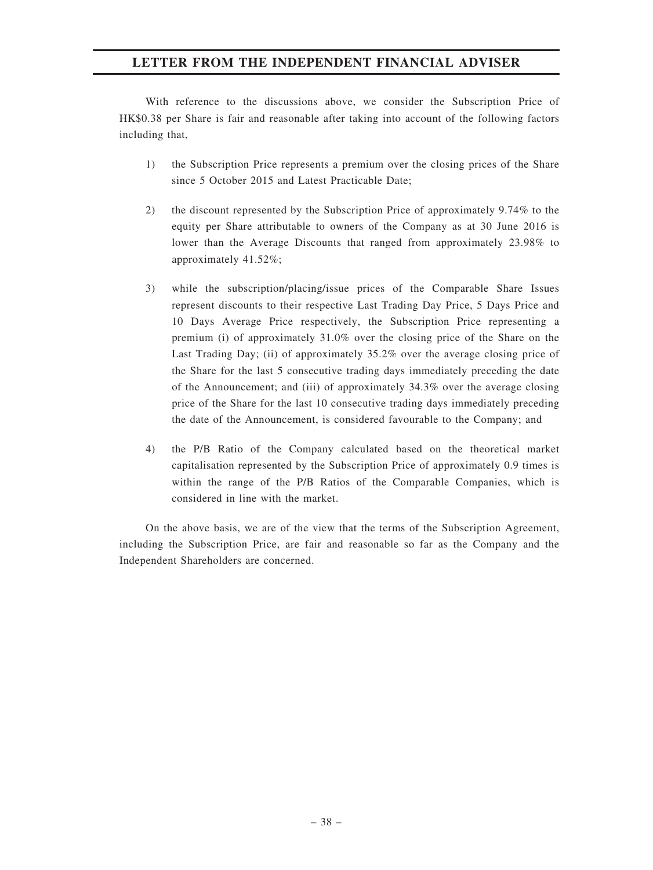With reference to the discussions above, we consider the Subscription Price of HK\$0.38 per Share is fair and reasonable after taking into account of the following factors including that,

- 1) the Subscription Price represents a premium over the closing prices of the Share since 5 October 2015 and Latest Practicable Date;
- 2) the discount represented by the Subscription Price of approximately 9.74% to the equity per Share attributable to owners of the Company as at 30 June 2016 is lower than the Average Discounts that ranged from approximately 23.98% to approximately 41.52%;
- 3) while the subscription/placing/issue prices of the Comparable Share Issues represent discounts to their respective Last Trading Day Price, 5 Days Price and 10 Days Average Price respectively, the Subscription Price representing a premium (i) of approximately 31.0% over the closing price of the Share on the Last Trading Day; (ii) of approximately 35.2% over the average closing price of the Share for the last 5 consecutive trading days immediately preceding the date of the Announcement; and (iii) of approximately 34.3% over the average closing price of the Share for the last 10 consecutive trading days immediately preceding the date of the Announcement, is considered favourable to the Company; and
- 4) the P/B Ratio of the Company calculated based on the theoretical market capitalisation represented by the Subscription Price of approximately 0.9 times is within the range of the P/B Ratios of the Comparable Companies, which is considered in line with the market.

On the above basis, we are of the view that the terms of the Subscription Agreement, including the Subscription Price, are fair and reasonable so far as the Company and the Independent Shareholders are concerned.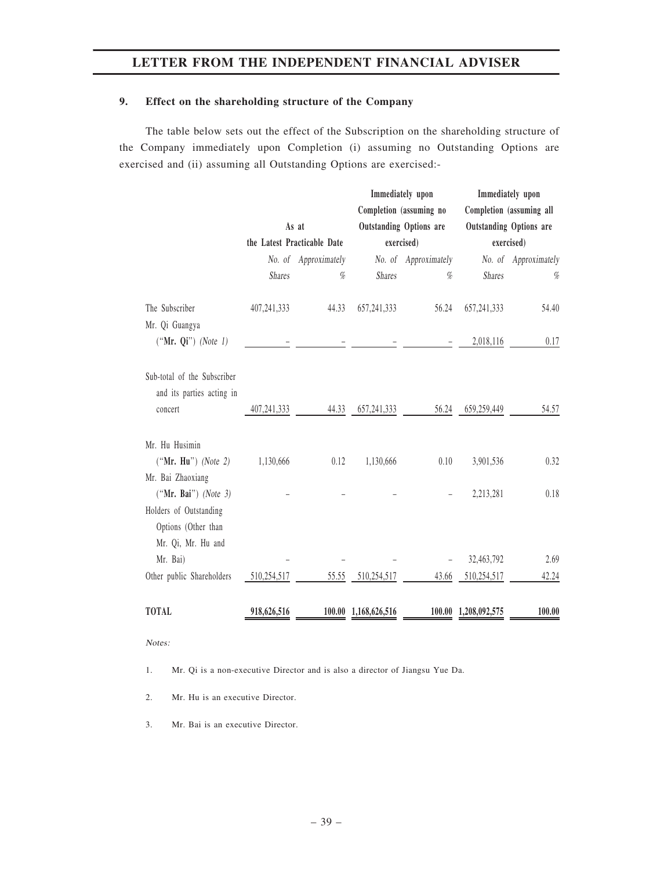## 9. Effect on the shareholding structure of the Company

The table below sets out the effect of the Subscription on the shareholding structure of the Company immediately upon Completion (i) assuming no Outstanding Options are exercised and (ii) assuming all Outstanding Options are exercised:-

|                                                                     |               |                             | Immediately upon     |                         | Immediately upon                             |                          |  |
|---------------------------------------------------------------------|---------------|-----------------------------|----------------------|-------------------------|----------------------------------------------|--------------------------|--|
|                                                                     |               |                             |                      | Completion (assuming no |                                              | Completion (assuming all |  |
|                                                                     |               | As at                       |                      | Outstanding Options are | <b>Outstanding Options are</b><br>exercised) |                          |  |
|                                                                     |               | the Latest Practicable Date |                      | exercised)              |                                              |                          |  |
|                                                                     |               | No. of Approximately        |                      | No. of Approximately    |                                              | No. of Approximately     |  |
|                                                                     | <b>Shares</b> | %                           | <b>Shares</b>        | %                       | <b>Shares</b>                                | %                        |  |
| The Subscriber                                                      | 407, 241, 333 | 44.33                       | 657, 241, 333        | 56.24                   | 657, 241, 333                                | 54.40                    |  |
| Mr. Qi Guangya                                                      |               |                             |                      |                         |                                              |                          |  |
| ("Mr. $Qi$ ") (Note 1)                                              |               |                             |                      |                         | 2,018,116                                    | 0.17                     |  |
| Sub-total of the Subscriber<br>and its parties acting in            |               |                             |                      |                         |                                              |                          |  |
| concert                                                             | 407, 241, 333 | 44.33                       | 657, 241, 333        | 56.24                   | 659,259,449                                  | 54.57                    |  |
| Mr. Hu Husimin                                                      |               |                             |                      |                         |                                              |                          |  |
| ("Mr. Hu") (Note 2)                                                 | 1,130,666     | 0.12                        | 1,130,666            | 0.10                    | 3,901,536                                    | 0.32                     |  |
| Mr. Bai Zhaoxiang                                                   |               |                             |                      |                         |                                              |                          |  |
| ("Mr. Bai") (Note $3$ )                                             |               |                             |                      |                         | 2,213,281                                    | 0.18                     |  |
| Holders of Outstanding<br>Options (Other than<br>Mr. Qi, Mr. Hu and |               |                             |                      |                         |                                              |                          |  |
| Mr. Bai)                                                            |               |                             |                      |                         | 32,463,792                                   | 2.69                     |  |
| Other public Shareholders                                           | 510,254,517   | 55.55                       | 510,254,517          | 43.66                   | 510,254,517                                  | 42.24                    |  |
| <b>TOTAL</b>                                                        | 918,626,516   |                             | 100.00 1,168,626,516 |                         | 100.00 1,208,092,575                         | 100.00                   |  |

### Notes:

1. Mr. Qi is a non-executive Director and is also a director of Jiangsu Yue Da.

2. Mr. Hu is an executive Director.

3. Mr. Bai is an executive Director.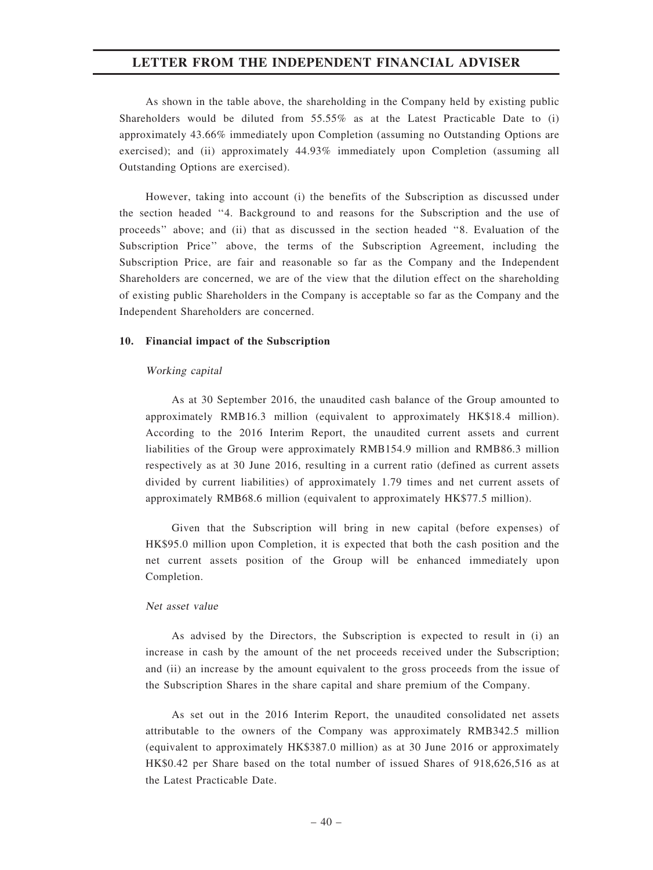As shown in the table above, the shareholding in the Company held by existing public Shareholders would be diluted from 55.55% as at the Latest Practicable Date to (i) approximately 43.66% immediately upon Completion (assuming no Outstanding Options are exercised); and (ii) approximately 44.93% immediately upon Completion (assuming all Outstanding Options are exercised).

However, taking into account (i) the benefits of the Subscription as discussed under the section headed ''4. Background to and reasons for the Subscription and the use of proceeds'' above; and (ii) that as discussed in the section headed ''8. Evaluation of the Subscription Price'' above, the terms of the Subscription Agreement, including the Subscription Price, are fair and reasonable so far as the Company and the Independent Shareholders are concerned, we are of the view that the dilution effect on the shareholding of existing public Shareholders in the Company is acceptable so far as the Company and the Independent Shareholders are concerned.

### 10. Financial impact of the Subscription

### Working capital

As at 30 September 2016, the unaudited cash balance of the Group amounted to approximately RMB16.3 million (equivalent to approximately HK\$18.4 million). According to the 2016 Interim Report, the unaudited current assets and current liabilities of the Group were approximately RMB154.9 million and RMB86.3 million respectively as at 30 June 2016, resulting in a current ratio (defined as current assets divided by current liabilities) of approximately 1.79 times and net current assets of approximately RMB68.6 million (equivalent to approximately HK\$77.5 million).

Given that the Subscription will bring in new capital (before expenses) of HK\$95.0 million upon Completion, it is expected that both the cash position and the net current assets position of the Group will be enhanced immediately upon Completion.

## Net asset value

As advised by the Directors, the Subscription is expected to result in (i) an increase in cash by the amount of the net proceeds received under the Subscription; and (ii) an increase by the amount equivalent to the gross proceeds from the issue of the Subscription Shares in the share capital and share premium of the Company.

As set out in the 2016 Interim Report, the unaudited consolidated net assets attributable to the owners of the Company was approximately RMB342.5 million (equivalent to approximately HK\$387.0 million) as at 30 June 2016 or approximately HK\$0.42 per Share based on the total number of issued Shares of 918,626,516 as at the Latest Practicable Date.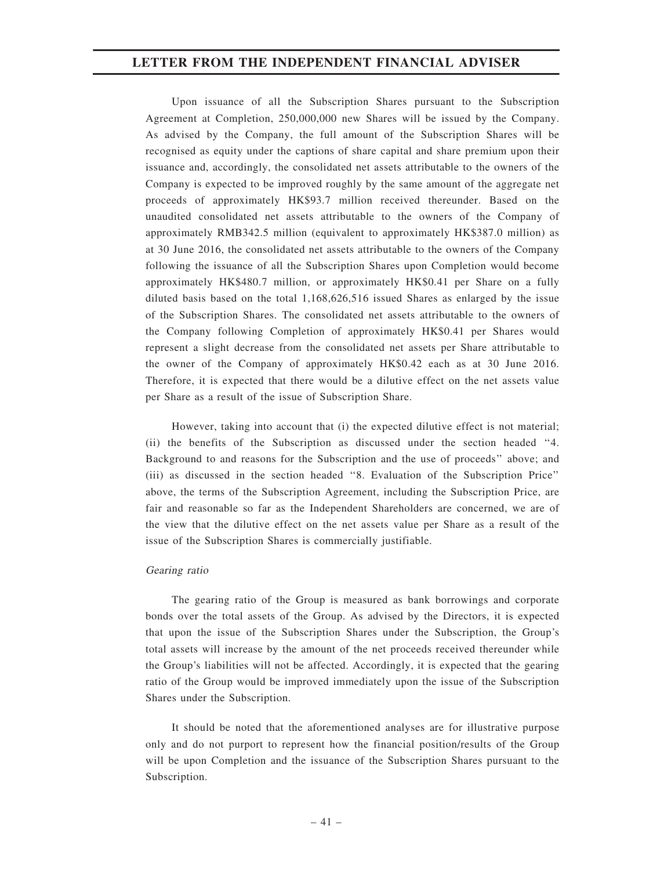Upon issuance of all the Subscription Shares pursuant to the Subscription Agreement at Completion, 250,000,000 new Shares will be issued by the Company. As advised by the Company, the full amount of the Subscription Shares will be recognised as equity under the captions of share capital and share premium upon their issuance and, accordingly, the consolidated net assets attributable to the owners of the Company is expected to be improved roughly by the same amount of the aggregate net proceeds of approximately HK\$93.7 million received thereunder. Based on the unaudited consolidated net assets attributable to the owners of the Company of approximately RMB342.5 million (equivalent to approximately HK\$387.0 million) as at 30 June 2016, the consolidated net assets attributable to the owners of the Company following the issuance of all the Subscription Shares upon Completion would become approximately HK\$480.7 million, or approximately HK\$0.41 per Share on a fully diluted basis based on the total 1,168,626,516 issued Shares as enlarged by the issue of the Subscription Shares. The consolidated net assets attributable to the owners of the Company following Completion of approximately HK\$0.41 per Shares would represent a slight decrease from the consolidated net assets per Share attributable to the owner of the Company of approximately HK\$0.42 each as at 30 June 2016. Therefore, it is expected that there would be a dilutive effect on the net assets value per Share as a result of the issue of Subscription Share.

However, taking into account that (i) the expected dilutive effect is not material; (ii) the benefits of the Subscription as discussed under the section headed ''4. Background to and reasons for the Subscription and the use of proceeds'' above; and (iii) as discussed in the section headed ''8. Evaluation of the Subscription Price'' above, the terms of the Subscription Agreement, including the Subscription Price, are fair and reasonable so far as the Independent Shareholders are concerned, we are of the view that the dilutive effect on the net assets value per Share as a result of the issue of the Subscription Shares is commercially justifiable.

### Gearing ratio

The gearing ratio of the Group is measured as bank borrowings and corporate bonds over the total assets of the Group. As advised by the Directors, it is expected that upon the issue of the Subscription Shares under the Subscription, the Group's total assets will increase by the amount of the net proceeds received thereunder while the Group's liabilities will not be affected. Accordingly, it is expected that the gearing ratio of the Group would be improved immediately upon the issue of the Subscription Shares under the Subscription.

It should be noted that the aforementioned analyses are for illustrative purpose only and do not purport to represent how the financial position/results of the Group will be upon Completion and the issuance of the Subscription Shares pursuant to the Subscription.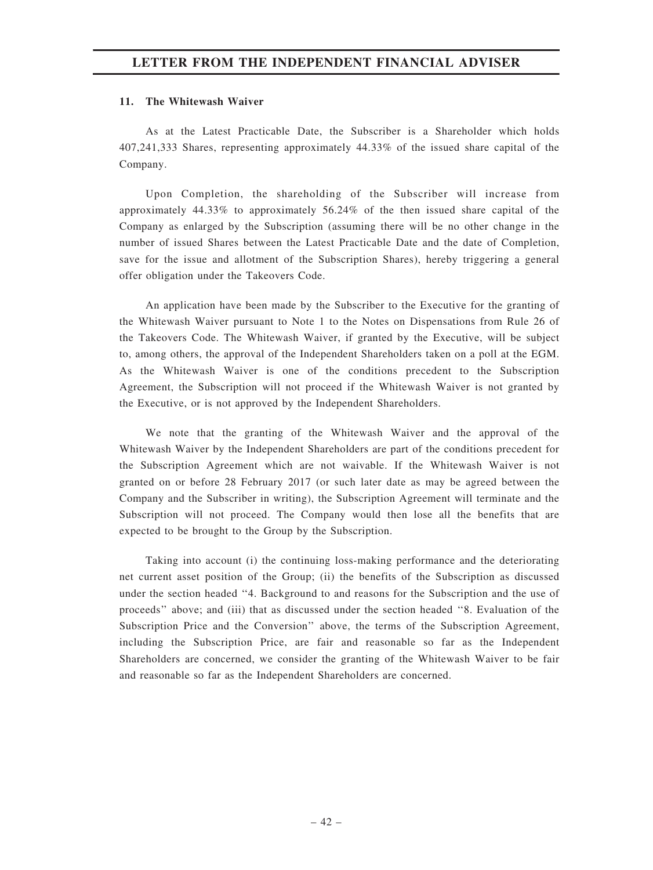## 11. The Whitewash Waiver

As at the Latest Practicable Date, the Subscriber is a Shareholder which holds 407,241,333 Shares, representing approximately 44.33% of the issued share capital of the Company.

Upon Completion, the shareholding of the Subscriber will increase from approximately 44.33% to approximately 56.24% of the then issued share capital of the Company as enlarged by the Subscription (assuming there will be no other change in the number of issued Shares between the Latest Practicable Date and the date of Completion, save for the issue and allotment of the Subscription Shares), hereby triggering a general offer obligation under the Takeovers Code.

An application have been made by the Subscriber to the Executive for the granting of the Whitewash Waiver pursuant to Note 1 to the Notes on Dispensations from Rule 26 of the Takeovers Code. The Whitewash Waiver, if granted by the Executive, will be subject to, among others, the approval of the Independent Shareholders taken on a poll at the EGM. As the Whitewash Waiver is one of the conditions precedent to the Subscription Agreement, the Subscription will not proceed if the Whitewash Waiver is not granted by the Executive, or is not approved by the Independent Shareholders.

We note that the granting of the Whitewash Waiver and the approval of the Whitewash Waiver by the Independent Shareholders are part of the conditions precedent for the Subscription Agreement which are not waivable. If the Whitewash Waiver is not granted on or before 28 February 2017 (or such later date as may be agreed between the Company and the Subscriber in writing), the Subscription Agreement will terminate and the Subscription will not proceed. The Company would then lose all the benefits that are expected to be brought to the Group by the Subscription.

Taking into account (i) the continuing loss-making performance and the deteriorating net current asset position of the Group; (ii) the benefits of the Subscription as discussed under the section headed ''4. Background to and reasons for the Subscription and the use of proceeds'' above; and (iii) that as discussed under the section headed ''8. Evaluation of the Subscription Price and the Conversion'' above, the terms of the Subscription Agreement, including the Subscription Price, are fair and reasonable so far as the Independent Shareholders are concerned, we consider the granting of the Whitewash Waiver to be fair and reasonable so far as the Independent Shareholders are concerned.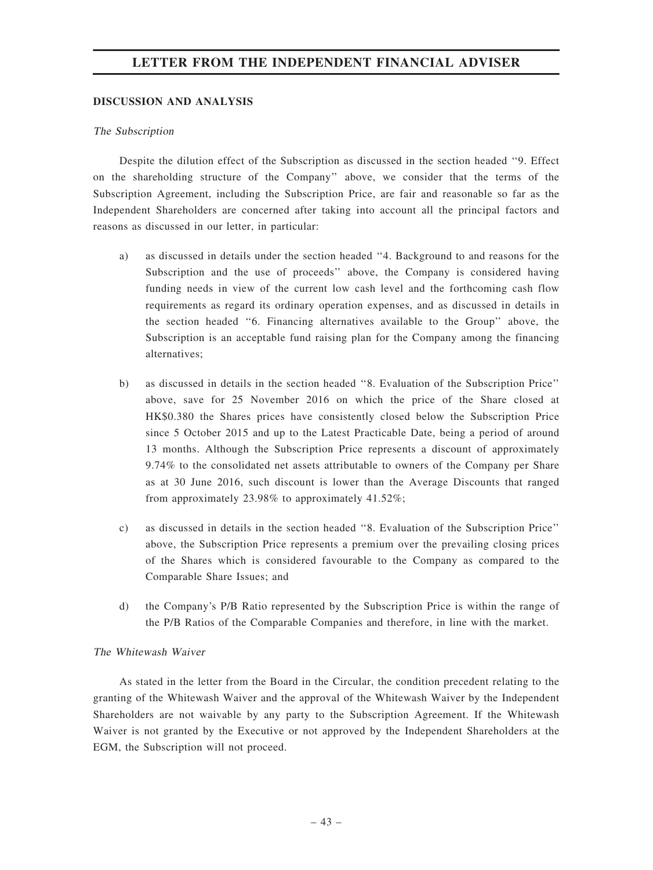## DISCUSSION AND ANALYSIS

## The Subscription

Despite the dilution effect of the Subscription as discussed in the section headed ''9. Effect on the shareholding structure of the Company'' above, we consider that the terms of the Subscription Agreement, including the Subscription Price, are fair and reasonable so far as the Independent Shareholders are concerned after taking into account all the principal factors and reasons as discussed in our letter, in particular:

- a) as discussed in details under the section headed ''4. Background to and reasons for the Subscription and the use of proceeds'' above, the Company is considered having funding needs in view of the current low cash level and the forthcoming cash flow requirements as regard its ordinary operation expenses, and as discussed in details in the section headed ''6. Financing alternatives available to the Group'' above, the Subscription is an acceptable fund raising plan for the Company among the financing alternatives;
- b) as discussed in details in the section headed ''8. Evaluation of the Subscription Price'' above, save for 25 November 2016 on which the price of the Share closed at HK\$0.380 the Shares prices have consistently closed below the Subscription Price since 5 October 2015 and up to the Latest Practicable Date, being a period of around 13 months. Although the Subscription Price represents a discount of approximately 9.74% to the consolidated net assets attributable to owners of the Company per Share as at 30 June 2016, such discount is lower than the Average Discounts that ranged from approximately 23.98% to approximately 41.52%;
- c) as discussed in details in the section headed ''8. Evaluation of the Subscription Price'' above, the Subscription Price represents a premium over the prevailing closing prices of the Shares which is considered favourable to the Company as compared to the Comparable Share Issues; and
- d) the Company's P/B Ratio represented by the Subscription Price is within the range of the P/B Ratios of the Comparable Companies and therefore, in line with the market.

## The Whitewash Waiver

As stated in the letter from the Board in the Circular, the condition precedent relating to the granting of the Whitewash Waiver and the approval of the Whitewash Waiver by the Independent Shareholders are not waivable by any party to the Subscription Agreement. If the Whitewash Waiver is not granted by the Executive or not approved by the Independent Shareholders at the EGM, the Subscription will not proceed.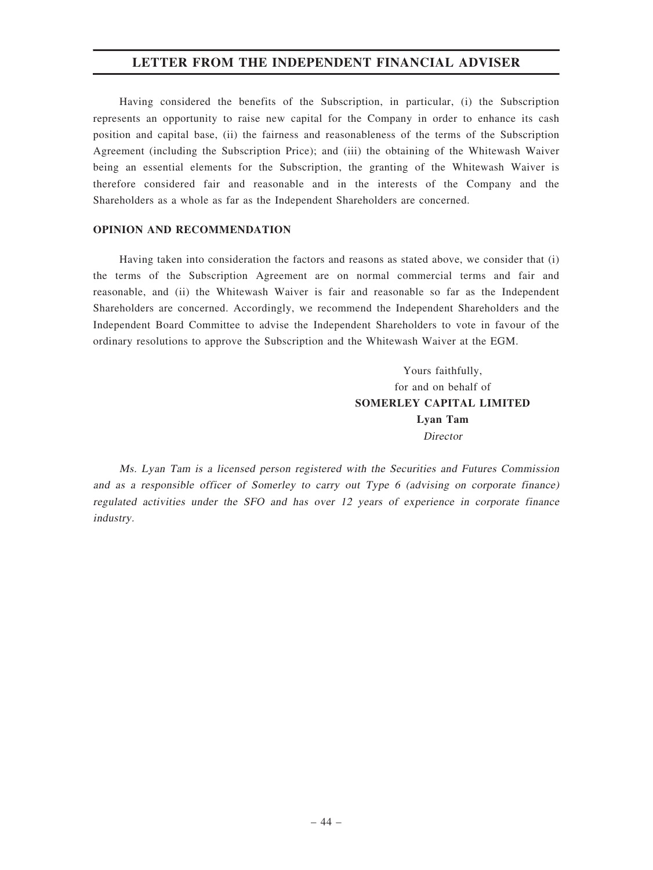Having considered the benefits of the Subscription, in particular, (i) the Subscription represents an opportunity to raise new capital for the Company in order to enhance its cash position and capital base, (ii) the fairness and reasonableness of the terms of the Subscription Agreement (including the Subscription Price); and (iii) the obtaining of the Whitewash Waiver being an essential elements for the Subscription, the granting of the Whitewash Waiver is therefore considered fair and reasonable and in the interests of the Company and the Shareholders as a whole as far as the Independent Shareholders are concerned.

## OPINION AND RECOMMENDATION

Having taken into consideration the factors and reasons as stated above, we consider that (i) the terms of the Subscription Agreement are on normal commercial terms and fair and reasonable, and (ii) the Whitewash Waiver is fair and reasonable so far as the Independent Shareholders are concerned. Accordingly, we recommend the Independent Shareholders and the Independent Board Committee to advise the Independent Shareholders to vote in favour of the ordinary resolutions to approve the Subscription and the Whitewash Waiver at the EGM.

> Yours faithfully, for and on behalf of SOMERLEY CAPITAL LIMITED Lyan Tam **Director**

Ms. Lyan Tam is <sup>a</sup> licensed person registered with the Securities and Futures Commission and as <sup>a</sup> responsible officer of Somerley to carry out Type 6 (advising on corporate finance) regulated activities under the SFO and has over 12 years of experience in corporate finance industry.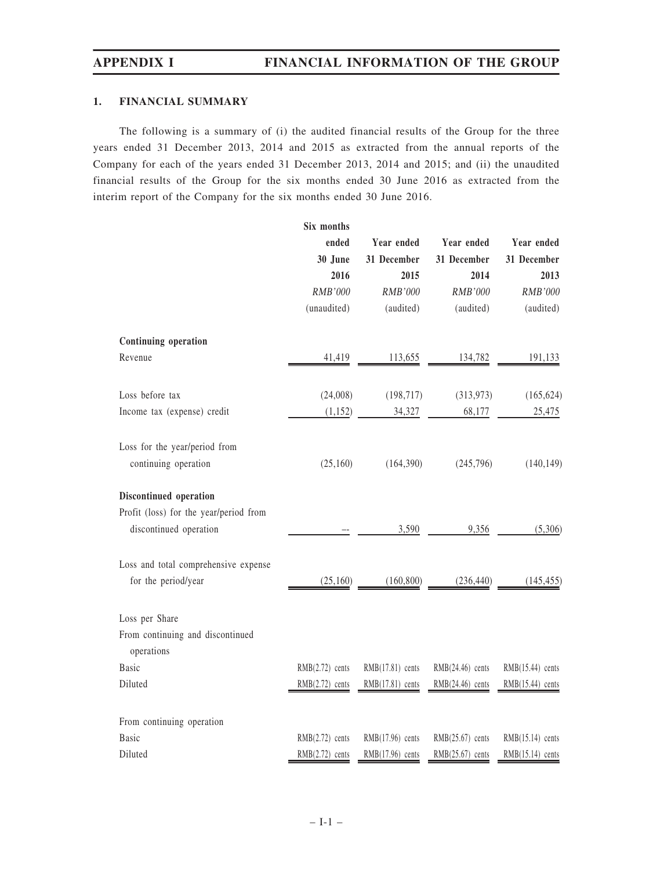## 1. FINANCIAL SUMMARY

The following is a summary of (i) the audited financial results of the Group for the three years ended 31 December 2013, 2014 and 2015 as extracted from the annual reports of the Company for each of the years ended 31 December 2013, 2014 and 2015; and (ii) the unaudited financial results of the Group for the six months ended 30 June 2016 as extracted from the interim report of the Company for the six months ended 30 June 2016.

| Six months        |                    |                    |                    |
|-------------------|--------------------|--------------------|--------------------|
| ended             | Year ended         | Year ended         | Year ended         |
| 30 June           | 31 December        | 31 December        | 31 December        |
| 2016              | 2015               | 2014               | 2013               |
| RMB'000           | RMB'000            | RMB'000            | RMB'000            |
| (unaudited)       | (audited)          | (audited)          | (audited)          |
|                   |                    |                    |                    |
| 41,419            | 113,655            | 134,782            | 191,133            |
| (24,008)          | (198, 717)         | (313,973)          | (165, 624)         |
| (1, 152)          | 34,327             | 68,177             | 25,475             |
|                   |                    |                    |                    |
| (25, 160)         | (164,390)          | (245,796)          | (140, 149)         |
|                   |                    |                    |                    |
|                   | 3,590              | 9,356              | (5,306)            |
|                   |                    |                    |                    |
| (25,160)          | (160, 800)         | (236, 440)         | (145, 455)         |
|                   |                    |                    |                    |
|                   |                    |                    |                    |
|                   |                    |                    |                    |
| $RMB(2.72)$ cents | $RMB(17.81)$ cents | $RMB(24.46)$ cents | $RMB(15.44)$ cents |
| $RMB(2.72)$ cents | RMB(17.81) cents   | $RMB(24.46)$ cents | $RMB(15.44)$ cents |
|                   |                    |                    |                    |
| $RMB(2.72)$ cents | $RMB(17.96)$ cents | $RMB(25.67)$ cents | $RMB(15.14)$ cents |
| $RMB(2.72)$ cents | RMB(17.96) cents   | $RMB(25.67)$ cents | $RMB(15.14)$ cents |
|                   |                    |                    |                    |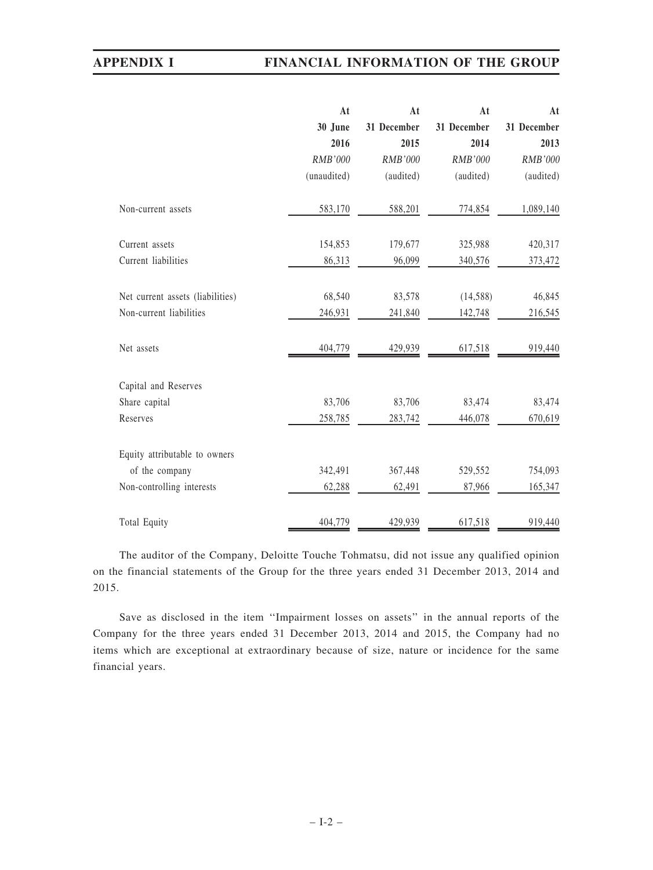|                                  | At          | At          | At          | At          |
|----------------------------------|-------------|-------------|-------------|-------------|
|                                  | 30 June     | 31 December | 31 December | 31 December |
|                                  | 2016        | 2015        | 2014        | 2013        |
|                                  | RMB'000     | RMB'000     | RMB'000     | RMB'000     |
|                                  | (unaudited) | (audited)   | (audited)   | (audited)   |
| Non-current assets               | 583,170     | 588,201     | 774,854     | 1,089,140   |
| Current assets                   | 154,853     | 179,677     | 325,988     | 420,317     |
| Current liabilities              | 86,313      | 96,099      | 340,576     | 373,472     |
| Net current assets (liabilities) | 68,540      | 83,578      | (14, 588)   | 46,845      |
| Non-current liabilities          | 246,931     | 241,840     | 142,748     | 216,545     |
| Net assets                       | 404,779     | 429,939     | 617,518     | 919,440     |
| Capital and Reserves             |             |             |             |             |
| Share capital                    | 83,706      | 83,706      | 83,474      | 83,474      |
| Reserves                         | 258,785     | 283,742     | 446,078     | 670,619     |
| Equity attributable to owners    |             |             |             |             |
| of the company                   | 342,491     | 367,448     | 529,552     | 754,093     |
| Non-controlling interests        | 62,288      | 62,491      | 87,966      | 165,347     |
| <b>Total Equity</b>              | 404,779     | 429,939     | 617,518     | 919,440     |

The auditor of the Company, Deloitte Touche Tohmatsu, did not issue any qualified opinion on the financial statements of the Group for the three years ended 31 December 2013, 2014 and 2015.

Save as disclosed in the item ''Impairment losses on assets'' in the annual reports of the Company for the three years ended 31 December 2013, 2014 and 2015, the Company had no items which are exceptional at extraordinary because of size, nature or incidence for the same financial years.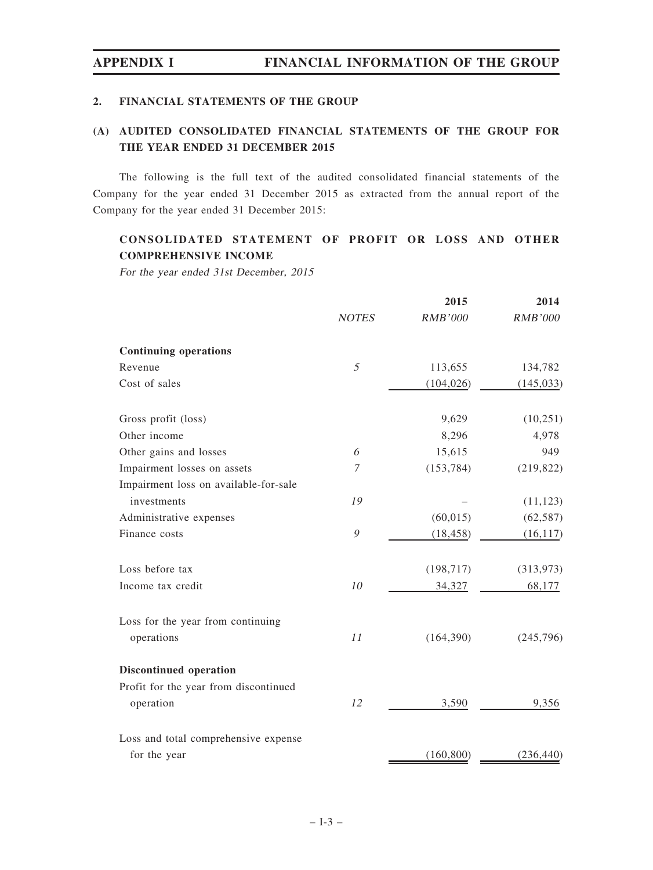## 2. FINANCIAL STATEMENTS OF THE GROUP

# (A) AUDITED CONSOLIDATED FINANCIAL STATEMENTS OF THE GROUP FOR THE YEAR ENDED 31 DECEMBER 2015

The following is the full text of the audited consolidated financial statements of the Company for the year ended 31 December 2015 as extracted from the annual report of the Company for the year ended 31 December 2015:

# CONSOLIDATED STATEMENT OF PROFIT OR LOSS AND OTHER COMPREHENSIVE INCOME

For the year ended 31st December, 2015

|                                       |              | 2015           | 2014           |
|---------------------------------------|--------------|----------------|----------------|
|                                       | <b>NOTES</b> | <b>RMB'000</b> | <b>RMB'000</b> |
| <b>Continuing operations</b>          |              |                |                |
| Revenue                               | 5            | 113,655        | 134,782        |
| Cost of sales                         |              | (104, 026)     | (145, 033)     |
| Gross profit (loss)                   |              | 9,629          | (10, 251)      |
| Other income                          |              | 8,296          | 4,978          |
| Other gains and losses                | 6            | 15,615         | 949            |
| Impairment losses on assets           | 7            | (153, 784)     | (219, 822)     |
| Impairment loss on available-for-sale |              |                |                |
| investments                           | 19           |                | (11, 123)      |
| Administrative expenses               |              | (60, 015)      | (62, 587)      |
| Finance costs                         | 9            | (18, 458)      | (16, 117)      |
| Loss before tax                       |              | (198, 717)     | (313,973)      |
| Income tax credit                     | 10           | 34,327         | 68,177         |
| Loss for the year from continuing     |              |                |                |
| operations                            | 11           | (164,390)      | (245,796)      |
| <b>Discontinued operation</b>         |              |                |                |
| Profit for the year from discontinued |              |                |                |
| operation                             | 12           | 3,590          | 9,356          |
| Loss and total comprehensive expense  |              |                |                |
| for the year                          |              | (160, 800)     | (236, 440)     |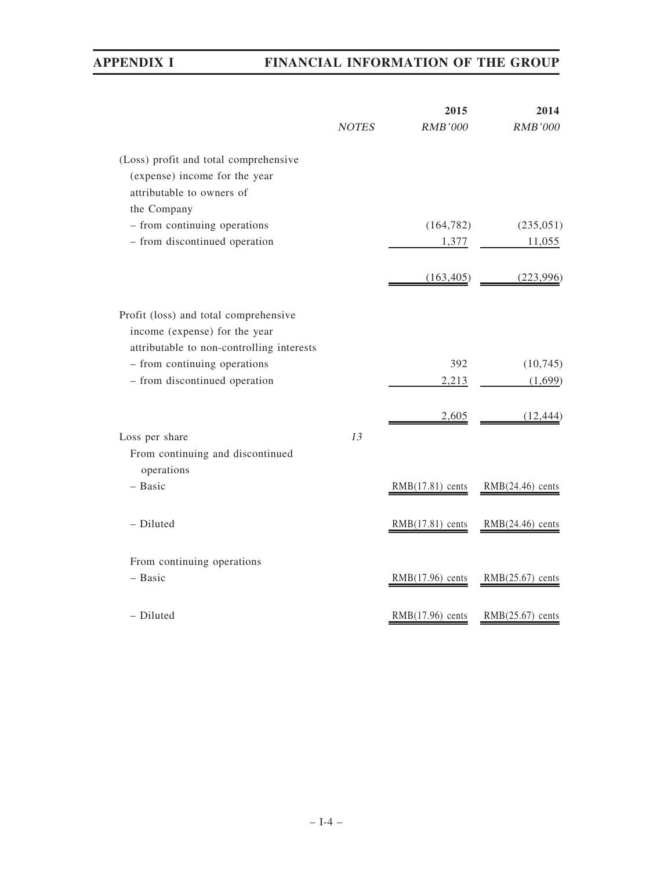# APPENDIX I FINANCIAL INFORMATION OF THE GROUP

|                                                                                                                     |              | 2015               | 2014               |
|---------------------------------------------------------------------------------------------------------------------|--------------|--------------------|--------------------|
|                                                                                                                     | <b>NOTES</b> | <b>RMB'000</b>     | <b>RMB'000</b>     |
| (Loss) profit and total comprehensive<br>(expense) income for the year<br>attributable to owners of<br>the Company  |              |                    |                    |
| - from continuing operations                                                                                        |              | (164, 782)         | (235,051)          |
| - from discontinued operation                                                                                       |              | 1,377              | 11,055             |
|                                                                                                                     |              |                    |                    |
|                                                                                                                     |              | (163, 405)         | (223, 996)         |
| Profit (loss) and total comprehensive<br>income (expense) for the year<br>attributable to non-controlling interests |              |                    |                    |
| - from continuing operations                                                                                        |              | 392                | (10, 745)          |
| - from discontinued operation                                                                                       |              | 2,213              | (1,699)            |
|                                                                                                                     |              |                    |                    |
|                                                                                                                     |              | 2,605              | (12, 444)          |
| Loss per share                                                                                                      | 13           |                    |                    |
| From continuing and discontinued                                                                                    |              |                    |                    |
| operations                                                                                                          |              |                    |                    |
| - Basic                                                                                                             |              | $RMB(17.81)$ cents | $RMB(24.46)$ cents |
| - Diluted                                                                                                           |              | $RMB(17.81)$ cents | $RMB(24.46)$ cents |
| From continuing operations                                                                                          |              |                    |                    |
| $-$ Basic                                                                                                           |              | $RMB(17.96)$ cents | $RMB(25.67)$ cents |
| - Diluted                                                                                                           |              | $RMB(17.96)$ cents | $RMB(25.67)$ cents |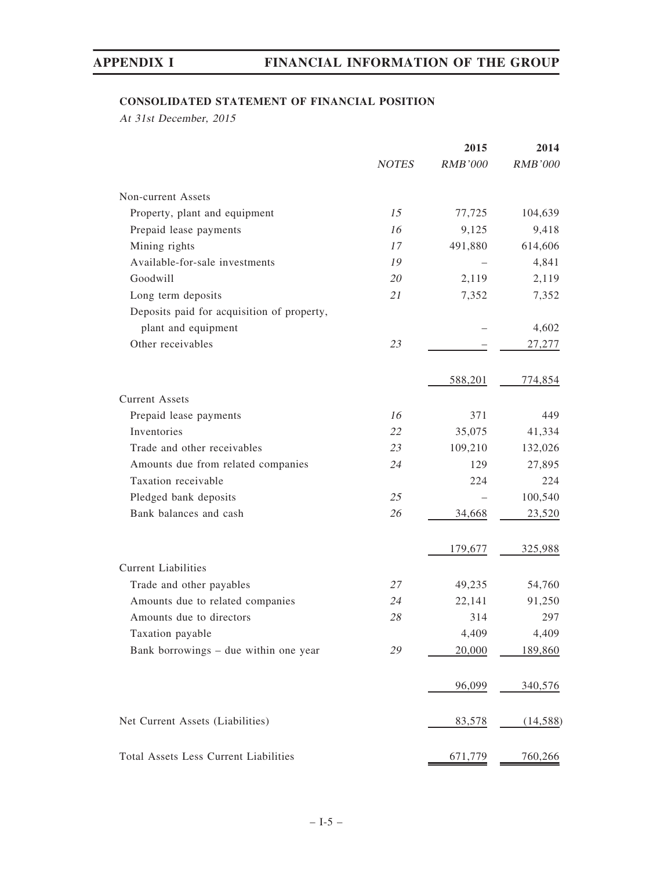## CONSOLIDATED STATEMENT OF FINANCIAL POSITION

At 31st December, 2015

|                                            |              | 2015    | 2014           |  |
|--------------------------------------------|--------------|---------|----------------|--|
|                                            | <b>NOTES</b> | RMB'000 | <b>RMB'000</b> |  |
| Non-current Assets                         |              |         |                |  |
| Property, plant and equipment              | 15           | 77,725  | 104,639        |  |
| Prepaid lease payments                     | 16           | 9,125   | 9,418          |  |
| Mining rights                              | 17           | 491,880 | 614,606        |  |
| Available-for-sale investments             | 19           |         | 4,841          |  |
| Goodwill                                   | 20           | 2,119   | 2,119          |  |
| Long term deposits                         | 21           | 7,352   | 7,352          |  |
| Deposits paid for acquisition of property, |              |         |                |  |
| plant and equipment                        |              |         | 4,602          |  |
| Other receivables                          | 23           |         | 27,277         |  |
|                                            |              | 588,201 | 774,854        |  |
| <b>Current Assets</b>                      |              |         |                |  |
| Prepaid lease payments                     | 16           | 371     | 449            |  |
| Inventories                                | 22           | 35,075  | 41,334         |  |
| Trade and other receivables                | 23           | 109,210 | 132,026        |  |
| Amounts due from related companies         | 24           | 129     | 27,895         |  |
| Taxation receivable                        |              | 224     | 224            |  |
| Pledged bank deposits                      | 25           |         | 100,540        |  |
| Bank balances and cash                     | 26           | 34,668  | 23,520         |  |
|                                            |              | 179,677 | 325,988        |  |
| <b>Current Liabilities</b>                 |              |         |                |  |
| Trade and other payables                   | 27           | 49,235  | 54,760         |  |
| Amounts due to related companies           | 24           | 22,141  | 91,250         |  |
| Amounts due to directors                   | 28           | 314     | 297            |  |
| Taxation payable                           |              | 4,409   | 4,409          |  |
| Bank borrowings – due within one year      | 29           | 20,000  | 189,860        |  |
|                                            |              | 96,099  | 340,576        |  |
| Net Current Assets (Liabilities)           |              | 83,578  | (14, 588)      |  |
| Total Assets Less Current Liabilities      |              | 671,779 | 760,266        |  |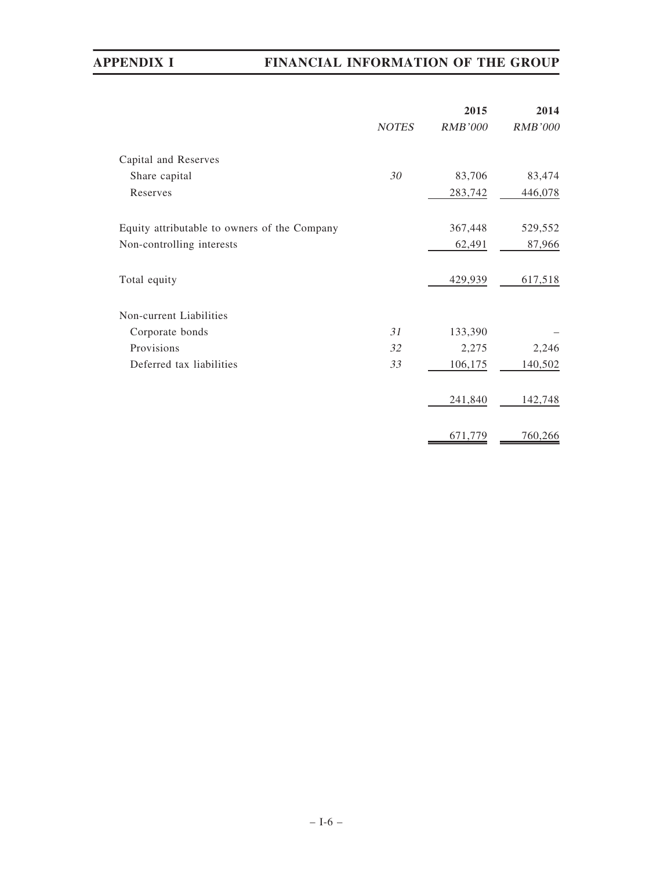# APPENDIX I FINANCIAL INFORMATION OF THE GROUP

|                                              |              | 2015    | 2014    |
|----------------------------------------------|--------------|---------|---------|
|                                              | <b>NOTES</b> | RMB'000 | RMB'000 |
| Capital and Reserves                         |              |         |         |
| Share capital                                | 30           | 83,706  | 83,474  |
| Reserves                                     |              | 283,742 | 446,078 |
| Equity attributable to owners of the Company |              | 367,448 | 529,552 |
| Non-controlling interests                    |              | 62,491  | 87,966  |
| Total equity                                 |              | 429,939 | 617,518 |
| Non-current Liabilities                      |              |         |         |
| Corporate bonds                              | 31           | 133,390 |         |
| Provisions                                   | 32           | 2,275   | 2,246   |
| Deferred tax liabilities                     | 33           | 106,175 | 140,502 |
|                                              |              | 241,840 | 142,748 |
|                                              |              | 671,779 | 760,266 |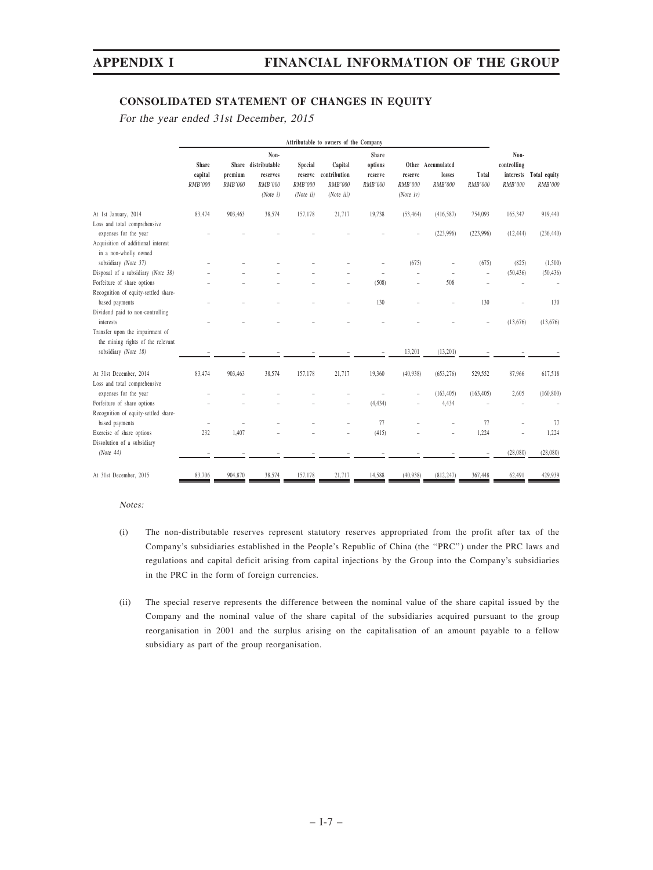## CONSOLIDATED STATEMENT OF CHANGES IN EQUITY

For the year ended 31st December, 2015

|                                                                                              | Attributable to owners of the Company |                    |                                                                |                                                   |                                                         |                                        |                                   |                                        |                          |                                             |                                |
|----------------------------------------------------------------------------------------------|---------------------------------------|--------------------|----------------------------------------------------------------|---------------------------------------------------|---------------------------------------------------------|----------------------------------------|-----------------------------------|----------------------------------------|--------------------------|---------------------------------------------|--------------------------------|
|                                                                                              | Share<br>capital<br>RMB'000           | premium<br>RMB'000 | Non-<br>Share distributable<br>reserves<br>RMB'000<br>(Note i) | Special<br>reserve<br><b>RMB'000</b><br>(Note ii) | Capital<br>contribution<br><b>RMB'000</b><br>(Note iii) | Share<br>options<br>reserve<br>RMB'000 | reserve<br>RMB'000<br>$(Note$ iv) | Other Accumulated<br>losses<br>RMB'000 | Total<br>RMB'000         | Non-<br>controlling<br>interests<br>RMB'000 | Total equity<br><b>RMB'000</b> |
| At 1st January, 2014<br>Loss and total comprehensive                                         | 83,474                                | 903,463            | 38,574                                                         | 157,178                                           | 21,717                                                  | 19,738                                 | (53, 464)                         | (416, 587)                             | 754,093                  | 165,347                                     | 919,440                        |
| expenses for the year<br>Acquisition of additional interest<br>in a non-wholly owned         |                                       |                    |                                                                |                                                   |                                                         |                                        |                                   | (223,996)                              | (223,996)                | (12, 444)                                   | (236, 440)                     |
| subsidiary (Note 37)                                                                         |                                       |                    |                                                                |                                                   |                                                         |                                        | (675)                             |                                        | (675)                    | (825)                                       | (1,500)                        |
| Disposal of a subsidiary (Note 38)                                                           |                                       |                    |                                                                |                                                   |                                                         |                                        |                                   |                                        | $\overline{\phantom{a}}$ | (50, 436)                                   | (50, 436)                      |
| Forfeiture of share options<br>Recognition of equity-settled share-                          |                                       |                    |                                                                |                                                   |                                                         | (508)                                  | $\overline{a}$                    | 508                                    |                          |                                             |                                |
| based payments<br>Dividend paid to non-controlling<br>interests                              |                                       |                    |                                                                |                                                   |                                                         | 130                                    |                                   |                                        | 130                      | (13,676)                                    | 130<br>(13,676)                |
| Transfer upon the impairment of<br>the mining rights of the relevant<br>subsidiary (Note 18) |                                       |                    |                                                                |                                                   |                                                         |                                        | 13,201                            | (13,201)                               |                          |                                             |                                |
| At 31st December, 2014<br>Loss and total comprehensive                                       | 83,474                                | 903,463            | 38,574                                                         | 157,178                                           | 21,717                                                  | 19,360                                 | (40, 938)                         | (653, 276)                             | 529,552                  | 87,966                                      | 617,518                        |
| expenses for the year                                                                        |                                       |                    |                                                                |                                                   |                                                         |                                        |                                   | (163, 405)                             | (163, 405)               | 2,605                                       | (160, 800)                     |
| Forfeiture of share options                                                                  |                                       |                    |                                                                |                                                   |                                                         | (4, 434)                               |                                   | 4,434                                  |                          |                                             |                                |
| Recognition of equity-settled share-                                                         |                                       |                    |                                                                |                                                   |                                                         |                                        |                                   |                                        |                          |                                             |                                |
| based payments                                                                               |                                       |                    |                                                                |                                                   |                                                         | 77                                     |                                   |                                        | 77                       |                                             | 77                             |
| Exercise of share options                                                                    | 232                                   | 1,407              |                                                                |                                                   |                                                         | (415)                                  |                                   |                                        | 1,224                    |                                             | 1,224                          |
| Dissolution of a subsidiary<br>(Note 44)                                                     |                                       |                    |                                                                |                                                   |                                                         |                                        |                                   |                                        |                          | (28,080)                                    | (28,080)                       |
| At 31st December, 2015                                                                       | 83,706                                | 904.870            | 38.574                                                         | 157,178                                           | 21.717                                                  | 14.588                                 | (40.938)                          | (812.247)                              | 367,448                  | 62.491                                      | 429.939                        |

### Notes:

- (i) The non-distributable reserves represent statutory reserves appropriated from the profit after tax of the Company's subsidiaries established in the People's Republic of China (the ''PRC'') under the PRC laws and regulations and capital deficit arising from capital injections by the Group into the Company's subsidiaries in the PRC in the form of foreign currencies.
- (ii) The special reserve represents the difference between the nominal value of the share capital issued by the Company and the nominal value of the share capital of the subsidiaries acquired pursuant to the group reorganisation in 2001 and the surplus arising on the capitalisation of an amount payable to a fellow subsidiary as part of the group reorganisation.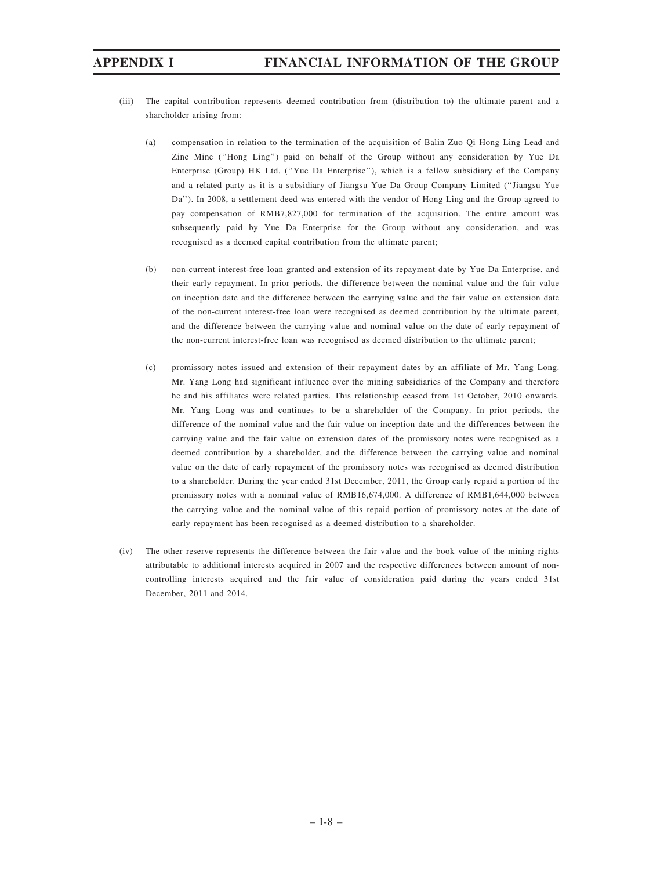- (iii) The capital contribution represents deemed contribution from (distribution to) the ultimate parent and a shareholder arising from:
	- (a) compensation in relation to the termination of the acquisition of Balin Zuo Qi Hong Ling Lead and Zinc Mine (''Hong Ling'') paid on behalf of the Group without any consideration by Yue Da Enterprise (Group) HK Ltd. (''Yue Da Enterprise''), which is a fellow subsidiary of the Company and a related party as it is a subsidiary of Jiangsu Yue Da Group Company Limited (''Jiangsu Yue Da''). In 2008, a settlement deed was entered with the vendor of Hong Ling and the Group agreed to pay compensation of RMB7,827,000 for termination of the acquisition. The entire amount was subsequently paid by Yue Da Enterprise for the Group without any consideration, and was recognised as a deemed capital contribution from the ultimate parent;
	- (b) non-current interest-free loan granted and extension of its repayment date by Yue Da Enterprise, and their early repayment. In prior periods, the difference between the nominal value and the fair value on inception date and the difference between the carrying value and the fair value on extension date of the non-current interest-free loan were recognised as deemed contribution by the ultimate parent, and the difference between the carrying value and nominal value on the date of early repayment of the non-current interest-free loan was recognised as deemed distribution to the ultimate parent;
	- (c) promissory notes issued and extension of their repayment dates by an affiliate of Mr. Yang Long. Mr. Yang Long had significant influence over the mining subsidiaries of the Company and therefore he and his affiliates were related parties. This relationship ceased from 1st October, 2010 onwards. Mr. Yang Long was and continues to be a shareholder of the Company. In prior periods, the difference of the nominal value and the fair value on inception date and the differences between the carrying value and the fair value on extension dates of the promissory notes were recognised as a deemed contribution by a shareholder, and the difference between the carrying value and nominal value on the date of early repayment of the promissory notes was recognised as deemed distribution to a shareholder. During the year ended 31st December, 2011, the Group early repaid a portion of the promissory notes with a nominal value of RMB16,674,000. A difference of RMB1,644,000 between the carrying value and the nominal value of this repaid portion of promissory notes at the date of early repayment has been recognised as a deemed distribution to a shareholder.
- (iv) The other reserve represents the difference between the fair value and the book value of the mining rights attributable to additional interests acquired in 2007 and the respective differences between amount of noncontrolling interests acquired and the fair value of consideration paid during the years ended 31st December, 2011 and 2014.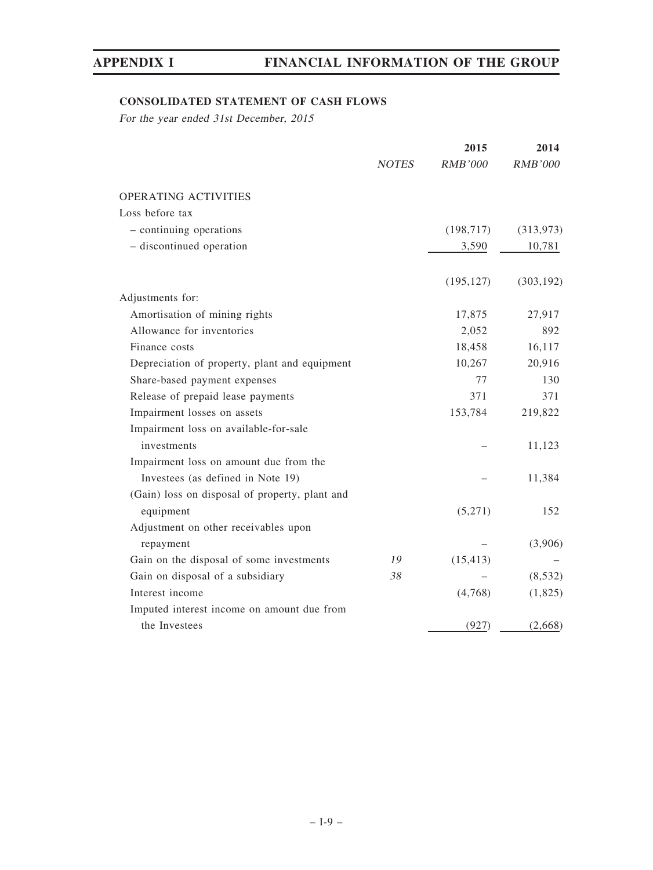## CONSOLIDATED STATEMENT OF CASH FLOWS

For the year ended 31st December, 2015

|                                                |              | 2015           | 2014           |
|------------------------------------------------|--------------|----------------|----------------|
|                                                | <b>NOTES</b> | <b>RMB'000</b> | <b>RMB'000</b> |
| OPERATING ACTIVITIES                           |              |                |                |
| Loss before tax                                |              |                |                |
| - continuing operations                        |              | (198, 717)     | (313, 973)     |
| - discontinued operation                       |              | 3,590          | 10,781         |
|                                                |              | (195, 127)     | (303, 192)     |
| Adjustments for:                               |              |                |                |
| Amortisation of mining rights                  |              | 17,875         | 27,917         |
| Allowance for inventories                      |              | 2,052          | 892            |
| Finance costs                                  |              | 18,458         | 16,117         |
| Depreciation of property, plant and equipment  |              | 10,267         | 20,916         |
| Share-based payment expenses                   |              | 77             | 130            |
| Release of prepaid lease payments              |              | 371            | 371            |
| Impairment losses on assets                    |              | 153,784        | 219,822        |
| Impairment loss on available-for-sale          |              |                |                |
| investments                                    |              |                | 11,123         |
| Impairment loss on amount due from the         |              |                |                |
| Investees (as defined in Note 19)              |              |                | 11,384         |
| (Gain) loss on disposal of property, plant and |              |                |                |
| equipment                                      |              | (5,271)        | 152            |
| Adjustment on other receivables upon           |              |                |                |
| repayment                                      |              |                | (3,906)        |
| Gain on the disposal of some investments       | 19           | (15, 413)      |                |
| Gain on disposal of a subsidiary               | 38           |                | (8, 532)       |
| Interest income                                |              | (4,768)        | (1,825)        |
| Imputed interest income on amount due from     |              |                |                |
| the Investees                                  |              | (927)          | (2,668)        |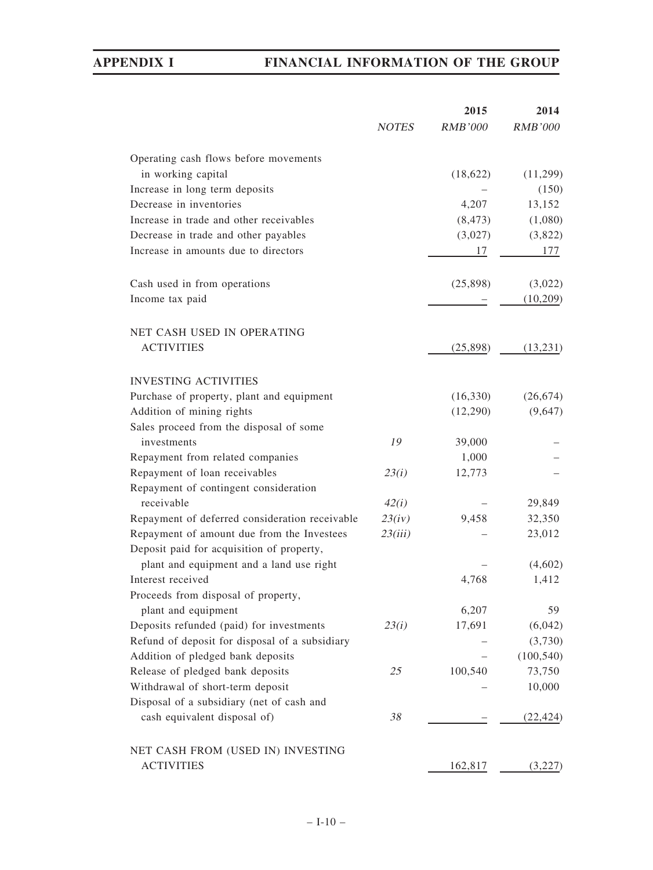# APPENDIX I FINANCIAL INFORMATION OF THE GROUP

| <b>RMB'000</b><br><b>RMB'000</b><br><b>NOTES</b><br>Operating cash flows before movements<br>in working capital<br>(18,622)<br>(11,299)<br>Increase in long term deposits<br>Decrease in inventories<br>13,152<br>4,207<br>Increase in trade and other receivables<br>(8, 473)<br>(1,080)<br>Decrease in trade and other payables<br>(3,027)<br>(3,822)<br>Increase in amounts due to directors<br>17<br>Cash used in from operations<br>(25,898)<br>(3,022)<br>Income tax paid<br>(10,209)<br>NET CASH USED IN OPERATING<br><b>ACTIVITIES</b><br>(25,898) |          |
|------------------------------------------------------------------------------------------------------------------------------------------------------------------------------------------------------------------------------------------------------------------------------------------------------------------------------------------------------------------------------------------------------------------------------------------------------------------------------------------------------------------------------------------------------------|----------|
|                                                                                                                                                                                                                                                                                                                                                                                                                                                                                                                                                            |          |
|                                                                                                                                                                                                                                                                                                                                                                                                                                                                                                                                                            |          |
|                                                                                                                                                                                                                                                                                                                                                                                                                                                                                                                                                            |          |
|                                                                                                                                                                                                                                                                                                                                                                                                                                                                                                                                                            | (150)    |
|                                                                                                                                                                                                                                                                                                                                                                                                                                                                                                                                                            |          |
|                                                                                                                                                                                                                                                                                                                                                                                                                                                                                                                                                            |          |
|                                                                                                                                                                                                                                                                                                                                                                                                                                                                                                                                                            |          |
|                                                                                                                                                                                                                                                                                                                                                                                                                                                                                                                                                            | 177      |
|                                                                                                                                                                                                                                                                                                                                                                                                                                                                                                                                                            |          |
|                                                                                                                                                                                                                                                                                                                                                                                                                                                                                                                                                            |          |
|                                                                                                                                                                                                                                                                                                                                                                                                                                                                                                                                                            |          |
|                                                                                                                                                                                                                                                                                                                                                                                                                                                                                                                                                            |          |
|                                                                                                                                                                                                                                                                                                                                                                                                                                                                                                                                                            | (13,231) |
| <b>INVESTING ACTIVITIES</b>                                                                                                                                                                                                                                                                                                                                                                                                                                                                                                                                |          |
| Purchase of property, plant and equipment<br>(16, 330)<br>(26, 674)                                                                                                                                                                                                                                                                                                                                                                                                                                                                                        |          |
| Addition of mining rights<br>(12,290)<br>(9,647)                                                                                                                                                                                                                                                                                                                                                                                                                                                                                                           |          |
| Sales proceed from the disposal of some                                                                                                                                                                                                                                                                                                                                                                                                                                                                                                                    |          |
| investments<br>19<br>39,000                                                                                                                                                                                                                                                                                                                                                                                                                                                                                                                                |          |
| Repayment from related companies<br>1,000                                                                                                                                                                                                                                                                                                                                                                                                                                                                                                                  |          |
| Repayment of loan receivables<br>23(i)<br>12,773                                                                                                                                                                                                                                                                                                                                                                                                                                                                                                           |          |
| Repayment of contingent consideration                                                                                                                                                                                                                                                                                                                                                                                                                                                                                                                      |          |
| receivable<br>42(i)<br>29,849                                                                                                                                                                                                                                                                                                                                                                                                                                                                                                                              |          |
| Repayment of deferred consideration receivable<br>23(iv)<br>9,458<br>32,350                                                                                                                                                                                                                                                                                                                                                                                                                                                                                |          |
| Repayment of amount due from the Investees<br>23,012<br>23(iii)                                                                                                                                                                                                                                                                                                                                                                                                                                                                                            |          |
| Deposit paid for acquisition of property,                                                                                                                                                                                                                                                                                                                                                                                                                                                                                                                  |          |
| plant and equipment and a land use right<br>(4,602)                                                                                                                                                                                                                                                                                                                                                                                                                                                                                                        |          |
| Interest received<br>4,768<br>1,412                                                                                                                                                                                                                                                                                                                                                                                                                                                                                                                        |          |
| Proceeds from disposal of property,                                                                                                                                                                                                                                                                                                                                                                                                                                                                                                                        |          |
| 6,207<br>plant and equipment                                                                                                                                                                                                                                                                                                                                                                                                                                                                                                                               | 59       |
| 17,691<br>Deposits refunded (paid) for investments<br>23(i)<br>(6,042)                                                                                                                                                                                                                                                                                                                                                                                                                                                                                     |          |
| Refund of deposit for disposal of a subsidiary<br>(3,730)                                                                                                                                                                                                                                                                                                                                                                                                                                                                                                  |          |
| Addition of pledged bank deposits<br>(100, 540)                                                                                                                                                                                                                                                                                                                                                                                                                                                                                                            |          |
| Release of pledged bank deposits<br>25<br>100,540<br>73,750                                                                                                                                                                                                                                                                                                                                                                                                                                                                                                |          |
| Withdrawal of short-term deposit<br>10,000                                                                                                                                                                                                                                                                                                                                                                                                                                                                                                                 |          |
| Disposal of a subsidiary (net of cash and                                                                                                                                                                                                                                                                                                                                                                                                                                                                                                                  |          |
| cash equivalent disposal of)<br>38<br>(22, 424)                                                                                                                                                                                                                                                                                                                                                                                                                                                                                                            |          |
| NET CASH FROM (USED IN) INVESTING                                                                                                                                                                                                                                                                                                                                                                                                                                                                                                                          |          |
| <b>ACTIVITIES</b><br>162,817<br>(3,227)                                                                                                                                                                                                                                                                                                                                                                                                                                                                                                                    |          |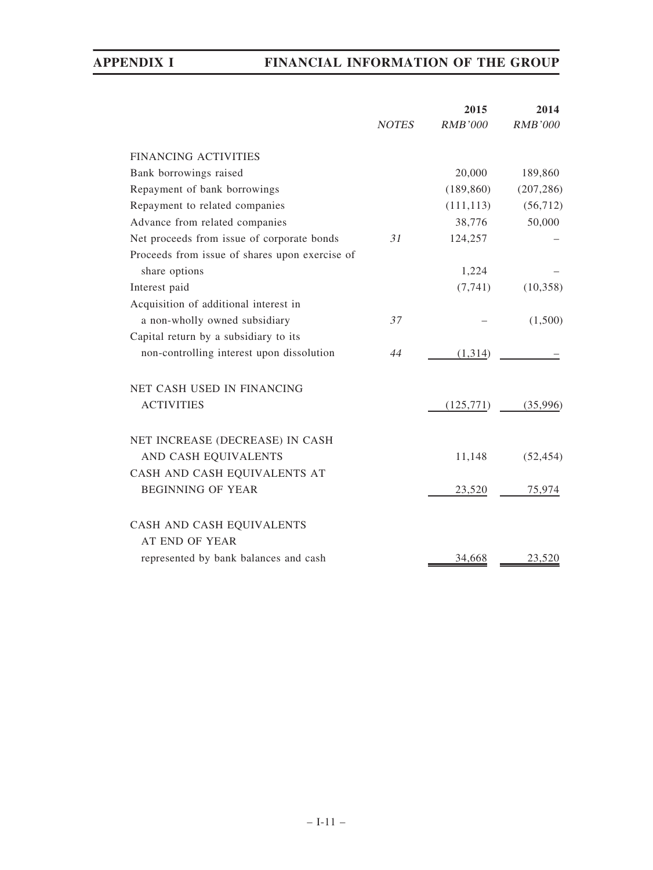# APPENDIX I FINANCIAL INFORMATION OF THE GROUP

|                                                | 2015         |                | 2014           |
|------------------------------------------------|--------------|----------------|----------------|
|                                                | <b>NOTES</b> | <b>RMB'000</b> | <b>RMB'000</b> |
| <b>FINANCING ACTIVITIES</b>                    |              |                |                |
| Bank borrowings raised                         |              | 20,000         | 189,860        |
| Repayment of bank borrowings                   |              | (189, 860)     | (207, 286)     |
| Repayment to related companies                 |              | (111, 113)     | (56, 712)      |
| Advance from related companies                 |              | 38,776         | 50,000         |
| Net proceeds from issue of corporate bonds     | 31           | 124,257        |                |
| Proceeds from issue of shares upon exercise of |              |                |                |
| share options                                  |              | 1,224          |                |
| Interest paid                                  |              | (7, 741)       | (10, 358)      |
| Acquisition of additional interest in          |              |                |                |
| a non-wholly owned subsidiary                  | 37           |                | (1,500)        |
| Capital return by a subsidiary to its          |              |                |                |
| non-controlling interest upon dissolution      | 44           | (1, 314)       |                |
| NET CASH USED IN FINANCING                     |              |                |                |
| <b>ACTIVITIES</b>                              |              | (125, 771)     | (35,996)       |
| NET INCREASE (DECREASE) IN CASH                |              |                |                |
| AND CASH EQUIVALENTS                           |              | 11,148         | (52, 454)      |
| CASH AND CASH EQUIVALENTS AT                   |              |                |                |
| <b>BEGINNING OF YEAR</b>                       |              | 23,520         | 75,974         |
| CASH AND CASH EQUIVALENTS                      |              |                |                |
| <b>AT END OF YEAR</b>                          |              |                |                |
| represented by bank balances and cash          |              | 34,668         | 23,520         |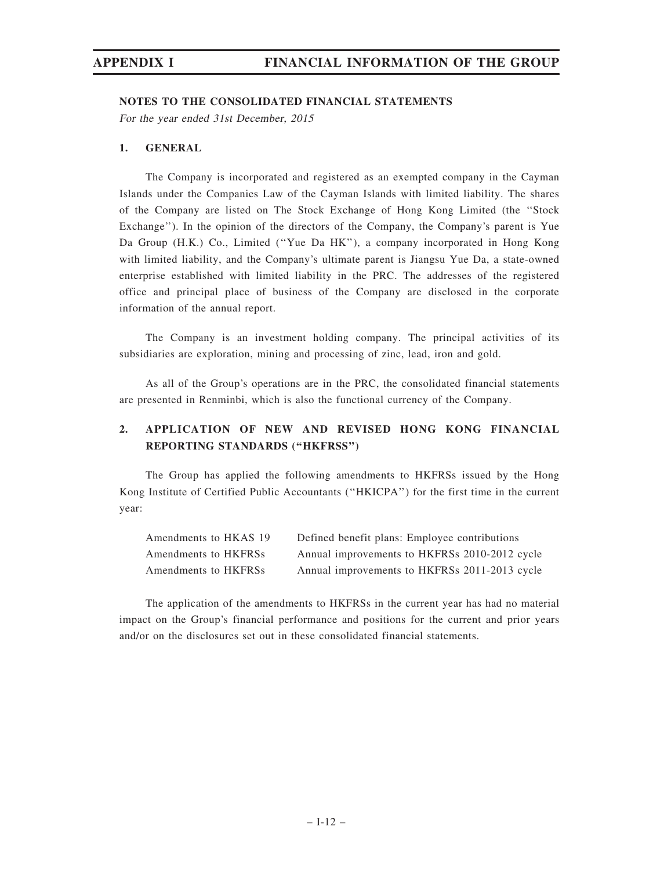## NOTES TO THE CONSOLIDATED FINANCIAL STATEMENTS

For the year ended 31st December, 2015

## 1. GENERAL

The Company is incorporated and registered as an exempted company in the Cayman Islands under the Companies Law of the Cayman Islands with limited liability. The shares of the Company are listed on The Stock Exchange of Hong Kong Limited (the ''Stock Exchange''). In the opinion of the directors of the Company, the Company's parent is Yue Da Group (H.K.) Co., Limited (''Yue Da HK''), a company incorporated in Hong Kong with limited liability, and the Company's ultimate parent is Jiangsu Yue Da, a state-owned enterprise established with limited liability in the PRC. The addresses of the registered office and principal place of business of the Company are disclosed in the corporate information of the annual report.

The Company is an investment holding company. The principal activities of its subsidiaries are exploration, mining and processing of zinc, lead, iron and gold.

As all of the Group's operations are in the PRC, the consolidated financial statements are presented in Renminbi, which is also the functional currency of the Company.

## 2. APPLICATION OF NEW AND REVISED HONG KONG FINANCIAL REPORTING STANDARDS (''HKFRSS'')

The Group has applied the following amendments to HKFRSs issued by the Hong Kong Institute of Certified Public Accountants (''HKICPA'') for the first time in the current year:

| Amendments to HKAS 19 | Defined benefit plans: Employee contributions |
|-----------------------|-----------------------------------------------|
| Amendments to HKFRSs  | Annual improvements to HKFRSs 2010-2012 cycle |
| Amendments to HKFRSs  | Annual improvements to HKFRSs 2011-2013 cycle |

The application of the amendments to HKFRSs in the current year has had no material impact on the Group's financial performance and positions for the current and prior years and/or on the disclosures set out in these consolidated financial statements.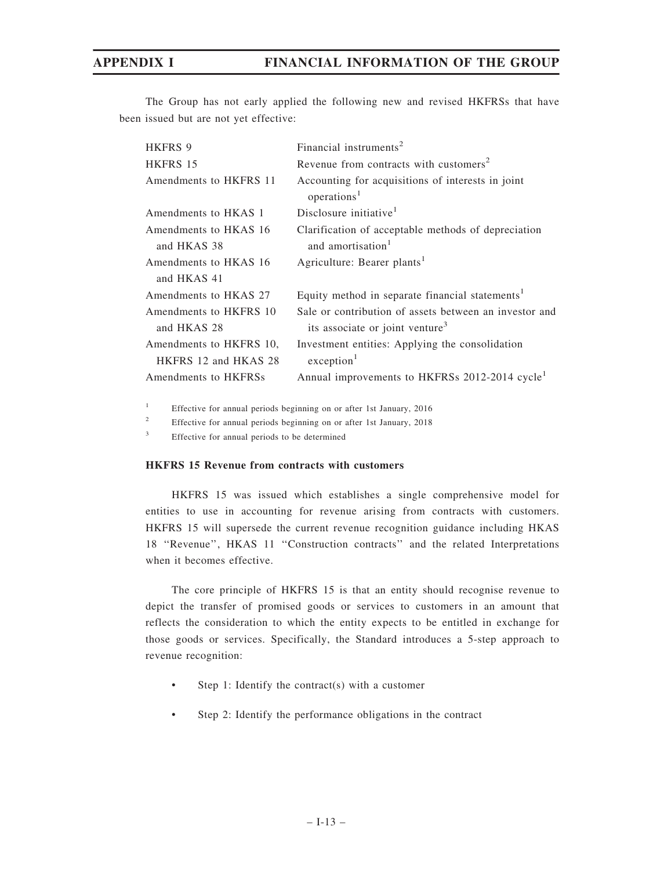## APPENDIX I FINANCIAL INFORMATION OF THE GROUP

The Group has not early applied the following new and revised HKFRSs that have been issued but are not yet effective:

| <b>HKFRS 9</b>                                  | Financial instruments <sup>2</sup>                                                                    |
|-------------------------------------------------|-------------------------------------------------------------------------------------------------------|
| HKFRS 15                                        | Revenue from contracts with customers <sup>2</sup>                                                    |
| Amendments to HKFRS 11                          | Accounting for acquisitions of interests in joint<br>operations <sup>1</sup>                          |
| Amendments to HKAS 1                            | Disclosure initiative <sup>1</sup>                                                                    |
| Amendments to HKAS 16<br>and HKAS 38            | Clarification of acceptable methods of depreciation<br>and amortisation <sup>1</sup>                  |
| Amendments to HKAS 16<br>and HKAS 41            | Agriculture: Bearer plants <sup>1</sup>                                                               |
| Amendments to HKAS 27                           | Equity method in separate financial statements <sup>1</sup>                                           |
| Amendments to HKFRS 10<br>and HKAS 28           | Sale or contribution of assets between an investor and<br>its associate or joint venture <sup>3</sup> |
| Amendments to HKFRS 10,<br>HKFRS 12 and HKAS 28 | Investment entities: Applying the consolidation<br>exception <sup>1</sup>                             |
| Amendments to HKFRSs                            | Annual improvements to HKFRSs 2012-2014 cycle <sup>1</sup>                                            |
|                                                 |                                                                                                       |

<sup>1</sup> Effective for annual periods beginning on or after 1st January, 2016

<sup>2</sup> Effective for annual periods beginning on or after 1st January, 2018

<sup>3</sup> Effective for annual periods to be determined

## HKFRS 15 Revenue from contracts with customers

HKFRS 15 was issued which establishes a single comprehensive model for entities to use in accounting for revenue arising from contracts with customers. HKFRS 15 will supersede the current revenue recognition guidance including HKAS 18 ''Revenue'', HKAS 11 ''Construction contracts'' and the related Interpretations when it becomes effective.

The core principle of HKFRS 15 is that an entity should recognise revenue to depict the transfer of promised goods or services to customers in an amount that reflects the consideration to which the entity expects to be entitled in exchange for those goods or services. Specifically, the Standard introduces a 5-step approach to revenue recognition:

- Step 1: Identify the contract(s) with a customer
- Step 2: Identify the performance obligations in the contract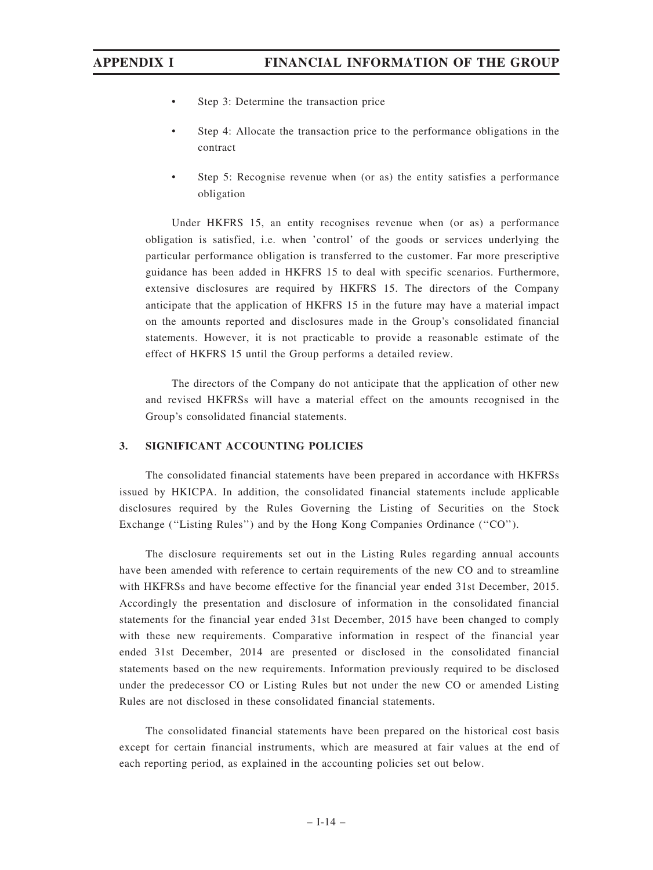- Step 3: Determine the transaction price
- Step 4: Allocate the transaction price to the performance obligations in the contract
- Step 5: Recognise revenue when (or as) the entity satisfies a performance obligation

Under HKFRS 15, an entity recognises revenue when (or as) a performance obligation is satisfied, i.e. when 'control' of the goods or services underlying the particular performance obligation is transferred to the customer. Far more prescriptive guidance has been added in HKFRS 15 to deal with specific scenarios. Furthermore, extensive disclosures are required by HKFRS 15. The directors of the Company anticipate that the application of HKFRS 15 in the future may have a material impact on the amounts reported and disclosures made in the Group's consolidated financial statements. However, it is not practicable to provide a reasonable estimate of the effect of HKFRS 15 until the Group performs a detailed review.

The directors of the Company do not anticipate that the application of other new and revised HKFRSs will have a material effect on the amounts recognised in the Group's consolidated financial statements.

## 3. SIGNIFICANT ACCOUNTING POLICIES

The consolidated financial statements have been prepared in accordance with HKFRSs issued by HKICPA. In addition, the consolidated financial statements include applicable disclosures required by the Rules Governing the Listing of Securities on the Stock Exchange ("Listing Rules") and by the Hong Kong Companies Ordinance ("CO").

The disclosure requirements set out in the Listing Rules regarding annual accounts have been amended with reference to certain requirements of the new CO and to streamline with HKFRSs and have become effective for the financial year ended 31st December, 2015. Accordingly the presentation and disclosure of information in the consolidated financial statements for the financial year ended 31st December, 2015 have been changed to comply with these new requirements. Comparative information in respect of the financial year ended 31st December, 2014 are presented or disclosed in the consolidated financial statements based on the new requirements. Information previously required to be disclosed under the predecessor CO or Listing Rules but not under the new CO or amended Listing Rules are not disclosed in these consolidated financial statements.

The consolidated financial statements have been prepared on the historical cost basis except for certain financial instruments, which are measured at fair values at the end of each reporting period, as explained in the accounting policies set out below.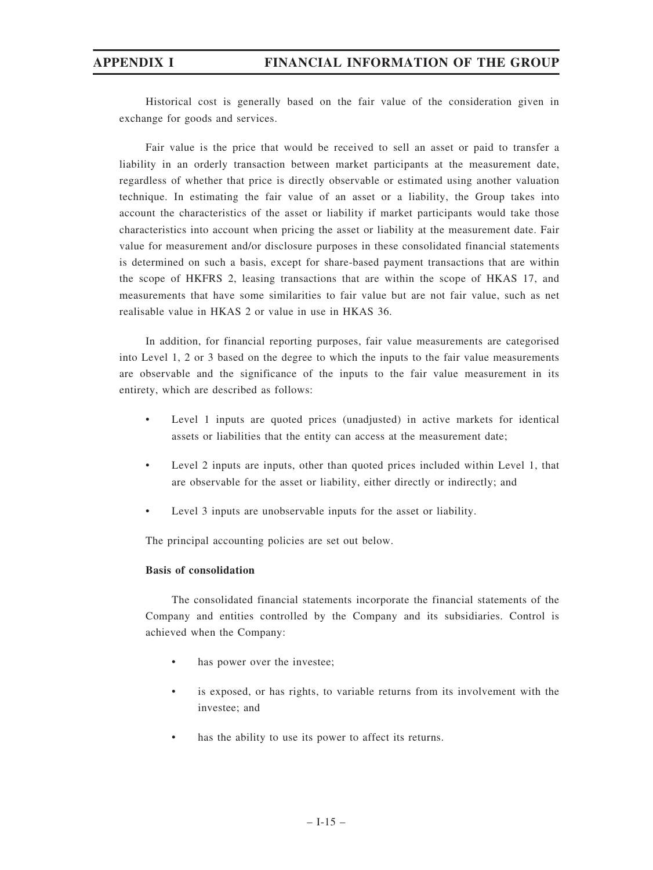Historical cost is generally based on the fair value of the consideration given in exchange for goods and services.

Fair value is the price that would be received to sell an asset or paid to transfer a liability in an orderly transaction between market participants at the measurement date, regardless of whether that price is directly observable or estimated using another valuation technique. In estimating the fair value of an asset or a liability, the Group takes into account the characteristics of the asset or liability if market participants would take those characteristics into account when pricing the asset or liability at the measurement date. Fair value for measurement and/or disclosure purposes in these consolidated financial statements is determined on such a basis, except for share-based payment transactions that are within the scope of HKFRS 2, leasing transactions that are within the scope of HKAS 17, and measurements that have some similarities to fair value but are not fair value, such as net realisable value in HKAS 2 or value in use in HKAS 36.

In addition, for financial reporting purposes, fair value measurements are categorised into Level 1, 2 or 3 based on the degree to which the inputs to the fair value measurements are observable and the significance of the inputs to the fair value measurement in its entirety, which are described as follows:

- Level 1 inputs are quoted prices (unadjusted) in active markets for identical assets or liabilities that the entity can access at the measurement date;
- Level 2 inputs are inputs, other than quoted prices included within Level 1, that are observable for the asset or liability, either directly or indirectly; and
- Level 3 inputs are unobservable inputs for the asset or liability.

The principal accounting policies are set out below.

## Basis of consolidation

The consolidated financial statements incorporate the financial statements of the Company and entities controlled by the Company and its subsidiaries. Control is achieved when the Company:

- has power over the investee;
- is exposed, or has rights, to variable returns from its involvement with the investee; and
- has the ability to use its power to affect its returns.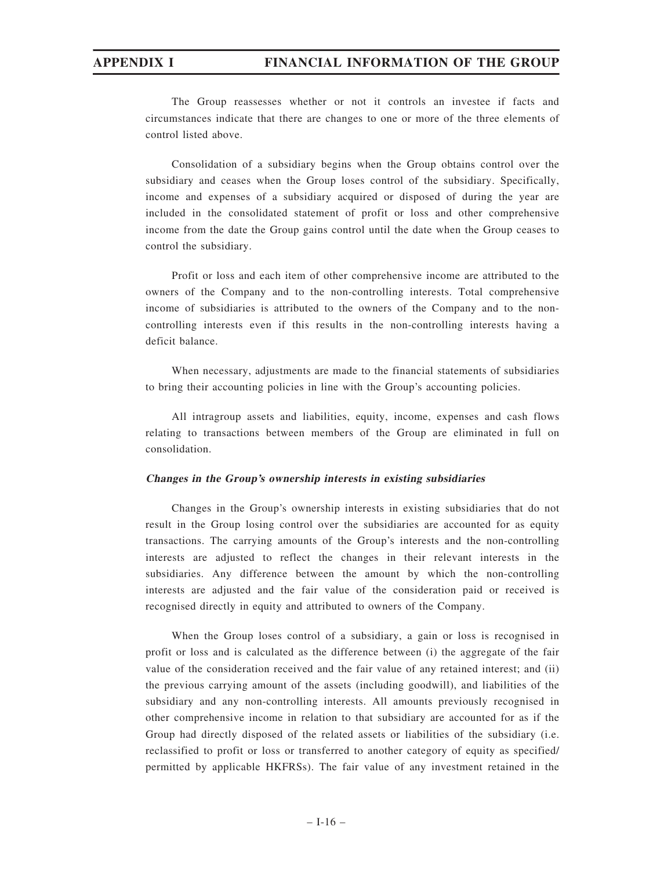The Group reassesses whether or not it controls an investee if facts and circumstances indicate that there are changes to one or more of the three elements of control listed above.

Consolidation of a subsidiary begins when the Group obtains control over the subsidiary and ceases when the Group loses control of the subsidiary. Specifically, income and expenses of a subsidiary acquired or disposed of during the year are included in the consolidated statement of profit or loss and other comprehensive income from the date the Group gains control until the date when the Group ceases to control the subsidiary.

Profit or loss and each item of other comprehensive income are attributed to the owners of the Company and to the non-controlling interests. Total comprehensive income of subsidiaries is attributed to the owners of the Company and to the noncontrolling interests even if this results in the non-controlling interests having a deficit balance.

When necessary, adjustments are made to the financial statements of subsidiaries to bring their accounting policies in line with the Group's accounting policies.

All intragroup assets and liabilities, equity, income, expenses and cash flows relating to transactions between members of the Group are eliminated in full on consolidation.

## Changes in the Group'<sup>s</sup> ownership interests in existing subsidiaries

Changes in the Group's ownership interests in existing subsidiaries that do not result in the Group losing control over the subsidiaries are accounted for as equity transactions. The carrying amounts of the Group's interests and the non-controlling interests are adjusted to reflect the changes in their relevant interests in the subsidiaries. Any difference between the amount by which the non-controlling interests are adjusted and the fair value of the consideration paid or received is recognised directly in equity and attributed to owners of the Company.

When the Group loses control of a subsidiary, a gain or loss is recognised in profit or loss and is calculated as the difference between (i) the aggregate of the fair value of the consideration received and the fair value of any retained interest; and (ii) the previous carrying amount of the assets (including goodwill), and liabilities of the subsidiary and any non-controlling interests. All amounts previously recognised in other comprehensive income in relation to that subsidiary are accounted for as if the Group had directly disposed of the related assets or liabilities of the subsidiary (i.e. reclassified to profit or loss or transferred to another category of equity as specified/ permitted by applicable HKFRSs). The fair value of any investment retained in the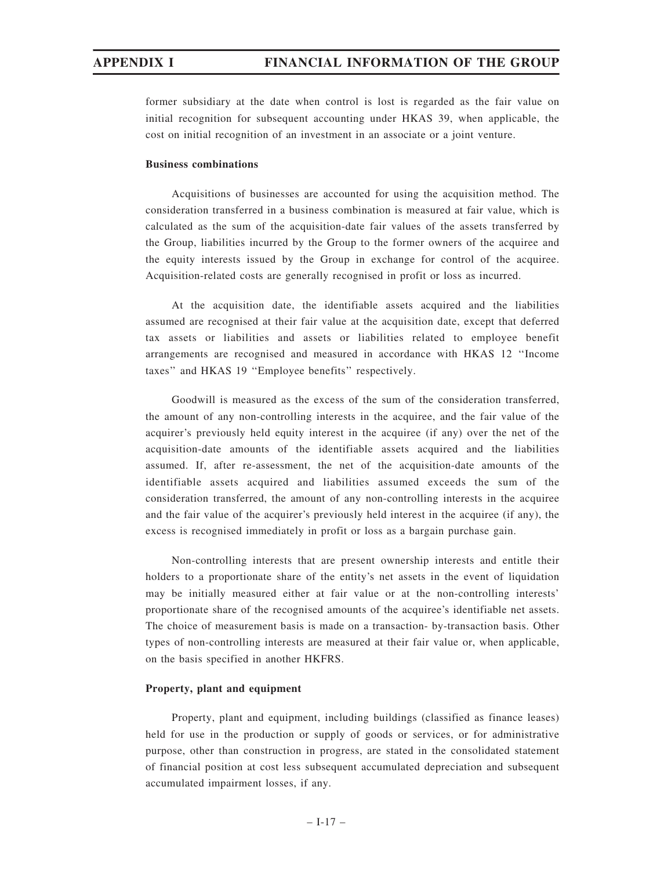former subsidiary at the date when control is lost is regarded as the fair value on initial recognition for subsequent accounting under HKAS 39, when applicable, the cost on initial recognition of an investment in an associate or a joint venture.

### Business combinations

Acquisitions of businesses are accounted for using the acquisition method. The consideration transferred in a business combination is measured at fair value, which is calculated as the sum of the acquisition-date fair values of the assets transferred by the Group, liabilities incurred by the Group to the former owners of the acquiree and the equity interests issued by the Group in exchange for control of the acquiree. Acquisition-related costs are generally recognised in profit or loss as incurred.

At the acquisition date, the identifiable assets acquired and the liabilities assumed are recognised at their fair value at the acquisition date, except that deferred tax assets or liabilities and assets or liabilities related to employee benefit arrangements are recognised and measured in accordance with HKAS 12 ''Income taxes'' and HKAS 19 ''Employee benefits'' respectively.

Goodwill is measured as the excess of the sum of the consideration transferred, the amount of any non-controlling interests in the acquiree, and the fair value of the acquirer's previously held equity interest in the acquiree (if any) over the net of the acquisition-date amounts of the identifiable assets acquired and the liabilities assumed. If, after re-assessment, the net of the acquisition-date amounts of the identifiable assets acquired and liabilities assumed exceeds the sum of the consideration transferred, the amount of any non-controlling interests in the acquiree and the fair value of the acquirer's previously held interest in the acquiree (if any), the excess is recognised immediately in profit or loss as a bargain purchase gain.

Non-controlling interests that are present ownership interests and entitle their holders to a proportionate share of the entity's net assets in the event of liquidation may be initially measured either at fair value or at the non-controlling interests' proportionate share of the recognised amounts of the acquiree's identifiable net assets. The choice of measurement basis is made on a transaction- by-transaction basis. Other types of non-controlling interests are measured at their fair value or, when applicable, on the basis specified in another HKFRS.

## Property, plant and equipment

Property, plant and equipment, including buildings (classified as finance leases) held for use in the production or supply of goods or services, or for administrative purpose, other than construction in progress, are stated in the consolidated statement of financial position at cost less subsequent accumulated depreciation and subsequent accumulated impairment losses, if any.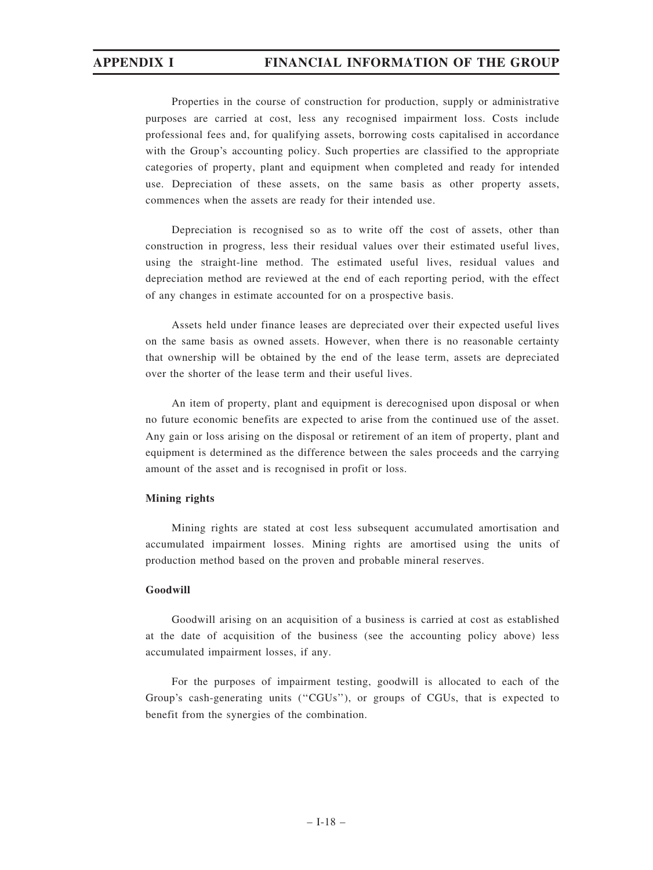Properties in the course of construction for production, supply or administrative purposes are carried at cost, less any recognised impairment loss. Costs include professional fees and, for qualifying assets, borrowing costs capitalised in accordance with the Group's accounting policy. Such properties are classified to the appropriate categories of property, plant and equipment when completed and ready for intended use. Depreciation of these assets, on the same basis as other property assets, commences when the assets are ready for their intended use.

Depreciation is recognised so as to write off the cost of assets, other than construction in progress, less their residual values over their estimated useful lives, using the straight-line method. The estimated useful lives, residual values and depreciation method are reviewed at the end of each reporting period, with the effect of any changes in estimate accounted for on a prospective basis.

Assets held under finance leases are depreciated over their expected useful lives on the same basis as owned assets. However, when there is no reasonable certainty that ownership will be obtained by the end of the lease term, assets are depreciated over the shorter of the lease term and their useful lives.

An item of property, plant and equipment is derecognised upon disposal or when no future economic benefits are expected to arise from the continued use of the asset. Any gain or loss arising on the disposal or retirement of an item of property, plant and equipment is determined as the difference between the sales proceeds and the carrying amount of the asset and is recognised in profit or loss.

## Mining rights

Mining rights are stated at cost less subsequent accumulated amortisation and accumulated impairment losses. Mining rights are amortised using the units of production method based on the proven and probable mineral reserves.

### Goodwill

Goodwill arising on an acquisition of a business is carried at cost as established at the date of acquisition of the business (see the accounting policy above) less accumulated impairment losses, if any.

For the purposes of impairment testing, goodwill is allocated to each of the Group's cash-generating units (''CGUs''), or groups of CGUs, that is expected to benefit from the synergies of the combination.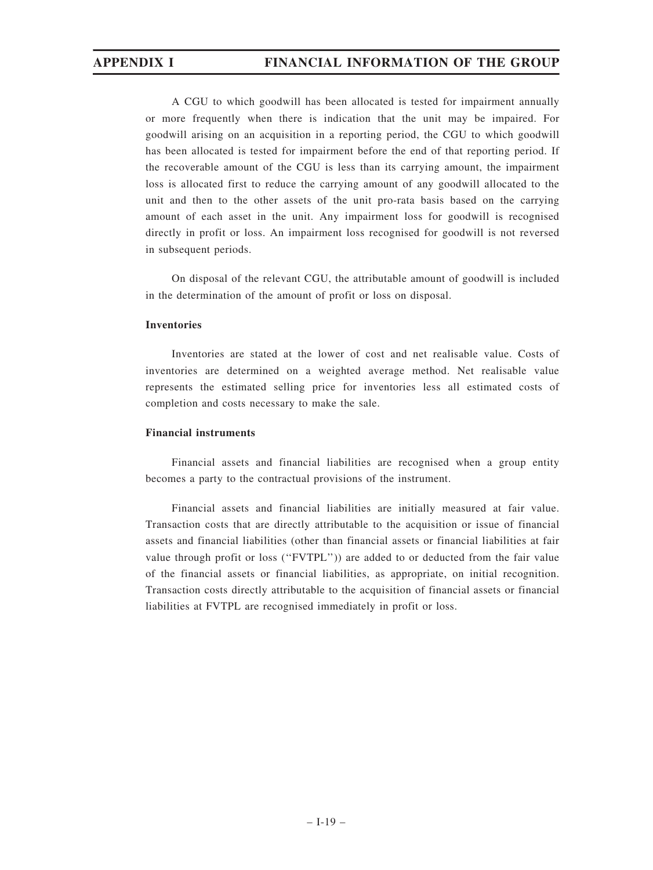A CGU to which goodwill has been allocated is tested for impairment annually or more frequently when there is indication that the unit may be impaired. For goodwill arising on an acquisition in a reporting period, the CGU to which goodwill has been allocated is tested for impairment before the end of that reporting period. If the recoverable amount of the CGU is less than its carrying amount, the impairment loss is allocated first to reduce the carrying amount of any goodwill allocated to the unit and then to the other assets of the unit pro-rata basis based on the carrying amount of each asset in the unit. Any impairment loss for goodwill is recognised directly in profit or loss. An impairment loss recognised for goodwill is not reversed in subsequent periods.

On disposal of the relevant CGU, the attributable amount of goodwill is included in the determination of the amount of profit or loss on disposal.

### Inventories

Inventories are stated at the lower of cost and net realisable value. Costs of inventories are determined on a weighted average method. Net realisable value represents the estimated selling price for inventories less all estimated costs of completion and costs necessary to make the sale.

## Financial instruments

Financial assets and financial liabilities are recognised when a group entity becomes a party to the contractual provisions of the instrument.

Financial assets and financial liabilities are initially measured at fair value. Transaction costs that are directly attributable to the acquisition or issue of financial assets and financial liabilities (other than financial assets or financial liabilities at fair value through profit or loss (''FVTPL'')) are added to or deducted from the fair value of the financial assets or financial liabilities, as appropriate, on initial recognition. Transaction costs directly attributable to the acquisition of financial assets or financial liabilities at FVTPL are recognised immediately in profit or loss.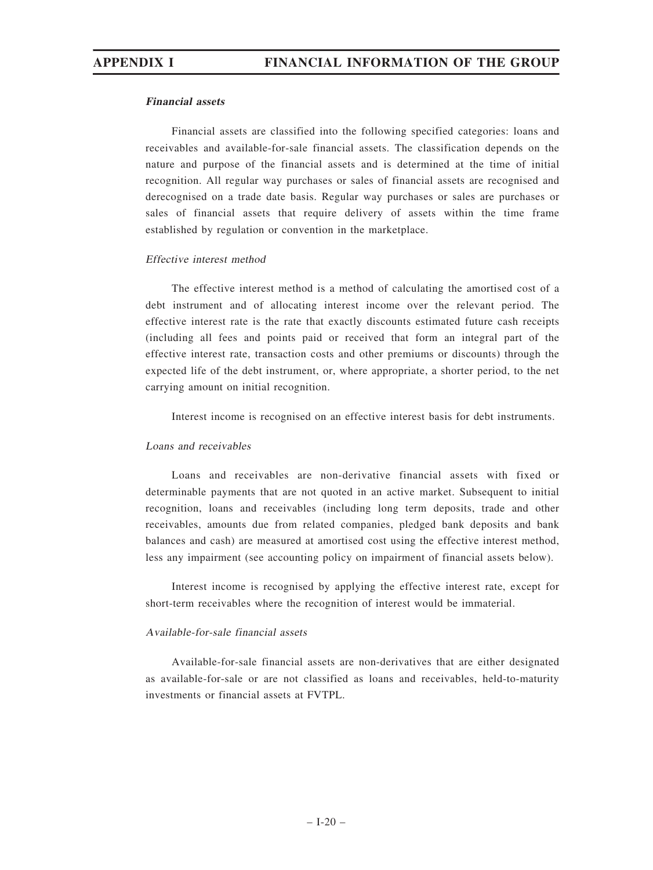## Financial assets

Financial assets are classified into the following specified categories: loans and receivables and available-for-sale financial assets. The classification depends on the nature and purpose of the financial assets and is determined at the time of initial recognition. All regular way purchases or sales of financial assets are recognised and derecognised on a trade date basis. Regular way purchases or sales are purchases or sales of financial assets that require delivery of assets within the time frame established by regulation or convention in the marketplace.

## Effective interest method

The effective interest method is a method of calculating the amortised cost of a debt instrument and of allocating interest income over the relevant period. The effective interest rate is the rate that exactly discounts estimated future cash receipts (including all fees and points paid or received that form an integral part of the effective interest rate, transaction costs and other premiums or discounts) through the expected life of the debt instrument, or, where appropriate, a shorter period, to the net carrying amount on initial recognition.

Interest income is recognised on an effective interest basis for debt instruments.

## Loans and receivables

Loans and receivables are non-derivative financial assets with fixed or determinable payments that are not quoted in an active market. Subsequent to initial recognition, loans and receivables (including long term deposits, trade and other receivables, amounts due from related companies, pledged bank deposits and bank balances and cash) are measured at amortised cost using the effective interest method, less any impairment (see accounting policy on impairment of financial assets below).

Interest income is recognised by applying the effective interest rate, except for short-term receivables where the recognition of interest would be immaterial.

### Available-for-sale financial assets

Available-for-sale financial assets are non-derivatives that are either designated as available-for-sale or are not classified as loans and receivables, held-to-maturity investments or financial assets at FVTPL.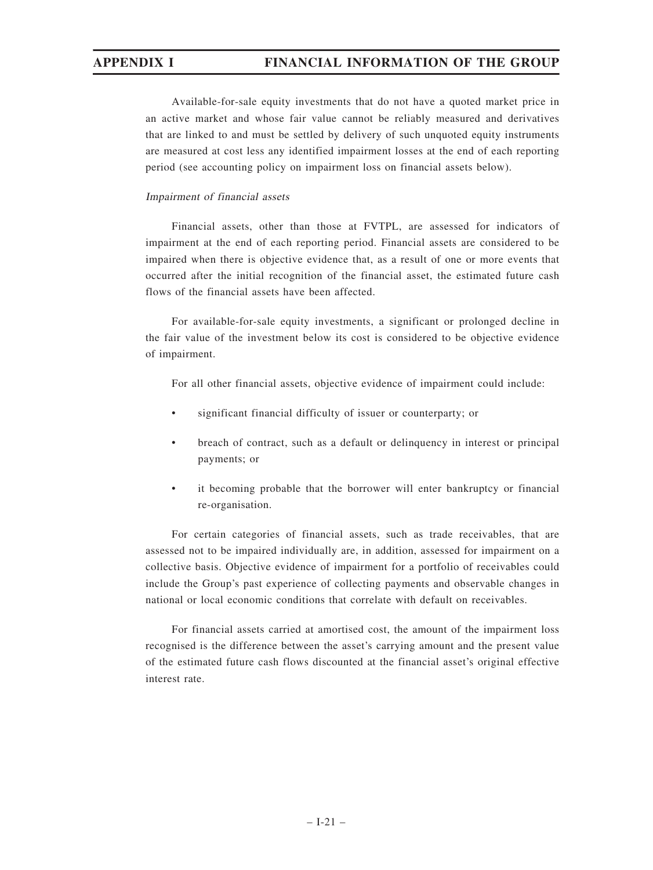Available-for-sale equity investments that do not have a quoted market price in an active market and whose fair value cannot be reliably measured and derivatives that are linked to and must be settled by delivery of such unquoted equity instruments are measured at cost less any identified impairment losses at the end of each reporting period (see accounting policy on impairment loss on financial assets below).

## Impairment of financial assets

Financial assets, other than those at FVTPL, are assessed for indicators of impairment at the end of each reporting period. Financial assets are considered to be impaired when there is objective evidence that, as a result of one or more events that occurred after the initial recognition of the financial asset, the estimated future cash flows of the financial assets have been affected.

For available-for-sale equity investments, a significant or prolonged decline in the fair value of the investment below its cost is considered to be objective evidence of impairment.

For all other financial assets, objective evidence of impairment could include:

- significant financial difficulty of issuer or counterparty; or
- breach of contract, such as a default or delinquency in interest or principal payments; or
- it becoming probable that the borrower will enter bankruptcy or financial re-organisation.

For certain categories of financial assets, such as trade receivables, that are assessed not to be impaired individually are, in addition, assessed for impairment on a collective basis. Objective evidence of impairment for a portfolio of receivables could include the Group's past experience of collecting payments and observable changes in national or local economic conditions that correlate with default on receivables.

For financial assets carried at amortised cost, the amount of the impairment loss recognised is the difference between the asset's carrying amount and the present value of the estimated future cash flows discounted at the financial asset's original effective interest rate.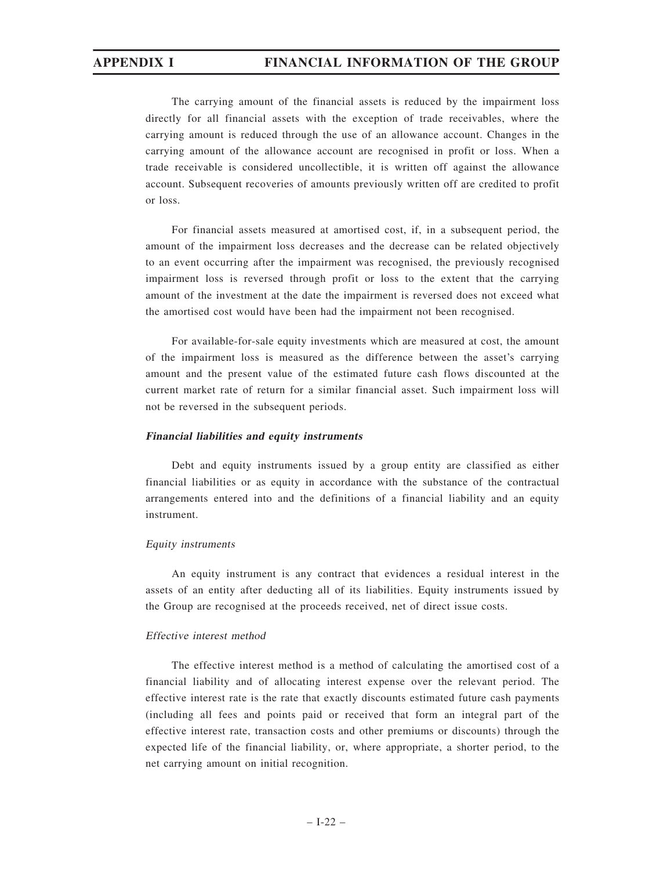The carrying amount of the financial assets is reduced by the impairment loss directly for all financial assets with the exception of trade receivables, where the carrying amount is reduced through the use of an allowance account. Changes in the carrying amount of the allowance account are recognised in profit or loss. When a trade receivable is considered uncollectible, it is written off against the allowance account. Subsequent recoveries of amounts previously written off are credited to profit or loss.

For financial assets measured at amortised cost, if, in a subsequent period, the amount of the impairment loss decreases and the decrease can be related objectively to an event occurring after the impairment was recognised, the previously recognised impairment loss is reversed through profit or loss to the extent that the carrying amount of the investment at the date the impairment is reversed does not exceed what the amortised cost would have been had the impairment not been recognised.

For available-for-sale equity investments which are measured at cost, the amount of the impairment loss is measured as the difference between the asset's carrying amount and the present value of the estimated future cash flows discounted at the current market rate of return for a similar financial asset. Such impairment loss will not be reversed in the subsequent periods.

### Financial liabilities and equity instruments

Debt and equity instruments issued by a group entity are classified as either financial liabilities or as equity in accordance with the substance of the contractual arrangements entered into and the definitions of a financial liability and an equity instrument.

### Equity instruments

An equity instrument is any contract that evidences a residual interest in the assets of an entity after deducting all of its liabilities. Equity instruments issued by the Group are recognised at the proceeds received, net of direct issue costs.

## Effective interest method

The effective interest method is a method of calculating the amortised cost of a financial liability and of allocating interest expense over the relevant period. The effective interest rate is the rate that exactly discounts estimated future cash payments (including all fees and points paid or received that form an integral part of the effective interest rate, transaction costs and other premiums or discounts) through the expected life of the financial liability, or, where appropriate, a shorter period, to the net carrying amount on initial recognition.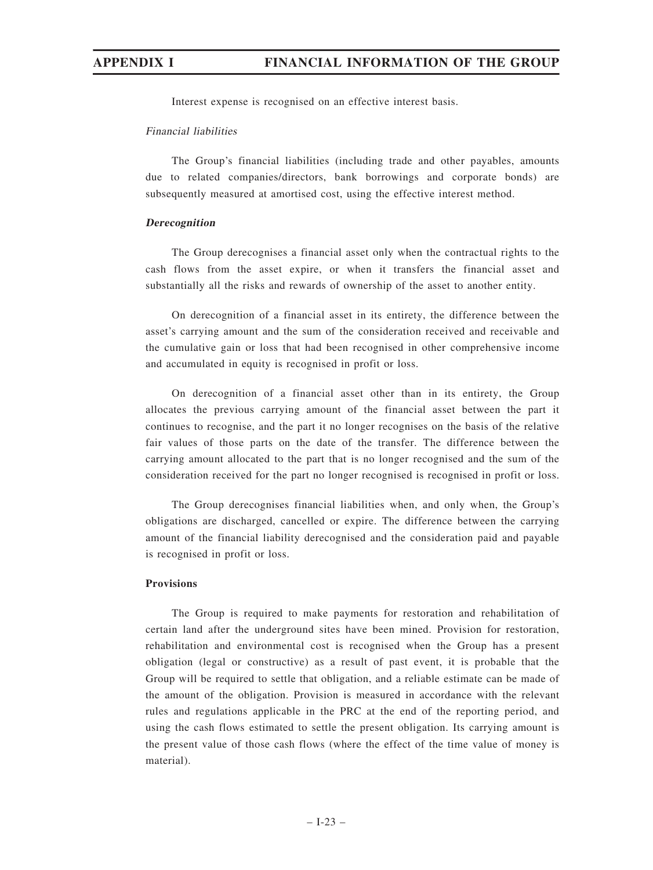Interest expense is recognised on an effective interest basis.

## Financial liabilities

The Group's financial liabilities (including trade and other payables, amounts due to related companies/directors, bank borrowings and corporate bonds) are subsequently measured at amortised cost, using the effective interest method.

## Derecognition

The Group derecognises a financial asset only when the contractual rights to the cash flows from the asset expire, or when it transfers the financial asset and substantially all the risks and rewards of ownership of the asset to another entity.

On derecognition of a financial asset in its entirety, the difference between the asset's carrying amount and the sum of the consideration received and receivable and the cumulative gain or loss that had been recognised in other comprehensive income and accumulated in equity is recognised in profit or loss.

On derecognition of a financial asset other than in its entirety, the Group allocates the previous carrying amount of the financial asset between the part it continues to recognise, and the part it no longer recognises on the basis of the relative fair values of those parts on the date of the transfer. The difference between the carrying amount allocated to the part that is no longer recognised and the sum of the consideration received for the part no longer recognised is recognised in profit or loss.

The Group derecognises financial liabilities when, and only when, the Group's obligations are discharged, cancelled or expire. The difference between the carrying amount of the financial liability derecognised and the consideration paid and payable is recognised in profit or loss.

### Provisions

The Group is required to make payments for restoration and rehabilitation of certain land after the underground sites have been mined. Provision for restoration, rehabilitation and environmental cost is recognised when the Group has a present obligation (legal or constructive) as a result of past event, it is probable that the Group will be required to settle that obligation, and a reliable estimate can be made of the amount of the obligation. Provision is measured in accordance with the relevant rules and regulations applicable in the PRC at the end of the reporting period, and using the cash flows estimated to settle the present obligation. Its carrying amount is the present value of those cash flows (where the effect of the time value of money is material).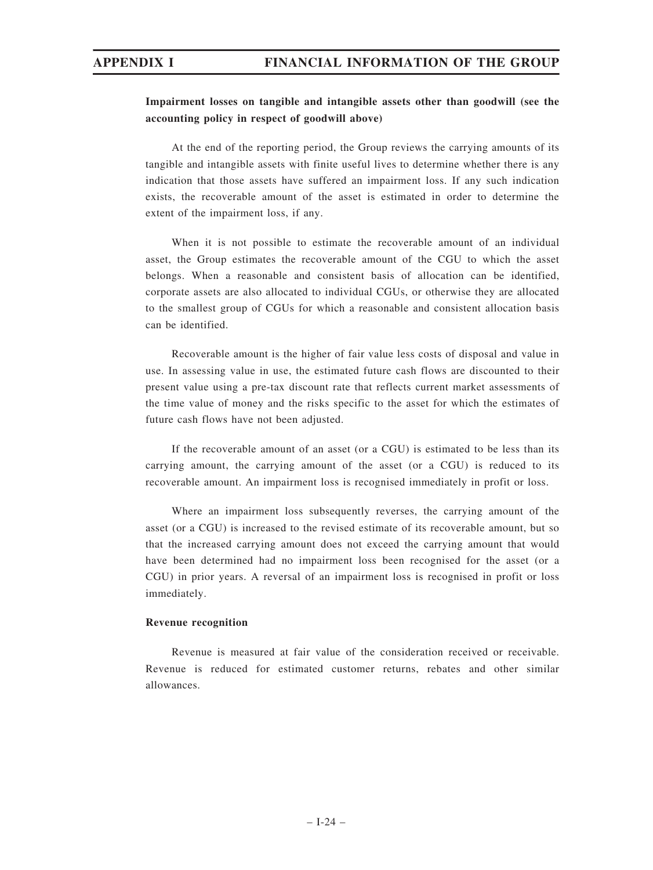## Impairment losses on tangible and intangible assets other than goodwill (see the accounting policy in respect of goodwill above)

At the end of the reporting period, the Group reviews the carrying amounts of its tangible and intangible assets with finite useful lives to determine whether there is any indication that those assets have suffered an impairment loss. If any such indication exists, the recoverable amount of the asset is estimated in order to determine the extent of the impairment loss, if any.

When it is not possible to estimate the recoverable amount of an individual asset, the Group estimates the recoverable amount of the CGU to which the asset belongs. When a reasonable and consistent basis of allocation can be identified, corporate assets are also allocated to individual CGUs, or otherwise they are allocated to the smallest group of CGUs for which a reasonable and consistent allocation basis can be identified.

Recoverable amount is the higher of fair value less costs of disposal and value in use. In assessing value in use, the estimated future cash flows are discounted to their present value using a pre-tax discount rate that reflects current market assessments of the time value of money and the risks specific to the asset for which the estimates of future cash flows have not been adjusted.

If the recoverable amount of an asset (or a CGU) is estimated to be less than its carrying amount, the carrying amount of the asset (or a CGU) is reduced to its recoverable amount. An impairment loss is recognised immediately in profit or loss.

Where an impairment loss subsequently reverses, the carrying amount of the asset (or a CGU) is increased to the revised estimate of its recoverable amount, but so that the increased carrying amount does not exceed the carrying amount that would have been determined had no impairment loss been recognised for the asset (or a CGU) in prior years. A reversal of an impairment loss is recognised in profit or loss immediately.

### Revenue recognition

Revenue is measured at fair value of the consideration received or receivable. Revenue is reduced for estimated customer returns, rebates and other similar allowances.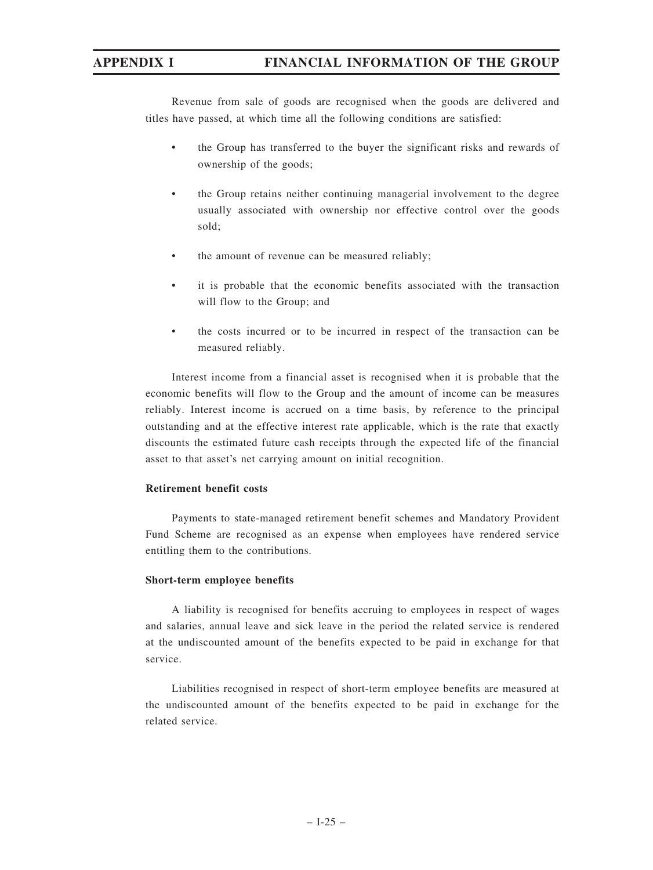# APPENDIX I FINANCIAL INFORMATION OF THE GROUP

Revenue from sale of goods are recognised when the goods are delivered and titles have passed, at which time all the following conditions are satisfied:

- the Group has transferred to the buyer the significant risks and rewards of ownership of the goods;
- the Group retains neither continuing managerial involvement to the degree usually associated with ownership nor effective control over the goods sold;
- the amount of revenue can be measured reliably;
- it is probable that the economic benefits associated with the transaction will flow to the Group; and
- the costs incurred or to be incurred in respect of the transaction can be measured reliably.

Interest income from a financial asset is recognised when it is probable that the economic benefits will flow to the Group and the amount of income can be measures reliably. Interest income is accrued on a time basis, by reference to the principal outstanding and at the effective interest rate applicable, which is the rate that exactly discounts the estimated future cash receipts through the expected life of the financial asset to that asset's net carrying amount on initial recognition.

## Retirement benefit costs

Payments to state-managed retirement benefit schemes and Mandatory Provident Fund Scheme are recognised as an expense when employees have rendered service entitling them to the contributions.

## Short-term employee benefits

A liability is recognised for benefits accruing to employees in respect of wages and salaries, annual leave and sick leave in the period the related service is rendered at the undiscounted amount of the benefits expected to be paid in exchange for that service.

Liabilities recognised in respect of short-term employee benefits are measured at the undiscounted amount of the benefits expected to be paid in exchange for the related service.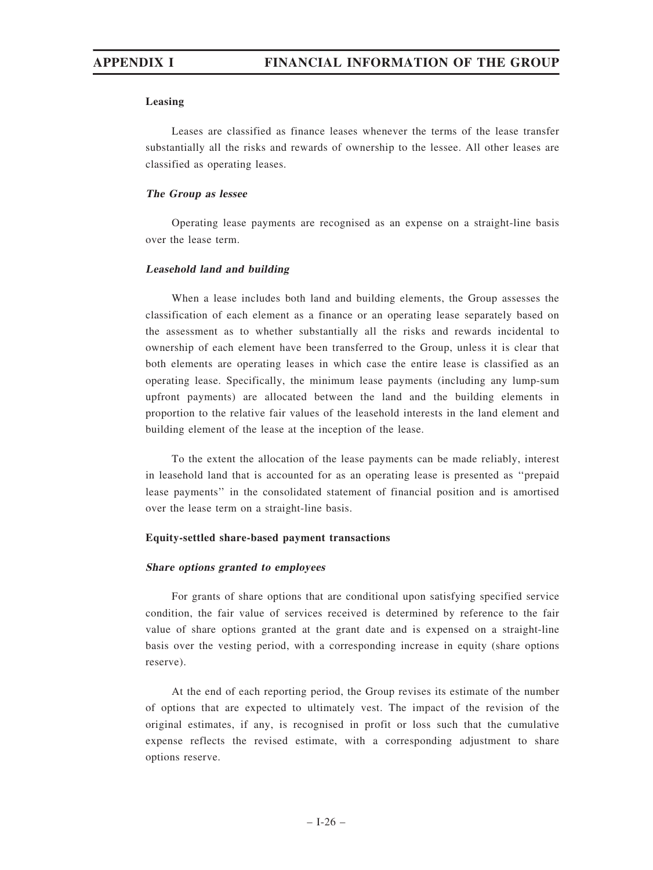## Leasing

Leases are classified as finance leases whenever the terms of the lease transfer substantially all the risks and rewards of ownership to the lessee. All other leases are classified as operating leases.

## The Group as lessee

Operating lease payments are recognised as an expense on a straight-line basis over the lease term.

## Leasehold land and building

When a lease includes both land and building elements, the Group assesses the classification of each element as a finance or an operating lease separately based on the assessment as to whether substantially all the risks and rewards incidental to ownership of each element have been transferred to the Group, unless it is clear that both elements are operating leases in which case the entire lease is classified as an operating lease. Specifically, the minimum lease payments (including any lump-sum upfront payments) are allocated between the land and the building elements in proportion to the relative fair values of the leasehold interests in the land element and building element of the lease at the inception of the lease.

To the extent the allocation of the lease payments can be made reliably, interest in leasehold land that is accounted for as an operating lease is presented as ''prepaid lease payments'' in the consolidated statement of financial position and is amortised over the lease term on a straight-line basis.

## Equity-settled share-based payment transactions

## Share options granted to employees

For grants of share options that are conditional upon satisfying specified service condition, the fair value of services received is determined by reference to the fair value of share options granted at the grant date and is expensed on a straight-line basis over the vesting period, with a corresponding increase in equity (share options reserve).

At the end of each reporting period, the Group revises its estimate of the number of options that are expected to ultimately vest. The impact of the revision of the original estimates, if any, is recognised in profit or loss such that the cumulative expense reflects the revised estimate, with a corresponding adjustment to share options reserve.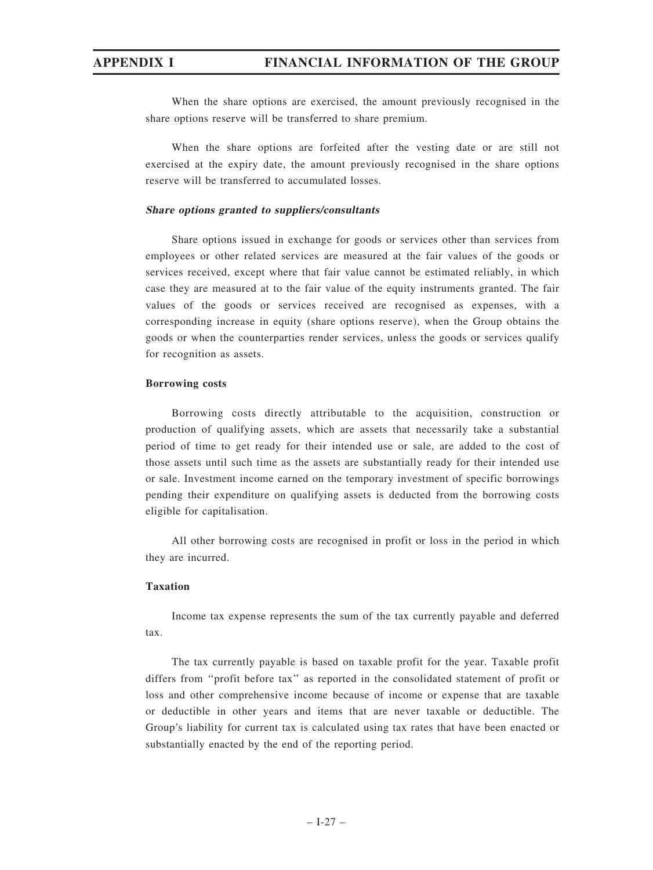When the share options are exercised, the amount previously recognised in the share options reserve will be transferred to share premium.

When the share options are forfeited after the vesting date or are still not exercised at the expiry date, the amount previously recognised in the share options reserve will be transferred to accumulated losses.

# Share options granted to suppliers/consultants

Share options issued in exchange for goods or services other than services from employees or other related services are measured at the fair values of the goods or services received, except where that fair value cannot be estimated reliably, in which case they are measured at to the fair value of the equity instruments granted. The fair values of the goods or services received are recognised as expenses, with a corresponding increase in equity (share options reserve), when the Group obtains the goods or when the counterparties render services, unless the goods or services qualify for recognition as assets.

### Borrowing costs

Borrowing costs directly attributable to the acquisition, construction or production of qualifying assets, which are assets that necessarily take a substantial period of time to get ready for their intended use or sale, are added to the cost of those assets until such time as the assets are substantially ready for their intended use or sale. Investment income earned on the temporary investment of specific borrowings pending their expenditure on qualifying assets is deducted from the borrowing costs eligible for capitalisation.

All other borrowing costs are recognised in profit or loss in the period in which they are incurred.

# Taxation

Income tax expense represents the sum of the tax currently payable and deferred tax.

The tax currently payable is based on taxable profit for the year. Taxable profit differs from ''profit before tax'' as reported in the consolidated statement of profit or loss and other comprehensive income because of income or expense that are taxable or deductible in other years and items that are never taxable or deductible. The Group's liability for current tax is calculated using tax rates that have been enacted or substantially enacted by the end of the reporting period.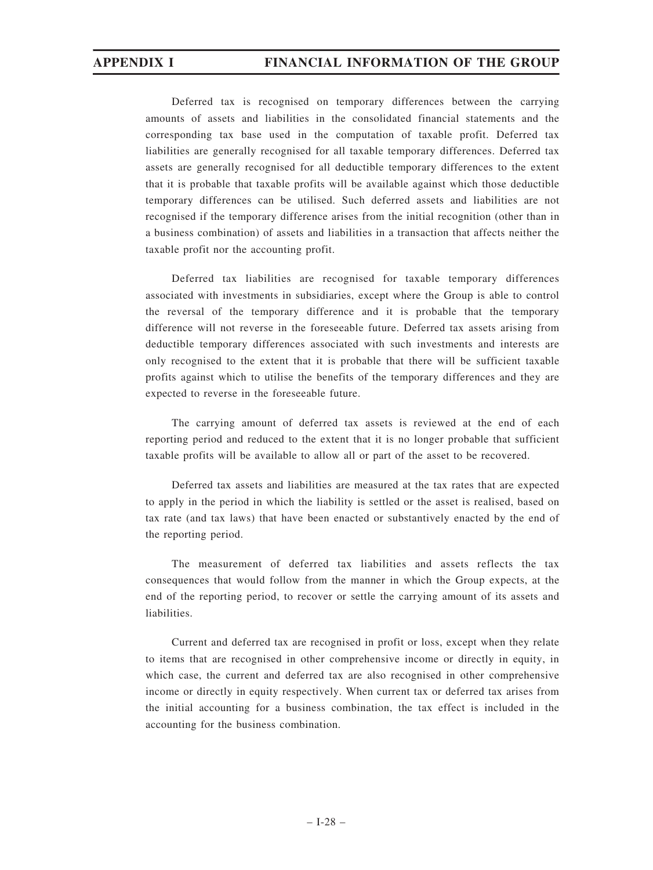Deferred tax is recognised on temporary differences between the carrying amounts of assets and liabilities in the consolidated financial statements and the corresponding tax base used in the computation of taxable profit. Deferred tax liabilities are generally recognised for all taxable temporary differences. Deferred tax assets are generally recognised for all deductible temporary differences to the extent that it is probable that taxable profits will be available against which those deductible temporary differences can be utilised. Such deferred assets and liabilities are not recognised if the temporary difference arises from the initial recognition (other than in a business combination) of assets and liabilities in a transaction that affects neither the taxable profit nor the accounting profit.

Deferred tax liabilities are recognised for taxable temporary differences associated with investments in subsidiaries, except where the Group is able to control the reversal of the temporary difference and it is probable that the temporary difference will not reverse in the foreseeable future. Deferred tax assets arising from deductible temporary differences associated with such investments and interests are only recognised to the extent that it is probable that there will be sufficient taxable profits against which to utilise the benefits of the temporary differences and they are expected to reverse in the foreseeable future.

The carrying amount of deferred tax assets is reviewed at the end of each reporting period and reduced to the extent that it is no longer probable that sufficient taxable profits will be available to allow all or part of the asset to be recovered.

Deferred tax assets and liabilities are measured at the tax rates that are expected to apply in the period in which the liability is settled or the asset is realised, based on tax rate (and tax laws) that have been enacted or substantively enacted by the end of the reporting period.

The measurement of deferred tax liabilities and assets reflects the tax consequences that would follow from the manner in which the Group expects, at the end of the reporting period, to recover or settle the carrying amount of its assets and liabilities.

Current and deferred tax are recognised in profit or loss, except when they relate to items that are recognised in other comprehensive income or directly in equity, in which case, the current and deferred tax are also recognised in other comprehensive income or directly in equity respectively. When current tax or deferred tax arises from the initial accounting for a business combination, the tax effect is included in the accounting for the business combination.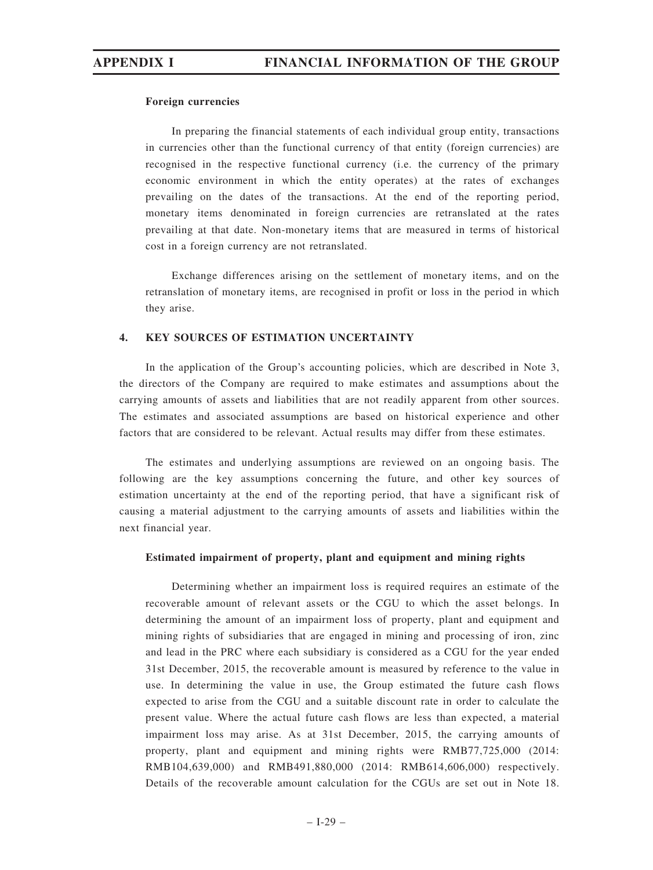### Foreign currencies

In preparing the financial statements of each individual group entity, transactions in currencies other than the functional currency of that entity (foreign currencies) are recognised in the respective functional currency (i.e. the currency of the primary economic environment in which the entity operates) at the rates of exchanges prevailing on the dates of the transactions. At the end of the reporting period, monetary items denominated in foreign currencies are retranslated at the rates prevailing at that date. Non-monetary items that are measured in terms of historical cost in a foreign currency are not retranslated.

Exchange differences arising on the settlement of monetary items, and on the retranslation of monetary items, are recognised in profit or loss in the period in which they arise.

# 4. KEY SOURCES OF ESTIMATION UNCERTAINTY

In the application of the Group's accounting policies, which are described in Note 3, the directors of the Company are required to make estimates and assumptions about the carrying amounts of assets and liabilities that are not readily apparent from other sources. The estimates and associated assumptions are based on historical experience and other factors that are considered to be relevant. Actual results may differ from these estimates.

The estimates and underlying assumptions are reviewed on an ongoing basis. The following are the key assumptions concerning the future, and other key sources of estimation uncertainty at the end of the reporting period, that have a significant risk of causing a material adjustment to the carrying amounts of assets and liabilities within the next financial year.

### Estimated impairment of property, plant and equipment and mining rights

Determining whether an impairment loss is required requires an estimate of the recoverable amount of relevant assets or the CGU to which the asset belongs. In determining the amount of an impairment loss of property, plant and equipment and mining rights of subsidiaries that are engaged in mining and processing of iron, zinc and lead in the PRC where each subsidiary is considered as a CGU for the year ended 31st December, 2015, the recoverable amount is measured by reference to the value in use. In determining the value in use, the Group estimated the future cash flows expected to arise from the CGU and a suitable discount rate in order to calculate the present value. Where the actual future cash flows are less than expected, a material impairment loss may arise. As at 31st December, 2015, the carrying amounts of property, plant and equipment and mining rights were RMB77,725,000 (2014: RMB104,639,000) and RMB491,880,000 (2014: RMB614,606,000) respectively. Details of the recoverable amount calculation for the CGUs are set out in Note 18.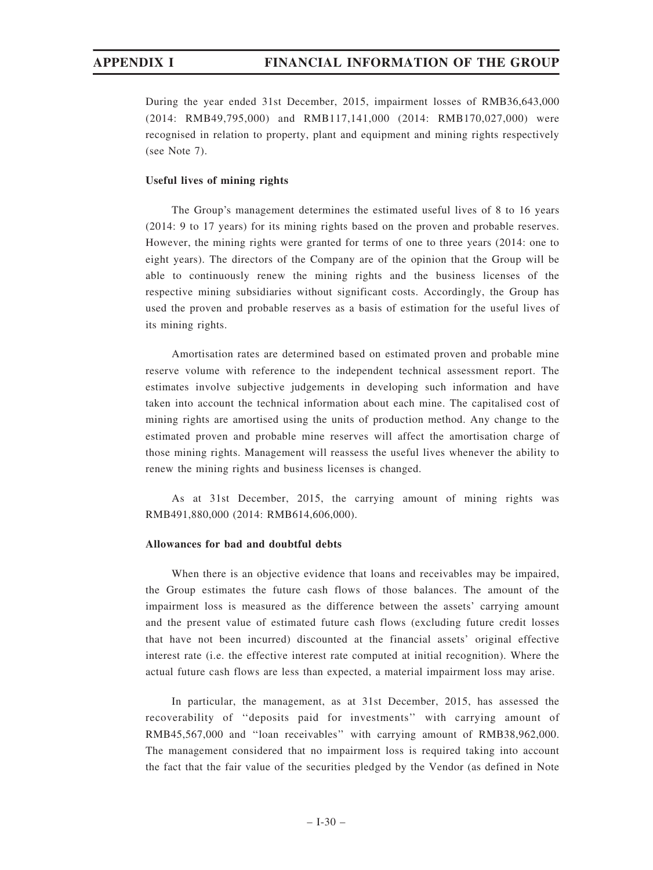During the year ended 31st December, 2015, impairment losses of RMB36,643,000 (2014: RMB49,795,000) and RMB117,141,000 (2014: RMB170,027,000) were recognised in relation to property, plant and equipment and mining rights respectively (see Note 7).

### Useful lives of mining rights

The Group's management determines the estimated useful lives of 8 to 16 years (2014: 9 to 17 years) for its mining rights based on the proven and probable reserves. However, the mining rights were granted for terms of one to three years (2014: one to eight years). The directors of the Company are of the opinion that the Group will be able to continuously renew the mining rights and the business licenses of the respective mining subsidiaries without significant costs. Accordingly, the Group has used the proven and probable reserves as a basis of estimation for the useful lives of its mining rights.

Amortisation rates are determined based on estimated proven and probable mine reserve volume with reference to the independent technical assessment report. The estimates involve subjective judgements in developing such information and have taken into account the technical information about each mine. The capitalised cost of mining rights are amortised using the units of production method. Any change to the estimated proven and probable mine reserves will affect the amortisation charge of those mining rights. Management will reassess the useful lives whenever the ability to renew the mining rights and business licenses is changed.

As at 31st December, 2015, the carrying amount of mining rights was RMB491,880,000 (2014: RMB614,606,000).

### Allowances for bad and doubtful debts

When there is an objective evidence that loans and receivables may be impaired, the Group estimates the future cash flows of those balances. The amount of the impairment loss is measured as the difference between the assets' carrying amount and the present value of estimated future cash flows (excluding future credit losses that have not been incurred) discounted at the financial assets' original effective interest rate (i.e. the effective interest rate computed at initial recognition). Where the actual future cash flows are less than expected, a material impairment loss may arise.

In particular, the management, as at 31st December, 2015, has assessed the recoverability of ''deposits paid for investments'' with carrying amount of RMB45,567,000 and ''loan receivables'' with carrying amount of RMB38,962,000. The management considered that no impairment loss is required taking into account the fact that the fair value of the securities pledged by the Vendor (as defined in Note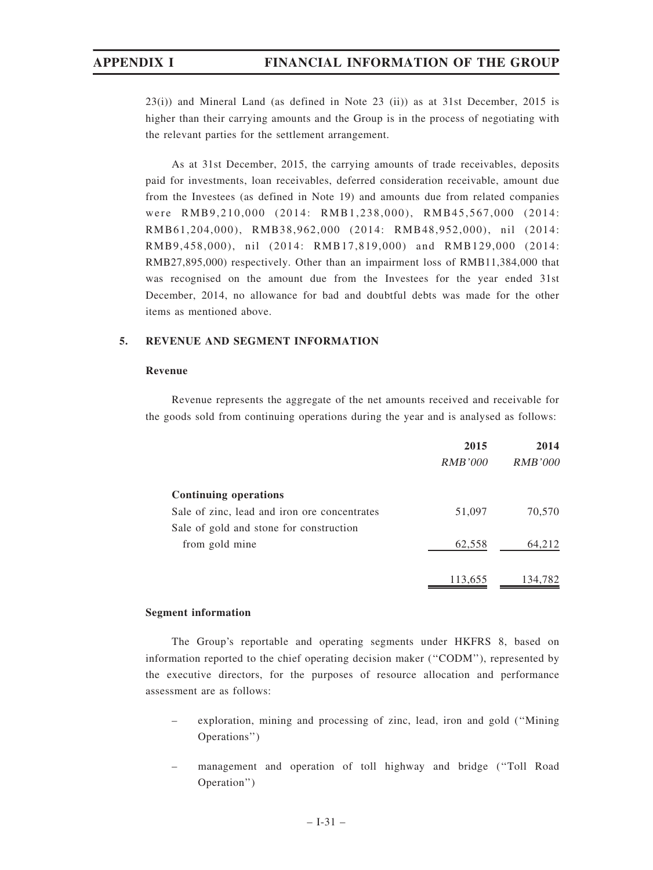23(i)) and Mineral Land (as defined in Note 23 (ii)) as at 31st December, 2015 is higher than their carrying amounts and the Group is in the process of negotiating with the relevant parties for the settlement arrangement.

As at 31st December, 2015, the carrying amounts of trade receivables, deposits paid for investments, loan receivables, deferred consideration receivable, amount due from the Investees (as defined in Note 19) and amounts due from related companies were RMB9,210,000 (2014: RMB1,238,000), RMB45,567,000 (2014: RMB61,204,000), RMB38,962,000 (2014: RMB48,952,000), nil (2014: RMB9,458,000), nil (2014: RMB17,819,000) and RMB129,000 (2014: RMB27,895,000) respectively. Other than an impairment loss of RMB11,384,000 that was recognised on the amount due from the Investees for the year ended 31st December, 2014, no allowance for bad and doubtful debts was made for the other items as mentioned above.

# 5. REVENUE AND SEGMENT INFORMATION

### Revenue

Revenue represents the aggregate of the net amounts received and receivable for the goods sold from continuing operations during the year and is analysed as follows:

|                                              | 2015           | 2014           |
|----------------------------------------------|----------------|----------------|
|                                              | <i>RMB'000</i> | <i>RMB'000</i> |
| <b>Continuing operations</b>                 |                |                |
| Sale of zinc, lead and iron ore concentrates | 51,097         | 70,570         |
| Sale of gold and stone for construction      |                |                |
| from gold mine                               | 62,558         | 64,212         |
|                                              | 113,655        | 134,782        |

### Segment information

The Group's reportable and operating segments under HKFRS 8, based on information reported to the chief operating decision maker (''CODM''), represented by the executive directors, for the purposes of resource allocation and performance assessment are as follows:

- exploration, mining and processing of zinc, lead, iron and gold (''Mining Operations'')
- management and operation of toll highway and bridge (''Toll Road Operation'')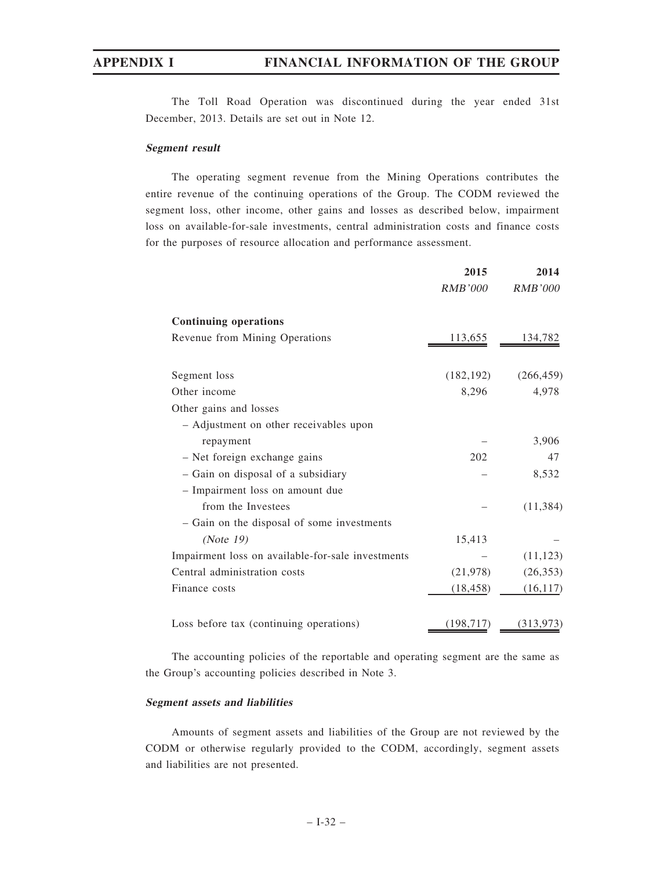The Toll Road Operation was discontinued during the year ended 31st December, 2013. Details are set out in Note 12.

# Segment result

The operating segment revenue from the Mining Operations contributes the entire revenue of the continuing operations of the Group. The CODM reviewed the segment loss, other income, other gains and losses as described below, impairment loss on available-for-sale investments, central administration costs and finance costs for the purposes of resource allocation and performance assessment.

|                                                   | 2015           | 2014           |
|---------------------------------------------------|----------------|----------------|
|                                                   | <b>RMB'000</b> | <b>RMB'000</b> |
| <b>Continuing operations</b>                      |                |                |
| Revenue from Mining Operations                    | 113,655        | 134,782        |
| Segment loss                                      | (182, 192)     | (266, 459)     |
| Other income                                      | 8,296          | 4,978          |
| Other gains and losses                            |                |                |
| - Adjustment on other receivables upon            |                |                |
| repayment                                         |                | 3,906          |
| - Net foreign exchange gains                      | 202            | 47             |
| - Gain on disposal of a subsidiary                |                | 8,532          |
| - Impairment loss on amount due                   |                |                |
| from the Investees                                |                | (11, 384)      |
| - Gain on the disposal of some investments        |                |                |
| (Note 19)                                         | 15,413         |                |
| Impairment loss on available-for-sale investments |                | (11, 123)      |
| Central administration costs                      | (21, 978)      | (26, 353)      |
| Finance costs                                     | (18, 458)      | (16, 117)      |
| Loss before tax (continuing operations)           | (198, 717)     | (313, 973)     |

The accounting policies of the reportable and operating segment are the same as the Group's accounting policies described in Note 3.

# Segment assets and liabilities

Amounts of segment assets and liabilities of the Group are not reviewed by the CODM or otherwise regularly provided to the CODM, accordingly, segment assets and liabilities are not presented.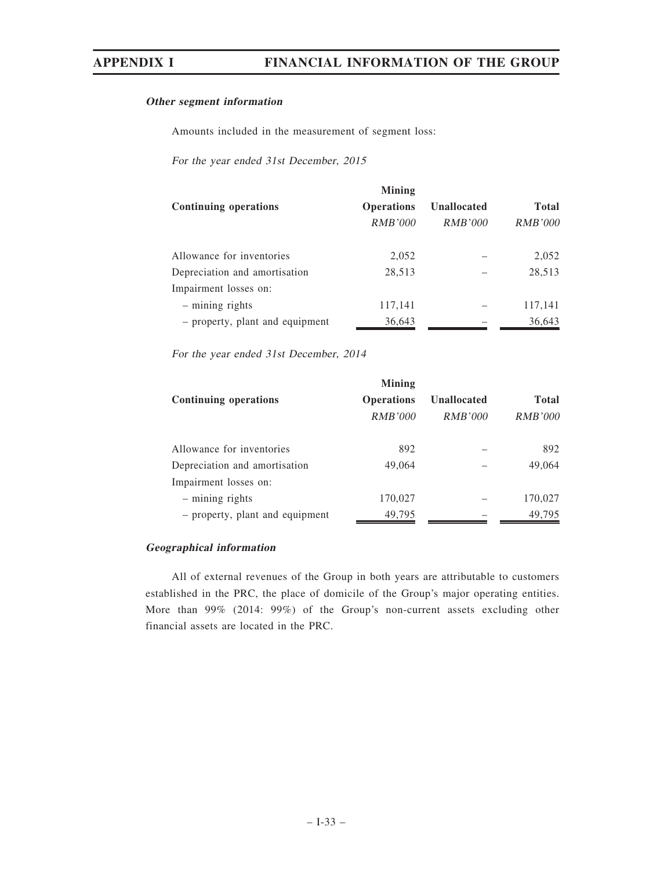# Other segment information

Amounts included in the measurement of segment loss:

For the year ended 31st December, 2015

|                                 | Mining            |                    |                |
|---------------------------------|-------------------|--------------------|----------------|
| <b>Continuing operations</b>    | <b>Operations</b> | <b>Unallocated</b> | <b>Total</b>   |
|                                 | <i>RMB'000</i>    | RMB'000            | <i>RMB'000</i> |
| Allowance for inventories       | 2,052             |                    | 2,052          |
| Depreciation and amortisation   | 28,513            |                    | 28,513         |
| Impairment losses on:           |                   |                    |                |
| $-$ mining rights               | 117,141           |                    | 117,141        |
| - property, plant and equipment | 36,643            |                    | 36,643         |

For the year ended 31st December, 2014

|                                 | <b>Mining</b>     |                    |                |
|---------------------------------|-------------------|--------------------|----------------|
| Continuing operations           | <b>Operations</b> | <b>Unallocated</b> | Total          |
|                                 | RMB'000           | RMB'000            | <i>RMB'000</i> |
|                                 |                   |                    |                |
| Allowance for inventories       | 892               |                    | 892            |
| Depreciation and amortisation   | 49,064            |                    | 49,064         |
| Impairment losses on:           |                   |                    |                |
| $-$ mining rights               | 170,027           |                    | 170,027        |
| - property, plant and equipment | 49,795            |                    | 49,795         |

# Geographical information

All of external revenues of the Group in both years are attributable to customers established in the PRC, the place of domicile of the Group's major operating entities. More than 99% (2014: 99%) of the Group's non-current assets excluding other financial assets are located in the PRC.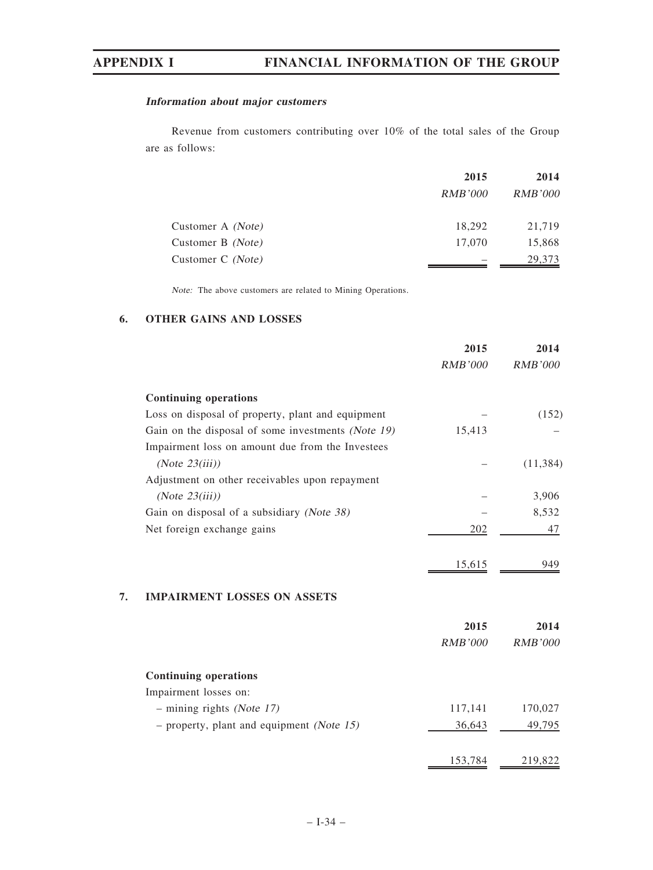# Information about major customers

Revenue from customers contributing over 10% of the total sales of the Group are as follows:

|                   | 2015           | 2014           |
|-------------------|----------------|----------------|
|                   | <i>RMB'000</i> | <i>RMB'000</i> |
|                   |                |                |
| Customer A (Note) | 18,292         | 21,719         |
| Customer B (Note) | 17,070         | 15,868         |
| Customer C (Note) |                | 29,373         |

Note: The above customers are related to Mining Operations.

# 6. OTHER GAINS AND LOSSES

|                                                    | 2015           | 2014           |
|----------------------------------------------------|----------------|----------------|
|                                                    | RMB'000        | <b>RMB'000</b> |
| <b>Continuing operations</b>                       |                |                |
| Loss on disposal of property, plant and equipment  |                | (152)          |
| Gain on the disposal of some investments (Note 19) | 15,413         |                |
| Impairment loss on amount due from the Investees   |                |                |
| (Note $23(iii)$ )                                  |                | (11, 384)      |
| Adjustment on other receivables upon repayment     |                |                |
| (Note $23(iii)$ )                                  |                | 3,906          |
| Gain on disposal of a subsidiary (Note 38)         |                | 8,532          |
| Net foreign exchange gains                         | 202            | 47             |
|                                                    | 15,615         | 949            |
| <b>IMPAIRMENT LOSSES ON ASSETS</b>                 |                |                |
|                                                    | 2015           | 2014           |
|                                                    | <b>RMB'000</b> | <b>RMB'000</b> |
| <b>Continuing operations</b>                       |                |                |
| Impairment losses on:                              |                |                |
| $-$ mining rights (Note 17)                        | 117,141        | 170,027        |
| $-$ property, plant and equipment (Note 15)        | 36,643         | 49,795         |
|                                                    | 153,784        | 219,822        |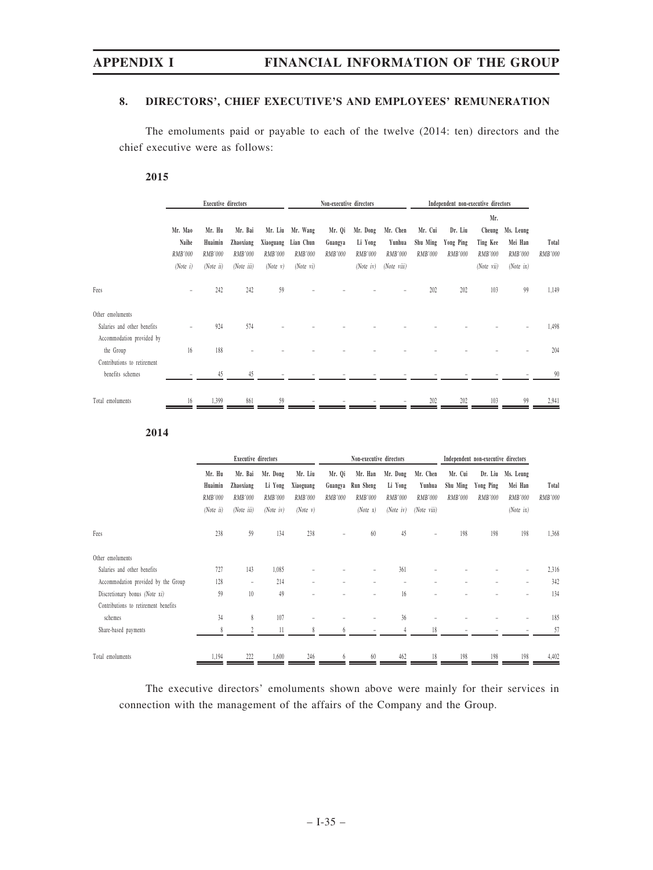# 8. DIRECTORS', CHIEF EXECUTIVE'S AND EMPLOYEES' REMUNERATION

The emoluments paid or payable to each of the twelve (2014: ten) directors and the chief executive were as follows:

### 2015

|                             |                          | <b>Executive directors</b> |           |           |           | Non-executive directors |           |             | Independent non-executive directors |           |              |           |         |  |
|-----------------------------|--------------------------|----------------------------|-----------|-----------|-----------|-------------------------|-----------|-------------|-------------------------------------|-----------|--------------|-----------|---------|--|
|                             |                          |                            |           |           |           |                         |           |             |                                     |           | Mr.          |           |         |  |
|                             | Mr. Mao                  | Mr. Hu                     | Mr. Bai   | Mr. Liu   | Mr. Wang  | Mr. Qi                  | Mr. Dong  | Mr. Chen    | Mr. Cui                             | Dr. Liu   | Cheung       | Ms. Leung |         |  |
|                             | Naihe                    | Huaimin                    | Zhaoxiang | Xiaoguang | Lian Chun | Guangya                 | Li Yong   | Yunhua      | Shu Ming                            | Yong Ping | Ting Kee     | Mei Han   | Total   |  |
|                             | RMB'000                  | RMB'000                    | RMB'000   | RMB'000   | RMB'000   | RMB'000                 | RMB'000   | RMB'000     | RMB'000                             | RMB'000   | RMB'000      | RMB'000   | RMB'000 |  |
|                             | (Note i)                 | (Note ii)                  | (Noteiii) | (Note v)  | (Note vi) |                         | (Note iv) | (Note viii) |                                     |           | $(Note$ vii) | (Note is) |         |  |
| Fees                        | $\overline{\phantom{a}}$ | 242                        | 242       | 59        |           |                         |           |             | 202                                 | 202       | 103          | 99        | 1,149   |  |
| Other emoluments            |                          |                            |           |           |           |                         |           |             |                                     |           |              |           |         |  |
| Salaries and other benefits | ٠                        | 924                        | 574       |           |           |                         |           |             |                                     |           |              |           | 1,498   |  |
| Accommodation provided by   |                          |                            |           |           |           |                         |           |             |                                     |           |              |           |         |  |
| the Group                   | 16                       | 188                        |           |           |           |                         |           |             |                                     |           |              |           | 204     |  |
| Contributions to retirement |                          |                            |           |           |           |                         |           |             |                                     |           |              |           |         |  |
| benefits schemes            |                          | 45                         | 45        |           |           |                         |           |             |                                     |           |              |           | 90      |  |
| Total emoluments            | 16                       | 1,399                      | 861       | 59        |           |                         |           |             | 202                                 | 202       | 103          | 99        | 2,941   |  |
|                             |                          |                            |           |           |           |                         |           |             |                                     |           |              |           |         |  |

2014

|                                      | <b>Executive directors</b> |                          |             |           |                          | Non-executive directors |             |                          | Independent non-executive directors |           |           |         |
|--------------------------------------|----------------------------|--------------------------|-------------|-----------|--------------------------|-------------------------|-------------|--------------------------|-------------------------------------|-----------|-----------|---------|
|                                      | Mr. Hu                     | Mr. Bai                  | Mr. Dong    | Mr. Liu   | Mr. Qi                   | Mr. Han                 | Mr. Dong    | Mr. Chen                 | Mr. Cui                             | Dr. Liu   | Ms. Leung |         |
|                                      | Huaimin                    | Zhaoxiang                | Li Yong     | Xiaoguang | Guangya                  | Run Sheng               | Li Yong     | Yunhua                   | Shu Ming                            | Yong Ping | Mei Han   | Total   |
|                                      | RMB'000                    | RMB'000                  | RMB'000     | RMB'000   | RMB'000                  | RMB'000                 | RMB'000     | RMB'000                  | RMB'000                             | RMB'000   | RMB'000   | RMB'000 |
|                                      | (Note ii)                  | (Note iii)               | $(Note$ iv) | (Note v)  |                          | (Note x)                | $(Note$ iv) | (Note viii)              |                                     |           | (Note is) |         |
| Fees                                 | 238                        | 59                       | 134         | 238       | $\overline{\phantom{a}}$ | 60                      | 45          | $\overline{\phantom{a}}$ | 198                                 | 198       | 198       | 1,368   |
| Other emoluments                     |                            |                          |             |           |                          |                         |             |                          |                                     |           |           |         |
| Salaries and other benefits          | 727                        | 143                      | 1,085       |           |                          |                         | 361         |                          |                                     |           |           | 2,316   |
| Accommodation provided by the Group  | 128                        | $\overline{\phantom{a}}$ | 214         |           |                          |                         |             |                          |                                     |           |           | 342     |
| Discretionary bonus (Note xi)        | 59                         | 10                       | 49          |           |                          |                         | 16          |                          |                                     |           |           | 134     |
| Contributions to retirement benefits |                            |                          |             |           |                          |                         |             |                          |                                     |           |           |         |
| schemes                              | 34                         | 8                        | 107         | ٠         |                          | ٠                       | 36          |                          |                                     |           |           | 185     |
| Share-based payments                 | 8                          |                          | 11          | 8         | 6                        |                         |             | 18                       |                                     |           |           | 57      |
| Total emoluments                     | 1,194                      | 222                      | 1,600       | 246       | 6                        | 60                      | 462         | 18                       | 198                                 | 198       | 198       | 4,402   |

The executive directors' emoluments shown above were mainly for their services in connection with the management of the affairs of the Company and the Group.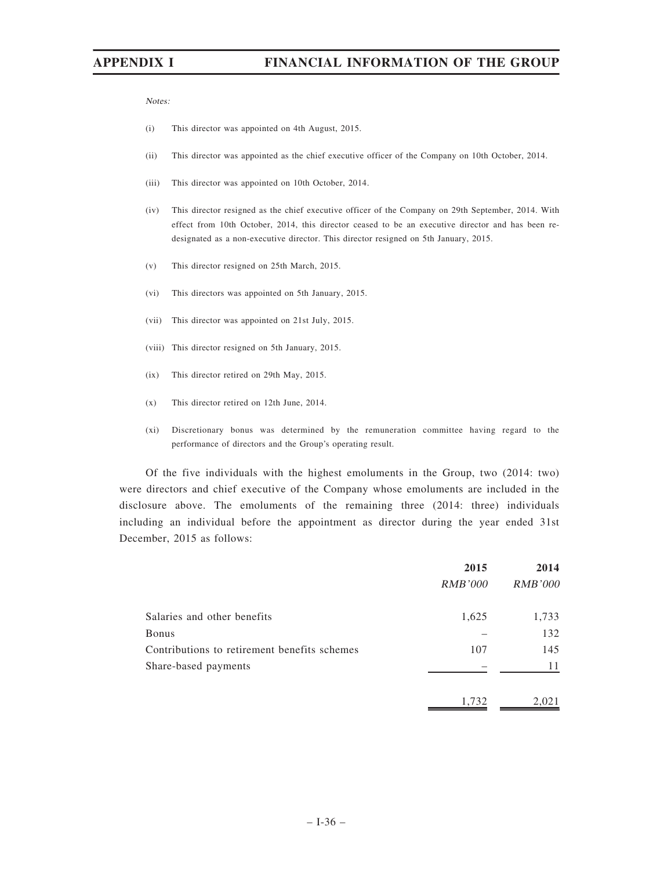Notes:

- (i) This director was appointed on 4th August, 2015.
- (ii) This director was appointed as the chief executive officer of the Company on 10th October, 2014.
- (iii) This director was appointed on 10th October, 2014.
- (iv) This director resigned as the chief executive officer of the Company on 29th September, 2014. With effect from 10th October, 2014, this director ceased to be an executive director and has been redesignated as a non-executive director. This director resigned on 5th January, 2015.
- (v) This director resigned on 25th March, 2015.
- (vi) This directors was appointed on 5th January, 2015.
- (vii) This director was appointed on 21st July, 2015.
- (viii) This director resigned on 5th January, 2015.
- (ix) This director retired on 29th May, 2015.
- (x) This director retired on 12th June, 2014.
- (xi) Discretionary bonus was determined by the remuneration committee having regard to the performance of directors and the Group's operating result.

Of the five individuals with the highest emoluments in the Group, two (2014: two) were directors and chief executive of the Company whose emoluments are included in the disclosure above. The emoluments of the remaining three (2014: three) individuals including an individual before the appointment as director during the year ended 31st December, 2015 as follows:

|                                              | 2015           | 2014           |
|----------------------------------------------|----------------|----------------|
|                                              | <i>RMB'000</i> | <i>RMB'000</i> |
| Salaries and other benefits                  | 1,625          | 1,733          |
| <b>Bonus</b>                                 |                | 132            |
| Contributions to retirement benefits schemes | 107            | 145            |
| Share-based payments                         |                | 11             |
|                                              | 1,732          | 2,021          |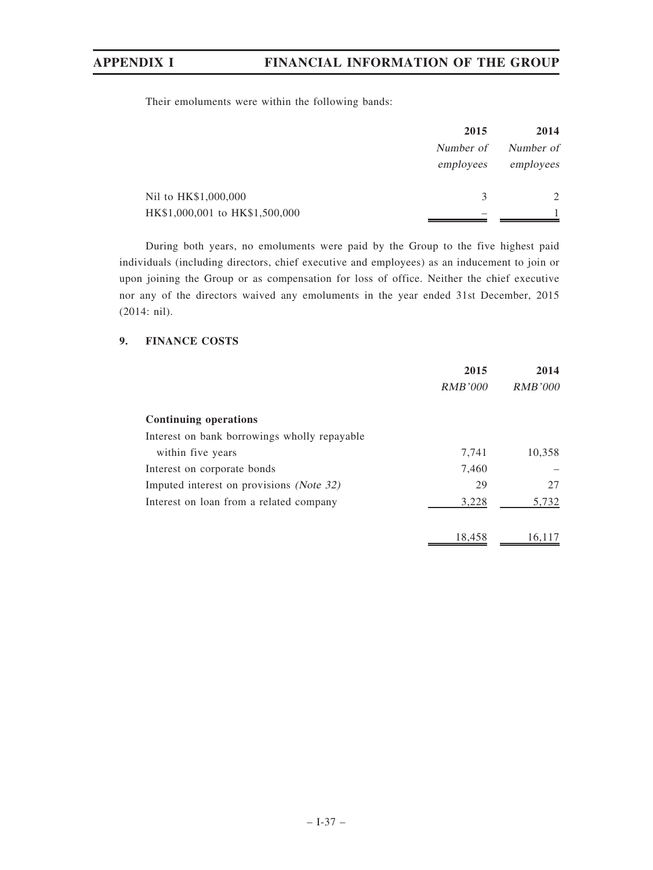Their emoluments were within the following bands:

|                                | 2015          | 2014      |
|--------------------------------|---------------|-----------|
|                                | Number of     | Number of |
|                                | employees     | employees |
|                                |               |           |
| Nil to HK\$1,000,000           | $\mathcal{R}$ |           |
| HK\$1,000,001 to HK\$1,500,000 |               |           |

During both years, no emoluments were paid by the Group to the five highest paid individuals (including directors, chief executive and employees) as an inducement to join or upon joining the Group or as compensation for loss of office. Neither the chief executive nor any of the directors waived any emoluments in the year ended 31st December, 2015 (2014: nil).

# 9. FINANCE COSTS

|                                              | 2015           | 2014           |
|----------------------------------------------|----------------|----------------|
|                                              | <i>RMB'000</i> | <i>RMB'000</i> |
|                                              |                |                |
| <b>Continuing operations</b>                 |                |                |
| Interest on bank borrowings wholly repayable |                |                |
| within five years                            | 7,741          | 10,358         |
| Interest on corporate bonds                  | 7,460          |                |
| Imputed interest on provisions (Note 32)     | 29             | 27             |
| Interest on loan from a related company      | 3,228          | 5,732          |
|                                              |                |                |
|                                              | 18,458         | 16.117         |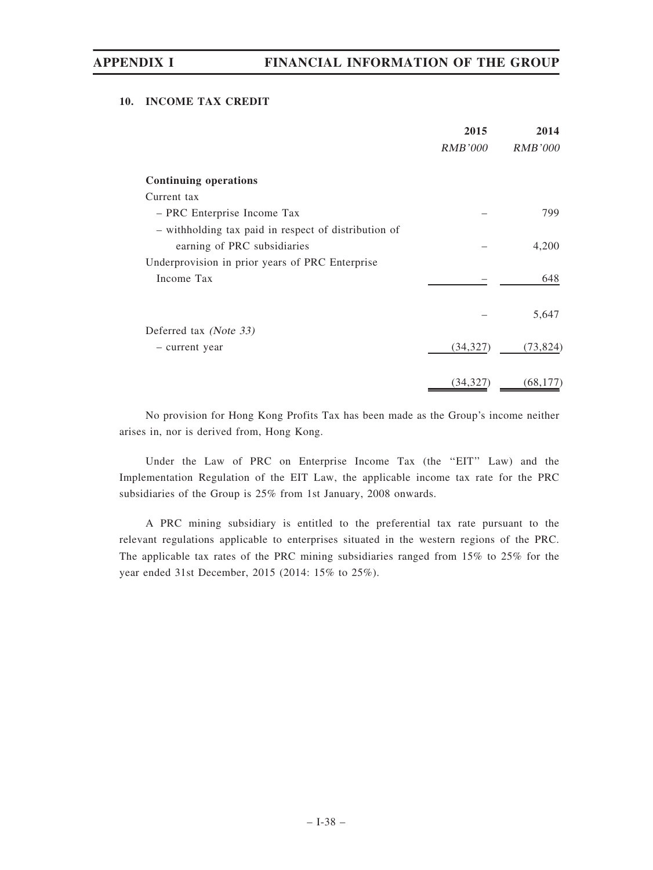# 10. INCOME TAX CREDIT

|                                                      | 2015           | 2014           |
|------------------------------------------------------|----------------|----------------|
|                                                      | <i>RMB'000</i> | <i>RMB'000</i> |
| <b>Continuing operations</b>                         |                |                |
| Current tax                                          |                |                |
| - PRC Enterprise Income Tax                          |                | 799            |
| - withholding tax paid in respect of distribution of |                |                |
| earning of PRC subsidiaries                          |                | 4,200          |
| Underprovision in prior years of PRC Enterprise      |                |                |
| Income Tax                                           |                | 648            |
|                                                      |                |                |
|                                                      |                | 5,647          |
| Deferred tax (Note 33)                               |                |                |
| - current year                                       | (34,327)       | (73, 824)      |
|                                                      |                |                |
|                                                      | (34,327        | (68, 17)       |

No provision for Hong Kong Profits Tax has been made as the Group's income neither arises in, nor is derived from, Hong Kong.

Under the Law of PRC on Enterprise Income Tax (the "EIT" Law) and the Implementation Regulation of the EIT Law, the applicable income tax rate for the PRC subsidiaries of the Group is 25% from 1st January, 2008 onwards.

A PRC mining subsidiary is entitled to the preferential tax rate pursuant to the relevant regulations applicable to enterprises situated in the western regions of the PRC. The applicable tax rates of the PRC mining subsidiaries ranged from 15% to 25% for the year ended 31st December, 2015 (2014: 15% to 25%).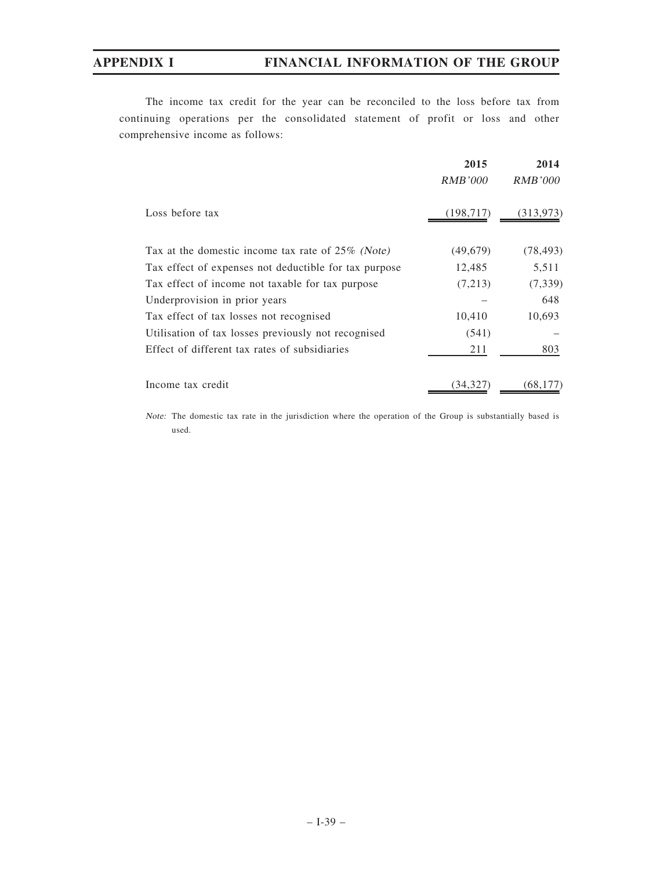The income tax credit for the year can be reconciled to the loss before tax from continuing operations per the consolidated statement of profit or loss and other comprehensive income as follows:

|                                                       | 2015           | 2014           |
|-------------------------------------------------------|----------------|----------------|
|                                                       | <i>RMB'000</i> | <i>RMB'000</i> |
| Loss before tax                                       | (198, 717)     | (313,973)      |
| Tax at the domestic income tax rate of 25% (Note)     | (49,679)       | (78, 493)      |
| Tax effect of expenses not deductible for tax purpose | 12,485         | 5,511          |
| Tax effect of income not taxable for tax purpose      | (7,213)        | (7,339)        |
| Underprovision in prior years                         |                | 648            |
| Tax effect of tax losses not recognised               | 10,410         | 10,693         |
| Utilisation of tax losses previously not recognised   | (541)          |                |
| Effect of different tax rates of subsidiaries         | 211            | 803            |
| Income tax credit                                     |                | 68.1           |

Note: The domestic tax rate in the jurisdiction where the operation of the Group is substantially based is used.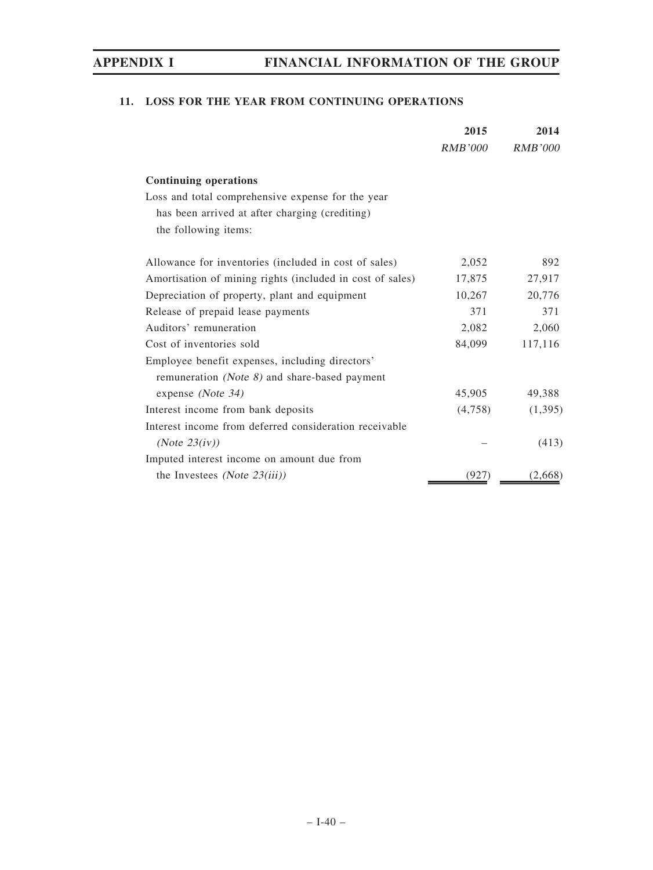# 11. LOSS FOR THE YEAR FROM CONTINUING OPERATIONS

|                                                           | 2015           | 2014           |
|-----------------------------------------------------------|----------------|----------------|
|                                                           | <i>RMB'000</i> | <b>RMB'000</b> |
| <b>Continuing operations</b>                              |                |                |
| Loss and total comprehensive expense for the year         |                |                |
| has been arrived at after charging (crediting)            |                |                |
| the following items:                                      |                |                |
| Allowance for inventories (included in cost of sales)     | 2,052          | 892            |
| Amortisation of mining rights (included in cost of sales) | 17,875         | 27,917         |
| Depreciation of property, plant and equipment             | 10,267         | 20,776         |
| Release of prepaid lease payments                         | 371            | 371            |
| Auditors' remuneration                                    | 2,082          | 2,060          |
| Cost of inventories sold                                  | 84,099         | 117,116        |
| Employee benefit expenses, including directors'           |                |                |
| remuneration (Note $8$ ) and share-based payment          |                |                |
| expense (Note 34)                                         | 45,905         | 49,388         |
| Interest income from bank deposits                        | (4,758)        | (1,395)        |
| Interest income from deferred consideration receivable    |                |                |
| (Note $23(iv)$ )                                          |                | (413)          |
| Imputed interest income on amount due from                |                |                |
| the Investees (Note $23(iii)$ )                           | (927)          | (2,668)        |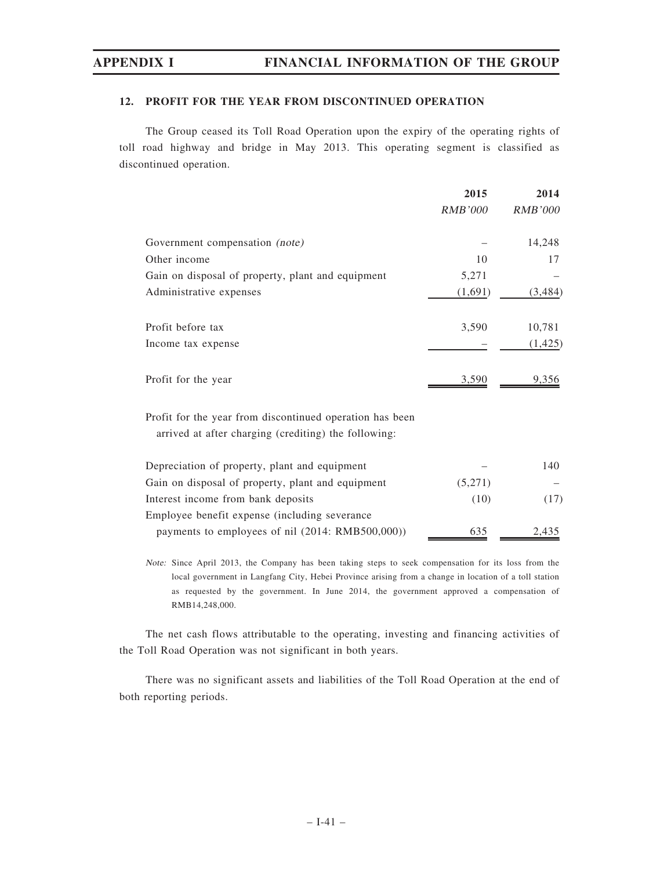# 12. PROFIT FOR THE YEAR FROM DISCONTINUED OPERATION

The Group ceased its Toll Road Operation upon the expiry of the operating rights of toll road highway and bridge in May 2013. This operating segment is classified as discontinued operation.

|                                                   | 2015           | 2014           |
|---------------------------------------------------|----------------|----------------|
|                                                   | <i>RMB'000</i> | <i>RMB'000</i> |
| Government compensation <i>(note)</i>             |                | 14,248         |
| Other income                                      | 10             | 17             |
| Gain on disposal of property, plant and equipment | 5,271          |                |
| Administrative expenses                           | (1,691)        | (3, 484)       |
| Profit before tax                                 | 3,590          | 10,781         |
| Income tax expense                                |                | (1, 425)       |
| Profit for the year                               | 3,590          | 9,356          |

Profit for the year from discontinued operation has been arrived at after charging (crediting) the following:

| Depreciation of property, plant and equipment     |         | 140   |
|---------------------------------------------------|---------|-------|
| Gain on disposal of property, plant and equipment | (5,271) |       |
| Interest income from bank deposits                | (10)    | (17)  |
| Employee benefit expense (including severance     |         |       |
| payments to employees of nil (2014: RMB500,000))  | 635     | 2.435 |

Note: Since April 2013, the Company has been taking steps to seek compensation for its loss from the local government in Langfang City, Hebei Province arising from a change in location of a toll station as requested by the government. In June 2014, the government approved a compensation of RMB14,248,000.

The net cash flows attributable to the operating, investing and financing activities of the Toll Road Operation was not significant in both years.

There was no significant assets and liabilities of the Toll Road Operation at the end of both reporting periods.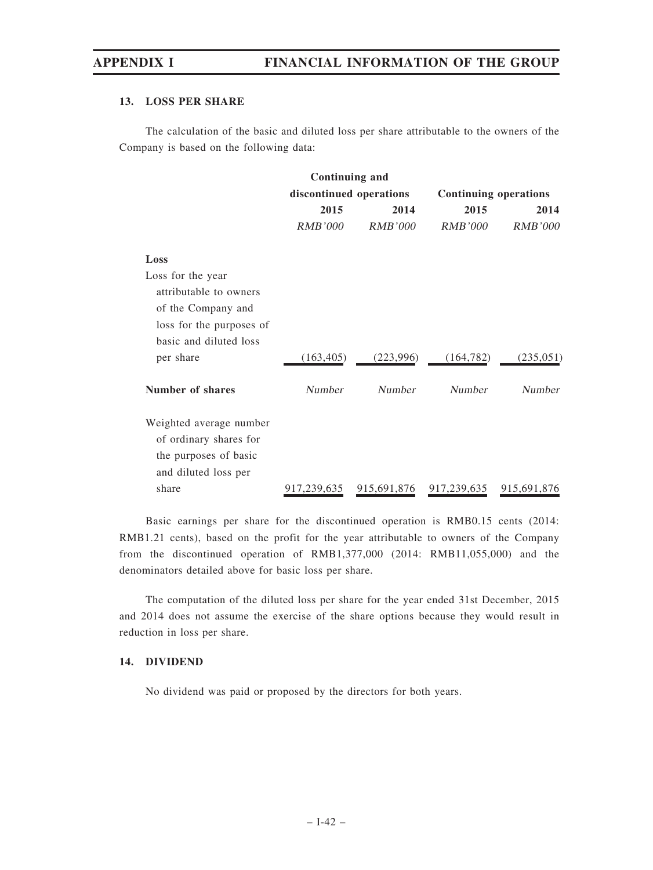### 13. LOSS PER SHARE

The calculation of the basic and diluted loss per share attributable to the owners of the Company is based on the following data:

|                                                                                                                         | <b>Continuing and</b>   |             |                              |                |  |
|-------------------------------------------------------------------------------------------------------------------------|-------------------------|-------------|------------------------------|----------------|--|
|                                                                                                                         | discontinued operations |             | <b>Continuing operations</b> |                |  |
|                                                                                                                         | 2015                    | 2014        | 2015                         | 2014           |  |
|                                                                                                                         | RMB'000                 | RMB'000     | <i>RMB'000</i>               | <i>RMB'000</i> |  |
| Loss                                                                                                                    |                         |             |                              |                |  |
| Loss for the year<br>attributable to owners<br>of the Company and<br>loss for the purposes of<br>basic and diluted loss |                         |             |                              |                |  |
| per share                                                                                                               | (163, 405)              | (223,996)   | (164, 782)                   | (235, 051)     |  |
| Number of shares                                                                                                        | Number                  | Number      | <b>Number</b>                | Number         |  |
| Weighted average number<br>of ordinary shares for<br>the purposes of basic<br>and diluted loss per                      |                         |             |                              |                |  |
| share                                                                                                                   | 917.239.635             | 915,691,876 | 917.239.635                  | 915,691,876    |  |

Basic earnings per share for the discontinued operation is RMB0.15 cents (2014: RMB1.21 cents), based on the profit for the year attributable to owners of the Company from the discontinued operation of RMB1,377,000 (2014: RMB11,055,000) and the denominators detailed above for basic loss per share.

The computation of the diluted loss per share for the year ended 31st December, 2015 and 2014 does not assume the exercise of the share options because they would result in reduction in loss per share.

# 14. DIVIDEND

No dividend was paid or proposed by the directors for both years.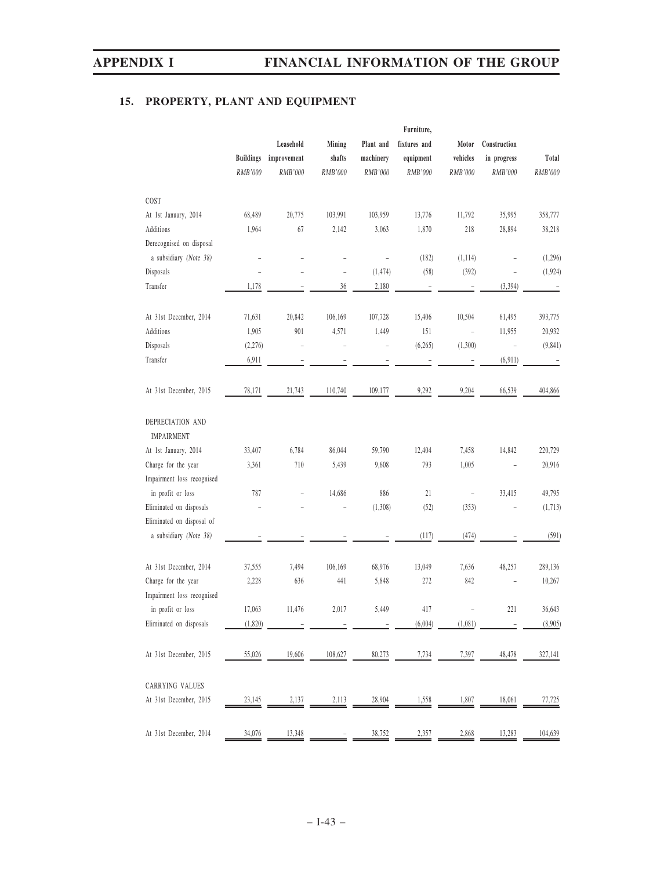# 15. PROPERTY, PLANT AND EQUIPMENT

|                                       |                  |                |                          |                | Furniture,   |                                                                                                                                                                                                                                                                                                                                                                                                                                                                                                   |                          |          |
|---------------------------------------|------------------|----------------|--------------------------|----------------|--------------|---------------------------------------------------------------------------------------------------------------------------------------------------------------------------------------------------------------------------------------------------------------------------------------------------------------------------------------------------------------------------------------------------------------------------------------------------------------------------------------------------|--------------------------|----------|
|                                       |                  | Leasehold      | Mining                   | Plant and      | fixtures and | Motor                                                                                                                                                                                                                                                                                                                                                                                                                                                                                             | Construction             |          |
|                                       | <b>Buildings</b> | improvement    | shafts                   | machinery      | equipment    | vehicles                                                                                                                                                                                                                                                                                                                                                                                                                                                                                          | in progress              | Total    |
|                                       | RMB'000          | RMB'000        | RMB'000                  | RMB'000        | RMB'000      | RMB'000                                                                                                                                                                                                                                                                                                                                                                                                                                                                                           | RMB'000                  | RMB'000  |
| COST                                  |                  |                |                          |                |              |                                                                                                                                                                                                                                                                                                                                                                                                                                                                                                   |                          |          |
| At 1st January, 2014                  | 68,489           | 20,775         | 103,991                  | 103,959        | 13,776       | 11,792                                                                                                                                                                                                                                                                                                                                                                                                                                                                                            | 35,995                   | 358,777  |
| Additions                             | 1,964            | 67             | 2,142                    | 3,063          | 1,870        | 218                                                                                                                                                                                                                                                                                                                                                                                                                                                                                               | 28,894                   | 38,218   |
| Derecognised on disposal              |                  |                |                          |                |              |                                                                                                                                                                                                                                                                                                                                                                                                                                                                                                   |                          |          |
| a subsidiary (Note 38)                |                  |                |                          |                | (182)        | (1, 114)                                                                                                                                                                                                                                                                                                                                                                                                                                                                                          |                          | (1,296)  |
| Disposals                             | $\overline{a}$   |                | $\overline{\phantom{0}}$ | (1, 474)       | (58)         | (392)                                                                                                                                                                                                                                                                                                                                                                                                                                                                                             | $\overline{a}$           | (1, 924) |
| Transfer                              | 1,178            |                | 36                       | 2,180          |              |                                                                                                                                                                                                                                                                                                                                                                                                                                                                                                   | (3, 394)                 |          |
| At 31st December, 2014                | 71,631           | 20,842         | 106,169                  | 107,728        | 15,406       | 10,504                                                                                                                                                                                                                                                                                                                                                                                                                                                                                            | 61,495                   | 393,775  |
| Additions                             | 1,905            | 901            | 4,571                    | 1,449          | 151          | $\overline{\phantom{0}}$                                                                                                                                                                                                                                                                                                                                                                                                                                                                          | 11,955                   | 20,932   |
| Disposals                             | (2,276)          | $\overline{a}$ |                          | $\overline{a}$ | (6,265)      | (1,300)                                                                                                                                                                                                                                                                                                                                                                                                                                                                                           | $\overline{\phantom{a}}$ | (9, 841) |
| Transfer                              | 6,911            |                |                          |                |              |                                                                                                                                                                                                                                                                                                                                                                                                                                                                                                   | (6, 911)                 |          |
| At 31st December, 2015                | 78,171           | 21,743         | 110,740                  | 109,177        | 9,292        | 9,204                                                                                                                                                                                                                                                                                                                                                                                                                                                                                             | 66,539                   | 404,866  |
| DEPRECIATION AND<br><b>IMPAIRMENT</b> |                  |                |                          |                |              |                                                                                                                                                                                                                                                                                                                                                                                                                                                                                                   |                          |          |
| At 1st January, 2014                  | 33,407           | 6,784          | 86,044                   | 59,790         | 12,404       | 7,458                                                                                                                                                                                                                                                                                                                                                                                                                                                                                             | 14,842                   | 220,729  |
| Charge for the year                   | 3,361            | 710            | 5,439                    | 9,608          | 793          | 1,005                                                                                                                                                                                                                                                                                                                                                                                                                                                                                             |                          | 20,916   |
| Impairment loss recognised            |                  |                |                          |                |              |                                                                                                                                                                                                                                                                                                                                                                                                                                                                                                   |                          |          |
| in profit or loss                     | 787              | $\overline{a}$ | 14,686                   | 886            | 21           | $\label{eq:reduced} \centering \begin{tabular}{c} \multicolumn{2}{c}{} & \multicolumn{2}{c}{} \\ \multicolumn{2}{c}{} & \multicolumn{2}{c}{} \\ \multicolumn{2}{c}{} & \multicolumn{2}{c}{} \\ \multicolumn{2}{c}{} & \multicolumn{2}{c}{} \\ \multicolumn{2}{c}{} & \multicolumn{2}{c}{} \\ \multicolumn{2}{c}{} & \multicolumn{2}{c}{} \\ \multicolumn{2}{c}{} & \multicolumn{2}{c}{} \\ \multicolumn{2}{c}{} & \multicolumn{2}{c}{} \\ \multicolumn{2}{c}{} & \multicolumn{2}{c}{} \\ \multic$ | 33,415                   | 49,795   |
| Eliminated on disposals               |                  |                |                          | (1,308)        | (52)         | (353)                                                                                                                                                                                                                                                                                                                                                                                                                                                                                             |                          | (1,713)  |
| Eliminated on disposal of             |                  |                |                          |                |              |                                                                                                                                                                                                                                                                                                                                                                                                                                                                                                   |                          |          |
| a subsidiary (Note 38)                |                  |                |                          |                | (117)        | (474)                                                                                                                                                                                                                                                                                                                                                                                                                                                                                             |                          | (591)    |
| At 31st December, 2014                | 37,555           | 7,494          | 106,169                  | 68,976         | 13,049       | 7,636                                                                                                                                                                                                                                                                                                                                                                                                                                                                                             | 48,257                   | 289,136  |
| Charge for the year                   | 2,228            | 636            | 441                      | 5,848          | 272          | 842                                                                                                                                                                                                                                                                                                                                                                                                                                                                                               |                          | 10,267   |
| Impairment loss recognised            |                  |                |                          |                |              |                                                                                                                                                                                                                                                                                                                                                                                                                                                                                                   |                          |          |
| in profit or loss                     | 17,063           | 11,476         | 2,017                    | 5,449          | 417          |                                                                                                                                                                                                                                                                                                                                                                                                                                                                                                   | 221                      | 36,643   |
| Eliminated on disposals               | (1,820)          |                |                          |                | (6,004)      | (1,081)                                                                                                                                                                                                                                                                                                                                                                                                                                                                                           |                          | (8,905)  |
| At 31st December, 2015                | 55,026           | 19,606         | 108,627                  | 80,273         | 7,734        | 7,397                                                                                                                                                                                                                                                                                                                                                                                                                                                                                             | 48,478                   | 327,141  |
| CARRYING VALUES                       |                  |                |                          |                |              |                                                                                                                                                                                                                                                                                                                                                                                                                                                                                                   |                          |          |
| At 31st December, 2015                | 23,145           | 2,137          | 2,113                    | 28,904         | 1,558        | 1,807                                                                                                                                                                                                                                                                                                                                                                                                                                                                                             | 18,061                   | 77,725   |
| At 31st December, 2014                | 34,076           | 13,348         |                          | 38,752         | 2,357        | 2,868                                                                                                                                                                                                                                                                                                                                                                                                                                                                                             | 13,283                   | 104,639  |
|                                       |                  |                |                          |                |              |                                                                                                                                                                                                                                                                                                                                                                                                                                                                                                   |                          |          |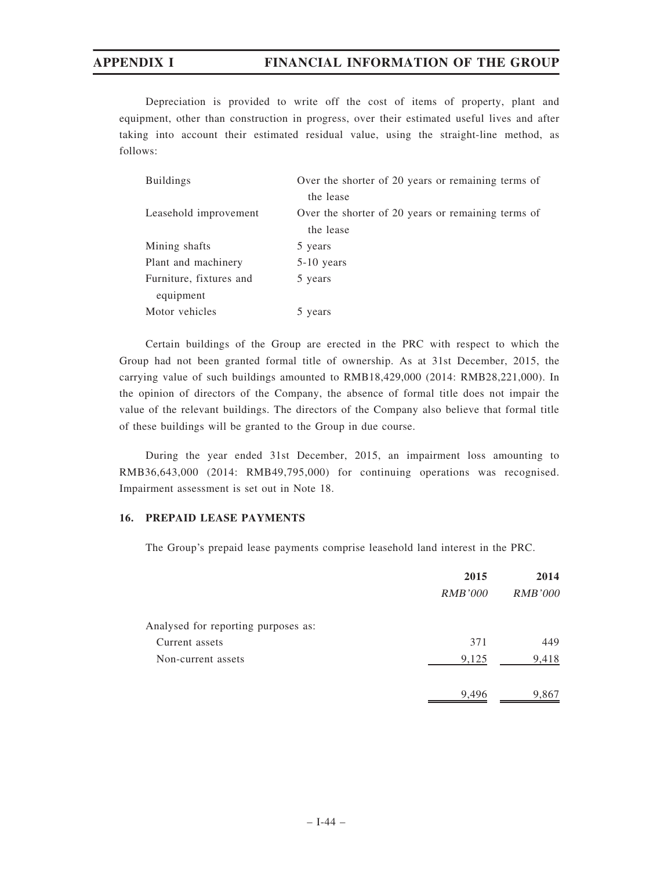Depreciation is provided to write off the cost of items of property, plant and equipment, other than construction in progress, over their estimated useful lives and after taking into account their estimated residual value, using the straight-line method, as follows:

| <b>Buildings</b>        | Over the shorter of 20 years or remaining terms of |
|-------------------------|----------------------------------------------------|
|                         | the lease                                          |
| Leasehold improvement   | Over the shorter of 20 years or remaining terms of |
|                         | the lease                                          |
| Mining shafts           | 5 years                                            |
| Plant and machinery     | $5-10$ years                                       |
| Furniture, fixtures and | 5 years                                            |
| equipment               |                                                    |
| Motor vehicles          | 5 years                                            |

Certain buildings of the Group are erected in the PRC with respect to which the Group had not been granted formal title of ownership. As at 31st December, 2015, the carrying value of such buildings amounted to RMB18,429,000 (2014: RMB28,221,000). In the opinion of directors of the Company, the absence of formal title does not impair the value of the relevant buildings. The directors of the Company also believe that formal title of these buildings will be granted to the Group in due course.

During the year ended 31st December, 2015, an impairment loss amounting to RMB36,643,000 (2014: RMB49,795,000) for continuing operations was recognised. Impairment assessment is set out in Note 18.

# 16. PREPAID LEASE PAYMENTS

The Group's prepaid lease payments comprise leasehold land interest in the PRC.

|                                     | 2015           | 2014           |
|-------------------------------------|----------------|----------------|
|                                     | <i>RMB'000</i> | <i>RMB'000</i> |
| Analysed for reporting purposes as: |                |                |
| Current assets                      | 371            | 449            |
| Non-current assets                  | 9,125          | 9,418          |
|                                     | 9,496          | 9,867          |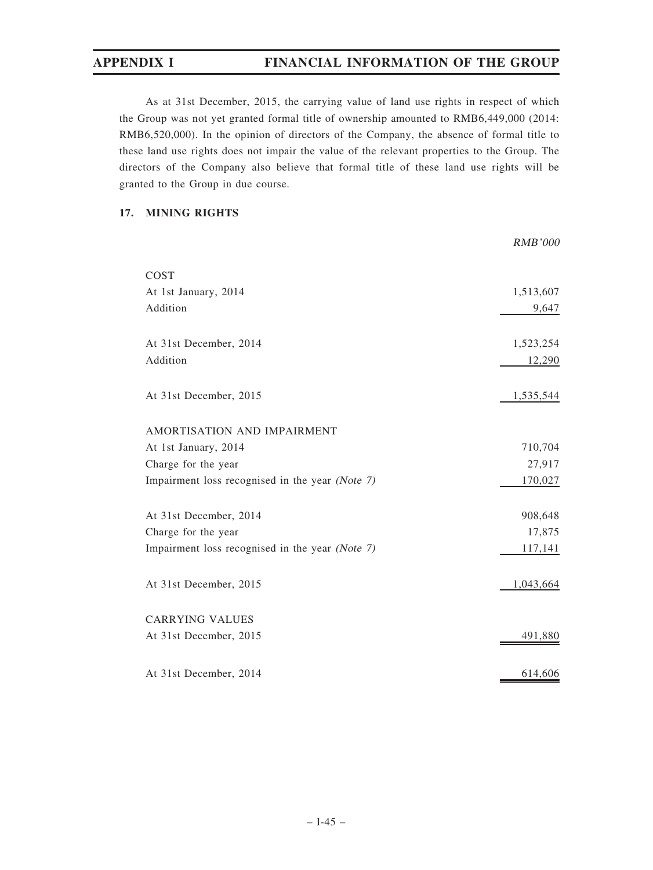As at 31st December, 2015, the carrying value of land use rights in respect of which the Group was not yet granted formal title of ownership amounted to RMB6,449,000 (2014: RMB6,520,000). In the opinion of directors of the Company, the absence of formal title to these land use rights does not impair the value of the relevant properties to the Group. The directors of the Company also believe that formal title of these land use rights will be granted to the Group in due course.

# 17. MINING RIGHTS

|                                                 | <b>RMB'000</b> |
|-------------------------------------------------|----------------|
| <b>COST</b>                                     |                |
| At 1st January, 2014                            | 1,513,607      |
| Addition                                        | 9,647          |
| At 31st December, 2014                          | 1,523,254      |
| Addition                                        | 12,290         |
| At 31st December, 2015                          | 1,535,544      |
| AMORTISATION AND IMPAIRMENT                     |                |
| At 1st January, 2014                            | 710,704        |
| Charge for the year                             | 27,917         |
| Impairment loss recognised in the year (Note 7) | 170,027        |
| At 31st December, 2014                          | 908,648        |
| Charge for the year                             | 17,875         |
| Impairment loss recognised in the year (Note 7) | 117,141        |
| At 31st December, 2015                          | 1,043,664      |
| <b>CARRYING VALUES</b>                          |                |
| At 31st December, 2015                          | 491,880        |
| At 31st December, 2014                          | 614,606        |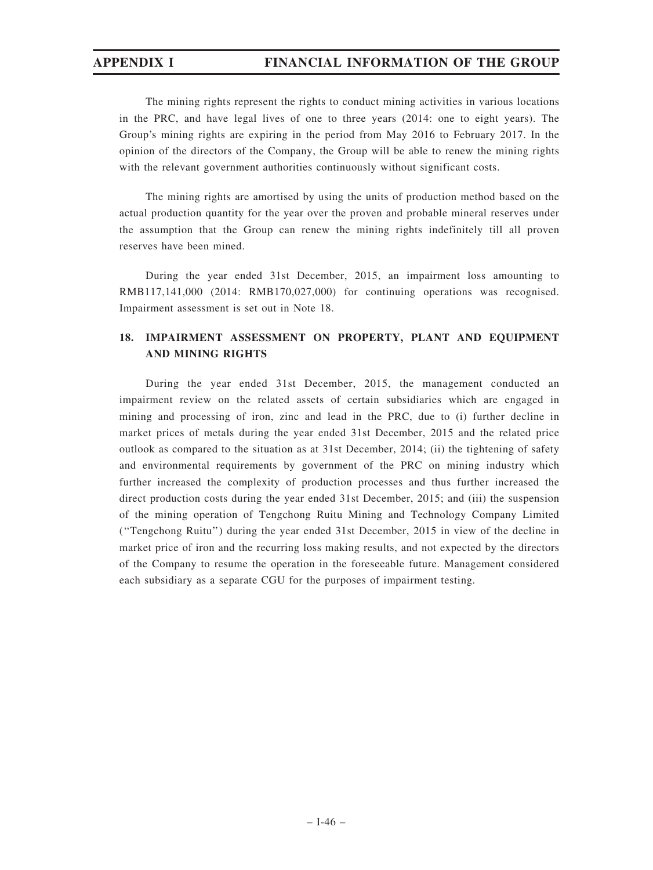The mining rights represent the rights to conduct mining activities in various locations in the PRC, and have legal lives of one to three years (2014: one to eight years). The Group's mining rights are expiring in the period from May 2016 to February 2017. In the opinion of the directors of the Company, the Group will be able to renew the mining rights with the relevant government authorities continuously without significant costs.

The mining rights are amortised by using the units of production method based on the actual production quantity for the year over the proven and probable mineral reserves under the assumption that the Group can renew the mining rights indefinitely till all proven reserves have been mined.

During the year ended 31st December, 2015, an impairment loss amounting to RMB117,141,000 (2014: RMB170,027,000) for continuing operations was recognised. Impairment assessment is set out in Note 18.

# 18. IMPAIRMENT ASSESSMENT ON PROPERTY, PLANT AND EQUIPMENT AND MINING RIGHTS

During the year ended 31st December, 2015, the management conducted an impairment review on the related assets of certain subsidiaries which are engaged in mining and processing of iron, zinc and lead in the PRC, due to (i) further decline in market prices of metals during the year ended 31st December, 2015 and the related price outlook as compared to the situation as at 31st December, 2014; (ii) the tightening of safety and environmental requirements by government of the PRC on mining industry which further increased the complexity of production processes and thus further increased the direct production costs during the year ended 31st December, 2015; and (iii) the suspension of the mining operation of Tengchong Ruitu Mining and Technology Company Limited (''Tengchong Ruitu'') during the year ended 31st December, 2015 in view of the decline in market price of iron and the recurring loss making results, and not expected by the directors of the Company to resume the operation in the foreseeable future. Management considered each subsidiary as a separate CGU for the purposes of impairment testing.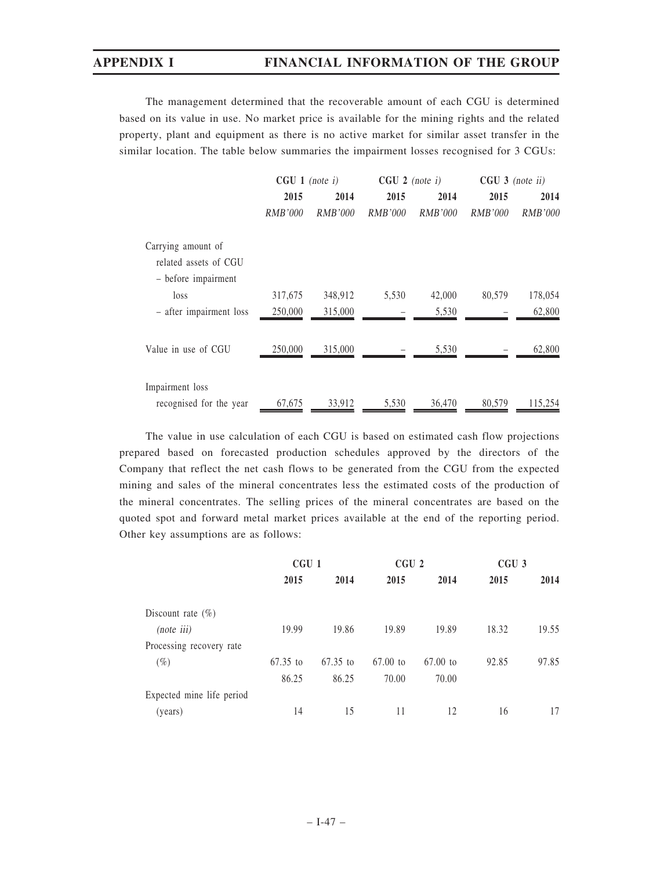The management determined that the recoverable amount of each CGU is determined based on its value in use. No market price is available for the mining rights and the related property, plant and equipment as there is no active market for similar asset transfer in the similar location. The table below summaries the impairment losses recognised for 3 CGUs:

|                                                                    | $CGU 1$ (note i) |         |         | $CGU 2$ (note i) |         | $CGU$ 3 (note ii) |  |
|--------------------------------------------------------------------|------------------|---------|---------|------------------|---------|-------------------|--|
|                                                                    | 2015             | 2014    | 2015    | 2014             | 2015    | 2014              |  |
|                                                                    | RMB'000          | RMB'000 | RMB'000 | RMB'000          | RMB'000 | RMB'000           |  |
| Carrying amount of<br>related assets of CGU<br>- before impairment |                  |         |         |                  |         |                   |  |
| loss                                                               | 317,675          | 348,912 | 5,530   | 42,000           | 80,579  | 178,054           |  |
| - after impairment loss                                            | 250,000          | 315,000 |         | 5,530            |         | 62,800            |  |
| Value in use of CGU                                                | 250,000          | 315,000 |         | 5,530            |         | 62,800            |  |
| Impairment loss<br>recognised for the year                         | 67,675           | 33,912  | 5,530   | 36,470           | 80,579  | 115,254           |  |

The value in use calculation of each CGU is based on estimated cash flow projections prepared based on forecasted production schedules approved by the directors of the Company that reflect the net cash flows to be generated from the CGU from the expected mining and sales of the mineral concentrates less the estimated costs of the production of the mineral concentrates. The selling prices of the mineral concentrates are based on the quoted spot and forward metal market prices available at the end of the reporting period. Other key assumptions are as follows:

|                           | CGU 1      |            | CGU 2      |            | CGU <sub>3</sub> |       |
|---------------------------|------------|------------|------------|------------|------------------|-------|
|                           | 2015       | 2014       | 2015       | 2014       | 2015             | 2014  |
| Discount rate $(\% )$     |            |            |            |            |                  |       |
| (note iii)                | 19.99      | 19.86      | 19.89      | 19.89      | 18.32            | 19.55 |
| Processing recovery rate  |            |            |            |            |                  |       |
| $(\%)$                    | $67.35$ to | $67.35$ to | $67.00$ to | $67.00$ to | 92.85            | 97.85 |
|                           | 86.25      | 86.25      | 70.00      | 70.00      |                  |       |
| Expected mine life period |            |            |            |            |                  |       |
| (years)                   | 14         | 15         | 11         | 12         | 16               | 17    |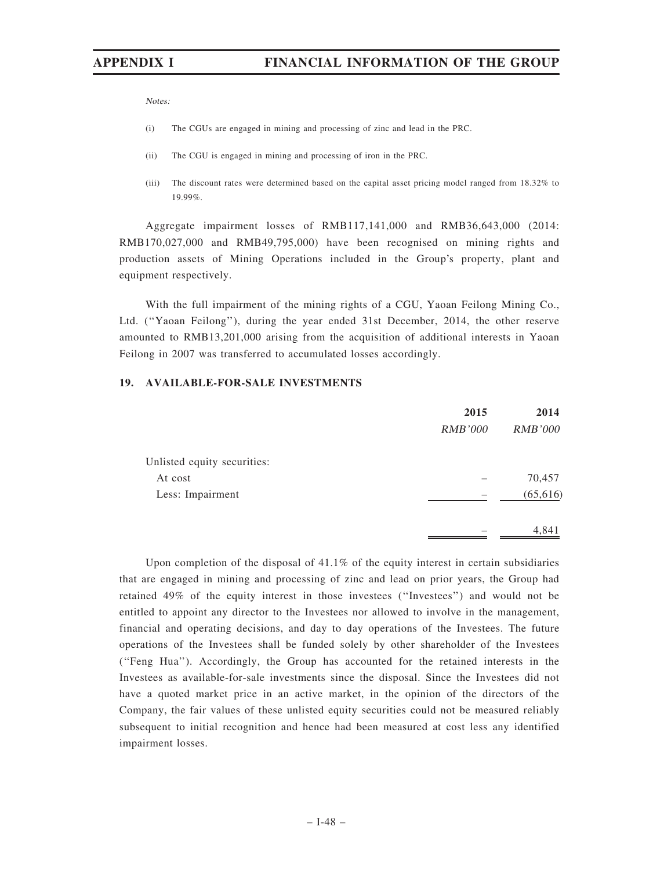Notes:

- (i) The CGUs are engaged in mining and processing of zinc and lead in the PRC.
- (ii) The CGU is engaged in mining and processing of iron in the PRC.
- (iii) The discount rates were determined based on the capital asset pricing model ranged from 18.32% to 19.99%.

Aggregate impairment losses of RMB117,141,000 and RMB36,643,000 (2014: RMB170,027,000 and RMB49,795,000) have been recognised on mining rights and production assets of Mining Operations included in the Group's property, plant and equipment respectively.

With the full impairment of the mining rights of a CGU, Yaoan Feilong Mining Co., Ltd. (''Yaoan Feilong''), during the year ended 31st December, 2014, the other reserve amounted to RMB13,201,000 arising from the acquisition of additional interests in Yaoan Feilong in 2007 was transferred to accumulated losses accordingly.

# 19. AVAILABLE-FOR-SALE INVESTMENTS

|                             | 2015           | 2014           |
|-----------------------------|----------------|----------------|
|                             | <b>RMB'000</b> | <i>RMB'000</i> |
| Unlisted equity securities: |                |                |
| At cost                     |                | 70,457         |
| Less: Impairment            |                | (65, 616)      |
|                             |                | 4.841          |

Upon completion of the disposal of  $41.1\%$  of the equity interest in certain subsidiaries that are engaged in mining and processing of zinc and lead on prior years, the Group had retained 49% of the equity interest in those investees (''Investees'') and would not be entitled to appoint any director to the Investees nor allowed to involve in the management, financial and operating decisions, and day to day operations of the Investees. The future operations of the Investees shall be funded solely by other shareholder of the Investees (''Feng Hua''). Accordingly, the Group has accounted for the retained interests in the Investees as available-for-sale investments since the disposal. Since the Investees did not have a quoted market price in an active market, in the opinion of the directors of the Company, the fair values of these unlisted equity securities could not be measured reliably subsequent to initial recognition and hence had been measured at cost less any identified impairment losses.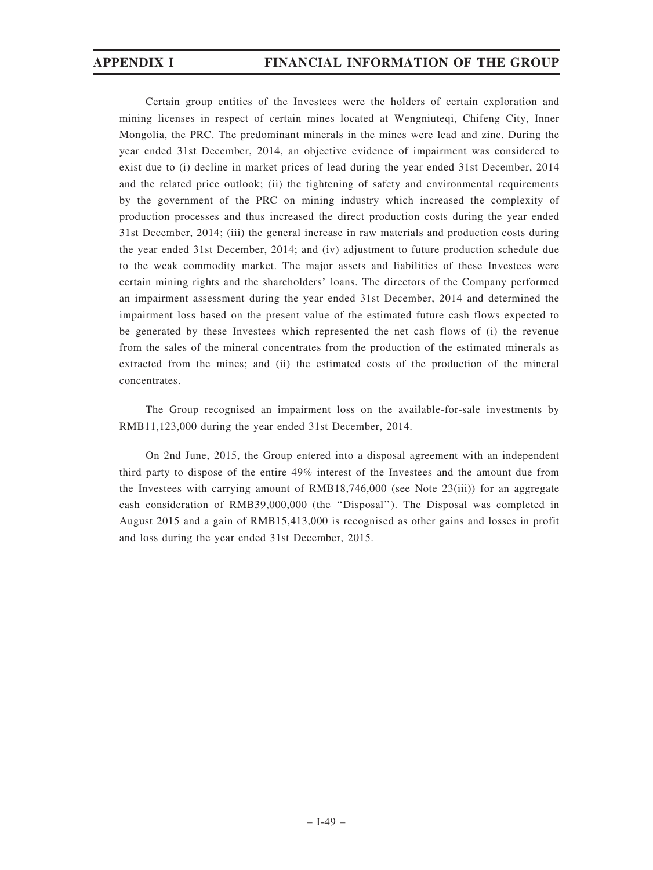Certain group entities of the Investees were the holders of certain exploration and mining licenses in respect of certain mines located at Wengniuteqi, Chifeng City, Inner Mongolia, the PRC. The predominant minerals in the mines were lead and zinc. During the year ended 31st December, 2014, an objective evidence of impairment was considered to exist due to (i) decline in market prices of lead during the year ended 31st December, 2014 and the related price outlook; (ii) the tightening of safety and environmental requirements by the government of the PRC on mining industry which increased the complexity of production processes and thus increased the direct production costs during the year ended 31st December, 2014; (iii) the general increase in raw materials and production costs during the year ended 31st December, 2014; and (iv) adjustment to future production schedule due to the weak commodity market. The major assets and liabilities of these Investees were certain mining rights and the shareholders' loans. The directors of the Company performed an impairment assessment during the year ended 31st December, 2014 and determined the impairment loss based on the present value of the estimated future cash flows expected to be generated by these Investees which represented the net cash flows of (i) the revenue from the sales of the mineral concentrates from the production of the estimated minerals as extracted from the mines; and (ii) the estimated costs of the production of the mineral concentrates.

The Group recognised an impairment loss on the available-for-sale investments by RMB11,123,000 during the year ended 31st December, 2014.

On 2nd June, 2015, the Group entered into a disposal agreement with an independent third party to dispose of the entire 49% interest of the Investees and the amount due from the Investees with carrying amount of RMB18,746,000 (see Note 23(iii)) for an aggregate cash consideration of RMB39,000,000 (the ''Disposal''). The Disposal was completed in August 2015 and a gain of RMB15,413,000 is recognised as other gains and losses in profit and loss during the year ended 31st December, 2015.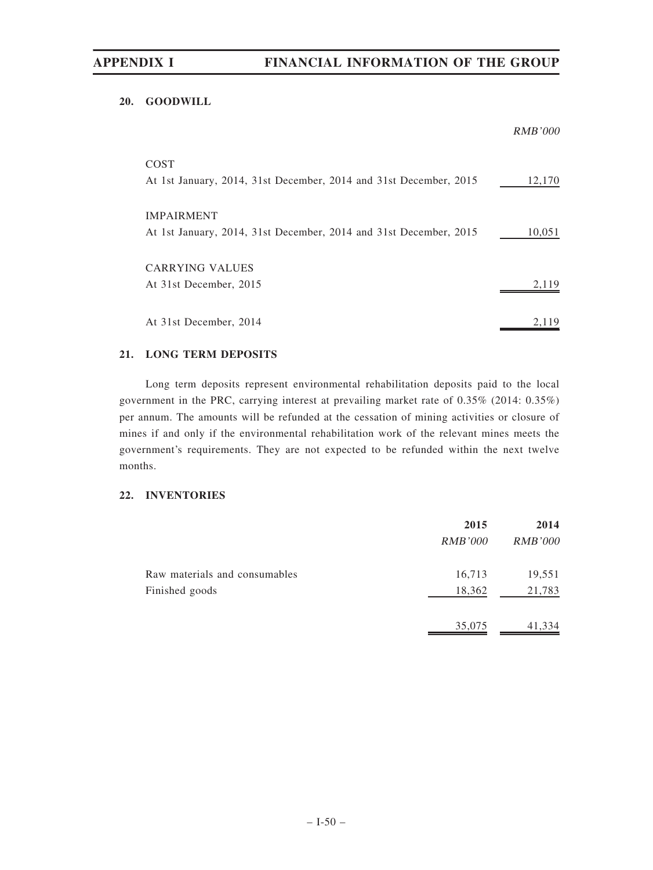# 20. GOODWILL

|                                                                                        | RMB'000 |
|----------------------------------------------------------------------------------------|---------|
| <b>COST</b><br>At 1st January, 2014, 31st December, 2014 and 31st December, 2015       | 12,170  |
| <b>IMPAIRMENT</b><br>At 1st January, 2014, 31st December, 2014 and 31st December, 2015 | 10,051  |
| <b>CARRYING VALUES</b><br>At 31st December, 2015                                       | 2,119   |
| At 31st December, 2014                                                                 |         |

# 21. LONG TERM DEPOSITS

Long term deposits represent environmental rehabilitation deposits paid to the local government in the PRC, carrying interest at prevailing market rate of 0.35% (2014: 0.35%) per annum. The amounts will be refunded at the cessation of mining activities or closure of mines if and only if the environmental rehabilitation work of the relevant mines meets the government's requirements. They are not expected to be refunded within the next twelve months.

## 22. INVENTORIES

|                               | 2015           | 2014           |
|-------------------------------|----------------|----------------|
|                               | <i>RMB'000</i> | <i>RMB'000</i> |
| Raw materials and consumables | 16,713         | 19,551         |
| Finished goods                | 18,362         | 21,783         |
|                               | 35,075         | 41,334         |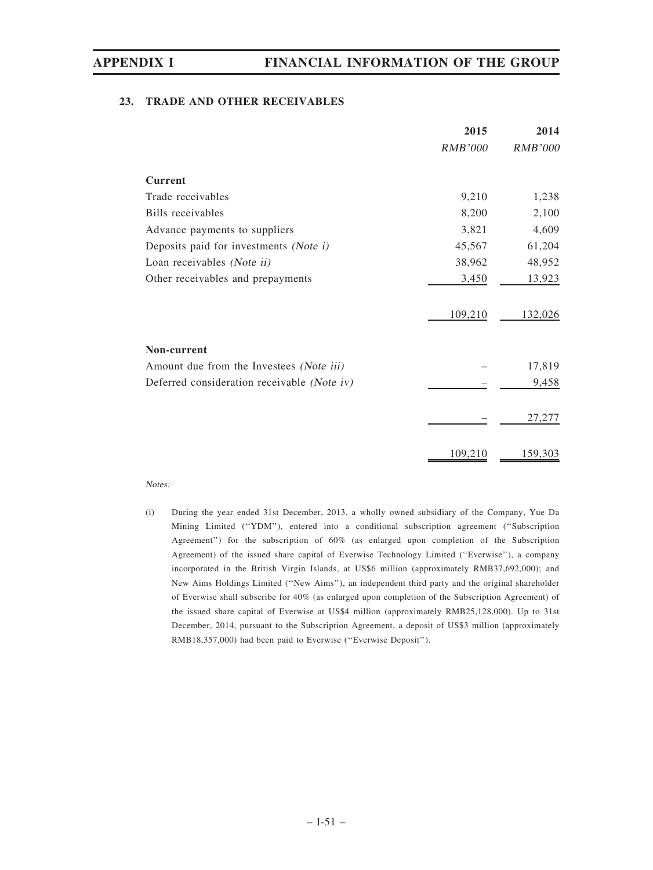# 23. TRADE AND OTHER RECEIVABLES

|                                             | 2015           | 2014           |
|---------------------------------------------|----------------|----------------|
|                                             | <b>RMB'000</b> | <i>RMB'000</i> |
| <b>Current</b>                              |                |                |
| Trade receivables                           | 9,210          | 1,238          |
| Bills receivables                           | 8,200          | 2,100          |
| Advance payments to suppliers               | 3,821          | 4,609          |
| Deposits paid for investments (Note i)      | 45,567         | 61,204         |
| Loan receivables (Note ii)                  | 38,962         | 48,952         |
| Other receivables and prepayments           | 3,450          | 13,923         |
|                                             |                |                |
|                                             | 109,210        | 132,026        |
| Non-current                                 |                |                |
| Amount due from the Investees (Note iii)    |                | 17,819         |
| Deferred consideration receivable (Note iv) |                | 9,458          |
|                                             |                | 27,277         |
|                                             | 109,210        | 159,303        |

### Notes:

(i) During the year ended 31st December, 2013, a wholly owned subsidiary of the Company, Yue Da Mining Limited (''YDM''), entered into a conditional subscription agreement (''Subscription Agreement'') for the subscription of 60% (as enlarged upon completion of the Subscription Agreement) of the issued share capital of Everwise Technology Limited (''Everwise''), a company incorporated in the British Virgin Islands, at US\$6 million (approximately RMB37,692,000); and New Aims Holdings Limited (''New Aims''), an independent third party and the original shareholder of Everwise shall subscribe for 40% (as enlarged upon completion of the Subscription Agreement) of the issued share capital of Everwise at US\$4 million (approximately RMB25,128,000). Up to 31st December, 2014, pursuant to the Subscription Agreement, a deposit of US\$3 million (approximately RMB18,357,000) had been paid to Everwise ("Everwise Deposit").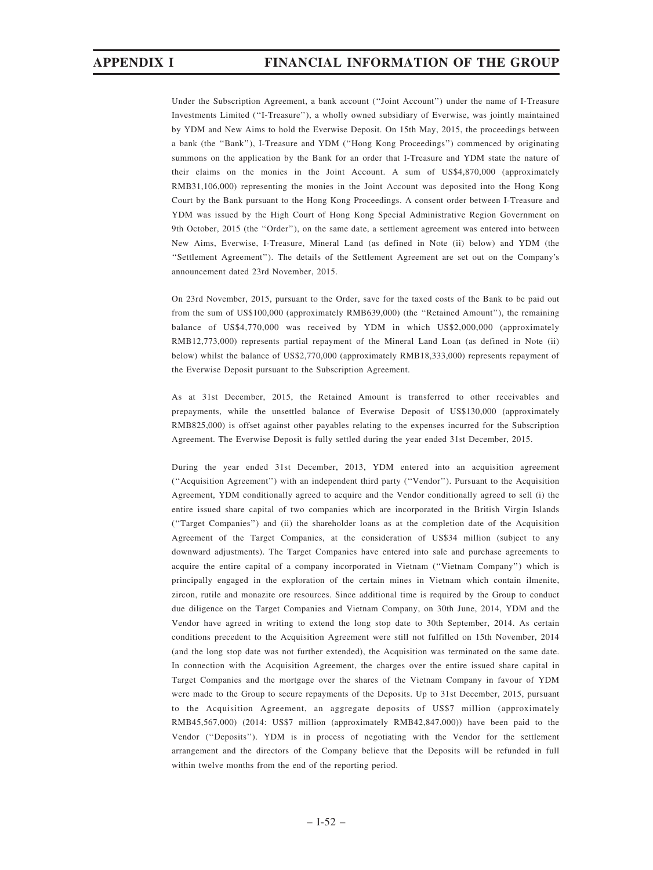Under the Subscription Agreement, a bank account (''Joint Account'') under the name of I-Treasure Investments Limited (''I-Treasure''), a wholly owned subsidiary of Everwise, was jointly maintained by YDM and New Aims to hold the Everwise Deposit. On 15th May, 2015, the proceedings between a bank (the ''Bank''), I-Treasure and YDM (''Hong Kong Proceedings'') commenced by originating summons on the application by the Bank for an order that I-Treasure and YDM state the nature of their claims on the monies in the Joint Account. A sum of US\$4,870,000 (approximately RMB31,106,000) representing the monies in the Joint Account was deposited into the Hong Kong Court by the Bank pursuant to the Hong Kong Proceedings. A consent order between I-Treasure and YDM was issued by the High Court of Hong Kong Special Administrative Region Government on 9th October, 2015 (the ''Order''), on the same date, a settlement agreement was entered into between New Aims, Everwise, I-Treasure, Mineral Land (as defined in Note (ii) below) and YDM (the ''Settlement Agreement''). The details of the Settlement Agreement are set out on the Company's announcement dated 23rd November, 2015.

On 23rd November, 2015, pursuant to the Order, save for the taxed costs of the Bank to be paid out from the sum of US\$100,000 (approximately RMB639,000) (the ''Retained Amount''), the remaining balance of US\$4,770,000 was received by YDM in which US\$2,000,000 (approximately RMB12,773,000) represents partial repayment of the Mineral Land Loan (as defined in Note (ii) below) whilst the balance of US\$2,770,000 (approximately RMB18,333,000) represents repayment of the Everwise Deposit pursuant to the Subscription Agreement.

As at 31st December, 2015, the Retained Amount is transferred to other receivables and prepayments, while the unsettled balance of Everwise Deposit of US\$130,000 (approximately RMB825,000) is offset against other payables relating to the expenses incurred for the Subscription Agreement. The Everwise Deposit is fully settled during the year ended 31st December, 2015.

During the year ended 31st December, 2013, YDM entered into an acquisition agreement (''Acquisition Agreement'') with an independent third party (''Vendor''). Pursuant to the Acquisition Agreement, YDM conditionally agreed to acquire and the Vendor conditionally agreed to sell (i) the entire issued share capital of two companies which are incorporated in the British Virgin Islands (''Target Companies'') and (ii) the shareholder loans as at the completion date of the Acquisition Agreement of the Target Companies, at the consideration of US\$34 million (subject to any downward adjustments). The Target Companies have entered into sale and purchase agreements to acquire the entire capital of a company incorporated in Vietnam (''Vietnam Company'') which is principally engaged in the exploration of the certain mines in Vietnam which contain ilmenite, zircon, rutile and monazite ore resources. Since additional time is required by the Group to conduct due diligence on the Target Companies and Vietnam Company, on 30th June, 2014, YDM and the Vendor have agreed in writing to extend the long stop date to 30th September, 2014. As certain conditions precedent to the Acquisition Agreement were still not fulfilled on 15th November, 2014 (and the long stop date was not further extended), the Acquisition was terminated on the same date. In connection with the Acquisition Agreement, the charges over the entire issued share capital in Target Companies and the mortgage over the shares of the Vietnam Company in favour of YDM were made to the Group to secure repayments of the Deposits. Up to 31st December, 2015, pursuant to the Acquisition Agreement, an aggregate deposits of US\$7 million (approximately RMB45,567,000) (2014: US\$7 million (approximately RMB42,847,000)) have been paid to the Vendor (''Deposits''). YDM is in process of negotiating with the Vendor for the settlement arrangement and the directors of the Company believe that the Deposits will be refunded in full within twelve months from the end of the reporting period.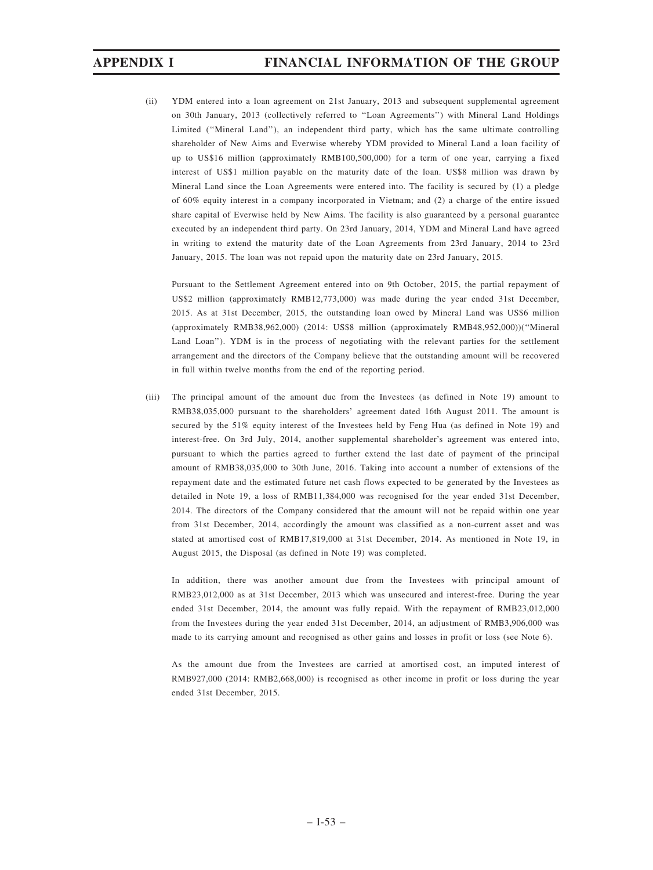(ii) YDM entered into a loan agreement on 21st January, 2013 and subsequent supplemental agreement on 30th January, 2013 (collectively referred to ''Loan Agreements'') with Mineral Land Holdings Limited (''Mineral Land''), an independent third party, which has the same ultimate controlling shareholder of New Aims and Everwise whereby YDM provided to Mineral Land a loan facility of up to US\$16 million (approximately RMB100,500,000) for a term of one year, carrying a fixed interest of US\$1 million payable on the maturity date of the loan. US\$8 million was drawn by Mineral Land since the Loan Agreements were entered into. The facility is secured by (1) a pledge of 60% equity interest in a company incorporated in Vietnam; and (2) a charge of the entire issued share capital of Everwise held by New Aims. The facility is also guaranteed by a personal guarantee executed by an independent third party. On 23rd January, 2014, YDM and Mineral Land have agreed in writing to extend the maturity date of the Loan Agreements from 23rd January, 2014 to 23rd January, 2015. The loan was not repaid upon the maturity date on 23rd January, 2015.

Pursuant to the Settlement Agreement entered into on 9th October, 2015, the partial repayment of US\$2 million (approximately RMB12,773,000) was made during the year ended 31st December, 2015. As at 31st December, 2015, the outstanding loan owed by Mineral Land was US\$6 million (approximately RMB38,962,000) (2014: US\$8 million (approximately RMB48,952,000))(''Mineral Land Loan''). YDM is in the process of negotiating with the relevant parties for the settlement arrangement and the directors of the Company believe that the outstanding amount will be recovered in full within twelve months from the end of the reporting period.

(iii) The principal amount of the amount due from the Investees (as defined in Note 19) amount to RMB38,035,000 pursuant to the shareholders' agreement dated 16th August 2011. The amount is secured by the 51% equity interest of the Investees held by Feng Hua (as defined in Note 19) and interest-free. On 3rd July, 2014, another supplemental shareholder's agreement was entered into, pursuant to which the parties agreed to further extend the last date of payment of the principal amount of RMB38,035,000 to 30th June, 2016. Taking into account a number of extensions of the repayment date and the estimated future net cash flows expected to be generated by the Investees as detailed in Note 19, a loss of RMB11,384,000 was recognised for the year ended 31st December, 2014. The directors of the Company considered that the amount will not be repaid within one year from 31st December, 2014, accordingly the amount was classified as a non-current asset and was stated at amortised cost of RMB17,819,000 at 31st December, 2014. As mentioned in Note 19, in August 2015, the Disposal (as defined in Note 19) was completed.

In addition, there was another amount due from the Investees with principal amount of RMB23,012,000 as at 31st December, 2013 which was unsecured and interest-free. During the year ended 31st December, 2014, the amount was fully repaid. With the repayment of RMB23,012,000 from the Investees during the year ended 31st December, 2014, an adjustment of RMB3,906,000 was made to its carrying amount and recognised as other gains and losses in profit or loss (see Note 6).

As the amount due from the Investees are carried at amortised cost, an imputed interest of RMB927,000 (2014: RMB2,668,000) is recognised as other income in profit or loss during the year ended 31st December, 2015.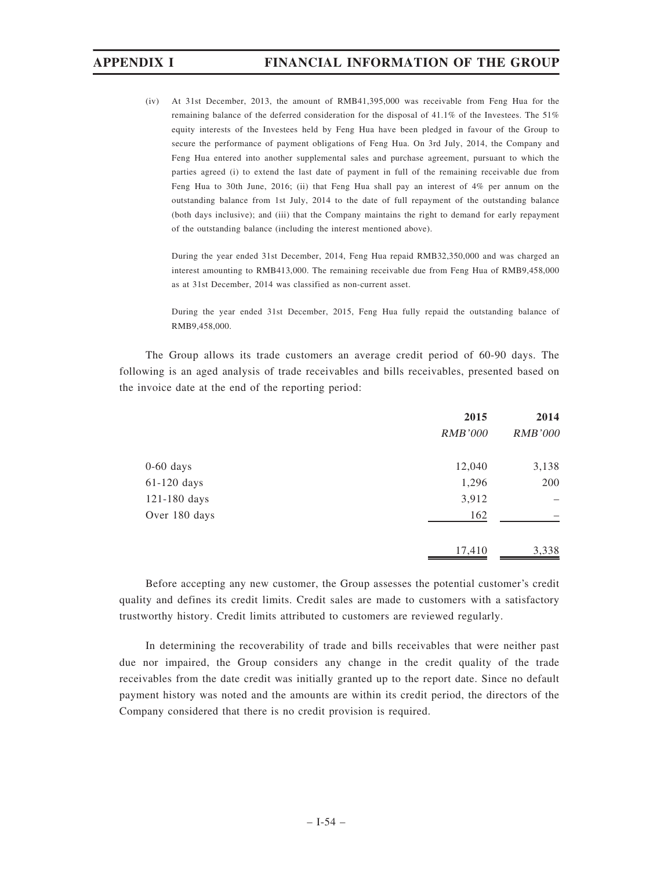(iv) At 31st December, 2013, the amount of RMB41,395,000 was receivable from Feng Hua for the remaining balance of the deferred consideration for the disposal of 41.1% of the Investees. The 51% equity interests of the Investees held by Feng Hua have been pledged in favour of the Group to secure the performance of payment obligations of Feng Hua. On 3rd July, 2014, the Company and Feng Hua entered into another supplemental sales and purchase agreement, pursuant to which the parties agreed (i) to extend the last date of payment in full of the remaining receivable due from Feng Hua to 30th June, 2016; (ii) that Feng Hua shall pay an interest of 4% per annum on the outstanding balance from 1st July, 2014 to the date of full repayment of the outstanding balance (both days inclusive); and (iii) that the Company maintains the right to demand for early repayment of the outstanding balance (including the interest mentioned above).

During the year ended 31st December, 2014, Feng Hua repaid RMB32,350,000 and was charged an interest amounting to RMB413,000. The remaining receivable due from Feng Hua of RMB9,458,000 as at 31st December, 2014 was classified as non-current asset.

During the year ended 31st December, 2015, Feng Hua fully repaid the outstanding balance of RMB9,458,000.

The Group allows its trade customers an average credit period of 60-90 days. The following is an aged analysis of trade receivables and bills receivables, presented based on the invoice date at the end of the reporting period:

|               | 2015           | 2014           |
|---------------|----------------|----------------|
|               | <i>RMB'000</i> | <i>RMB'000</i> |
| $0-60$ days   | 12,040         | 3,138          |
| 61-120 days   | 1,296          | 200            |
| 121-180 days  | 3,912          |                |
| Over 180 days | 162            |                |
|               | 17,410         | 3,338          |

Before accepting any new customer, the Group assesses the potential customer's credit quality and defines its credit limits. Credit sales are made to customers with a satisfactory trustworthy history. Credit limits attributed to customers are reviewed regularly.

In determining the recoverability of trade and bills receivables that were neither past due nor impaired, the Group considers any change in the credit quality of the trade receivables from the date credit was initially granted up to the report date. Since no default payment history was noted and the amounts are within its credit period, the directors of the Company considered that there is no credit provision is required.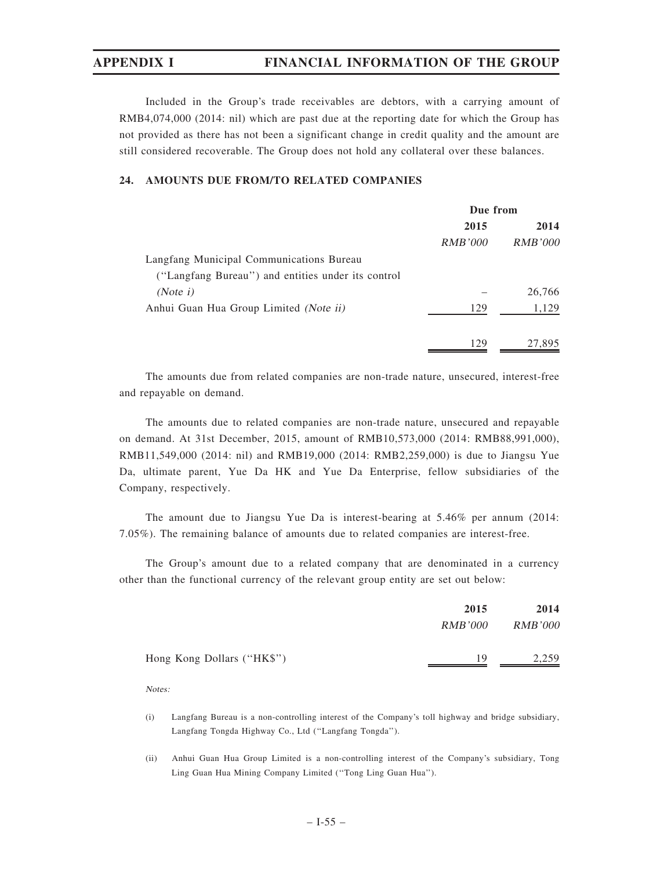Included in the Group's trade receivables are debtors, with a carrying amount of RMB4,074,000 (2014: nil) which are past due at the reporting date for which the Group has not provided as there has not been a significant change in credit quality and the amount are still considered recoverable. The Group does not hold any collateral over these balances.

# 24. AMOUNTS DUE FROM/TO RELATED COMPANIES

|                                                    | Due from       |                |  |
|----------------------------------------------------|----------------|----------------|--|
|                                                    | 2015           | 2014           |  |
|                                                    | <i>RMB'000</i> | <i>RMB'000</i> |  |
| Langfang Municipal Communications Bureau           |                |                |  |
| ("Langfang Bureau") and entities under its control |                |                |  |
| (Note i)                                           |                | 26,766         |  |
| Anhui Guan Hua Group Limited (Note ii)             | 129            | 1,129          |  |
|                                                    | 129            | 27,895         |  |

The amounts due from related companies are non-trade nature, unsecured, interest-free and repayable on demand.

The amounts due to related companies are non-trade nature, unsecured and repayable on demand. At 31st December, 2015, amount of RMB10,573,000 (2014: RMB88,991,000), RMB11,549,000 (2014: nil) and RMB19,000 (2014: RMB2,259,000) is due to Jiangsu Yue Da, ultimate parent, Yue Da HK and Yue Da Enterprise, fellow subsidiaries of the Company, respectively.

The amount due to Jiangsu Yue Da is interest-bearing at 5.46% per annum (2014: 7.05%). The remaining balance of amounts due to related companies are interest-free.

The Group's amount due to a related company that are denominated in a currency other than the functional currency of the relevant group entity are set out below:

| 2015    | 2014           |
|---------|----------------|
| RMB'000 | <i>RMB'000</i> |
| 19      | 2,259          |
|         |                |

Notes:

- (i) Langfang Bureau is a non-controlling interest of the Company's toll highway and bridge subsidiary, Langfang Tongda Highway Co., Ltd (''Langfang Tongda'').
- (ii) Anhui Guan Hua Group Limited is a non-controlling interest of the Company's subsidiary, Tong Ling Guan Hua Mining Company Limited (''Tong Ling Guan Hua'').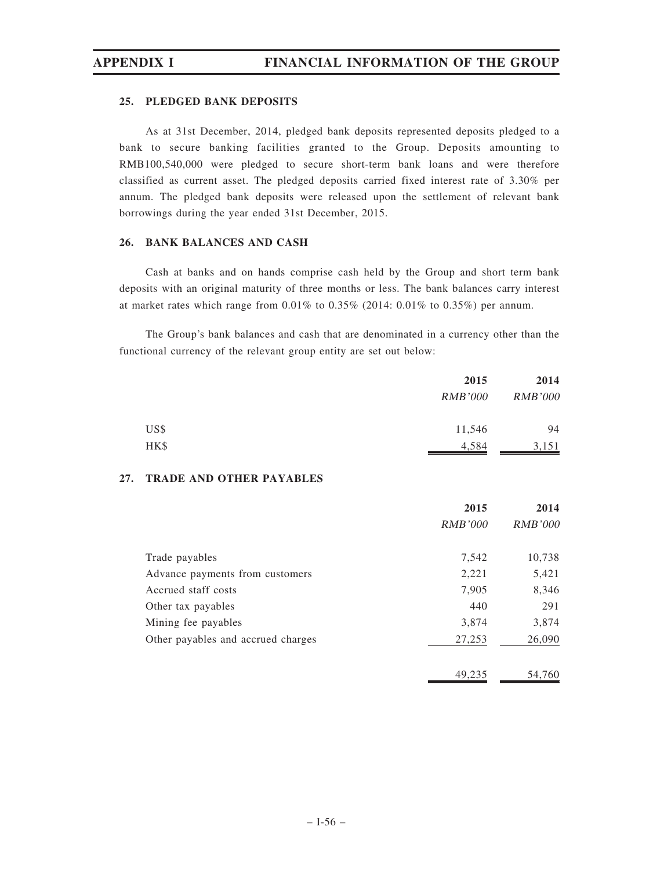# 25. PLEDGED BANK DEPOSITS

As at 31st December, 2014, pledged bank deposits represented deposits pledged to a bank to secure banking facilities granted to the Group. Deposits amounting to RMB100,540,000 were pledged to secure short-term bank loans and were therefore classified as current asset. The pledged deposits carried fixed interest rate of 3.30% per annum. The pledged bank deposits were released upon the settlement of relevant bank borrowings during the year ended 31st December, 2015.

# 26. BANK BALANCES AND CASH

Cash at banks and on hands comprise cash held by the Group and short term bank deposits with an original maturity of three months or less. The bank balances carry interest at market rates which range from  $0.01\%$  to  $0.35\%$  (2014:  $0.01\%$  to  $0.35\%$ ) per annum.

The Group's bank balances and cash that are denominated in a currency other than the functional currency of the relevant group entity are set out below:

|      | 2015           | 2014           |
|------|----------------|----------------|
|      | <i>RMB'000</i> | <i>RMB'000</i> |
| US\$ | 11,546         | 94             |
| HK\$ | 4,584          | 3,151          |

### 27. TRADE AND OTHER PAYABLES

|                                    | 2015           | 2014           |
|------------------------------------|----------------|----------------|
|                                    | <i>RMB'000</i> | <i>RMB'000</i> |
| Trade payables                     | 7,542          | 10,738         |
| Advance payments from customers    | 2,221          | 5,421          |
| Accrued staff costs                | 7,905          | 8,346          |
| Other tax payables                 | 440            | 291            |
| Mining fee payables                | 3,874          | 3,874          |
| Other payables and accrued charges | 27,253         | 26,090         |
|                                    | 49.235         | 54.760         |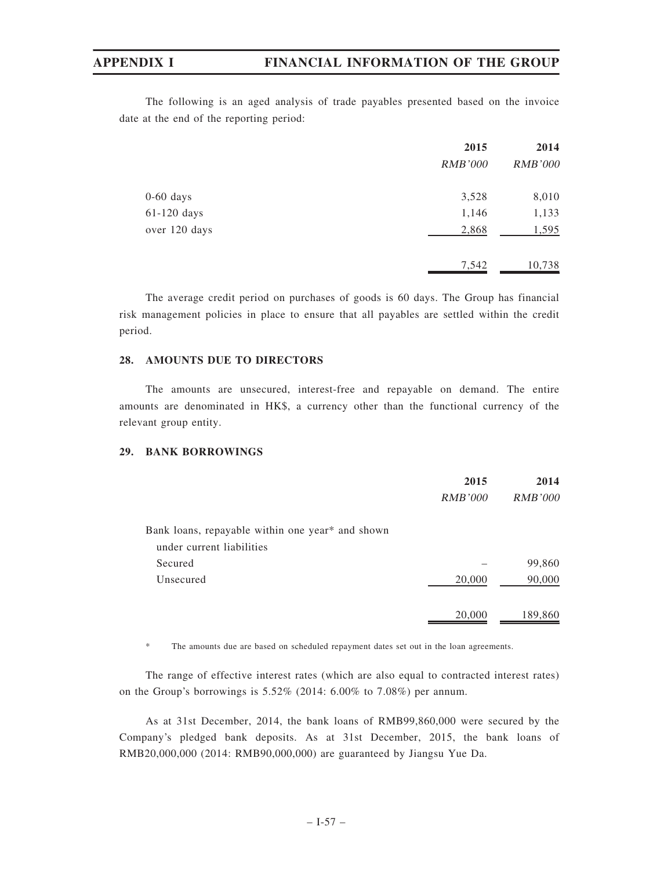The following is an aged analysis of trade payables presented based on the invoice date at the end of the reporting period:

|               | 2015           | 2014           |
|---------------|----------------|----------------|
|               | <b>RMB'000</b> | <b>RMB'000</b> |
| $0-60$ days   | 3,528          | 8,010          |
| 61-120 days   | 1,146          | 1,133          |
| over 120 days | 2,868          | 1,595          |
|               | 7,542          | 10,738         |

The average credit period on purchases of goods is 60 days. The Group has financial risk management policies in place to ensure that all payables are settled within the credit period.

## 28. AMOUNTS DUE TO DIRECTORS

The amounts are unsecured, interest-free and repayable on demand. The entire amounts are denominated in HK\$, a currency other than the functional currency of the relevant group entity.

# 29. BANK BORROWINGS

|                                                  | 2015<br><i>RMB'000</i> | 2014<br><i>RMB'000</i> |
|--------------------------------------------------|------------------------|------------------------|
|                                                  |                        |                        |
| Bank loans, repayable within one year* and shown |                        |                        |
| under current liabilities                        |                        |                        |
| Secured                                          |                        | 99,860                 |
| Unsecured                                        | 20,000                 | 90,000                 |
|                                                  |                        |                        |
|                                                  | 20,000                 | 189,860                |

\* The amounts due are based on scheduled repayment dates set out in the loan agreements.

The range of effective interest rates (which are also equal to contracted interest rates) on the Group's borrowings is 5.52% (2014: 6.00% to 7.08%) per annum.

As at 31st December, 2014, the bank loans of RMB99,860,000 were secured by the Company's pledged bank deposits. As at 31st December, 2015, the bank loans of RMB20,000,000 (2014: RMB90,000,000) are guaranteed by Jiangsu Yue Da.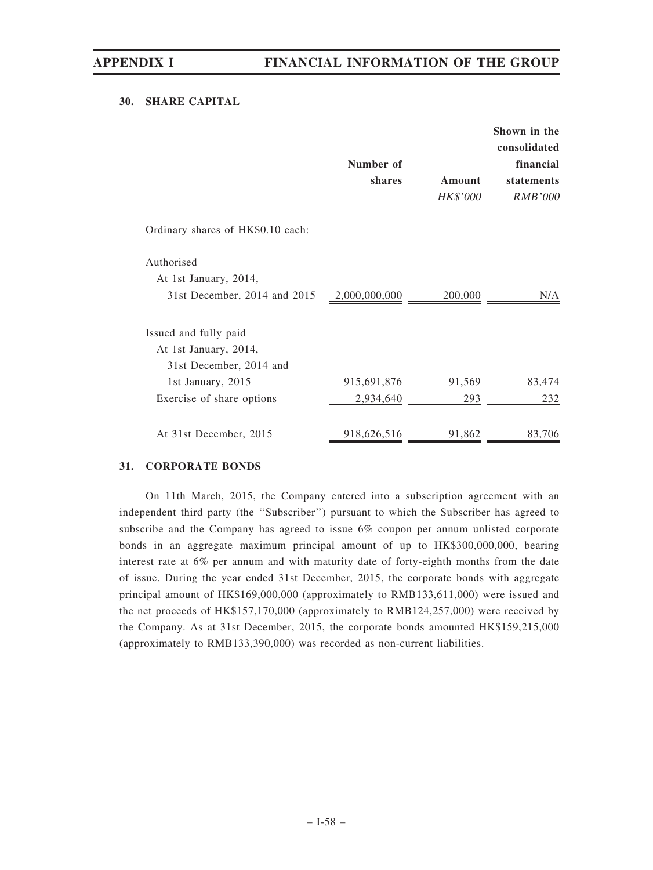# 30. SHARE CAPITAL

|                                   |               |          | Shown in the   |
|-----------------------------------|---------------|----------|----------------|
|                                   |               |          | consolidated   |
|                                   | Number of     |          | financial      |
|                                   | shares        | Amount   | statements     |
|                                   |               | HK\$'000 | <b>RMB'000</b> |
| Ordinary shares of HK\$0.10 each: |               |          |                |
| Authorised                        |               |          |                |
| At 1st January, 2014,             |               |          |                |
| 31st December, 2014 and 2015      | 2,000,000,000 | 200,000  | N/A            |
| Issued and fully paid             |               |          |                |
| At 1st January, 2014,             |               |          |                |
| 31st December, 2014 and           |               |          |                |
| 1st January, 2015                 | 915,691,876   | 91,569   | 83,474         |
| Exercise of share options         | 2,934,640     | 293      | 232            |
| At 31st December, 2015            | 918,626,516   | 91,862   | 83,706         |

### 31. CORPORATE BONDS

On 11th March, 2015, the Company entered into a subscription agreement with an independent third party (the ''Subscriber'') pursuant to which the Subscriber has agreed to subscribe and the Company has agreed to issue 6% coupon per annum unlisted corporate bonds in an aggregate maximum principal amount of up to HK\$300,000,000, bearing interest rate at 6% per annum and with maturity date of forty-eighth months from the date of issue. During the year ended 31st December, 2015, the corporate bonds with aggregate principal amount of HK\$169,000,000 (approximately to RMB133,611,000) were issued and the net proceeds of HK\$157,170,000 (approximately to RMB124,257,000) were received by the Company. As at 31st December, 2015, the corporate bonds amounted HK\$159,215,000 (approximately to RMB133,390,000) was recorded as non-current liabilities.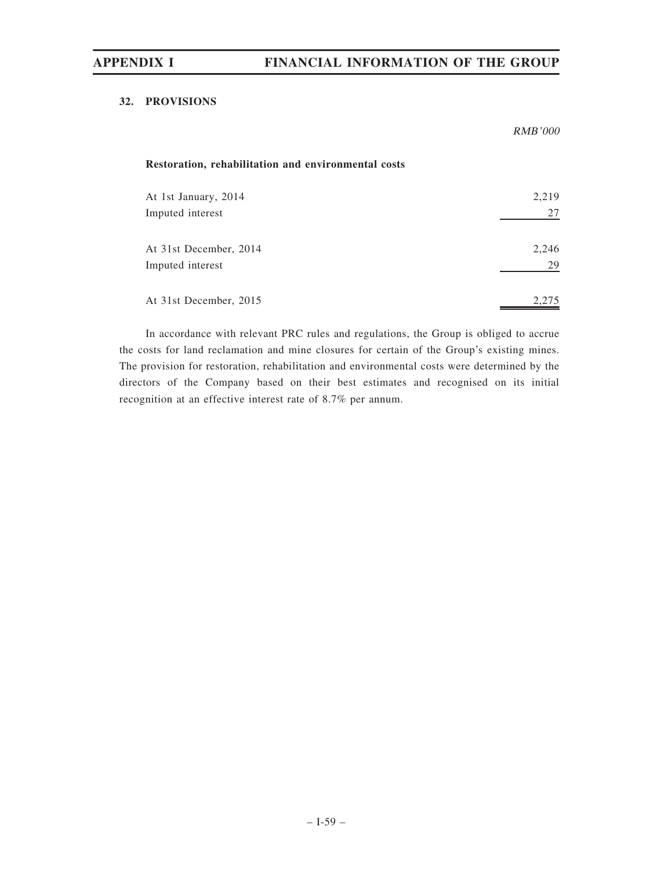# 32. PROVISIONS

|                                                     | <i>RMB'000</i> |
|-----------------------------------------------------|----------------|
| Restoration, rehabilitation and environmental costs |                |
| At 1st January, 2014                                | 2,219          |
| Imputed interest                                    | 27             |
| At 31st December, 2014                              | 2,246          |
| Imputed interest                                    | 29             |
| At 31st December, 2015                              | 2.275          |

In accordance with relevant PRC rules and regulations, the Group is obliged to accrue the costs for land reclamation and mine closures for certain of the Group's existing mines. The provision for restoration, rehabilitation and environmental costs were determined by the directors of the Company based on their best estimates and recognised on its initial recognition at an effective interest rate of 8.7% per annum.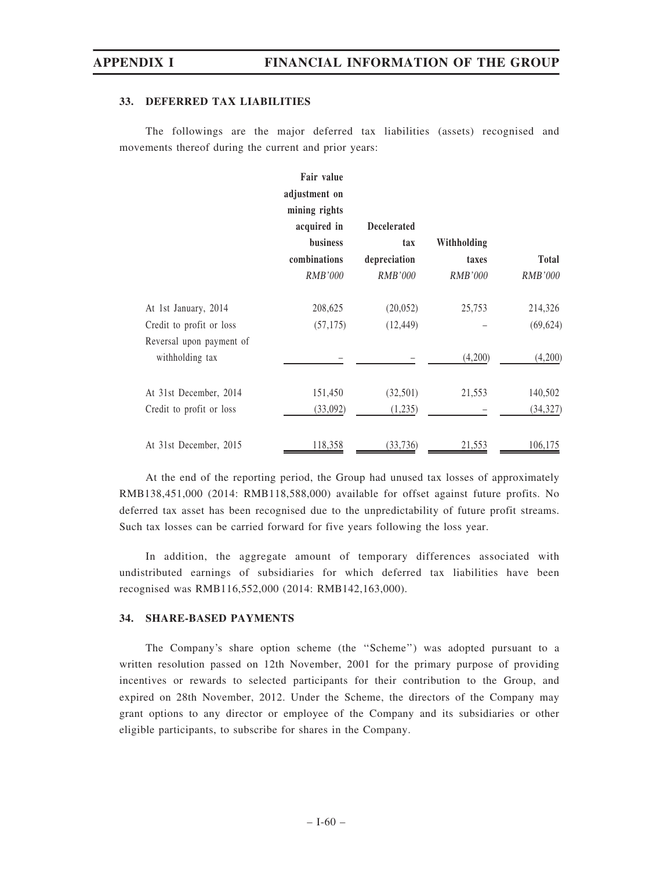### 33. DEFERRED TAX LIABILITIES

The followings are the major deferred tax liabilities (assets) recognised and movements thereof during the current and prior years:

|                          | Fair value<br>adjustment on<br>mining rights<br>acquired in<br><b>business</b><br>combinations<br>RMB'000 | <b>Decelerated</b><br>tax<br>depreciation<br>RMB'000 | Withholding<br>taxes<br>RMB'000 | <b>Total</b><br>RMB'000 |
|--------------------------|-----------------------------------------------------------------------------------------------------------|------------------------------------------------------|---------------------------------|-------------------------|
|                          |                                                                                                           |                                                      |                                 |                         |
| At 1st January, 2014     | 208,625                                                                                                   | (20,052)                                             | 25,753                          | 214,326                 |
| Credit to profit or loss | (57, 175)                                                                                                 | (12, 449)                                            |                                 | (69, 624)               |
| Reversal upon payment of |                                                                                                           |                                                      |                                 |                         |
| withholding tax          |                                                                                                           |                                                      | (4,200)                         | (4,200)                 |
| At 31st December, 2014   | 151,450                                                                                                   | (32,501)                                             | 21,553                          | 140,502                 |
| Credit to profit or loss | (33,092)                                                                                                  | (1,235)                                              |                                 | (34, 327)               |
| At 31st December, 2015   | 118,358                                                                                                   | (33, 736)                                            | 21,553                          | 106,175                 |

At the end of the reporting period, the Group had unused tax losses of approximately RMB138,451,000 (2014: RMB118,588,000) available for offset against future profits. No deferred tax asset has been recognised due to the unpredictability of future profit streams. Such tax losses can be carried forward for five years following the loss year.

In addition, the aggregate amount of temporary differences associated with undistributed earnings of subsidiaries for which deferred tax liabilities have been recognised was RMB116,552,000 (2014: RMB142,163,000).

# 34. SHARE-BASED PAYMENTS

The Company's share option scheme (the ''Scheme'') was adopted pursuant to a written resolution passed on 12th November, 2001 for the primary purpose of providing incentives or rewards to selected participants for their contribution to the Group, and expired on 28th November, 2012. Under the Scheme, the directors of the Company may grant options to any director or employee of the Company and its subsidiaries or other eligible participants, to subscribe for shares in the Company.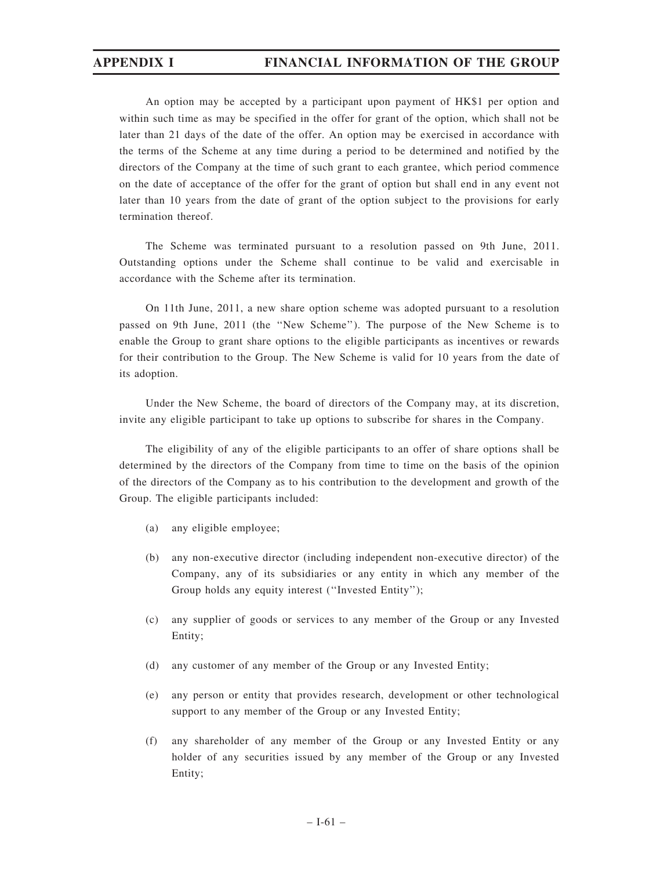An option may be accepted by a participant upon payment of HK\$1 per option and within such time as may be specified in the offer for grant of the option, which shall not be later than 21 days of the date of the offer. An option may be exercised in accordance with the terms of the Scheme at any time during a period to be determined and notified by the directors of the Company at the time of such grant to each grantee, which period commence on the date of acceptance of the offer for the grant of option but shall end in any event not later than 10 years from the date of grant of the option subject to the provisions for early termination thereof.

The Scheme was terminated pursuant to a resolution passed on 9th June, 2011. Outstanding options under the Scheme shall continue to be valid and exercisable in accordance with the Scheme after its termination.

On 11th June, 2011, a new share option scheme was adopted pursuant to a resolution passed on 9th June, 2011 (the ''New Scheme''). The purpose of the New Scheme is to enable the Group to grant share options to the eligible participants as incentives or rewards for their contribution to the Group. The New Scheme is valid for 10 years from the date of its adoption.

Under the New Scheme, the board of directors of the Company may, at its discretion, invite any eligible participant to take up options to subscribe for shares in the Company.

The eligibility of any of the eligible participants to an offer of share options shall be determined by the directors of the Company from time to time on the basis of the opinion of the directors of the Company as to his contribution to the development and growth of the Group. The eligible participants included:

- (a) any eligible employee;
- (b) any non-executive director (including independent non-executive director) of the Company, any of its subsidiaries or any entity in which any member of the Group holds any equity interest (''Invested Entity'');
- (c) any supplier of goods or services to any member of the Group or any Invested Entity;
- (d) any customer of any member of the Group or any Invested Entity;
- (e) any person or entity that provides research, development or other technological support to any member of the Group or any Invested Entity;
- (f) any shareholder of any member of the Group or any Invested Entity or any holder of any securities issued by any member of the Group or any Invested Entity;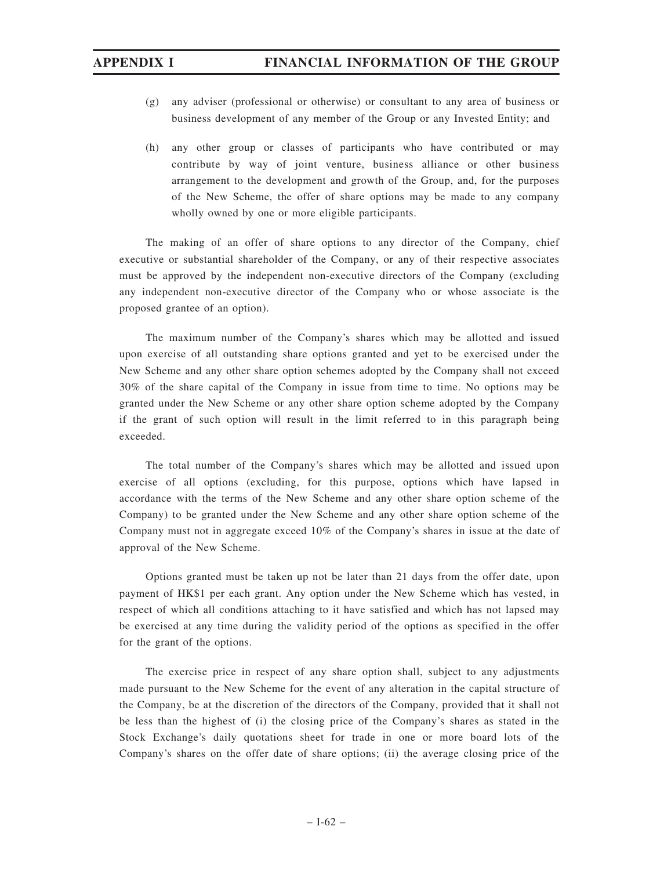- (g) any adviser (professional or otherwise) or consultant to any area of business or business development of any member of the Group or any Invested Entity; and
- (h) any other group or classes of participants who have contributed or may contribute by way of joint venture, business alliance or other business arrangement to the development and growth of the Group, and, for the purposes of the New Scheme, the offer of share options may be made to any company wholly owned by one or more eligible participants.

The making of an offer of share options to any director of the Company, chief executive or substantial shareholder of the Company, or any of their respective associates must be approved by the independent non-executive directors of the Company (excluding any independent non-executive director of the Company who or whose associate is the proposed grantee of an option).

The maximum number of the Company's shares which may be allotted and issued upon exercise of all outstanding share options granted and yet to be exercised under the New Scheme and any other share option schemes adopted by the Company shall not exceed 30% of the share capital of the Company in issue from time to time. No options may be granted under the New Scheme or any other share option scheme adopted by the Company if the grant of such option will result in the limit referred to in this paragraph being exceeded.

The total number of the Company's shares which may be allotted and issued upon exercise of all options (excluding, for this purpose, options which have lapsed in accordance with the terms of the New Scheme and any other share option scheme of the Company) to be granted under the New Scheme and any other share option scheme of the Company must not in aggregate exceed 10% of the Company's shares in issue at the date of approval of the New Scheme.

Options granted must be taken up not be later than 21 days from the offer date, upon payment of HK\$1 per each grant. Any option under the New Scheme which has vested, in respect of which all conditions attaching to it have satisfied and which has not lapsed may be exercised at any time during the validity period of the options as specified in the offer for the grant of the options.

The exercise price in respect of any share option shall, subject to any adjustments made pursuant to the New Scheme for the event of any alteration in the capital structure of the Company, be at the discretion of the directors of the Company, provided that it shall not be less than the highest of (i) the closing price of the Company's shares as stated in the Stock Exchange's daily quotations sheet for trade in one or more board lots of the Company's shares on the offer date of share options; (ii) the average closing price of the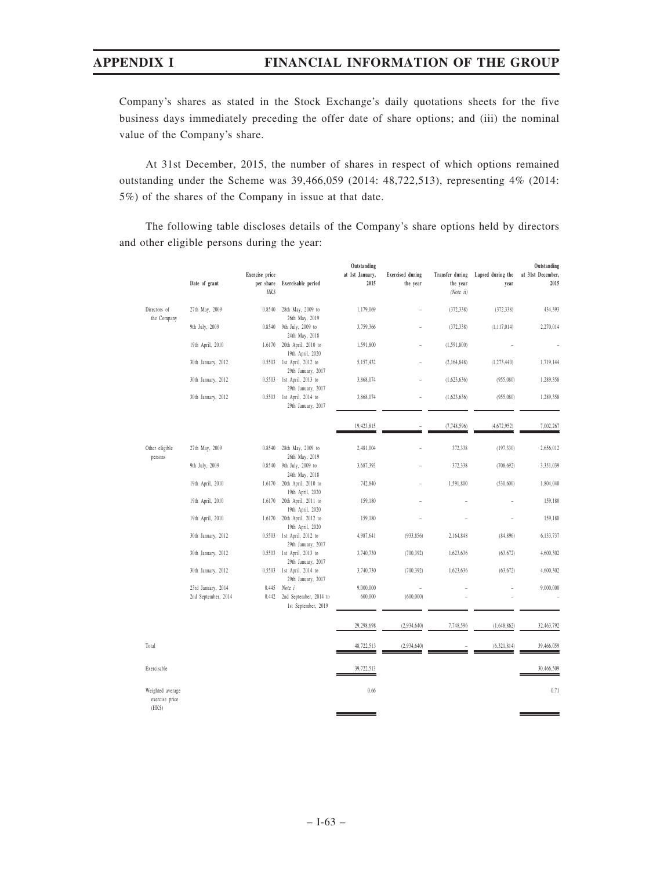Company's shares as stated in the Stock Exchange's daily quotations sheets for the five business days immediately preceding the offer date of share options; and (iii) the nominal value of the Company's share.

At 31st December, 2015, the number of shares in respect of which options remained outstanding under the Scheme was 39,466,059 (2014: 48,722,513), representing 4% (2014: 5%) of the shares of the Company in issue at that date.

The following table discloses details of the Company's share options held by directors and other eligible persons during the year:

|                                              | Date of grant                             | Exercise price<br>per share<br><b>HK\$</b> | Exercisable period                                      | Outstanding<br>at 1st January,<br>2015 | <b>Exercised during</b><br>the year | Transfer during<br>the year<br>(Note ii) | Lapsed during the<br>year | Outstanding<br>at 31st December,<br>2015 |
|----------------------------------------------|-------------------------------------------|--------------------------------------------|---------------------------------------------------------|----------------------------------------|-------------------------------------|------------------------------------------|---------------------------|------------------------------------------|
| Directors of<br>the Company                  | 27th May, 2009                            | 0.8540                                     | 28th May, 2009 to<br>26th May, 2019                     | 1,179,069                              |                                     | (372, 338)                               | (372, 338)                | 434,393                                  |
|                                              | 9th July, 2009                            | 0.8540                                     | 9th July, 2009 to<br>24th May, 2018                     | 3,759,366                              |                                     | (372, 338)                               | (1, 117, 014)             | 2,270,014                                |
|                                              | 19th April, 2010                          | 1.6170                                     | 20th April, 2010 to<br>19th April, 2020                 | 1,591,800                              | L,                                  | (1, 591, 800)                            |                           |                                          |
|                                              | 30th January, 2012                        | 0.5503                                     | 1st April, 2012 to<br>29th January, 2017                | 5,157,432                              | Ĭ.                                  | (2,164,848)                              | (1,273,440)               | 1,719,144                                |
|                                              | 30th January, 2012                        |                                            | 0.5503 1st April, 2013 to<br>29th January, 2017         | 3,868,074                              |                                     | (1,623,636)                              | (955,080)                 | 1,289,358                                |
|                                              | 30th January, 2012                        | 0.5503                                     | 1st April, 2014 to<br>29th January, 2017                | 3,868,074                              |                                     | (1,623,636)                              | (955,080)                 | 1,289,358                                |
|                                              |                                           |                                            |                                                         | 19,423,815                             |                                     | (7,748,596)                              | (4,672,952)               | 7,002,267                                |
| Other eligible<br>persons                    | 27th May, 2009                            | 0.8540                                     | 28th May, 2009 to<br>26th May, 2019                     | 2,481,004                              |                                     | 372,338                                  | (197, 330)                | 2,656,012                                |
|                                              | 9th July, 2009                            | 0.8540                                     | 9th July, 2009 to<br>24th May, 2018                     | 3,687,393                              |                                     | 372,338                                  | (708, 692)                | 3,351,039                                |
|                                              | 19th April, 2010                          | 1.6170                                     | 20th April, 2010 to<br>19th April, 2020                 | 742,840                                |                                     | 1,591,800                                | (530, 600)                | 1,804,040                                |
|                                              | 19th April, 2010                          | 1.6170                                     | 20th April, 2011 to<br>19th April, 2020                 | 159,180                                |                                     |                                          |                           | 159,180                                  |
|                                              | 19th April, 2010                          | 1.6170                                     | 20th April, 2012 to<br>19th April, 2020                 | 159,180                                |                                     |                                          |                           | 159,180                                  |
|                                              | 30th January, 2012                        | 0.5503                                     | 1st April, 2012 to<br>29th January, 2017                | 4,987,641                              | (933, 856)                          | 2,164,848                                | (84, 896)                 | 6,133,737                                |
|                                              | 30th January, 2012                        | 0.5503                                     | 1st April, 2013 to<br>29th January, 2017                | 3,740,730                              | (700, 392)                          | 1,623,636                                | (63, 672)                 | 4,600,302                                |
|                                              | 30th January, 2012                        | 0.5503                                     | 1st April, 2014 to<br>29th January, 2017                | 3,740,730                              | (700, 392)                          | 1,623,636                                | (63, 672)                 | 4,600,302                                |
|                                              | 23rd January, 2014<br>2nd September, 2014 | 0.445<br>0.442                             | Note i<br>2nd September, 2014 to<br>1st September, 2019 | 9,000,000<br>600,000                   | (600,000)                           |                                          |                           | 9,000,000                                |
|                                              |                                           |                                            |                                                         | 29,298,698                             | (2,934,640)                         | 7,748,596                                | (1,648,862)               | 32,463,792                               |
| Total                                        |                                           |                                            |                                                         | 48,722,513                             | (2,934,640)                         |                                          | (6, 321, 814)             | 39,466,059                               |
| Exercisable                                  |                                           |                                            |                                                         | 39,722,513                             |                                     |                                          |                           | 30,466,509                               |
| Weighted average<br>exercise price<br>(HK\$) |                                           |                                            |                                                         | 0.66                                   |                                     |                                          |                           | 0.71                                     |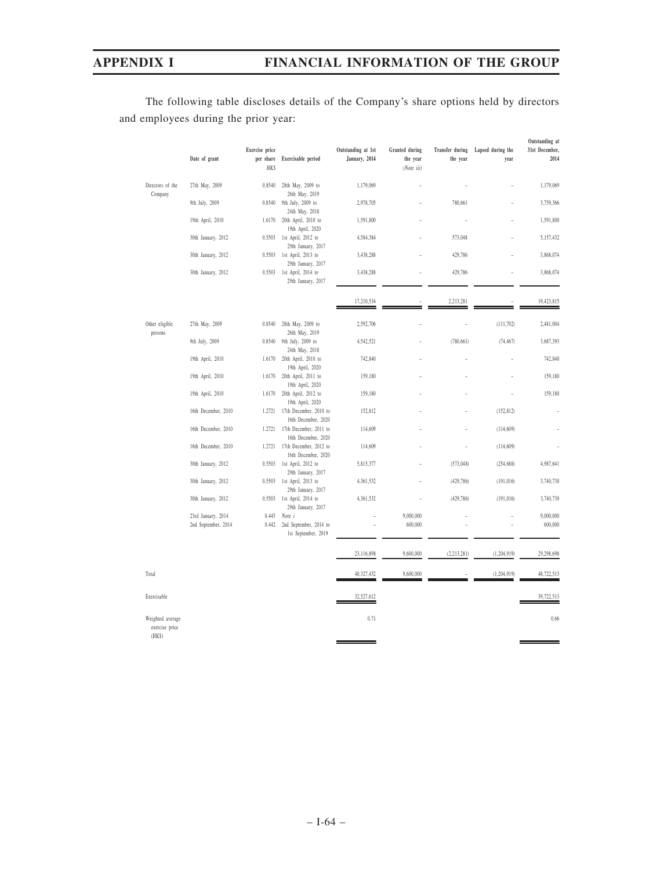The following table discloses details of the Company's share options held by directors and employees during the prior year:

|                                              | Date of grant                             | Exercise price<br>per share<br><b>HK\$</b> | Exercisable period                                      | Outstanding at 1st<br>January, 2014 | Granted during<br>the year<br>(Note iii) | Transfer during<br>the year | Lapsed during the<br>year | Outstanding at<br>31st December.<br>2014 |
|----------------------------------------------|-------------------------------------------|--------------------------------------------|---------------------------------------------------------|-------------------------------------|------------------------------------------|-----------------------------|---------------------------|------------------------------------------|
| Directors of the<br>Company                  | 27th May, 2009                            | 0.8540                                     | 28th May, 2009 to<br>26th May, 2019                     | 1,179,069                           |                                          |                             |                           | 1,179,069                                |
|                                              | 9th July, 2009                            | 0.8540                                     | 9th July, 2009 to<br>24th May, 2018                     | 2,978,705                           |                                          | 780,661                     |                           | 3,759,366                                |
|                                              | 19th April, 2010                          | 1.6170                                     | 20th April, 2010 to<br>19th April, 2020                 | 1,591,800                           |                                          |                             |                           | 1,591,800                                |
|                                              | 30th January, 2012                        | 0.5503                                     | 1st April, 2012 to<br>29th January, 2017                | 4,584,384                           |                                          | 573,048                     |                           | 5,157,432                                |
|                                              | 30th January, 2012                        | 0.5503                                     | 1st April, 2013 to<br>29th January, 2017                | 3,438,288                           |                                          | 429,786                     |                           | 3,868,074                                |
|                                              | 30th January, 2012                        | 0.5503                                     | 1st April, 2014 to<br>29th January, 2017                | 3,438,288                           |                                          | 429,786                     |                           | 3,868,074                                |
|                                              |                                           |                                            |                                                         | 17,210,534                          |                                          | 2,213,281                   |                           | 19,423,815                               |
| Other eligible<br>persons                    | 27th May, 2009                            | 0.8540                                     | 28th May, 2009 to<br>26th May, 2019                     | 2,592,706                           |                                          |                             | (111, 702)                | 2,481,004                                |
|                                              | 9th July, 2009                            | 0.8540                                     | 9th July, 2009 to<br>24th May, 2018                     | 4,542,521                           |                                          | (780, 661)                  | (74, 467)                 | 3,687,393                                |
|                                              | 19th April, 2010                          | 1.6170                                     | 20th April, 2010 to<br>19th April, 2020                 | 742,840                             |                                          |                             |                           | 742,840                                  |
|                                              | 19th April, 2010                          | 1.6170                                     | 20th April, 2011 to<br>19th April, 2020                 | 159,180                             |                                          |                             |                           | 159,180                                  |
|                                              | 19th April, 2010                          | 1.6170                                     | 20th April, 2012 to<br>19th April, 2020                 | 159,180                             |                                          |                             |                           | 159,180                                  |
|                                              | 16th December, 2010                       | 1.2721                                     | 17th December, 2010 to<br>16th December, 2020           | 152,812                             |                                          |                             | (152, 812)                |                                          |
|                                              | 16th December, 2010                       |                                            | 1.2721 17th December, 2011 to<br>16th December, 2020    | 114,609                             |                                          |                             | (114, 609)                |                                          |
|                                              | 16th December, 2010                       | 1.2721                                     | 17th December, 2012 to<br>16th December, 2020           | 114,609                             |                                          |                             | (114, 609)                |                                          |
|                                              | 30th January, 2012                        | 0.5503                                     | 1st April, 2012 to<br>29th January, 2017                | 5,815,377                           |                                          | (573, 048)                  | (254, 688)                | 4,987,641                                |
|                                              | 30th January, 2012                        | 0.5503                                     | 1st April, 2013 to<br>29th January, 2017                | 4,361,532                           |                                          | (429, 786)                  | (191, 016)                | 3,740,730                                |
|                                              | 30th January, 2012                        | 0.5503                                     | 1st April, 2014 to<br>29th January, 2017                | 4,361,532                           |                                          | (429, 786)                  | (191, 016)                | 3,740,730                                |
|                                              | 23rd January, 2014<br>2nd September, 2014 | 0.445<br>0.442                             | Note i<br>2nd September, 2014 to<br>1st September, 2019 |                                     | 9,000,000<br>600,000                     |                             |                           | 9,000,000<br>600,000                     |
|                                              |                                           |                                            |                                                         | 23,116,898                          | 9,600,000                                | (2, 213, 281)               | (1, 204, 919)             | 29,298,698                               |
| Total                                        |                                           |                                            |                                                         | 40,327,432                          | 9,600,000                                |                             | (1, 204, 919)             | 48,722,513                               |
| Exercisable                                  |                                           |                                            |                                                         | 32,527,612                          |                                          |                             |                           | 39,722,513                               |
| Weighted average<br>exercise price<br>(HK\$) |                                           |                                            |                                                         | 0.71                                |                                          |                             |                           | 0.66                                     |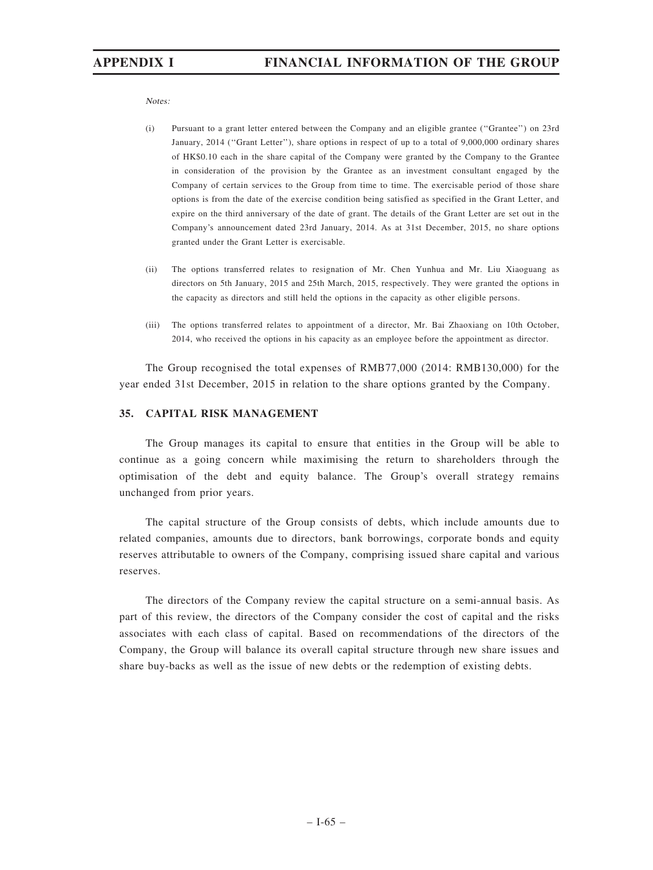Notes:

- (i) Pursuant to a grant letter entered between the Company and an eligible grantee (''Grantee'') on 23rd January, 2014 (''Grant Letter''), share options in respect of up to a total of 9,000,000 ordinary shares of HK\$0.10 each in the share capital of the Company were granted by the Company to the Grantee in consideration of the provision by the Grantee as an investment consultant engaged by the Company of certain services to the Group from time to time. The exercisable period of those share options is from the date of the exercise condition being satisfied as specified in the Grant Letter, and expire on the third anniversary of the date of grant. The details of the Grant Letter are set out in the Company's announcement dated 23rd January, 2014. As at 31st December, 2015, no share options granted under the Grant Letter is exercisable.
- (ii) The options transferred relates to resignation of Mr. Chen Yunhua and Mr. Liu Xiaoguang as directors on 5th January, 2015 and 25th March, 2015, respectively. They were granted the options in the capacity as directors and still held the options in the capacity as other eligible persons.
- (iii) The options transferred relates to appointment of a director, Mr. Bai Zhaoxiang on 10th October, 2014, who received the options in his capacity as an employee before the appointment as director.

The Group recognised the total expenses of RMB77,000 (2014: RMB130,000) for the year ended 31st December, 2015 in relation to the share options granted by the Company.

### 35. CAPITAL RISK MANAGEMENT

The Group manages its capital to ensure that entities in the Group will be able to continue as a going concern while maximising the return to shareholders through the optimisation of the debt and equity balance. The Group's overall strategy remains unchanged from prior years.

The capital structure of the Group consists of debts, which include amounts due to related companies, amounts due to directors, bank borrowings, corporate bonds and equity reserves attributable to owners of the Company, comprising issued share capital and various reserves.

The directors of the Company review the capital structure on a semi-annual basis. As part of this review, the directors of the Company consider the cost of capital and the risks associates with each class of capital. Based on recommendations of the directors of the Company, the Group will balance its overall capital structure through new share issues and share buy-backs as well as the issue of new debts or the redemption of existing debts.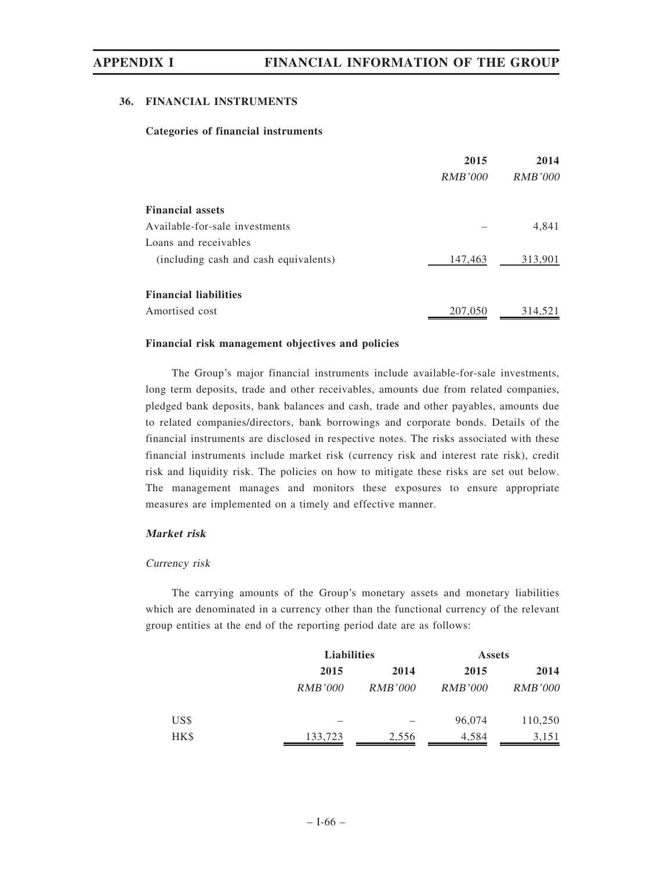## 36. FINANCIAL INSTRUMENTS

## Categories of financial instruments

|                                       | 2015    | 2014    |
|---------------------------------------|---------|---------|
|                                       | RMB'000 | RMB'000 |
| <b>Financial assets</b>               |         |         |
| Available-for-sale investments        |         | 4,841   |
| Loans and receivables                 |         |         |
| (including cash and cash equivalents) | 147,463 | 313,901 |
| <b>Financial liabilities</b>          |         |         |
| Amortised cost                        | 207,050 | 314,521 |

### Financial risk management objectives and policies

The Group's major financial instruments include available-for-sale investments, long term deposits, trade and other receivables, amounts due from related companies, pledged bank deposits, bank balances and cash, trade and other payables, amounts due to related companies/directors, bank borrowings and corporate bonds. Details of the financial instruments are disclosed in respective notes. The risks associated with these financial instruments include market risk (currency risk and interest rate risk), credit risk and liquidity risk. The policies on how to mitigate these risks are set out below. The management manages and monitors these exposures to ensure appropriate measures are implemented on a timely and effective manner.

### Market risk

### Currency risk

The carrying amounts of the Group's monetary assets and monetary liabilities which are denominated in a currency other than the functional currency of the relevant group entities at the end of the reporting period date are as follows:

|      | <b>Liabilities</b> |                | <b>Assets</b>  |                |
|------|--------------------|----------------|----------------|----------------|
|      | 2015               | 2014           |                | 2014           |
|      | <i>RMB'000</i>     | <i>RMB'000</i> | <i>RMB'000</i> | <i>RMB'000</i> |
| US\$ |                    |                | 96,074         | 110,250        |
| HK\$ | 133,723            | 2,556          | 4,584          | 3,151          |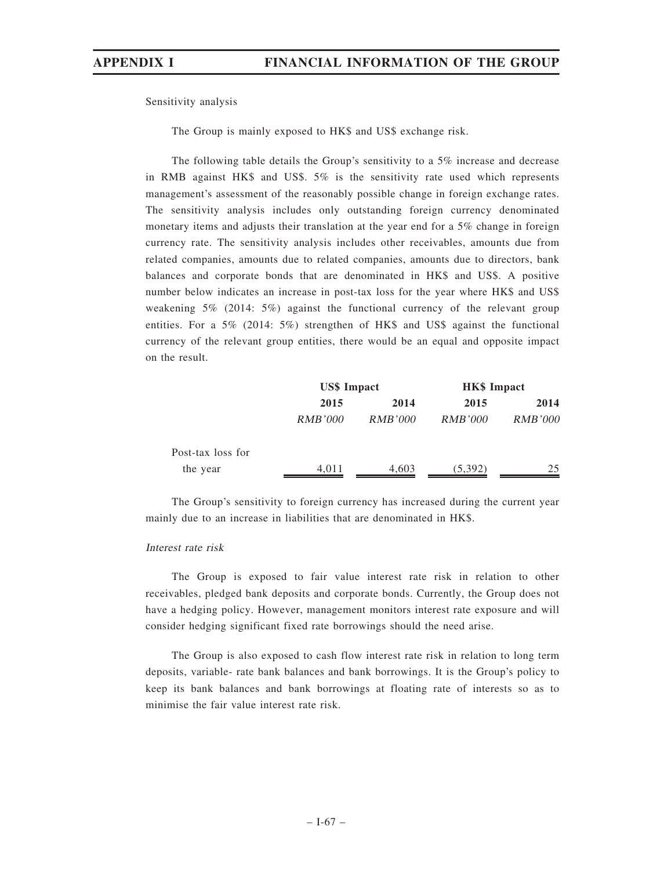Sensitivity analysis

The Group is mainly exposed to HK\$ and US\$ exchange risk.

The following table details the Group's sensitivity to a 5% increase and decrease in RMB against HK\$ and US\$. 5% is the sensitivity rate used which represents management's assessment of the reasonably possible change in foreign exchange rates. The sensitivity analysis includes only outstanding foreign currency denominated monetary items and adjusts their translation at the year end for a 5% change in foreign currency rate. The sensitivity analysis includes other receivables, amounts due from related companies, amounts due to related companies, amounts due to directors, bank balances and corporate bonds that are denominated in HK\$ and US\$. A positive number below indicates an increase in post-tax loss for the year where HK\$ and US\$ weakening 5% (2014: 5%) against the functional currency of the relevant group entities. For a 5% (2014: 5%) strengthen of HK\$ and US\$ against the functional currency of the relevant group entities, there would be an equal and opposite impact on the result.

|                   | <b>US\$</b> Impact |                | <b>HK\$</b> Impact |                |
|-------------------|--------------------|----------------|--------------------|----------------|
|                   | 2015<br>2014       |                | 2015               | 2014           |
|                   | <i>RMB'000</i>     | <i>RMB'000</i> | <i>RMB'000</i>     | <i>RMB'000</i> |
| Post-tax loss for |                    |                |                    |                |
| the year          | 4,011              | 4,603          | (5,392)            | 25             |

The Group's sensitivity to foreign currency has increased during the current year mainly due to an increase in liabilities that are denominated in HK\$.

### Interest rate risk

The Group is exposed to fair value interest rate risk in relation to other receivables, pledged bank deposits and corporate bonds. Currently, the Group does not have a hedging policy. However, management monitors interest rate exposure and will consider hedging significant fixed rate borrowings should the need arise.

The Group is also exposed to cash flow interest rate risk in relation to long term deposits, variable- rate bank balances and bank borrowings. It is the Group's policy to keep its bank balances and bank borrowings at floating rate of interests so as to minimise the fair value interest rate risk.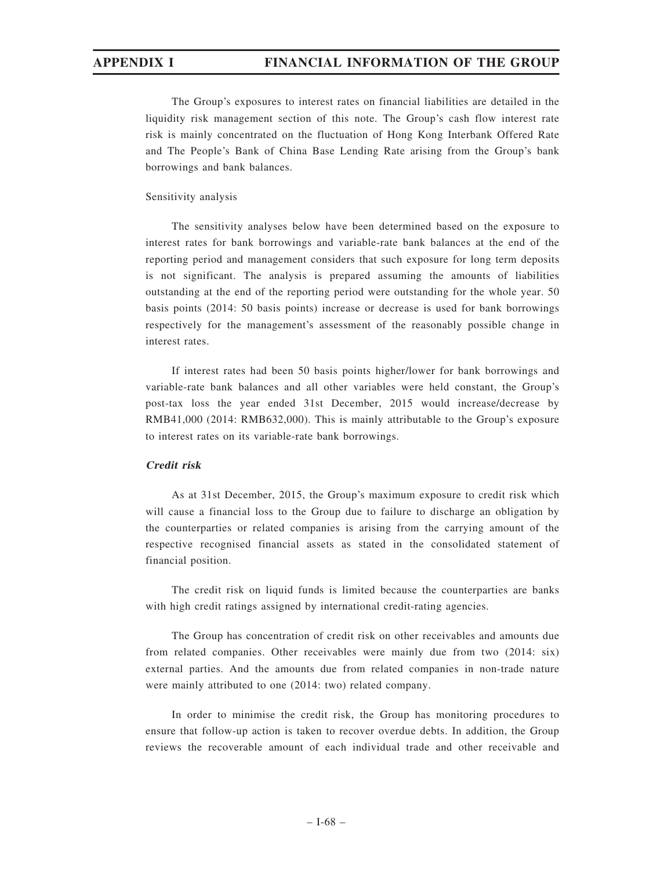The Group's exposures to interest rates on financial liabilities are detailed in the liquidity risk management section of this note. The Group's cash flow interest rate risk is mainly concentrated on the fluctuation of Hong Kong Interbank Offered Rate and The People's Bank of China Base Lending Rate arising from the Group's bank borrowings and bank balances.

### Sensitivity analysis

The sensitivity analyses below have been determined based on the exposure to interest rates for bank borrowings and variable-rate bank balances at the end of the reporting period and management considers that such exposure for long term deposits is not significant. The analysis is prepared assuming the amounts of liabilities outstanding at the end of the reporting period were outstanding for the whole year. 50 basis points (2014: 50 basis points) increase or decrease is used for bank borrowings respectively for the management's assessment of the reasonably possible change in interest rates.

If interest rates had been 50 basis points higher/lower for bank borrowings and variable-rate bank balances and all other variables were held constant, the Group's post-tax loss the year ended 31st December, 2015 would increase/decrease by RMB41,000 (2014: RMB632,000). This is mainly attributable to the Group's exposure to interest rates on its variable-rate bank borrowings.

## Credit risk

As at 31st December, 2015, the Group's maximum exposure to credit risk which will cause a financial loss to the Group due to failure to discharge an obligation by the counterparties or related companies is arising from the carrying amount of the respective recognised financial assets as stated in the consolidated statement of financial position.

The credit risk on liquid funds is limited because the counterparties are banks with high credit ratings assigned by international credit-rating agencies.

The Group has concentration of credit risk on other receivables and amounts due from related companies. Other receivables were mainly due from two (2014: six) external parties. And the amounts due from related companies in non-trade nature were mainly attributed to one (2014: two) related company.

In order to minimise the credit risk, the Group has monitoring procedures to ensure that follow-up action is taken to recover overdue debts. In addition, the Group reviews the recoverable amount of each individual trade and other receivable and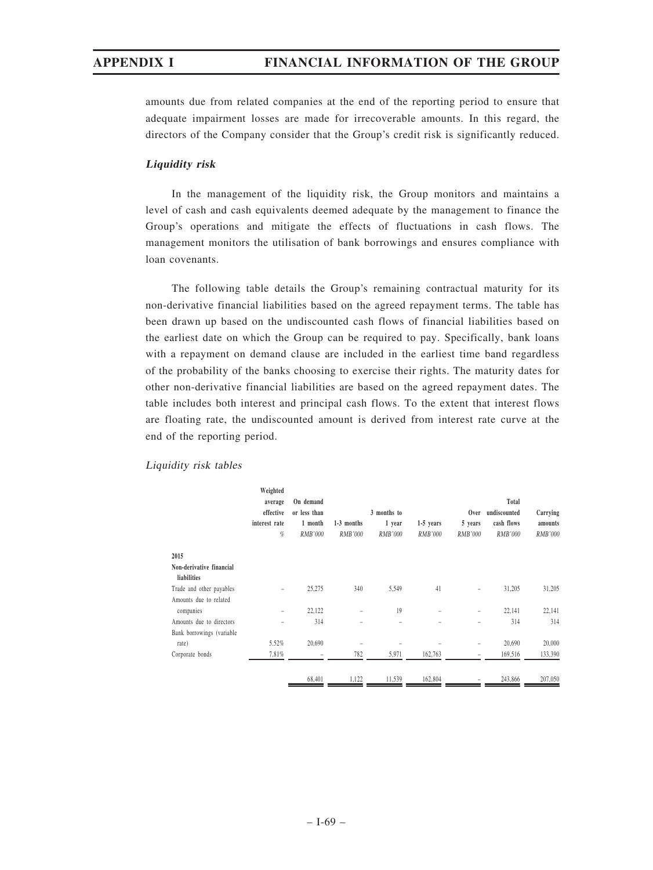amounts due from related companies at the end of the reporting period to ensure that adequate impairment losses are made for irrecoverable amounts. In this regard, the directors of the Company consider that the Group's credit risk is significantly reduced.

## Liquidity risk

In the management of the liquidity risk, the Group monitors and maintains a level of cash and cash equivalents deemed adequate by the management to finance the Group's operations and mitigate the effects of fluctuations in cash flows. The management monitors the utilisation of bank borrowings and ensures compliance with loan covenants.

The following table details the Group's remaining contractual maturity for its non-derivative financial liabilities based on the agreed repayment terms. The table has been drawn up based on the undiscounted cash flows of financial liabilities based on the earliest date on which the Group can be required to pay. Specifically, bank loans with a repayment on demand clause are included in the earliest time band regardless of the probability of the banks choosing to exercise their rights. The maturity dates for other non-derivative financial liabilities are based on the agreed repayment dates. The table includes both interest and principal cash flows. To the extent that interest flows are floating rate, the undiscounted amount is derived from interest rate curve at the end of the reporting period.

## Liquidity risk tables

|                                                       | Weighted<br>average<br>effective<br>interest rate<br>% | On demand<br>or less than<br>1 month<br>RMB'000 | 1-3 months<br>RMB'000 | 3 months to<br>1 year<br>RMB'000 | $1-5$ years<br>RMB'000 | Over<br>5 years<br>RMB'000 | Total<br>undiscounted<br>cash flows<br>RMB'000 | Carrying<br>amounts<br>RMB'000 |
|-------------------------------------------------------|--------------------------------------------------------|-------------------------------------------------|-----------------------|----------------------------------|------------------------|----------------------------|------------------------------------------------|--------------------------------|
| 2015                                                  |                                                        |                                                 |                       |                                  |                        |                            |                                                |                                |
| Non-derivative financial<br>liabilities               |                                                        |                                                 |                       |                                  |                        |                            |                                                |                                |
| Trade and other payables<br>Amounts due to related    |                                                        | 25,275                                          | 340                   | 5,549                            | 41                     | -                          | 31,205                                         | 31,205                         |
| companies                                             |                                                        | 22,122                                          | -                     | 19                               | -                      | $\qquad \qquad -$          | 22,141                                         | 22,141                         |
| Amounts due to directors<br>Bank borrowings (variable |                                                        | 314                                             |                       | $\overline{\phantom{0}}$         |                        | $\qquad \qquad$            | 314                                            | 314                            |
| rate)                                                 | 5.52%                                                  | 20,690                                          |                       |                                  |                        | -                          | 20,690                                         | 20,000                         |
| Corporate bonds                                       | 7.81%                                                  |                                                 | 782                   | 5,971                            | 162,763                |                            | 169,516                                        | 133,390                        |
|                                                       |                                                        | 68,401                                          | 1,122                 | 11,539                           | 162,804                |                            | 243,866                                        | 207,050                        |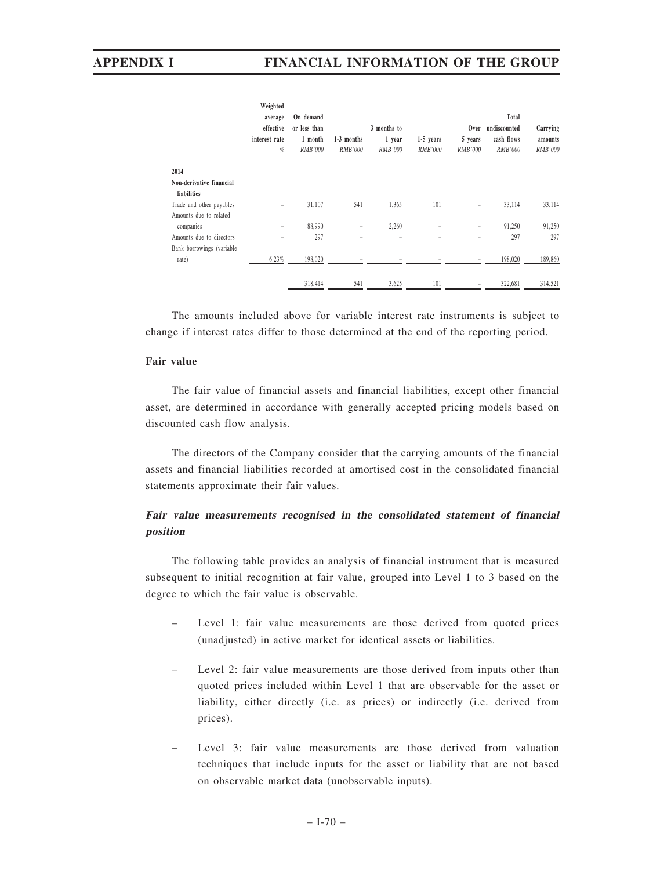|                                                       | Weighted<br>average<br>effective<br>interest rate<br>% | On demand<br>or less than<br>1 month<br>RMB'000 | 1-3 months<br>RMB'000 | 3 months to<br>1 year<br>RMB'000 | 1-5 years<br>RMB'000 | Over<br>5 years<br>RMB'000 | Total<br>undiscounted<br>cash flows<br>RMB'000 | Carrying<br>amounts<br>RMB'000 |
|-------------------------------------------------------|--------------------------------------------------------|-------------------------------------------------|-----------------------|----------------------------------|----------------------|----------------------------|------------------------------------------------|--------------------------------|
| 2014                                                  |                                                        |                                                 |                       |                                  |                      |                            |                                                |                                |
| Non-derivative financial<br>liabilities               |                                                        |                                                 |                       |                                  |                      |                            |                                                |                                |
| Trade and other payables<br>Amounts due to related    |                                                        | 31,107                                          | 541                   | 1,365                            | 101                  | -                          | 33,114                                         | 33,114                         |
| companies                                             | $\overline{\phantom{0}}$                               | 88,990                                          | -                     | 2,260                            |                      | -                          | 91,250                                         | 91,250                         |
| Amounts due to directors<br>Bank borrowings (variable |                                                        | 297                                             |                       |                                  |                      |                            | 297                                            | 297                            |
| rate)                                                 | 6.23%                                                  | 198,020                                         |                       |                                  |                      |                            | 198,020                                        | 189,860                        |
|                                                       |                                                        | 318,414                                         | 541                   | 3,625                            | 101                  |                            | 322,681                                        | 314,521                        |

The amounts included above for variable interest rate instruments is subject to change if interest rates differ to those determined at the end of the reporting period.

## Fair value

The fair value of financial assets and financial liabilities, except other financial asset, are determined in accordance with generally accepted pricing models based on discounted cash flow analysis.

The directors of the Company consider that the carrying amounts of the financial assets and financial liabilities recorded at amortised cost in the consolidated financial statements approximate their fair values.

## Fair value measurements recognised in the consolidated statement of financial position

The following table provides an analysis of financial instrument that is measured subsequent to initial recognition at fair value, grouped into Level 1 to 3 based on the degree to which the fair value is observable.

- Level 1: fair value measurements are those derived from quoted prices (unadjusted) in active market for identical assets or liabilities.
- Level 2: fair value measurements are those derived from inputs other than quoted prices included within Level 1 that are observable for the asset or liability, either directly (i.e. as prices) or indirectly (i.e. derived from prices).
- Level 3: fair value measurements are those derived from valuation techniques that include inputs for the asset or liability that are not based on observable market data (unobservable inputs).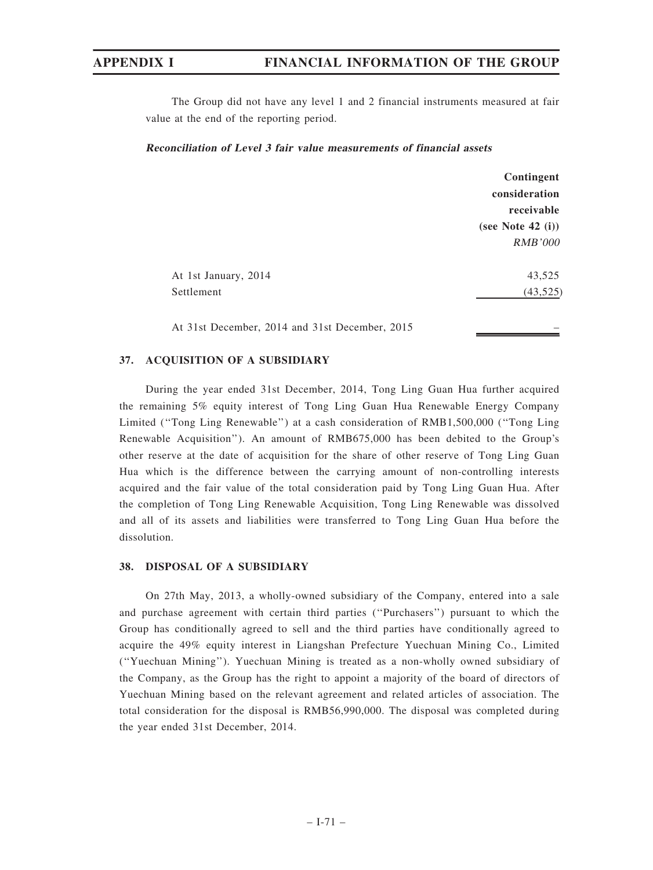The Group did not have any level 1 and 2 financial instruments measured at fair value at the end of the reporting period.

## Reconciliation of Level 3 fair value measurements of financial assets

|                                                | Contingent           |
|------------------------------------------------|----------------------|
|                                                | consideration        |
|                                                | receivable           |
|                                                | (see Note 42 $(i)$ ) |
|                                                | <i>RMB'000</i>       |
| At 1st January, 2014                           | 43,525               |
| Settlement                                     | (43, 525)            |
| At 31st December, 2014 and 31st December, 2015 |                      |

## 37. ACQUISITION OF A SUBSIDIARY

During the year ended 31st December, 2014, Tong Ling Guan Hua further acquired the remaining 5% equity interest of Tong Ling Guan Hua Renewable Energy Company Limited (''Tong Ling Renewable'') at a cash consideration of RMB1,500,000 (''Tong Ling Renewable Acquisition''). An amount of RMB675,000 has been debited to the Group's other reserve at the date of acquisition for the share of other reserve of Tong Ling Guan Hua which is the difference between the carrying amount of non-controlling interests acquired and the fair value of the total consideration paid by Tong Ling Guan Hua. After the completion of Tong Ling Renewable Acquisition, Tong Ling Renewable was dissolved and all of its assets and liabilities were transferred to Tong Ling Guan Hua before the dissolution.

## 38. DISPOSAL OF A SUBSIDIARY

On 27th May, 2013, a wholly-owned subsidiary of the Company, entered into a sale and purchase agreement with certain third parties (''Purchasers'') pursuant to which the Group has conditionally agreed to sell and the third parties have conditionally agreed to acquire the 49% equity interest in Liangshan Prefecture Yuechuan Mining Co., Limited (''Yuechuan Mining''). Yuechuan Mining is treated as a non-wholly owned subsidiary of the Company, as the Group has the right to appoint a majority of the board of directors of Yuechuan Mining based on the relevant agreement and related articles of association. The total consideration for the disposal is RMB56,990,000. The disposal was completed during the year ended 31st December, 2014.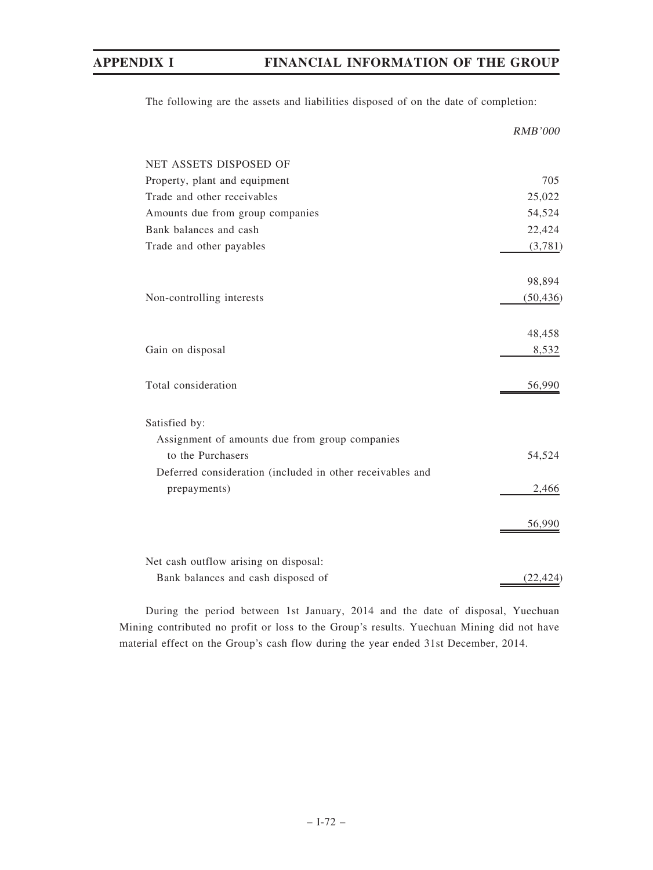|                                                                     | RMB'000   |
|---------------------------------------------------------------------|-----------|
| NET ASSETS DISPOSED OF                                              |           |
| Property, plant and equipment                                       | 705       |
| Trade and other receivables                                         | 25,022    |
| Amounts due from group companies                                    | 54,524    |
| Bank balances and cash                                              | 22,424    |
| Trade and other payables                                            | (3,781)   |
|                                                                     | 98,894    |
| Non-controlling interests                                           | (50, 436) |
|                                                                     | 48,458    |
| Gain on disposal                                                    | 8,532     |
| Total consideration                                                 | 56,990    |
| Satisfied by:                                                       |           |
| Assignment of amounts due from group companies<br>to the Purchasers | 54,524    |
| Deferred consideration (included in other receivables and           |           |
| prepayments)                                                        | 2,466     |
|                                                                     | 56,990    |
| Net cash outflow arising on disposal:                               |           |
| Bank balances and cash disposed of                                  | (22, 424) |

The following are the assets and liabilities disposed of on the date of completion:

During the period between 1st January, 2014 and the date of disposal, Yuechuan Mining contributed no profit or loss to the Group's results. Yuechuan Mining did not have material effect on the Group's cash flow during the year ended 31st December, 2014.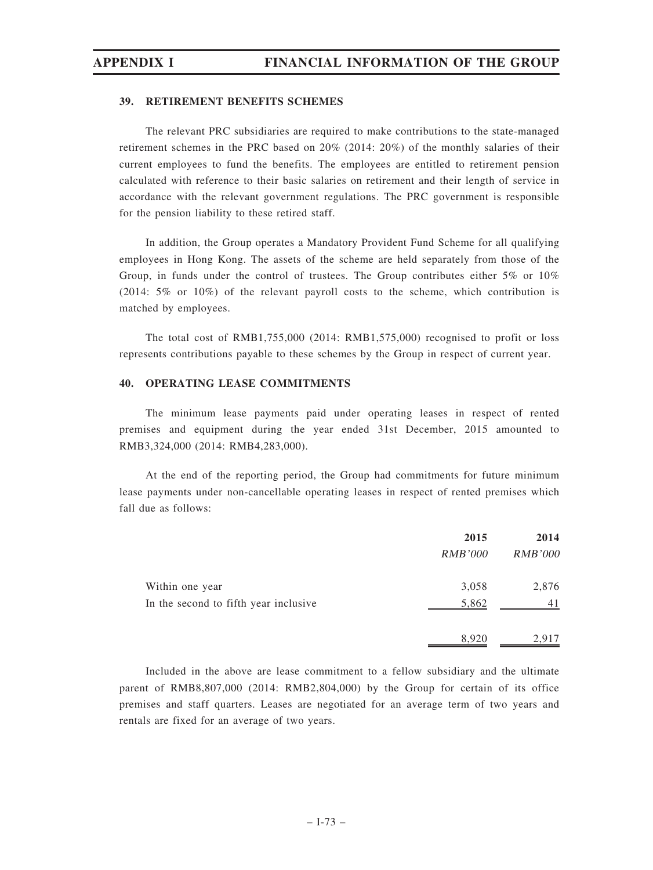## 39. RETIREMENT BENEFITS SCHEMES

The relevant PRC subsidiaries are required to make contributions to the state-managed retirement schemes in the PRC based on 20% (2014: 20%) of the monthly salaries of their current employees to fund the benefits. The employees are entitled to retirement pension calculated with reference to their basic salaries on retirement and their length of service in accordance with the relevant government regulations. The PRC government is responsible for the pension liability to these retired staff.

In addition, the Group operates a Mandatory Provident Fund Scheme for all qualifying employees in Hong Kong. The assets of the scheme are held separately from those of the Group, in funds under the control of trustees. The Group contributes either 5% or 10% (2014: 5% or 10%) of the relevant payroll costs to the scheme, which contribution is matched by employees.

The total cost of RMB1,755,000 (2014: RMB1,575,000) recognised to profit or loss represents contributions payable to these schemes by the Group in respect of current year.

## 40. OPERATING LEASE COMMITMENTS

The minimum lease payments paid under operating leases in respect of rented premises and equipment during the year ended 31st December, 2015 amounted to RMB3,324,000 (2014: RMB4,283,000).

At the end of the reporting period, the Group had commitments for future minimum lease payments under non-cancellable operating leases in respect of rented premises which fall due as follows:

|                                       | 2015           | 2014           |
|---------------------------------------|----------------|----------------|
|                                       | <i>RMB'000</i> | <i>RMB'000</i> |
| Within one year                       | 3,058          | 2,876          |
| In the second to fifth year inclusive | 5,862          | 41             |
|                                       | 8,920          | 2.917          |

Included in the above are lease commitment to a fellow subsidiary and the ultimate parent of RMB8,807,000 (2014: RMB2,804,000) by the Group for certain of its office premises and staff quarters. Leases are negotiated for an average term of two years and rentals are fixed for an average of two years.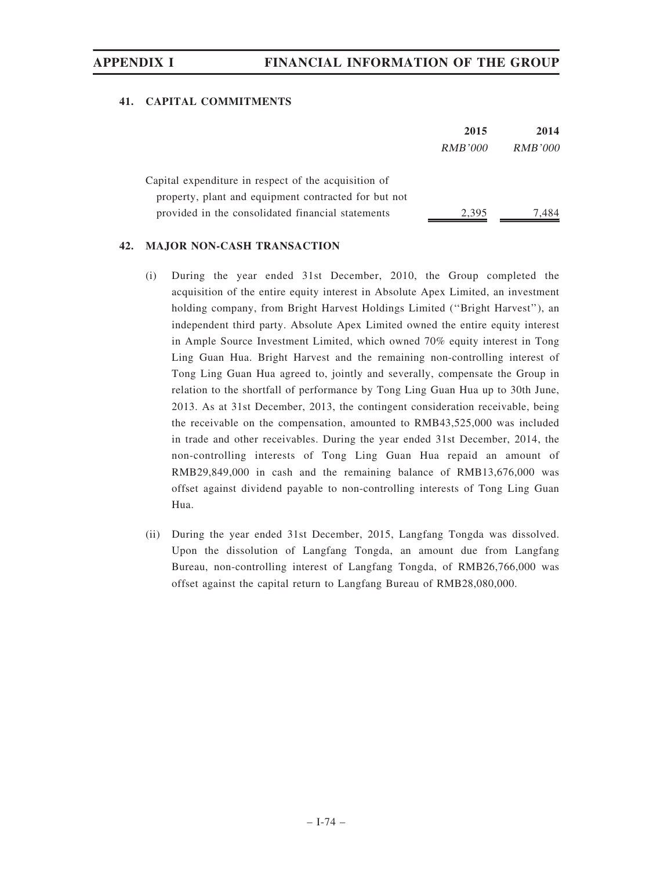## 41. CAPITAL COMMITMENTS

|                                                      | 2015    | 2014    |
|------------------------------------------------------|---------|---------|
|                                                      | RMB'000 | RMB'000 |
|                                                      |         |         |
| Capital expenditure in respect of the acquisition of |         |         |
| property, plant and equipment contracted for but not |         |         |
| provided in the consolidated financial statements    | 2.395   | 7.484   |

## 42. MAJOR NON-CASH TRANSACTION

- (i) During the year ended 31st December, 2010, the Group completed the acquisition of the entire equity interest in Absolute Apex Limited, an investment holding company, from Bright Harvest Holdings Limited (''Bright Harvest''), an independent third party. Absolute Apex Limited owned the entire equity interest in Ample Source Investment Limited, which owned 70% equity interest in Tong Ling Guan Hua. Bright Harvest and the remaining non-controlling interest of Tong Ling Guan Hua agreed to, jointly and severally, compensate the Group in relation to the shortfall of performance by Tong Ling Guan Hua up to 30th June, 2013. As at 31st December, 2013, the contingent consideration receivable, being the receivable on the compensation, amounted to RMB43,525,000 was included in trade and other receivables. During the year ended 31st December, 2014, the non-controlling interests of Tong Ling Guan Hua repaid an amount of RMB29,849,000 in cash and the remaining balance of RMB13,676,000 was offset against dividend payable to non-controlling interests of Tong Ling Guan Hua.
- (ii) During the year ended 31st December, 2015, Langfang Tongda was dissolved. Upon the dissolution of Langfang Tongda, an amount due from Langfang Bureau, non-controlling interest of Langfang Tongda, of RMB26,766,000 was offset against the capital return to Langfang Bureau of RMB28,080,000.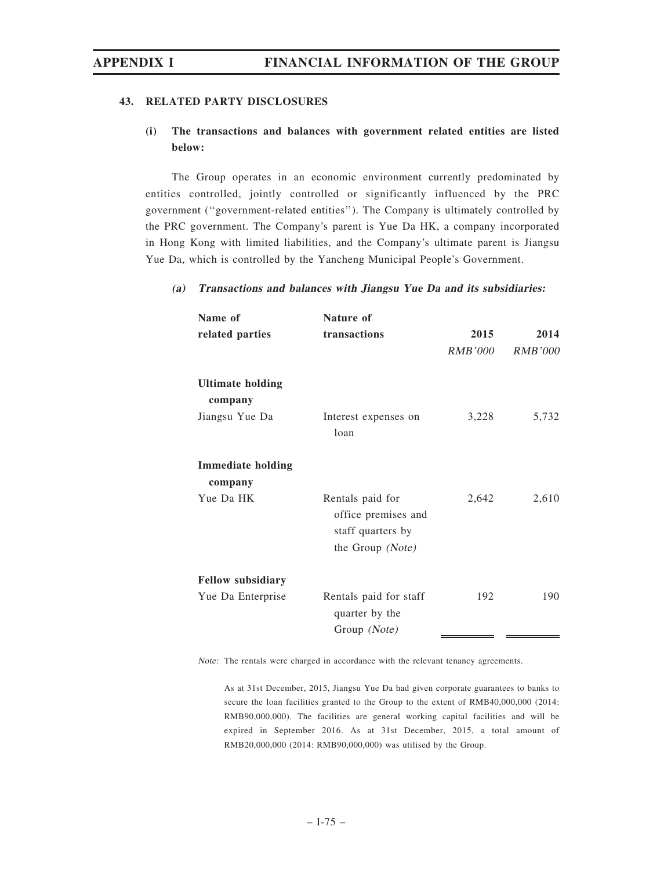## 43. RELATED PARTY DISCLOSURES

## (i) The transactions and balances with government related entities are listed below:

The Group operates in an economic environment currently predominated by entities controlled, jointly controlled or significantly influenced by the PRC government (''government-related entities''). The Company is ultimately controlled by the PRC government. The Company's parent is Yue Da HK, a company incorporated in Hong Kong with limited liabilities, and the Company's ultimate parent is Jiangsu Yue Da, which is controlled by the Yancheng Municipal People's Government.

## (a) Transactions and balances with Jiangsu Yue Da and its subsidiaries:

| Name of<br>related parties                           | Nature of<br>transactions                                                        | 2015<br><i>RMB'000</i> | 2014<br><b>RMB'000</b> |
|------------------------------------------------------|----------------------------------------------------------------------------------|------------------------|------------------------|
| <b>Ultimate holding</b><br>company<br>Jiangsu Yue Da | Interest expenses on<br>loan                                                     | 3,228                  | 5,732                  |
| <b>Immediate holding</b><br>company                  |                                                                                  |                        |                        |
| Yue Da HK                                            | Rentals paid for<br>office premises and<br>staff quarters by<br>the Group (Note) | 2,642                  | 2,610                  |
| <b>Fellow subsidiary</b>                             |                                                                                  |                        |                        |
| Yue Da Enterprise                                    | Rentals paid for staff<br>quarter by the<br>Group (Note)                         | 192                    | 190                    |

Note: The rentals were charged in accordance with the relevant tenancy agreements.

As at 31st December, 2015, Jiangsu Yue Da had given corporate guarantees to banks to secure the loan facilities granted to the Group to the extent of RMB40,000,000 (2014: RMB90,000,000). The facilities are general working capital facilities and will be expired in September 2016. As at 31st December, 2015, a total amount of RMB20,000,000 (2014: RMB90,000,000) was utilised by the Group.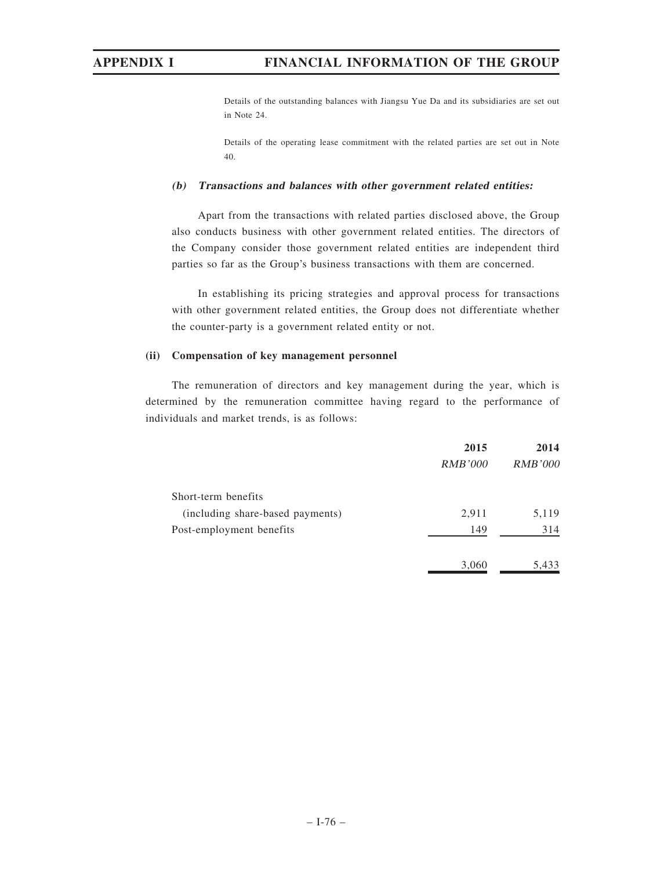Details of the outstanding balances with Jiangsu Yue Da and its subsidiaries are set out in Note 24.

Details of the operating lease commitment with the related parties are set out in Note 40.

### (b) Transactions and balances with other government related entities:

Apart from the transactions with related parties disclosed above, the Group also conducts business with other government related entities. The directors of the Company consider those government related entities are independent third parties so far as the Group's business transactions with them are concerned.

In establishing its pricing strategies and approval process for transactions with other government related entities, the Group does not differentiate whether the counter-party is a government related entity or not.

## (ii) Compensation of key management personnel

The remuneration of directors and key management during the year, which is determined by the remuneration committee having regard to the performance of individuals and market trends, is as follows:

|                                  | 2015           | 2014           |
|----------------------------------|----------------|----------------|
|                                  | <i>RMB'000</i> | <i>RMB'000</i> |
| Short-term benefits              |                |                |
| (including share-based payments) | 2,911          | 5,119          |
| Post-employment benefits         | 149            | 314            |
|                                  | 3,060          | 5,433          |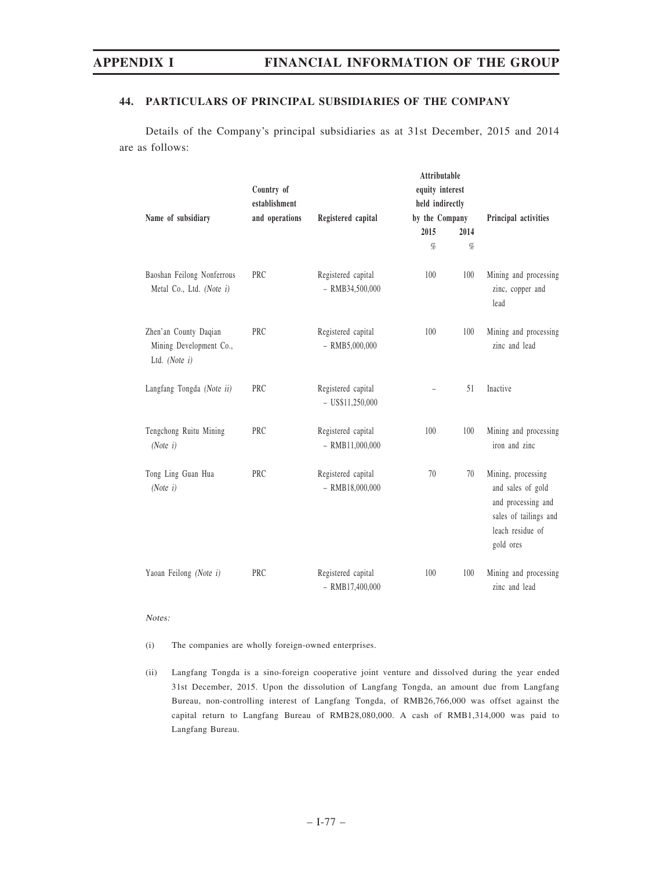## 44. PARTICULARS OF PRINCIPAL SUBSIDIARIES OF THE COMPANY

Details of the Company's principal subsidiaries as at 31st December, 2015 and 2014 are as follows:

|                                                                     | Country of<br>establishment |                                          | Attributable<br>equity interest<br>held indirectly |      |                                                                                                                         |  |  |
|---------------------------------------------------------------------|-----------------------------|------------------------------------------|----------------------------------------------------|------|-------------------------------------------------------------------------------------------------------------------------|--|--|
| Name of subsidiary                                                  | and operations              | Registered capital                       | by the Company                                     |      | Principal activities                                                                                                    |  |  |
|                                                                     |                             |                                          | 2015                                               | 2014 |                                                                                                                         |  |  |
|                                                                     |                             |                                          | $\%$                                               | %    |                                                                                                                         |  |  |
| Baoshan Feilong Nonferrous<br>Metal Co., Ltd. (Note i)              | PRC                         | Registered capital<br>$-$ RMB34,500,000  | 100                                                | 100  | Mining and processing<br>zinc, copper and<br>lead                                                                       |  |  |
| Zhen'an County Dagian<br>Mining Development Co.,<br>Ltd. $(Note i)$ | PRC                         | Registered capital<br>$-$ RMB5,000,000   | 100                                                | 100  | Mining and processing<br>zinc and lead                                                                                  |  |  |
| Langfang Tongda (Note ii)                                           | PRC                         | Registered capital<br>$-$ US\$11,250,000 |                                                    | 51   | Inactive                                                                                                                |  |  |
| Tengchong Ruitu Mining<br>(Note i)                                  | PRC                         | Registered capital<br>$-$ RMB11,000,000  | 100                                                | 100  | Mining and processing<br>iron and zinc                                                                                  |  |  |
| Tong Ling Guan Hua<br>(Note i)                                      | PRC                         | Registered capital<br>$-$ RMB18,000,000  | 70                                                 | 70   | Mining, processing<br>and sales of gold<br>and processing and<br>sales of tailings and<br>leach residue of<br>gold ores |  |  |
| Yaoan Feilong (Note i)                                              | PRC                         | Registered capital<br>$-$ RMB17,400,000  | 100                                                | 100  | Mining and processing<br>zinc and lead                                                                                  |  |  |

### Notes:

(i) The companies are wholly foreign-owned enterprises.

(ii) Langfang Tongda is a sino-foreign cooperative joint venture and dissolved during the year ended 31st December, 2015. Upon the dissolution of Langfang Tongda, an amount due from Langfang Bureau, non-controlling interest of Langfang Tongda, of RMB26,766,000 was offset against the capital return to Langfang Bureau of RMB28,080,000. A cash of RMB1,314,000 was paid to Langfang Bureau.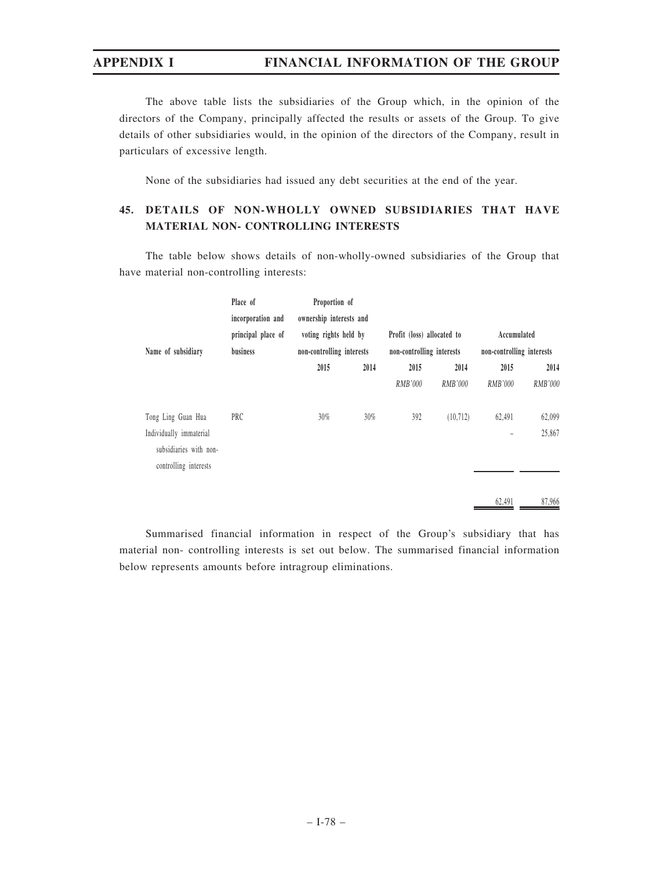The above table lists the subsidiaries of the Group which, in the opinion of the directors of the Company, principally affected the results or assets of the Group. To give details of other subsidiaries would, in the opinion of the directors of the Company, result in particulars of excessive length.

None of the subsidiaries had issued any debt securities at the end of the year.

## 45. DETAILS OF NON-WHOLLY OWNED SUBSIDIARIES THAT HAVE MATERIAL NON- CONTROLLING INTERESTS

The table below shows details of non-wholly-owned subsidiaries of the Group that have material non-controlling interests:

| Name of subsidiary                                                         | Proportion of<br>Place of<br>incorporation and<br>ownership interests and<br>principal place of<br>voting rights held by<br>business<br>non-controlling interests |      |      | Profit (loss) allocated to<br>non-controlling interests |           | Accumulated<br>non-controlling interests |         |
|----------------------------------------------------------------------------|-------------------------------------------------------------------------------------------------------------------------------------------------------------------|------|------|---------------------------------------------------------|-----------|------------------------------------------|---------|
|                                                                            |                                                                                                                                                                   | 2015 | 2014 | 2015                                                    | 2014      | 2015                                     | 2014    |
|                                                                            |                                                                                                                                                                   |      |      | RMB'000                                                 | RMB'000   | RMB'000                                  | RMB'000 |
| Tong Ling Guan Hua                                                         | PRC                                                                                                                                                               | 30%  | 30%  | 392                                                     | (10, 712) | 62,491                                   | 62,099  |
| Individually immaterial<br>subsidiaries with non-<br>controlling interests |                                                                                                                                                                   |      |      |                                                         |           | $\qquad \qquad -$                        | 25,867  |
|                                                                            |                                                                                                                                                                   |      |      |                                                         |           | 62,491                                   | 87,966  |

Summarised financial information in respect of the Group's subsidiary that has material non- controlling interests is set out below. The summarised financial information below represents amounts before intragroup eliminations.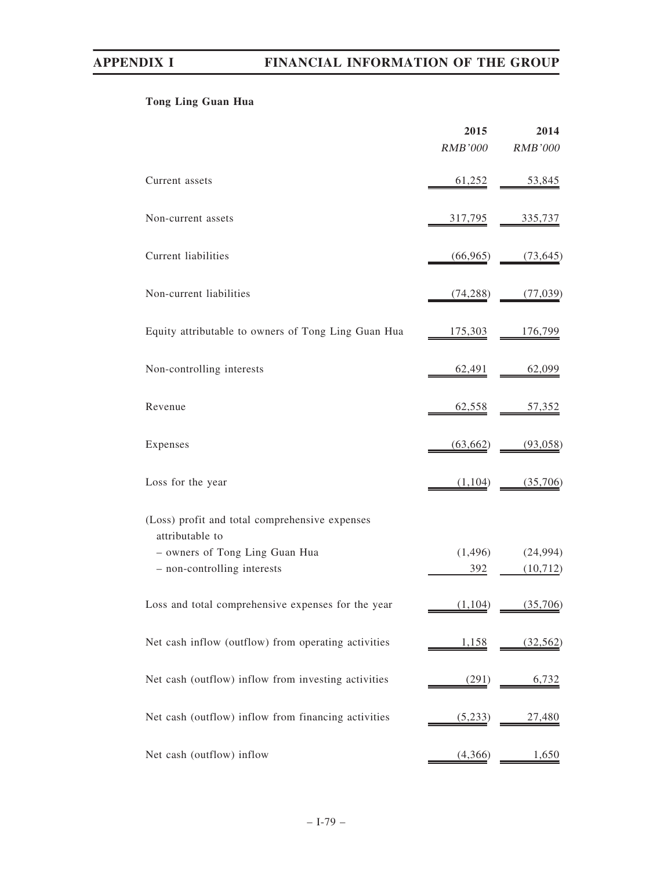# Tong Ling Guan Hua

|                                                                   | 2015<br><b>RMB'000</b> | 2014<br>RMB'000 |
|-------------------------------------------------------------------|------------------------|-----------------|
| Current assets                                                    | 61,252                 | 53,845          |
| Non-current assets                                                | 317,795                | <u>335,737</u>  |
| Current liabilities                                               | (66, 965)              | (73, 645)       |
| Non-current liabilities                                           | (74, 288)              | (77, 039)       |
| Equity attributable to owners of Tong Ling Guan Hua               | 175,303                | 176,799         |
| Non-controlling interests                                         | 62,491                 | 62,099          |
| Revenue                                                           | 62,558                 | 57,352          |
| Expenses                                                          | (63, 662)              | (93, 058)       |
| Loss for the year                                                 | (1,104)                | (35,706)        |
| (Loss) profit and total comprehensive expenses<br>attributable to |                        |                 |
| - owners of Tong Ling Guan Hua                                    | (1, 496)               | (24, 994)       |
| - non-controlling interests                                       | 392                    | (10, 712)       |
| Loss and total comprehensive expenses for the year                | (1,104)                | (35,706)        |
| Net cash inflow (outflow) from operating activities               | <u>1,158</u>           | (32, 562)       |
| Net cash (outflow) inflow from investing activities               | (291)                  | 6,732           |
| Net cash (outflow) inflow from financing activities               | (5,233)                | <u>27,480</u>   |
| Net cash (outflow) inflow                                         | (4,366)                | 1,650           |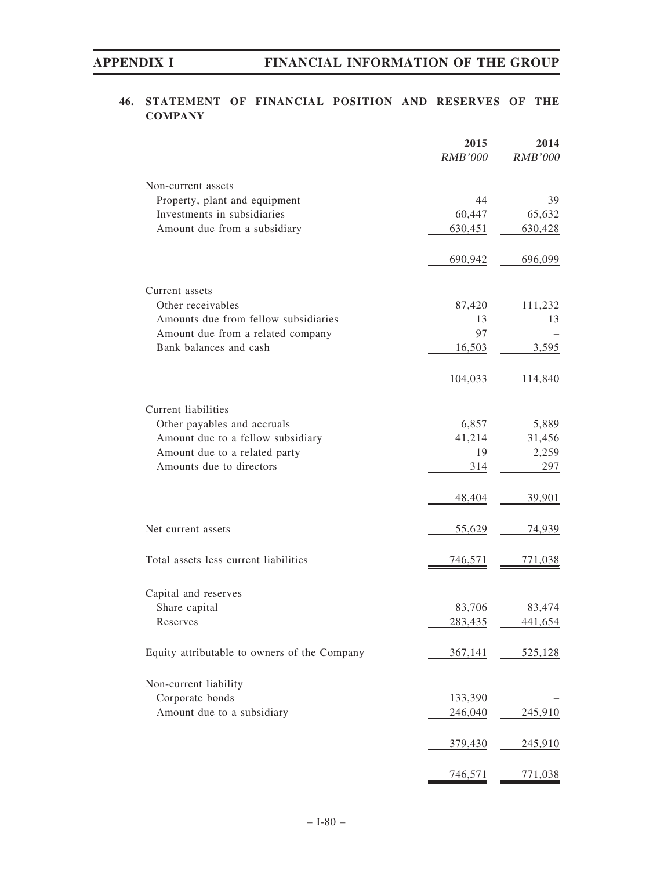## 46. STATEMENT OF FINANCIAL POSITION AND RESERVES OF THE **COMPANY**

|                                              | 2015<br><b>RMB'000</b> | 2014<br>RMB'000 |
|----------------------------------------------|------------------------|-----------------|
| Non-current assets                           |                        |                 |
| Property, plant and equipment                | 44                     | 39              |
| Investments in subsidiaries                  | 60,447                 | 65,632          |
| Amount due from a subsidiary                 | 630,451                | 630,428         |
|                                              | 690,942                | 696,099         |
| Current assets                               |                        |                 |
| Other receivables                            | 87,420                 | 111,232         |
| Amounts due from fellow subsidiaries         | 13                     | 13              |
| Amount due from a related company            | 97                     |                 |
| Bank balances and cash                       | 16,503                 | 3,595           |
|                                              | 104,033                | 114,840         |
|                                              |                        |                 |
| Current liabilities                          |                        |                 |
| Other payables and accruals                  | 6,857                  | 5,889           |
| Amount due to a fellow subsidiary            | 41,214                 | 31,456          |
| Amount due to a related party                | 19                     | 2,259           |
| Amounts due to directors                     | 314                    | 297             |
|                                              | 48,404                 | 39,901          |
| Net current assets                           | 55,629                 | 74,939          |
| Total assets less current liabilities        | 746,571                | 771,038         |
|                                              |                        |                 |
| Capital and reserves                         |                        |                 |
| Share capital                                | 83,706                 | 83,474          |
| Reserves                                     | 283,435                | 441,654         |
| Equity attributable to owners of the Company | 367,141                | 525,128         |
| Non-current liability                        |                        |                 |
| Corporate bonds                              | 133,390                |                 |
| Amount due to a subsidiary                   | 246,040                | 245,910         |
|                                              | 379,430                | 245,910         |
|                                              | <u>746,571</u>         | 771,038         |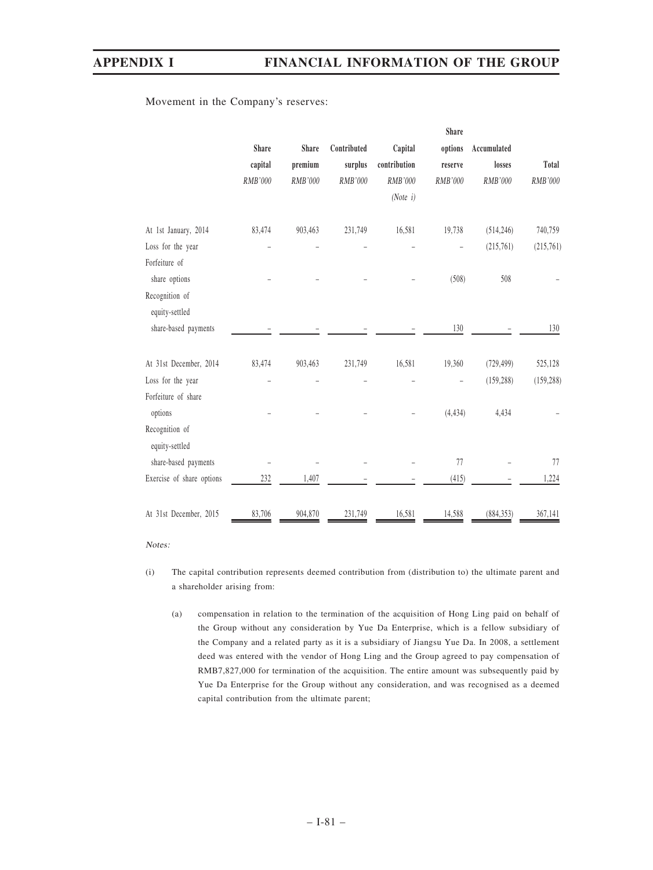Share

|                           |         |         |             |              | опагс    |             |            |
|---------------------------|---------|---------|-------------|--------------|----------|-------------|------------|
|                           | Share   | Share   | Contributed | Capital      | options  | Accumulated |            |
|                           | capital | premium | surplus     | contribution | reserve  | losses      | Total      |
|                           | RMB'000 | RMB'000 | RMB'000     | RMB'000      | RMB'000  | RMB'000     | RMB'000    |
|                           |         |         |             | (Note i)     |          |             |            |
| At 1st January, 2014      | 83,474  | 903,463 | 231,749     | 16,581       | 19,738   | (514, 246)  | 740,759    |
| Loss for the year         |         |         |             |              |          | (215,761)   | (215,761)  |
| Forfeiture of             |         |         |             |              |          |             |            |
| share options             |         |         |             |              | (508)    | 508         |            |
| Recognition of            |         |         |             |              |          |             |            |
| equity-settled            |         |         |             |              |          |             |            |
| share-based payments      |         |         |             |              | 130      |             | 130        |
|                           |         |         |             |              |          |             |            |
| At 31st December, 2014    | 83,474  | 903,463 | 231,749     | 16,581       | 19,360   | (729, 499)  | 525,128    |
| Loss for the year         |         |         |             |              |          | (159, 288)  | (159, 288) |
| Forfeiture of share       |         |         |             |              |          |             |            |
| options                   |         |         |             |              | (4, 434) | 4,434       |            |
| Recognition of            |         |         |             |              |          |             |            |
| equity-settled            |         |         |             |              |          |             |            |
| share-based payments      |         |         |             |              | 77       |             | 77         |
| Exercise of share options | 232     | 1,407   |             |              | (415)    |             | 1,224      |
|                           |         |         |             |              |          |             |            |
| At 31st December, 2015    | 83,706  | 904,870 | 231,749     | 16,581       | 14,588   | (884, 353)  | 367,141    |

Movement in the Company's reserves:

### Notes:

- (i) The capital contribution represents deemed contribution from (distribution to) the ultimate parent and a shareholder arising from:
	- (a) compensation in relation to the termination of the acquisition of Hong Ling paid on behalf of the Group without any consideration by Yue Da Enterprise, which is a fellow subsidiary of the Company and a related party as it is a subsidiary of Jiangsu Yue Da. In 2008, a settlement deed was entered with the vendor of Hong Ling and the Group agreed to pay compensation of RMB7,827,000 for termination of the acquisition. The entire amount was subsequently paid by Yue Da Enterprise for the Group without any consideration, and was recognised as a deemed capital contribution from the ultimate parent;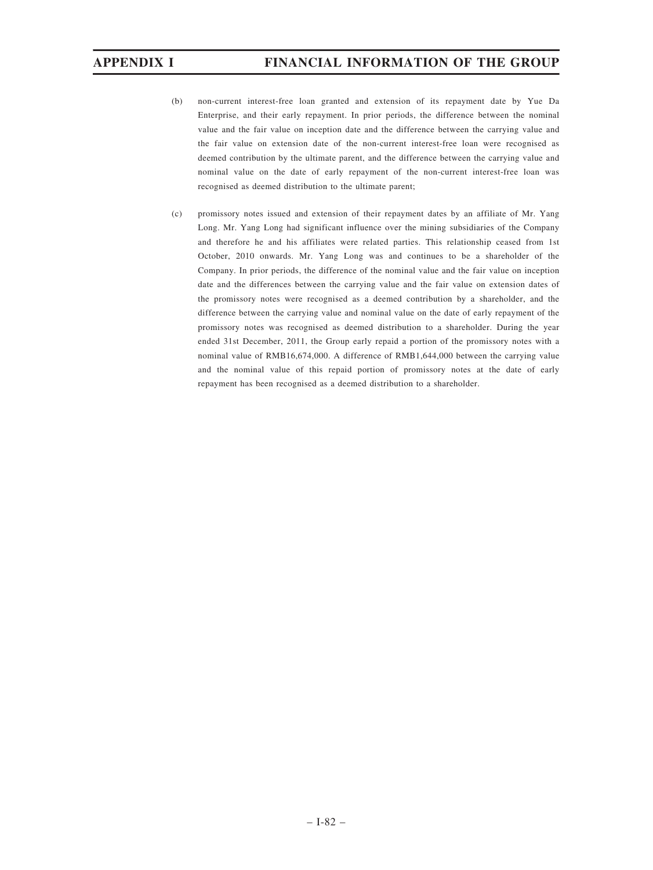- (b) non-current interest-free loan granted and extension of its repayment date by Yue Da Enterprise, and their early repayment. In prior periods, the difference between the nominal value and the fair value on inception date and the difference between the carrying value and the fair value on extension date of the non-current interest-free loan were recognised as deemed contribution by the ultimate parent, and the difference between the carrying value and nominal value on the date of early repayment of the non-current interest-free loan was recognised as deemed distribution to the ultimate parent;
- (c) promissory notes issued and extension of their repayment dates by an affiliate of Mr. Yang Long. Mr. Yang Long had significant influence over the mining subsidiaries of the Company and therefore he and his affiliates were related parties. This relationship ceased from 1st October, 2010 onwards. Mr. Yang Long was and continues to be a shareholder of the Company. In prior periods, the difference of the nominal value and the fair value on inception date and the differences between the carrying value and the fair value on extension dates of the promissory notes were recognised as a deemed contribution by a shareholder, and the difference between the carrying value and nominal value on the date of early repayment of the promissory notes was recognised as deemed distribution to a shareholder. During the year ended 31st December, 2011, the Group early repaid a portion of the promissory notes with a nominal value of RMB16,674,000. A difference of RMB1,644,000 between the carrying value and the nominal value of this repaid portion of promissory notes at the date of early repayment has been recognised as a deemed distribution to a shareholder.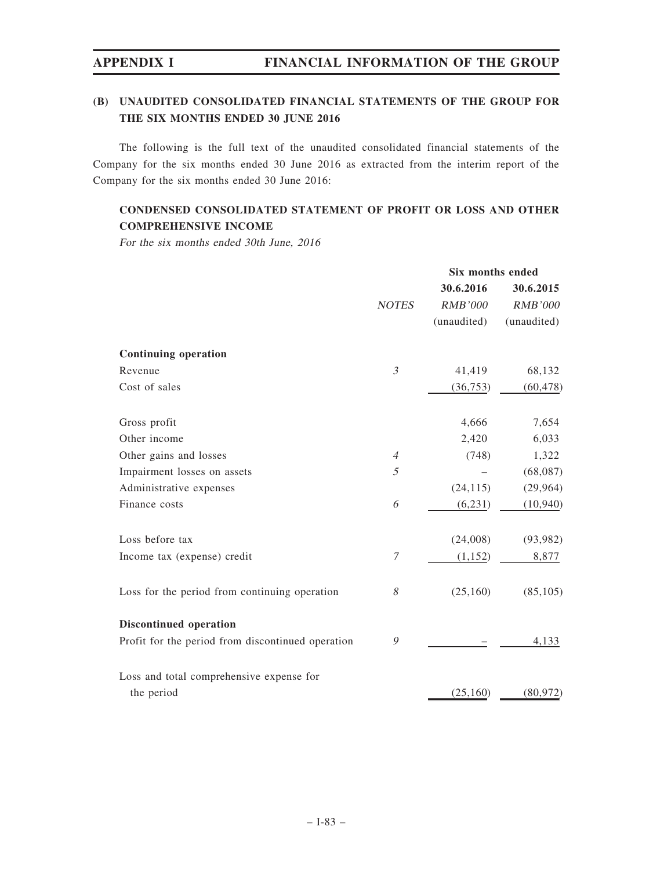## (B) UNAUDITED CONSOLIDATED FINANCIAL STATEMENTS OF THE GROUP FOR THE SIX MONTHS ENDED 30 JUNE 2016

The following is the full text of the unaudited consolidated financial statements of the Company for the six months ended 30 June 2016 as extracted from the interim report of the Company for the six months ended 30 June 2016:

## CONDENSED CONSOLIDATED STATEMENT OF PROFIT OR LOSS AND OTHER COMPREHENSIVE INCOME

For the six months ended 30th June, 2016

|                                                   | Six months ended |                |             |  |  |
|---------------------------------------------------|------------------|----------------|-------------|--|--|
|                                                   |                  | 30.6.2016      | 30.6.2015   |  |  |
|                                                   | <b>NOTES</b>     | <b>RMB'000</b> | RMB'000     |  |  |
|                                                   |                  | (unaudited)    | (unaudited) |  |  |
| <b>Continuing operation</b>                       |                  |                |             |  |  |
| Revenue                                           | $\mathfrak{Z}$   | 41,419         | 68,132      |  |  |
| Cost of sales                                     |                  | (36, 753)      | (60, 478)   |  |  |
| Gross profit                                      |                  | 4,666          | 7,654       |  |  |
| Other income                                      |                  | 2,420          | 6,033       |  |  |
| Other gains and losses                            | $\overline{4}$   | (748)          | 1,322       |  |  |
| Impairment losses on assets                       | 5                |                | (68,087)    |  |  |
| Administrative expenses                           |                  | (24, 115)      | (29, 964)   |  |  |
| Finance costs                                     | 6                | (6,231)        | (10, 940)   |  |  |
| Loss before tax                                   |                  | (24,008)       | (93, 982)   |  |  |
| Income tax (expense) credit                       | 7                | (1, 152)       | 8,877       |  |  |
| Loss for the period from continuing operation     | $\boldsymbol{8}$ | (25,160)       | (85, 105)   |  |  |
| <b>Discontinued operation</b>                     |                  |                |             |  |  |
| Profit for the period from discontinued operation | 9                |                | 4,133       |  |  |
| Loss and total comprehensive expense for          |                  |                |             |  |  |
| the period                                        |                  | (25,160)       | (80, 972)   |  |  |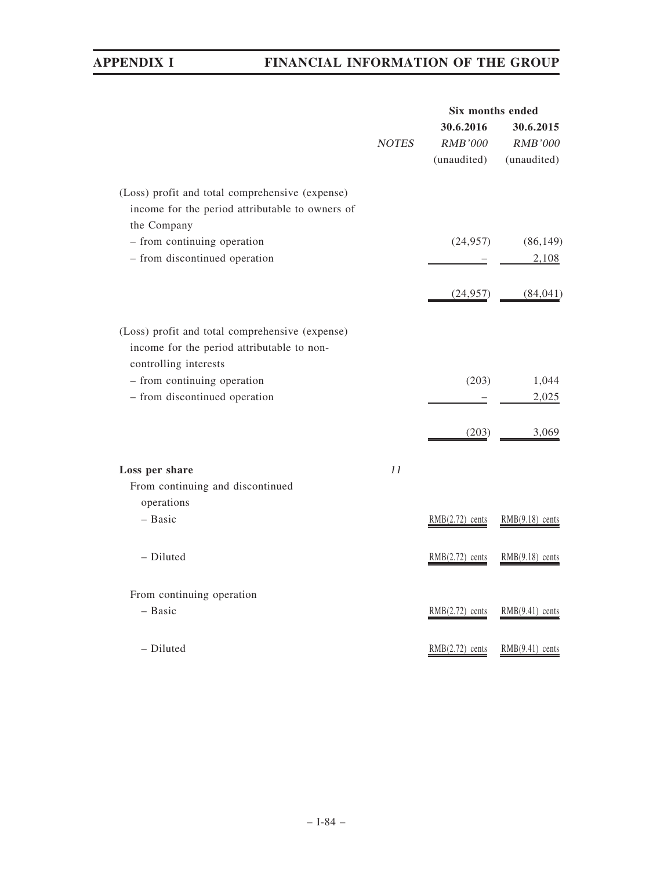|                                                                |              | Six months ended  |                   |
|----------------------------------------------------------------|--------------|-------------------|-------------------|
|                                                                |              | 30.6.2016         | 30.6.2015         |
|                                                                | <b>NOTES</b> | <b>RMB'000</b>    | <b>RMB'000</b>    |
|                                                                |              | (unaudited)       | (unaudited)       |
| (Loss) profit and total comprehensive (expense)                |              |                   |                   |
| income for the period attributable to owners of<br>the Company |              |                   |                   |
| - from continuing operation                                    |              | (24, 957)         | (86, 149)         |
| - from discontinued operation                                  |              |                   | 2,108             |
|                                                                |              |                   |                   |
|                                                                |              | (24, 957)         | (84, 041)         |
| (Loss) profit and total comprehensive (expense)                |              |                   |                   |
| income for the period attributable to non-                     |              |                   |                   |
| controlling interests                                          |              |                   |                   |
| - from continuing operation                                    |              | (203)             | 1,044             |
| - from discontinued operation                                  |              |                   | 2,025             |
|                                                                |              | (203)             | 3,069             |
| Loss per share                                                 | 11           |                   |                   |
| From continuing and discontinued                               |              |                   |                   |
| operations                                                     |              |                   |                   |
| - Basic                                                        |              | $RMB(2.72)$ cents | $RMB(9.18)$ cents |
| - Diluted                                                      |              |                   | $RMB(9.18)$ cents |
|                                                                |              | $RMB(2.72)$ cents |                   |
| From continuing operation                                      |              |                   |                   |
| - Basic                                                        |              | $RMB(2.72)$ cents | $RMB(9.41)$ cents |
| - Diluted                                                      |              | $RMB(2.72)$ cents | $RMB(9.41)$ cents |
|                                                                |              |                   |                   |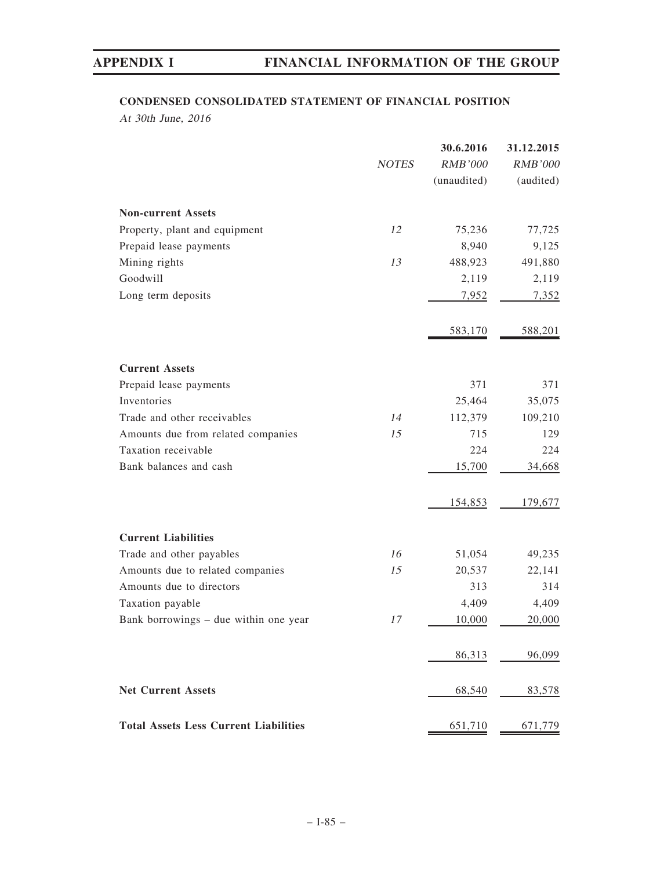## CONDENSED CONSOLIDATED STATEMENT OF FINANCIAL POSITION

At 30th June, 2016

|                                              | <b>NOTES</b> | 30.6.2016<br><b>RMB'000</b><br>(unaudited) | 31.12.2015<br>RMB'000<br>(audited) |
|----------------------------------------------|--------------|--------------------------------------------|------------------------------------|
| <b>Non-current Assets</b>                    |              |                                            |                                    |
| Property, plant and equipment                | 12           | 75,236                                     | 77,725                             |
| Prepaid lease payments                       |              | 8,940                                      | 9,125                              |
| Mining rights                                | 13           | 488,923                                    | 491,880                            |
| Goodwill                                     |              | 2,119                                      | 2,119                              |
| Long term deposits                           |              | 7,952                                      | 7,352                              |
|                                              |              | 583,170                                    | 588,201                            |
| <b>Current Assets</b>                        |              |                                            |                                    |
| Prepaid lease payments                       |              | 371                                        | 371                                |
| Inventories                                  |              | 25,464                                     | 35,075                             |
| Trade and other receivables                  | 14           | 112,379                                    | 109,210                            |
| Amounts due from related companies           | 15           | 715                                        | 129                                |
| Taxation receivable                          |              | 224                                        | 224                                |
| Bank balances and cash                       |              | 15,700                                     | 34,668                             |
|                                              |              | <u>154,853</u>                             | 179,677                            |
| <b>Current Liabilities</b>                   |              |                                            |                                    |
| Trade and other payables                     | 16           | 51,054                                     | 49,235                             |
| Amounts due to related companies             | 15           | 20,537                                     | 22,141                             |
| Amounts due to directors                     |              | 313                                        | 314                                |
| Taxation payable                             |              | 4,409                                      | 4,409                              |
| Bank borrowings - due within one year        | 17           | 10,000                                     | 20,000                             |
|                                              |              | 86,313                                     | 96,099                             |
| <b>Net Current Assets</b>                    |              | 68,540                                     | 83,578                             |
| <b>Total Assets Less Current Liabilities</b> |              | 651,710                                    | 671,779                            |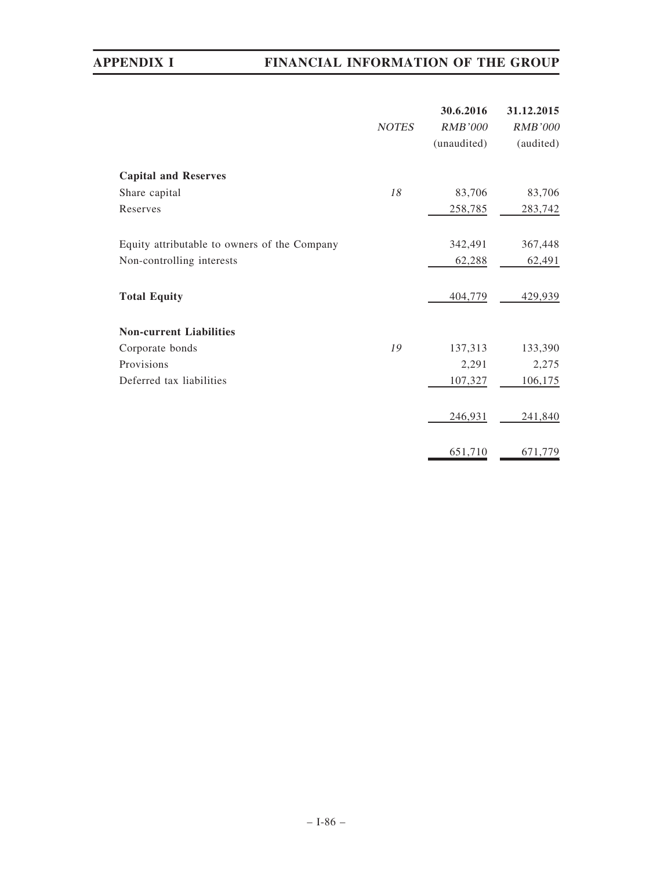|                                              |              | 30.6.2016      | 31.12.2015 |
|----------------------------------------------|--------------|----------------|------------|
|                                              | <b>NOTES</b> | <b>RMB'000</b> | RMB'000    |
|                                              |              | (unaudited)    | (audited)  |
| <b>Capital and Reserves</b>                  |              |                |            |
| Share capital                                | 18           | 83,706         | 83,706     |
| Reserves                                     |              | 258,785        | 283,742    |
|                                              |              |                |            |
| Equity attributable to owners of the Company |              | 342,491        | 367,448    |
| Non-controlling interests                    |              | 62,288         | 62,491     |
| <b>Total Equity</b>                          |              | 404,779        | 429,939    |
| <b>Non-current Liabilities</b>               |              |                |            |
| Corporate bonds                              | 19           | 137,313        | 133,390    |
| Provisions                                   |              | 2,291          | 2,275      |
| Deferred tax liabilities                     |              | 107,327        | 106,175    |
|                                              |              | 246,931        | 241,840    |
|                                              |              | 651,710        | 671,779    |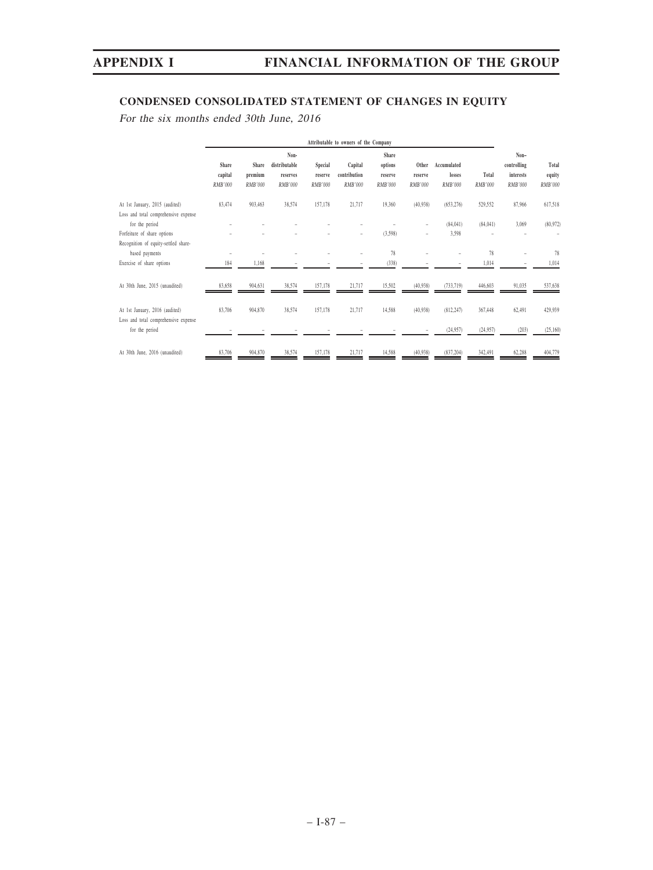## CONDENSED CONSOLIDATED STATEMENT OF CHANGES IN EQUITY

For the six months ended 30th June, 2016

|                                                        | Attributable to owners of the Company |                |               |                |              |         |           |             |           |             |                |
|--------------------------------------------------------|---------------------------------------|----------------|---------------|----------------|--------------|---------|-----------|-------------|-----------|-------------|----------------|
|                                                        |                                       |                | Non-          |                |              | Share   |           |             |           | Non-        |                |
|                                                        | Share                                 | Share          | distributable | Special        | Capital      | options | Other     | Accumulated |           | controlling | Total          |
|                                                        | capital                               | premium        | reserves      | reserve        | contribution | reserve | reserve   | losses      | Total     | interests   | equity         |
|                                                        | RMB'000                               | <b>RMB'000</b> | RMB'000       | <b>RMB'000</b> | RMB'000      | RMB'000 | RMB'000   | RMB'000     | RMB'000   | RMB'000     | <b>RMB'000</b> |
| At 1st January, 2015 (audited)                         | 83,474                                | 903,463        | 38,574        | 157,178        | 21,717       | 19,360  | (40,938)  | (653, 276)  | 529,552   | 87,966      | 617,518        |
| Loss and total comprehensive expense                   |                                       |                |               |                |              |         |           |             |           |             |                |
| for the period                                         |                                       |                |               |                |              |         | ٠         | (84, 041)   | (84, 041) | 3,069       | (80, 972)      |
| Forfeiture of share options                            |                                       |                |               |                | ٠            | (3,598) | ٠         | 3,598       |           |             |                |
| Recognition of equity-settled share-                   |                                       |                |               |                |              |         |           |             |           |             |                |
| based payments                                         |                                       |                |               |                |              | 78      |           |             | 78        |             | 78             |
| Exercise of share options                              | 184                                   | 1,168          |               |                |              | (338)   |           |             | 1,014     |             | 1,014          |
| At 30th June, 2015 (unaudited)                         | 83.658                                | 904,631        | 38,574        | 157,178        | 21,717       | 15,502  | (40,938)  | (733, 719)  | 446,603   | 91,035      | 537,638        |
| At 1st January, 2016 (audited)                         | 83,706                                | 904,870        | 38,574        | 157,178        | 21,717       | 14,588  | (40.938)  | (812, 247)  | 367,448   | 62,491      | 429,939        |
| Loss and total comprehensive expense<br>for the period |                                       |                |               |                |              |         |           | (24,957)    | (24,957)  | (203)       | (25, 160)      |
| At 30th June, 2016 (unaudited)                         | 83,706                                | 904,870        | 38,574        | 157,178        | 21,717       | 14,588  | (40, 938) | (837, 204)  | 342,491   | 62,288      | 404,779        |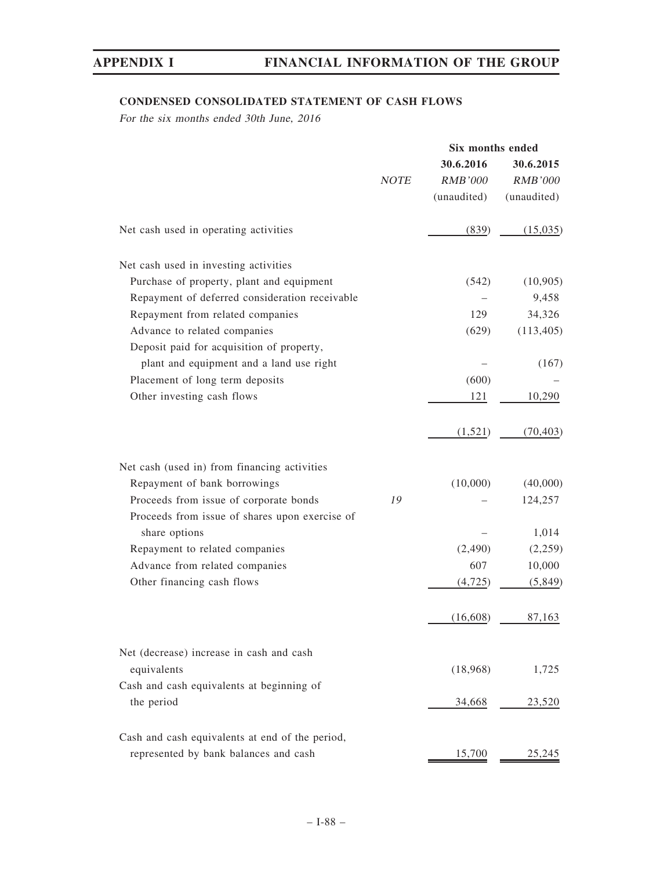## CONDENSED CONSOLIDATED STATEMENT OF CASH FLOWS

For the six months ended 30th June, 2016

|                                                 |             | Six months ended |                |
|-------------------------------------------------|-------------|------------------|----------------|
|                                                 |             | 30.6.2016        | 30.6.2015      |
|                                                 | <b>NOTE</b> | <b>RMB'000</b>   | <b>RMB'000</b> |
|                                                 |             | (unaudited)      | (unaudited)    |
| Net cash used in operating activities           |             | (839)            | (15,035)       |
| Net cash used in investing activities           |             |                  |                |
| Purchase of property, plant and equipment       |             | (542)            | (10, 905)      |
| Repayment of deferred consideration receivable  |             |                  | 9,458          |
| Repayment from related companies                |             | 129              | 34,326         |
| Advance to related companies                    |             | (629)            | (113, 405)     |
| Deposit paid for acquisition of property,       |             |                  |                |
| plant and equipment and a land use right        |             |                  | (167)          |
| Placement of long term deposits                 |             | (600)            |                |
| Other investing cash flows                      |             | 121              | 10,290         |
|                                                 |             | (1,521)          | (70, 403)      |
| Net cash (used in) from financing activities    |             |                  |                |
| Repayment of bank borrowings                    |             | (10,000)         | (40,000)       |
| Proceeds from issue of corporate bonds          | 19          |                  | 124,257        |
| Proceeds from issue of shares upon exercise of  |             |                  |                |
| share options                                   |             |                  | 1,014          |
| Repayment to related companies                  |             | (2,490)          | (2,259)        |
| Advance from related companies                  |             | 607              | 10,000         |
| Other financing cash flows                      |             | (4, 725)         | (5,849)        |
|                                                 |             | (16,608)         | 87,163         |
| Net (decrease) increase in cash and cash        |             |                  |                |
| equivalents                                     |             | (18,968)         | 1,725          |
| Cash and cash equivalents at beginning of       |             |                  |                |
| the period                                      |             | 34,668           | 23,520         |
| Cash and cash equivalents at end of the period, |             |                  |                |
| represented by bank balances and cash           |             | 15,700           | 25,245         |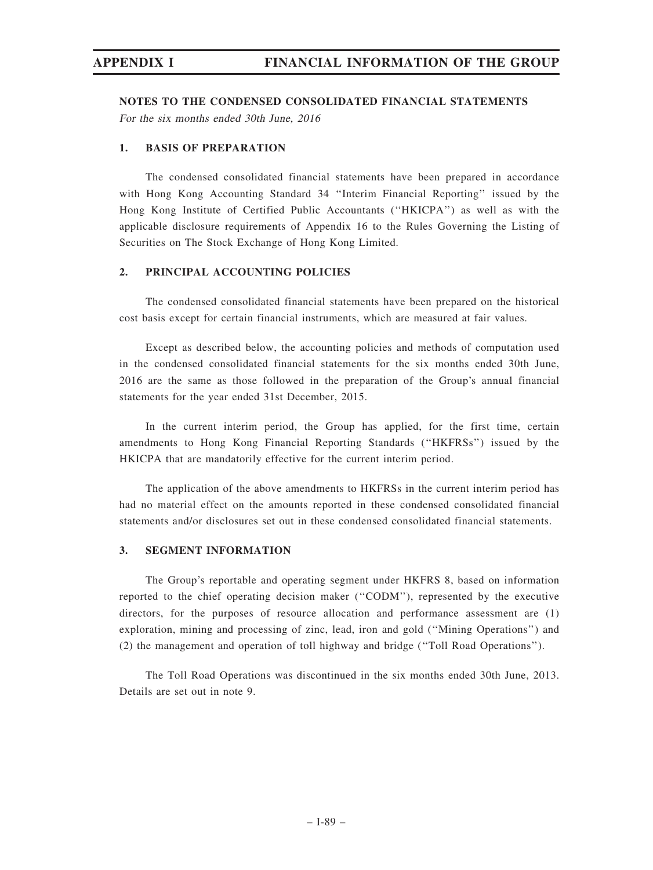NOTES TO THE CONDENSED CONSOLIDATED FINANCIAL STATEMENTS

For the six months ended 30th June, 2016

## 1. BASIS OF PREPARATION

The condensed consolidated financial statements have been prepared in accordance with Hong Kong Accounting Standard 34 ''Interim Financial Reporting'' issued by the Hong Kong Institute of Certified Public Accountants (''HKICPA'') as well as with the applicable disclosure requirements of Appendix 16 to the Rules Governing the Listing of Securities on The Stock Exchange of Hong Kong Limited.

## 2. PRINCIPAL ACCOUNTING POLICIES

The condensed consolidated financial statements have been prepared on the historical cost basis except for certain financial instruments, which are measured at fair values.

Except as described below, the accounting policies and methods of computation used in the condensed consolidated financial statements for the six months ended 30th June, 2016 are the same as those followed in the preparation of the Group's annual financial statements for the year ended 31st December, 2015.

In the current interim period, the Group has applied, for the first time, certain amendments to Hong Kong Financial Reporting Standards (''HKFRSs'') issued by the HKICPA that are mandatorily effective for the current interim period.

The application of the above amendments to HKFRSs in the current interim period has had no material effect on the amounts reported in these condensed consolidated financial statements and/or disclosures set out in these condensed consolidated financial statements.

## 3. SEGMENT INFORMATION

The Group's reportable and operating segment under HKFRS 8, based on information reported to the chief operating decision maker (''CODM''), represented by the executive directors, for the purposes of resource allocation and performance assessment are (1) exploration, mining and processing of zinc, lead, iron and gold (''Mining Operations'') and (2) the management and operation of toll highway and bridge (''Toll Road Operations'').

The Toll Road Operations was discontinued in the six months ended 30th June, 2013. Details are set out in note 9.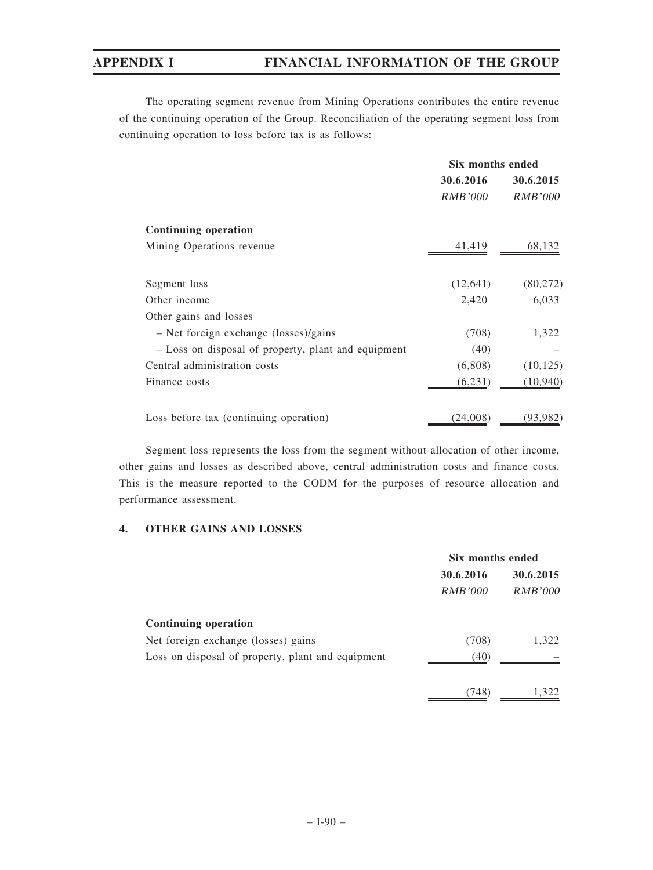The operating segment revenue from Mining Operations contributes the entire revenue of the continuing operation of the Group. Reconciliation of the operating segment loss from continuing operation to loss before tax is as follows:

|                                                     | Six months ended |                |
|-----------------------------------------------------|------------------|----------------|
|                                                     | 30.6.2016        | 30.6.2015      |
|                                                     | <i>RMB'000</i>   | <i>RMB'000</i> |
| <b>Continuing operation</b>                         |                  |                |
| Mining Operations revenue                           | 41,419           | 68,132         |
| Segment loss                                        | (12, 641)        | (80, 272)      |
| Other income                                        | 2,420            | 6,033          |
| Other gains and losses                              |                  |                |
| - Net foreign exchange (losses)/gains               | (708)            | 1,322          |
| - Loss on disposal of property, plant and equipment | (40)             |                |
| Central administration costs                        | (6,808)          | (10, 125)      |
| Finance costs                                       | (6,231)          | (10, 940)      |
| Loss before tax (continuing operation)              | (24,008)         | (93,982        |

Segment loss represents the loss from the segment without allocation of other income, other gains and losses as described above, central administration costs and finance costs. This is the measure reported to the CODM for the purposes of resource allocation and performance assessment.

## 4. OTHER GAINS AND LOSSES

|                                                   | Six months ended |           |
|---------------------------------------------------|------------------|-----------|
|                                                   | 30.6.2016        | 30.6.2015 |
|                                                   | <i>RMB'000</i>   | RMB'000   |
| Continuing operation                              |                  |           |
| Net foreign exchange (losses) gains               | (708)            | 1,322     |
| Loss on disposal of property, plant and equipment | (40)             |           |
|                                                   | (748)            | 1.322     |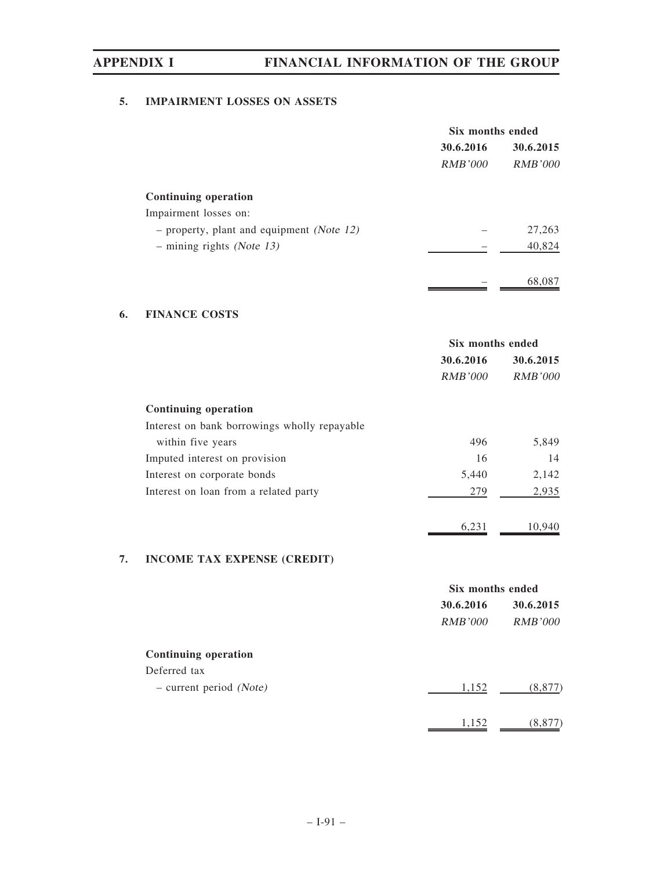## 5. IMPAIRMENT LOSSES ON ASSETS

|    |                                              | Six months ended<br>30.6.2016<br><b>RMB'000</b> | 30.6.2015<br><b>RMB'000</b> |
|----|----------------------------------------------|-------------------------------------------------|-----------------------------|
|    | <b>Continuing operation</b>                  |                                                 |                             |
|    | Impairment losses on:                        |                                                 |                             |
|    | $-$ property, plant and equipment (Note 12)  |                                                 | 27,263                      |
|    | $-$ mining rights (Note 13)                  |                                                 | 40,824                      |
|    |                                              |                                                 | 68,087                      |
| 6. | <b>FINANCE COSTS</b>                         |                                                 |                             |
|    |                                              | Six months ended                                |                             |
|    |                                              | 30.6.2016                                       | 30.6.2015                   |
|    |                                              | <b>RMB'000</b>                                  | <i>RMB'000</i>              |
|    | <b>Continuing operation</b>                  |                                                 |                             |
|    | Interest on bank borrowings wholly repayable |                                                 |                             |
|    | within five years                            | 496                                             | 5,849                       |
|    | Imputed interest on provision                | 16                                              | 14                          |
|    | Interest on corporate bonds                  | 5,440                                           | 2,142                       |
|    | Interest on loan from a related party        | 279                                             | 2,935                       |
|    |                                              | 6,231                                           | 10,940                      |
| 7. | <b>INCOME TAX EXPENSE (CREDIT)</b>           |                                                 |                             |
|    |                                              | Six months ended                                |                             |
|    |                                              | 30.6.2016                                       | 30.6.2015                   |
|    |                                              | RMB'000                                         | RMB'000                     |
|    | <b>Continuing operation</b>                  |                                                 |                             |

Deferred tax

 $-$  current period (Note)  $\frac{1,152}{(8,877)}$ 

1,152 (8,877)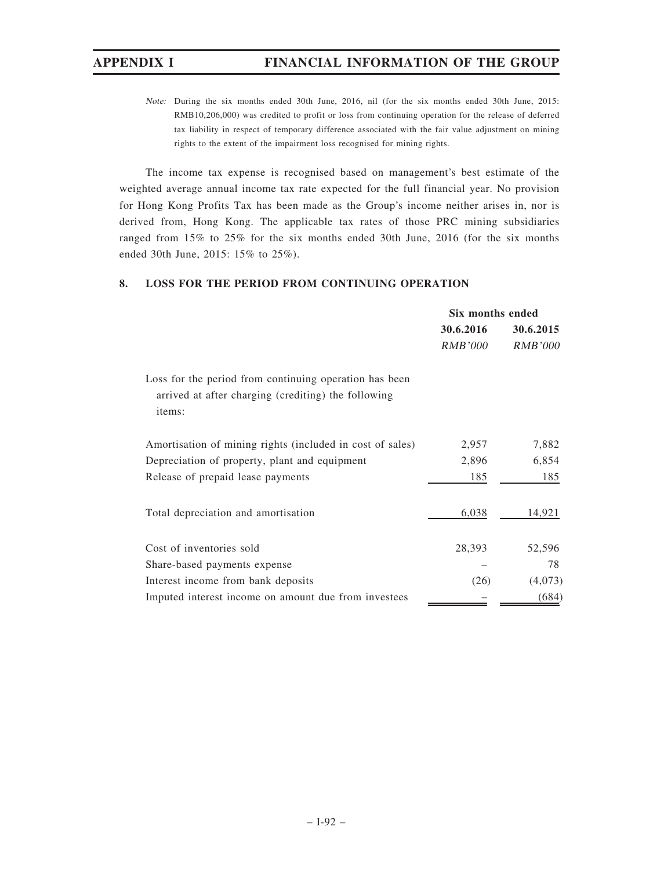Note: During the six months ended 30th June, 2016, nil (for the six months ended 30th June, 2015: RMB10,206,000) was credited to profit or loss from continuing operation for the release of deferred tax liability in respect of temporary difference associated with the fair value adjustment on mining rights to the extent of the impairment loss recognised for mining rights.

The income tax expense is recognised based on management's best estimate of the weighted average annual income tax rate expected for the full financial year. No provision for Hong Kong Profits Tax has been made as the Group's income neither arises in, nor is derived from, Hong Kong. The applicable tax rates of those PRC mining subsidiaries ranged from 15% to 25% for the six months ended 30th June, 2016 (for the six months ended 30th June, 2015: 15% to 25%).

## 8. LOSS FOR THE PERIOD FROM CONTINUING OPERATION

|                                                                                                                         | Six months ended |                |
|-------------------------------------------------------------------------------------------------------------------------|------------------|----------------|
|                                                                                                                         | 30.6.2016        | 30.6.2015      |
|                                                                                                                         | <b>RMB'000</b>   | <i>RMB'000</i> |
| Loss for the period from continuing operation has been<br>arrived at after charging (crediting) the following<br>items: |                  |                |
| Amortisation of mining rights (included in cost of sales)                                                               | 2,957            | 7,882          |
| Depreciation of property, plant and equipment                                                                           | 2,896            | 6,854          |
| Release of prepaid lease payments                                                                                       | 185              | 185            |
| Total depreciation and amortisation                                                                                     | 6,038            | 14,921         |
| Cost of inventories sold                                                                                                | 28,393           | 52,596         |
| Share-based payments expense                                                                                            |                  | 78             |
| Interest income from bank deposits                                                                                      | (26)             | (4,073)        |
| Imputed interest income on amount due from investees                                                                    |                  | (684)          |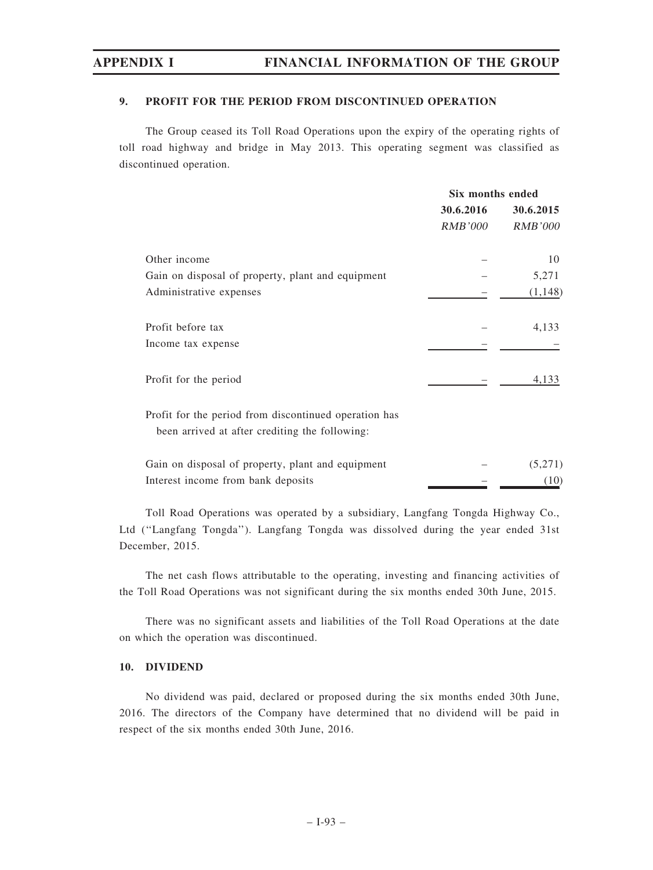## 9. PROFIT FOR THE PERIOD FROM DISCONTINUED OPERATION

The Group ceased its Toll Road Operations upon the expiry of the operating rights of toll road highway and bridge in May 2013. This operating segment was classified as discontinued operation.

|                                                   | Six months ended |                |
|---------------------------------------------------|------------------|----------------|
|                                                   | 30.6.2016        | 30.6.2015      |
|                                                   | <i>RMB'000</i>   | <i>RMB'000</i> |
| Other income                                      |                  | 10             |
| Gain on disposal of property, plant and equipment |                  | 5,271          |
| Administrative expenses                           |                  | (1, 148)       |
| Profit before tax                                 |                  | 4,133          |
| Income tax expense                                |                  |                |
| Profit for the period                             |                  | 4,133          |

Profit for the period from discontinued operation has

been arrived at after crediting the following:

| Gain on disposal of property, plant and equipment | (5,271) |
|---------------------------------------------------|---------|
| Interest income from bank deposits                | (10)    |

Toll Road Operations was operated by a subsidiary, Langfang Tongda Highway Co., Ltd (''Langfang Tongda''). Langfang Tongda was dissolved during the year ended 31st December, 2015.

The net cash flows attributable to the operating, investing and financing activities of the Toll Road Operations was not significant during the six months ended 30th June, 2015.

There was no significant assets and liabilities of the Toll Road Operations at the date on which the operation was discontinued.

### 10. DIVIDEND

No dividend was paid, declared or proposed during the six months ended 30th June, 2016. The directors of the Company have determined that no dividend will be paid in respect of the six months ended 30th June, 2016.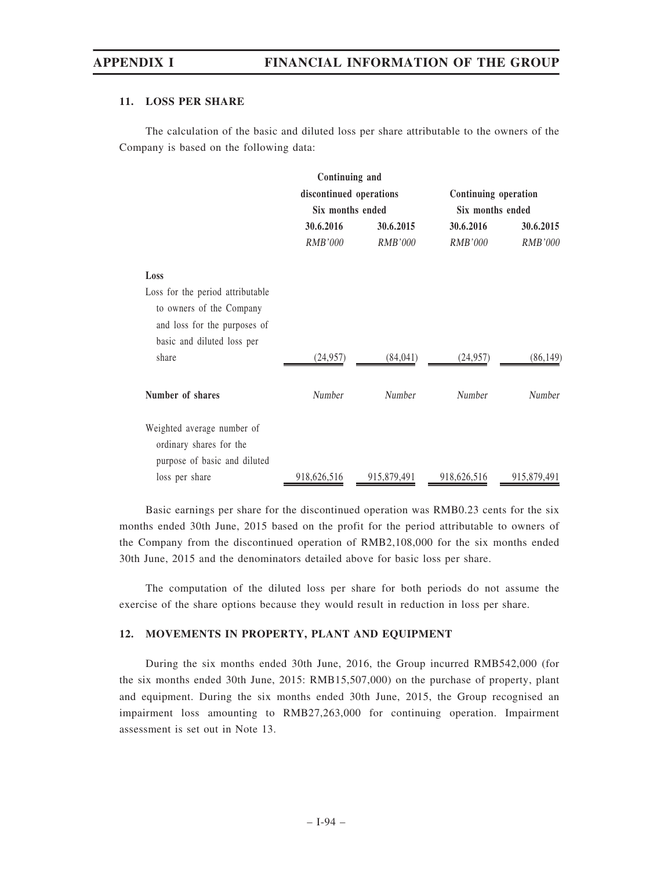### 11. LOSS PER SHARE

The calculation of the basic and diluted loss per share attributable to the owners of the Company is based on the following data:

|                                  | Continuing and          |                |                      |             |
|----------------------------------|-------------------------|----------------|----------------------|-------------|
|                                  | discontinued operations |                | Continuing operation |             |
|                                  | Six months ended        |                | Six months ended     |             |
|                                  | 30.6.2016               | 30.6.2015      | 30.6.2016            | 30.6.2015   |
|                                  | RMB'000                 | <b>RMB'000</b> | RMB'000              | RMB'000     |
| Loss                             |                         |                |                      |             |
| Loss for the period attributable |                         |                |                      |             |
| to owners of the Company         |                         |                |                      |             |
| and loss for the purposes of     |                         |                |                      |             |
| basic and diluted loss per       |                         |                |                      |             |
| share                            | (24,957)                | (84, 041)      | (24, 957)            | (86, 149)   |
| Number of shares                 | Number                  | Number         | Number               | Number      |
| Weighted average number of       |                         |                |                      |             |
| ordinary shares for the          |                         |                |                      |             |
| purpose of basic and diluted     |                         |                |                      |             |
| loss per share                   | 918,626,516             | 915,879,491    | 918,626,516          | 915,879,491 |

Basic earnings per share for the discontinued operation was RMB0.23 cents for the six months ended 30th June, 2015 based on the profit for the period attributable to owners of the Company from the discontinued operation of RMB2,108,000 for the six months ended 30th June, 2015 and the denominators detailed above for basic loss per share.

The computation of the diluted loss per share for both periods do not assume the exercise of the share options because they would result in reduction in loss per share.

### 12. MOVEMENTS IN PROPERTY, PLANT AND EQUIPMENT

During the six months ended 30th June, 2016, the Group incurred RMB542,000 (for the six months ended 30th June, 2015: RMB15,507,000) on the purchase of property, plant and equipment. During the six months ended 30th June, 2015, the Group recognised an impairment loss amounting to RMB27,263,000 for continuing operation. Impairment assessment is set out in Note 13.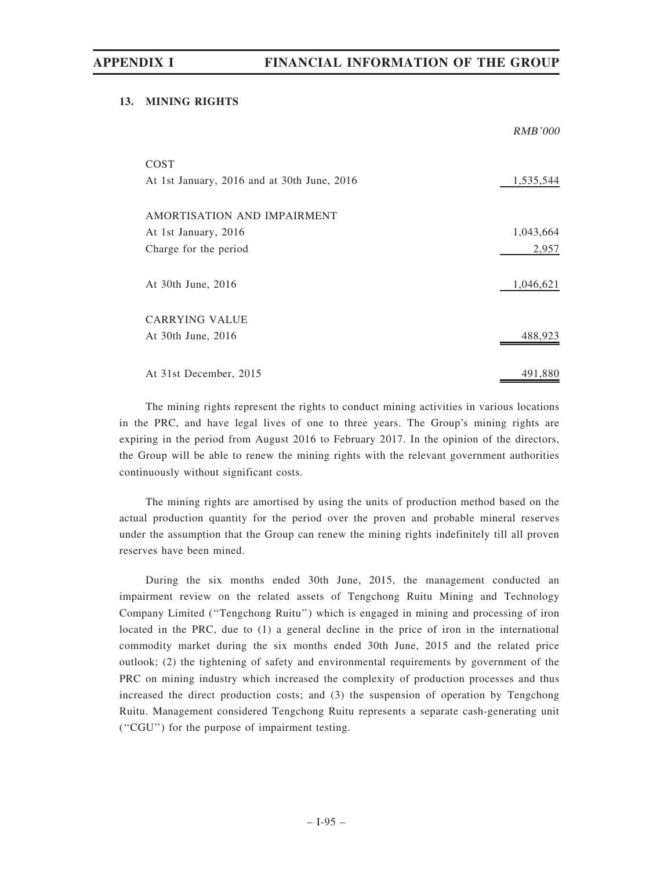## 13. MINING RIGHTS

|                                             | <i>RMB'000</i> |
|---------------------------------------------|----------------|
| <b>COST</b>                                 |                |
| At 1st January, 2016 and at 30th June, 2016 | 1,535,544      |
| AMORTISATION AND IMPAIRMENT                 |                |
| At 1st January, 2016                        | 1,043,664      |
| Charge for the period                       | 2,957          |
| At 30th June, 2016                          | 1,046,621      |
| <b>CARRYING VALUE</b>                       |                |
| At 30th June, 2016                          | 488,923        |
|                                             |                |
| At 31st December, 2015                      | 491,880        |

The mining rights represent the rights to conduct mining activities in various locations in the PRC, and have legal lives of one to three years. The Group's mining rights are expiring in the period from August 2016 to February 2017. In the opinion of the directors, the Group will be able to renew the mining rights with the relevant government authorities continuously without significant costs.

The mining rights are amortised by using the units of production method based on the actual production quantity for the period over the proven and probable mineral reserves under the assumption that the Group can renew the mining rights indefinitely till all proven reserves have been mined.

During the six months ended 30th June, 2015, the management conducted an impairment review on the related assets of Tengchong Ruitu Mining and Technology Company Limited (''Tengchong Ruitu'') which is engaged in mining and processing of iron located in the PRC, due to (1) a general decline in the price of iron in the international commodity market during the six months ended 30th June, 2015 and the related price outlook; (2) the tightening of safety and environmental requirements by government of the PRC on mining industry which increased the complexity of production processes and thus increased the direct production costs; and (3) the suspension of operation by Tengchong Ruitu. Management considered Tengchong Ruitu represents a separate cash-generating unit (''CGU'') for the purpose of impairment testing.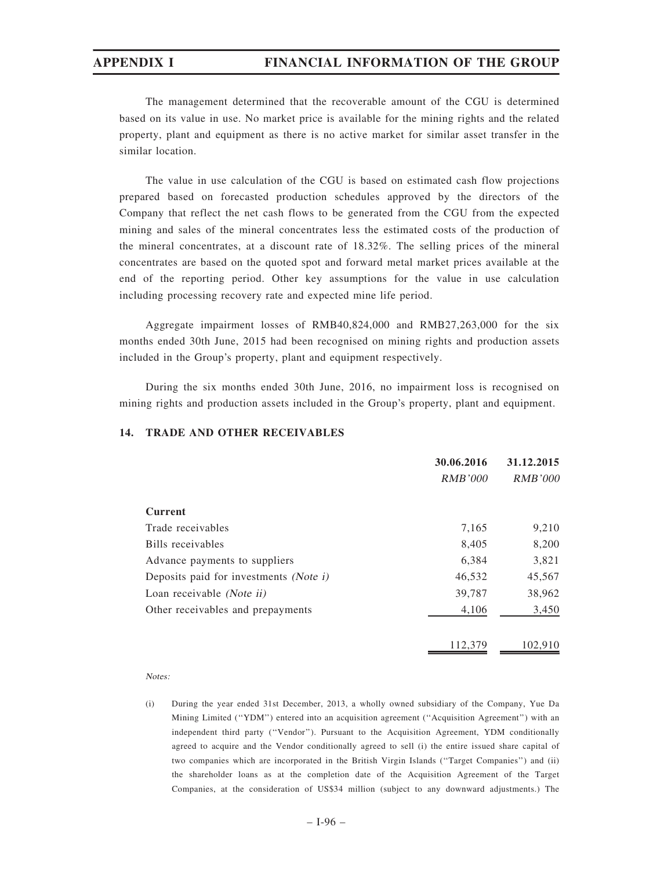The management determined that the recoverable amount of the CGU is determined based on its value in use. No market price is available for the mining rights and the related property, plant and equipment as there is no active market for similar asset transfer in the similar location.

The value in use calculation of the CGU is based on estimated cash flow projections prepared based on forecasted production schedules approved by the directors of the Company that reflect the net cash flows to be generated from the CGU from the expected mining and sales of the mineral concentrates less the estimated costs of the production of the mineral concentrates, at a discount rate of 18.32%. The selling prices of the mineral concentrates are based on the quoted spot and forward metal market prices available at the end of the reporting period. Other key assumptions for the value in use calculation including processing recovery rate and expected mine life period.

Aggregate impairment losses of RMB40,824,000 and RMB27,263,000 for the six months ended 30th June, 2015 had been recognised on mining rights and production assets included in the Group's property, plant and equipment respectively.

During the six months ended 30th June, 2016, no impairment loss is recognised on mining rights and production assets included in the Group's property, plant and equipment.

## 14. TRADE AND OTHER RECEIVABLES

|                                        | 30.06.2016<br><i>RMB'000</i> | 31.12.2015<br><i>RMB'000</i> |
|----------------------------------------|------------------------------|------------------------------|
|                                        |                              |                              |
| <b>Current</b>                         |                              |                              |
| Trade receivables                      | 7,165                        | 9,210                        |
| Bills receivables                      | 8,405                        | 8,200                        |
| Advance payments to suppliers          | 6,384                        | 3,821                        |
| Deposits paid for investments (Note i) | 46,532                       | 45,567                       |
| Loan receivable (Note ii)              | 39,787                       | 38,962                       |
| Other receivables and prepayments      | 4,106                        | 3,450                        |
|                                        |                              |                              |
|                                        | 112,379                      | 102,910                      |

Notes:

(i) During the year ended 31st December, 2013, a wholly owned subsidiary of the Company, Yue Da Mining Limited (''YDM'') entered into an acquisition agreement (''Acquisition Agreement'') with an independent third party (''Vendor''). Pursuant to the Acquisition Agreement, YDM conditionally agreed to acquire and the Vendor conditionally agreed to sell (i) the entire issued share capital of two companies which are incorporated in the British Virgin Islands (''Target Companies'') and (ii) the shareholder loans as at the completion date of the Acquisition Agreement of the Target Companies, at the consideration of US\$34 million (subject to any downward adjustments.) The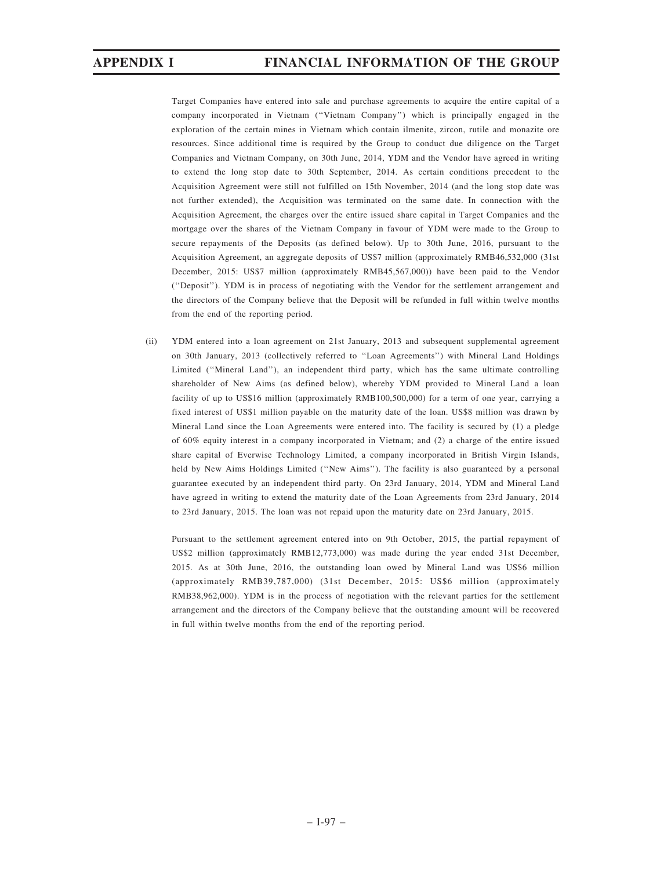Target Companies have entered into sale and purchase agreements to acquire the entire capital of a company incorporated in Vietnam (''Vietnam Company'') which is principally engaged in the exploration of the certain mines in Vietnam which contain ilmenite, zircon, rutile and monazite ore resources. Since additional time is required by the Group to conduct due diligence on the Target Companies and Vietnam Company, on 30th June, 2014, YDM and the Vendor have agreed in writing to extend the long stop date to 30th September, 2014. As certain conditions precedent to the Acquisition Agreement were still not fulfilled on 15th November, 2014 (and the long stop date was not further extended), the Acquisition was terminated on the same date. In connection with the Acquisition Agreement, the charges over the entire issued share capital in Target Companies and the mortgage over the shares of the Vietnam Company in favour of YDM were made to the Group to secure repayments of the Deposits (as defined below). Up to 30th June, 2016, pursuant to the Acquisition Agreement, an aggregate deposits of US\$7 million (approximately RMB46,532,000 (31st December, 2015: US\$7 million (approximately RMB45,567,000)) have been paid to the Vendor (''Deposit''). YDM is in process of negotiating with the Vendor for the settlement arrangement and the directors of the Company believe that the Deposit will be refunded in full within twelve months from the end of the reporting period.

(ii) YDM entered into a loan agreement on 21st January, 2013 and subsequent supplemental agreement on 30th January, 2013 (collectively referred to ''Loan Agreements'') with Mineral Land Holdings Limited (''Mineral Land''), an independent third party, which has the same ultimate controlling shareholder of New Aims (as defined below), whereby YDM provided to Mineral Land a loan facility of up to US\$16 million (approximately RMB100,500,000) for a term of one year, carrying a fixed interest of US\$1 million payable on the maturity date of the loan. US\$8 million was drawn by Mineral Land since the Loan Agreements were entered into. The facility is secured by (1) a pledge of 60% equity interest in a company incorporated in Vietnam; and (2) a charge of the entire issued share capital of Everwise Technology Limited, a company incorporated in British Virgin Islands, held by New Aims Holdings Limited (''New Aims''). The facility is also guaranteed by a personal guarantee executed by an independent third party. On 23rd January, 2014, YDM and Mineral Land have agreed in writing to extend the maturity date of the Loan Agreements from 23rd January, 2014 to 23rd January, 2015. The loan was not repaid upon the maturity date on 23rd January, 2015.

Pursuant to the settlement agreement entered into on 9th October, 2015, the partial repayment of US\$2 million (approximately RMB12,773,000) was made during the year ended 31st December, 2015. As at 30th June, 2016, the outstanding loan owed by Mineral Land was US\$6 million (approximately RMB39,787,000) (31st December, 2015: US\$6 million (approximately RMB38,962,000). YDM is in the process of negotiation with the relevant parties for the settlement arrangement and the directors of the Company believe that the outstanding amount will be recovered in full within twelve months from the end of the reporting period.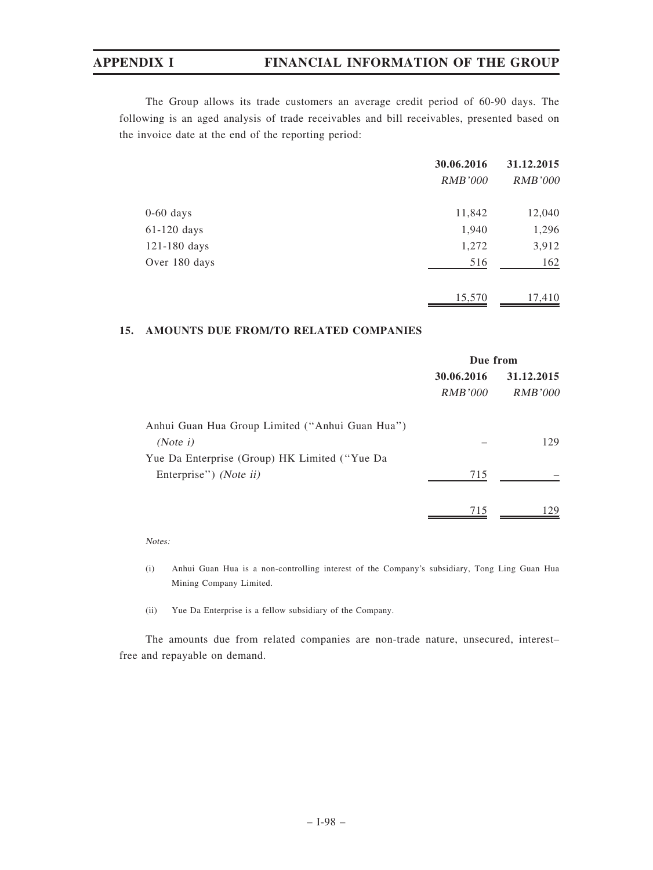The Group allows its trade customers an average credit period of 60-90 days. The following is an aged analysis of trade receivables and bill receivables, presented based on the invoice date at the end of the reporting period:

|               | 30.06.2016     | 31.12.2015     |
|---------------|----------------|----------------|
|               | <i>RMB'000</i> | <i>RMB'000</i> |
| $0-60$ days   | 11,842         | 12,040         |
| $61-120$ days | 1,940          | 1,296          |
| 121-180 days  | 1,272          | 3,912          |
| Over 180 days | 516            | 162            |
|               | 15,570         | 17,410         |

## 15. AMOUNTS DUE FROM/TO RELATED COMPANIES

|                                                 | Due from       |                |
|-------------------------------------------------|----------------|----------------|
|                                                 | 30.06.2016     | 31.12.2015     |
|                                                 | <i>RMB'000</i> | <i>RMB'000</i> |
| Anhui Guan Hua Group Limited ("Anhui Guan Hua") |                |                |
| (Note i)                                        |                | 129            |
| Yue Da Enterprise (Group) HK Limited ("Yue Da   |                |                |
| Enterprise") (Note ii)                          | 715            |                |
|                                                 | 715            | 129            |

### Notes:

- (i) Anhui Guan Hua is a non-controlling interest of the Company's subsidiary, Tong Ling Guan Hua Mining Company Limited.
- (ii) Yue Da Enterprise is a fellow subsidiary of the Company.

The amounts due from related companies are non-trade nature, unsecured, interest– free and repayable on demand.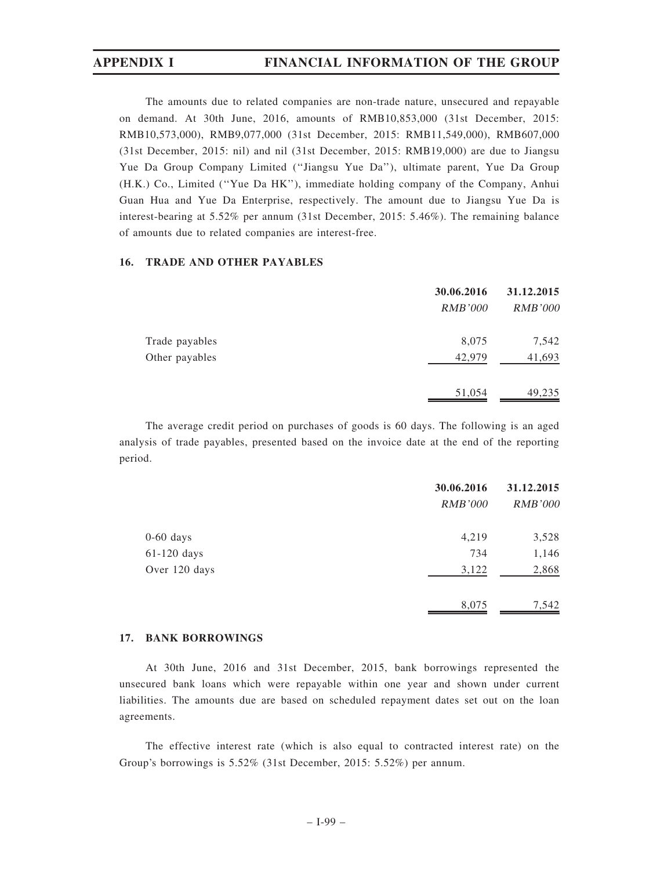# APPENDIX I FINANCIAL INFORMATION OF THE GROUP

The amounts due to related companies are non-trade nature, unsecured and repayable on demand. At 30th June, 2016, amounts of RMB10,853,000 (31st December, 2015: RMB10,573,000), RMB9,077,000 (31st December, 2015: RMB11,549,000), RMB607,000 (31st December, 2015: nil) and nil (31st December, 2015: RMB19,000) are due to Jiangsu Yue Da Group Company Limited (''Jiangsu Yue Da''), ultimate parent, Yue Da Group (H.K.) Co., Limited (''Yue Da HK''), immediate holding company of the Company, Anhui Guan Hua and Yue Da Enterprise, respectively. The amount due to Jiangsu Yue Da is interest-bearing at 5.52% per annum (31st December, 2015: 5.46%). The remaining balance of amounts due to related companies are interest-free.

### 16. TRADE AND OTHER PAYABLES

|                | 30.06.2016     | 31.12.2015     |
|----------------|----------------|----------------|
|                | <i>RMB'000</i> | <i>RMB'000</i> |
| Trade payables | 8,075          | 7,542          |
| Other payables | 42,979         | 41,693         |
|                | 51,054         | 49,235         |

The average credit period on purchases of goods is 60 days. The following is an aged analysis of trade payables, presented based on the invoice date at the end of the reporting period.

|               | 30.06.2016     | 31.12.2015     |
|---------------|----------------|----------------|
|               | <b>RMB'000</b> | <b>RMB'000</b> |
| $0-60$ days   | 4,219          | 3,528          |
| 61-120 days   | 734            | 1,146          |
| Over 120 days | 3,122          | 2,868          |
|               | 8,075          | 7,542          |

### 17. BANK BORROWINGS

At 30th June, 2016 and 31st December, 2015, bank borrowings represented the unsecured bank loans which were repayable within one year and shown under current liabilities. The amounts due are based on scheduled repayment dates set out on the loan agreements.

The effective interest rate (which is also equal to contracted interest rate) on the Group's borrowings is 5.52% (31st December, 2015: 5.52%) per annum.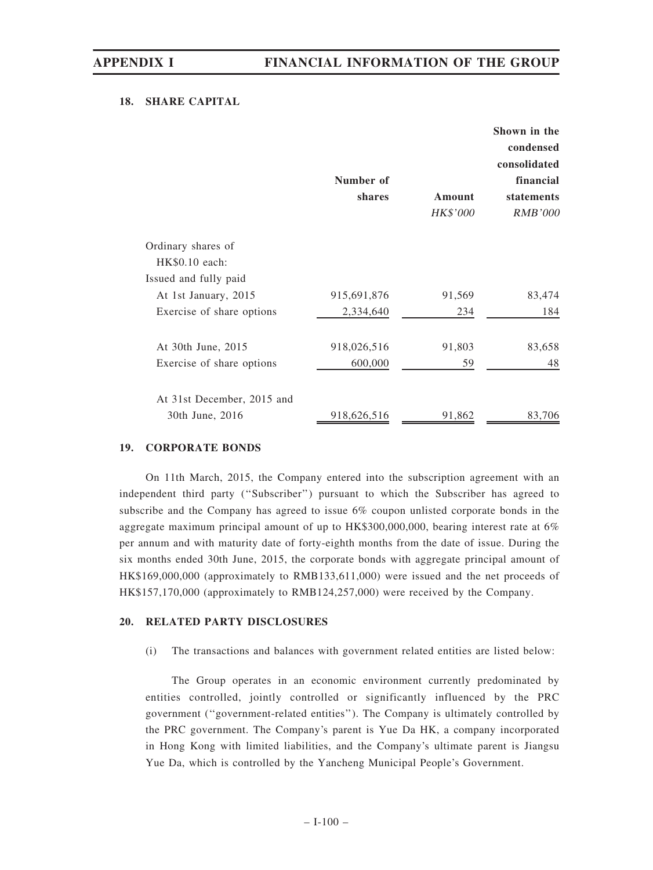### 18. SHARE CAPITAL

|                            |             |                 | Shown in the<br>condensed |
|----------------------------|-------------|-----------------|---------------------------|
|                            | Number of   |                 | consolidated<br>financial |
|                            | shares      | Amount          | statements                |
|                            |             | <b>HK\$'000</b> | <b>RMB'000</b>            |
| Ordinary shares of         |             |                 |                           |
| HK\$0.10 each:             |             |                 |                           |
| Issued and fully paid      |             |                 |                           |
| At 1st January, 2015       | 915,691,876 | 91,569          | 83,474                    |
| Exercise of share options  | 2,334,640   | 234             | 184                       |
| At 30th June, 2015         | 918,026,516 | 91,803          | 83,658                    |
| Exercise of share options  | 600,000     | 59              | 48                        |
| At 31st December, 2015 and |             |                 |                           |
| 30th June, 2016            | 918,626,516 | 91,862          | 83,706                    |

### 19. CORPORATE BONDS

On 11th March, 2015, the Company entered into the subscription agreement with an independent third party (''Subscriber'') pursuant to which the Subscriber has agreed to subscribe and the Company has agreed to issue 6% coupon unlisted corporate bonds in the aggregate maximum principal amount of up to HK\$300,000,000, bearing interest rate at 6% per annum and with maturity date of forty-eighth months from the date of issue. During the six months ended 30th June, 2015, the corporate bonds with aggregate principal amount of HK\$169,000,000 (approximately to RMB133,611,000) were issued and the net proceeds of HK\$157,170,000 (approximately to RMB124,257,000) were received by the Company.

### 20. RELATED PARTY DISCLOSURES

(i) The transactions and balances with government related entities are listed below:

The Group operates in an economic environment currently predominated by entities controlled, jointly controlled or significantly influenced by the PRC government (''government-related entities''). The Company is ultimately controlled by the PRC government. The Company's parent is Yue Da HK, a company incorporated in Hong Kong with limited liabilities, and the Company's ultimate parent is Jiangsu Yue Da, which is controlled by the Yancheng Municipal People's Government.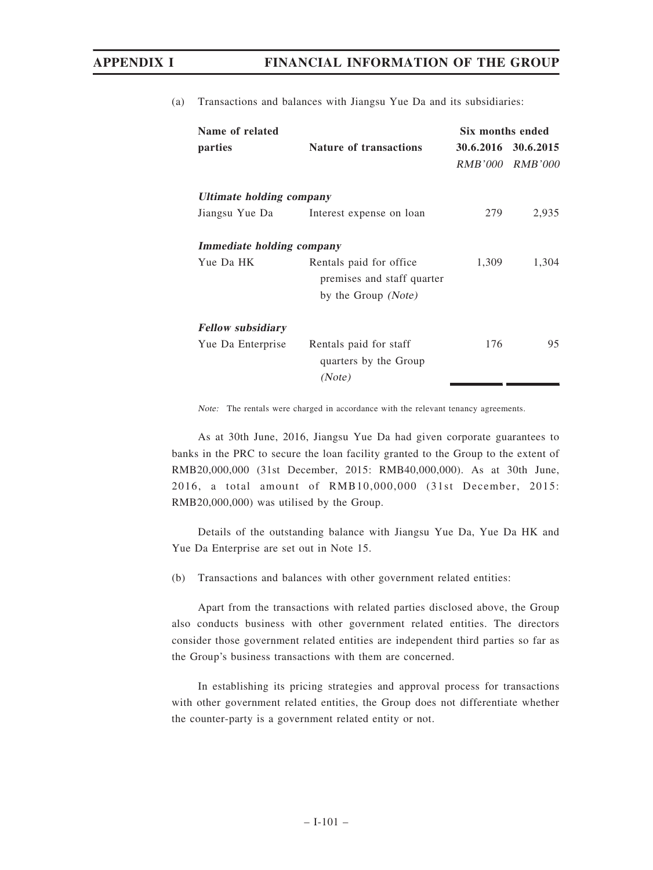| Name of related           |                               | Six months ended |                     |
|---------------------------|-------------------------------|------------------|---------------------|
| parties                   | <b>Nature of transactions</b> |                  | 30.6.2016 30.6.2015 |
|                           |                               |                  | RMB'000 RMB'000     |
| Ultimate holding company  |                               |                  |                     |
| Jiangsu Yue Da            | Interest expense on loan      | 279              | 2,935               |
| Immediate holding company |                               |                  |                     |
| Yue Da HK                 | Rentals paid for office.      | 1,309            | 1,304               |
|                           | premises and staff quarter    |                  |                     |
|                           | by the Group (Note)           |                  |                     |
| <b>Fellow subsidiary</b>  |                               |                  |                     |
| Yue Da Enterprise         | Rentals paid for staff        | 176              | 95                  |
|                           | quarters by the Group         |                  |                     |
|                           | (Note)                        |                  |                     |

(a) Transactions and balances with Jiangsu Yue Da and its subsidiaries:

Note: The rentals were charged in accordance with the relevant tenancy agreements.

As at 30th June, 2016, Jiangsu Yue Da had given corporate guarantees to banks in the PRC to secure the loan facility granted to the Group to the extent of RMB20,000,000 (31st December, 2015: RMB40,000,000). As at 30th June, 2016, a total amount of RMB10,000,000 (31st December, 2015: RMB20,000,000) was utilised by the Group.

Details of the outstanding balance with Jiangsu Yue Da, Yue Da HK and Yue Da Enterprise are set out in Note 15.

(b) Transactions and balances with other government related entities:

Apart from the transactions with related parties disclosed above, the Group also conducts business with other government related entities. The directors consider those government related entities are independent third parties so far as the Group's business transactions with them are concerned.

In establishing its pricing strategies and approval process for transactions with other government related entities, the Group does not differentiate whether the counter-party is a government related entity or not.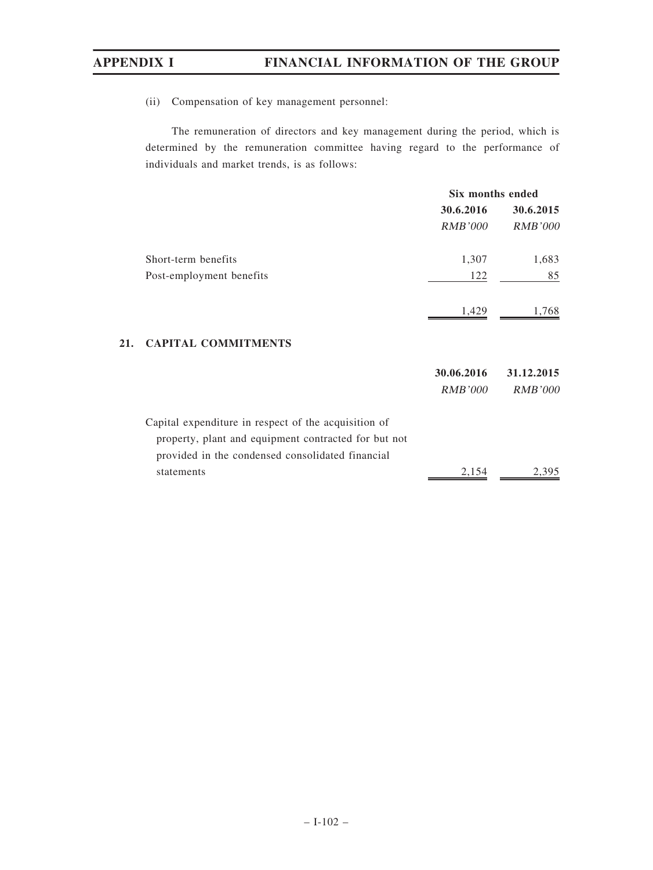# APPENDIX I FINANCIAL INFORMATION OF THE GROUP

(ii) Compensation of key management personnel:

The remuneration of directors and key management during the period, which is determined by the remuneration committee having regard to the performance of individuals and market trends, is as follows:

|     |                                                                                                              | Six months ended |                |
|-----|--------------------------------------------------------------------------------------------------------------|------------------|----------------|
|     |                                                                                                              | 30.6.2016        | 30.6.2015      |
|     |                                                                                                              | <i>RMB'000</i>   | <i>RMB'000</i> |
|     | Short-term benefits                                                                                          | 1,307            | 1,683          |
|     | Post-employment benefits                                                                                     | 122              | 85             |
|     |                                                                                                              | 1,429            | 1,768          |
| 21. | <b>CAPITAL COMMITMENTS</b>                                                                                   |                  |                |
|     |                                                                                                              | 30.06.2016       | 31.12.2015     |
|     |                                                                                                              | <i>RMB'000</i>   | <i>RMB'000</i> |
|     | Capital expenditure in respect of the acquisition of<br>property, plant and equipment contracted for but not |                  |                |
|     | provided in the condensed consolidated financial                                                             |                  |                |
|     | statements                                                                                                   | 2,154            | 2,395          |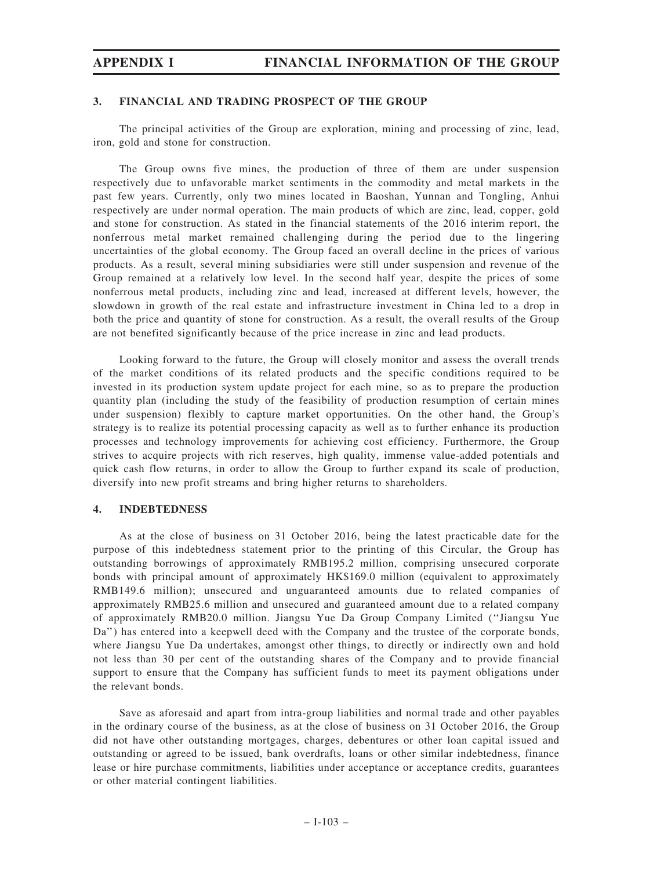### 3. FINANCIAL AND TRADING PROSPECT OF THE GROUP

The principal activities of the Group are exploration, mining and processing of zinc, lead, iron, gold and stone for construction.

The Group owns five mines, the production of three of them are under suspension respectively due to unfavorable market sentiments in the commodity and metal markets in the past few years. Currently, only two mines located in Baoshan, Yunnan and Tongling, Anhui respectively are under normal operation. The main products of which are zinc, lead, copper, gold and stone for construction. As stated in the financial statements of the 2016 interim report, the nonferrous metal market remained challenging during the period due to the lingering uncertainties of the global economy. The Group faced an overall decline in the prices of various products. As a result, several mining subsidiaries were still under suspension and revenue of the Group remained at a relatively low level. In the second half year, despite the prices of some nonferrous metal products, including zinc and lead, increased at different levels, however, the slowdown in growth of the real estate and infrastructure investment in China led to a drop in both the price and quantity of stone for construction. As a result, the overall results of the Group are not benefited significantly because of the price increase in zinc and lead products.

Looking forward to the future, the Group will closely monitor and assess the overall trends of the market conditions of its related products and the specific conditions required to be invested in its production system update project for each mine, so as to prepare the production quantity plan (including the study of the feasibility of production resumption of certain mines under suspension) flexibly to capture market opportunities. On the other hand, the Group's strategy is to realize its potential processing capacity as well as to further enhance its production processes and technology improvements for achieving cost efficiency. Furthermore, the Group strives to acquire projects with rich reserves, high quality, immense value-added potentials and quick cash flow returns, in order to allow the Group to further expand its scale of production, diversify into new profit streams and bring higher returns to shareholders.

### 4. INDEBTEDNESS

As at the close of business on 31 October 2016, being the latest practicable date for the purpose of this indebtedness statement prior to the printing of this Circular, the Group has outstanding borrowings of approximately RMB195.2 million, comprising unsecured corporate bonds with principal amount of approximately HK\$169.0 million (equivalent to approximately RMB149.6 million); unsecured and unguaranteed amounts due to related companies of approximately RMB25.6 million and unsecured and guaranteed amount due to a related company of approximately RMB20.0 million. Jiangsu Yue Da Group Company Limited (''Jiangsu Yue Da") has entered into a keepwell deed with the Company and the trustee of the corporate bonds, where Jiangsu Yue Da undertakes, amongst other things, to directly or indirectly own and hold not less than 30 per cent of the outstanding shares of the Company and to provide financial support to ensure that the Company has sufficient funds to meet its payment obligations under the relevant bonds.

Save as aforesaid and apart from intra-group liabilities and normal trade and other payables in the ordinary course of the business, as at the close of business on 31 October 2016, the Group did not have other outstanding mortgages, charges, debentures or other loan capital issued and outstanding or agreed to be issued, bank overdrafts, loans or other similar indebtedness, finance lease or hire purchase commitments, liabilities under acceptance or acceptance credits, guarantees or other material contingent liabilities.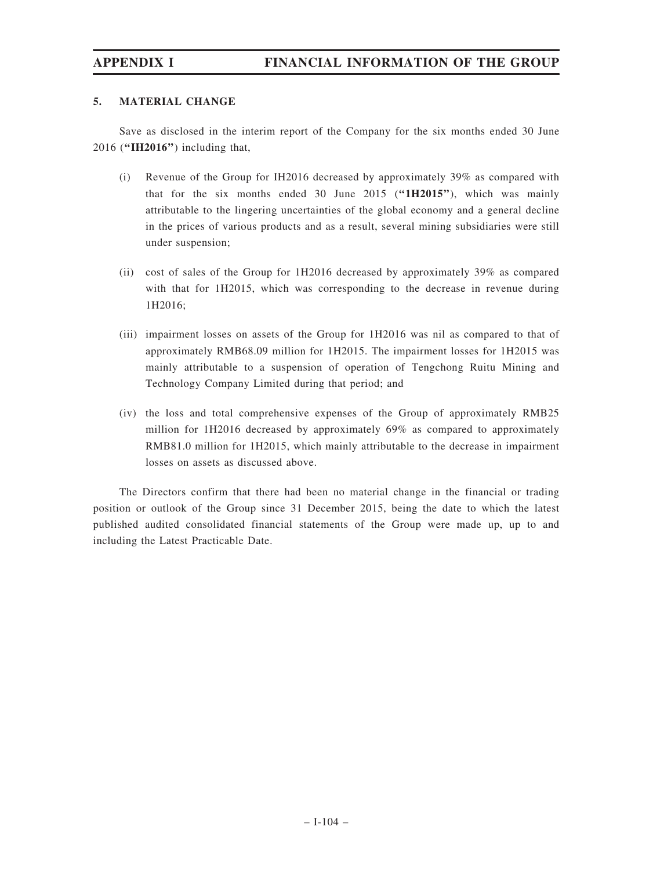# APPENDIX I FINANCIAL INFORMATION OF THE GROUP

### 5. MATERIAL CHANGE

Save as disclosed in the interim report of the Company for the six months ended 30 June 2016 (''IH2016'') including that,

- (i) Revenue of the Group for IH2016 decreased by approximately 39% as compared with that for the six months ended 30 June 2015 (" $1H2015$ "), which was mainly attributable to the lingering uncertainties of the global economy and a general decline in the prices of various products and as a result, several mining subsidiaries were still under suspension;
- (ii) cost of sales of the Group for 1H2016 decreased by approximately 39% as compared with that for 1H2015, which was corresponding to the decrease in revenue during 1H2016;
- (iii) impairment losses on assets of the Group for 1H2016 was nil as compared to that of approximately RMB68.09 million for 1H2015. The impairment losses for 1H2015 was mainly attributable to a suspension of operation of Tengchong Ruitu Mining and Technology Company Limited during that period; and
- (iv) the loss and total comprehensive expenses of the Group of approximately RMB25 million for 1H2016 decreased by approximately 69% as compared to approximately RMB81.0 million for 1H2015, which mainly attributable to the decrease in impairment losses on assets as discussed above.

The Directors confirm that there had been no material change in the financial or trading position or outlook of the Group since 31 December 2015, being the date to which the latest published audited consolidated financial statements of the Group were made up, up to and including the Latest Practicable Date.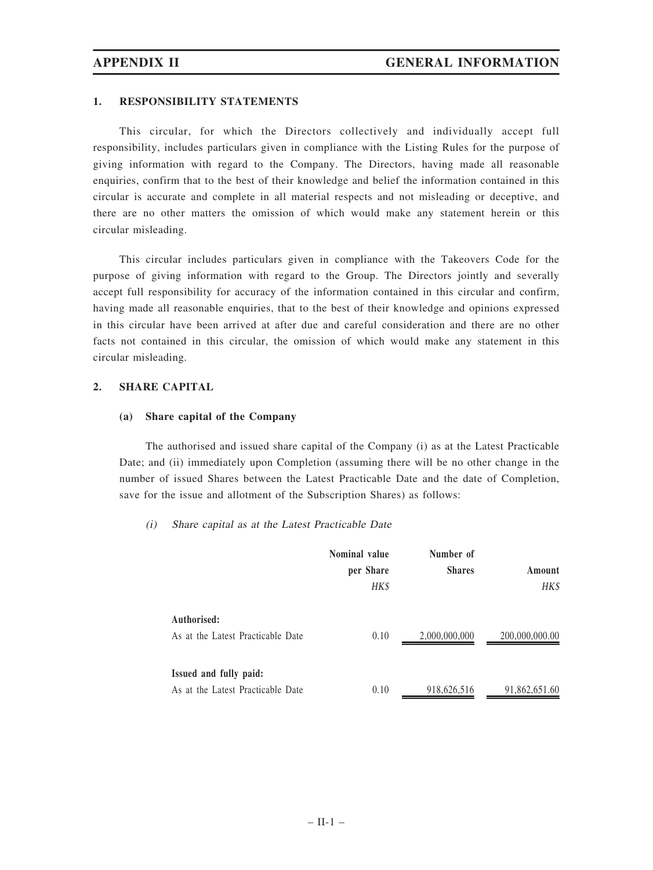### 1. RESPONSIBILITY STATEMENTS

This circular, for which the Directors collectively and individually accept full responsibility, includes particulars given in compliance with the Listing Rules for the purpose of giving information with regard to the Company. The Directors, having made all reasonable enquiries, confirm that to the best of their knowledge and belief the information contained in this circular is accurate and complete in all material respects and not misleading or deceptive, and there are no other matters the omission of which would make any statement herein or this circular misleading.

This circular includes particulars given in compliance with the Takeovers Code for the purpose of giving information with regard to the Group. The Directors jointly and severally accept full responsibility for accuracy of the information contained in this circular and confirm, having made all reasonable enquiries, that to the best of their knowledge and opinions expressed in this circular have been arrived at after due and careful consideration and there are no other facts not contained in this circular, the omission of which would make any statement in this circular misleading.

### 2. SHARE CAPITAL

### (a) Share capital of the Company

The authorised and issued share capital of the Company (i) as at the Latest Practicable Date; and (ii) immediately upon Completion (assuming there will be no other change in the number of issued Shares between the Latest Practicable Date and the date of Completion, save for the issue and allotment of the Subscription Shares) as follows:

### (i) Share capital as at the Latest Practicable Date

|                                                             | Nominal value<br>per Share<br>HK\$ | Number of<br><b>Shares</b> | Amount<br>HK\$ |
|-------------------------------------------------------------|------------------------------------|----------------------------|----------------|
| Authorised:<br>As at the Latest Practicable Date            | 0.10                               | 2,000,000,000              | 200,000,000.00 |
| Issued and fully paid:<br>As at the Latest Practicable Date | 0.10                               | 918,626,516                | 91,862,651.60  |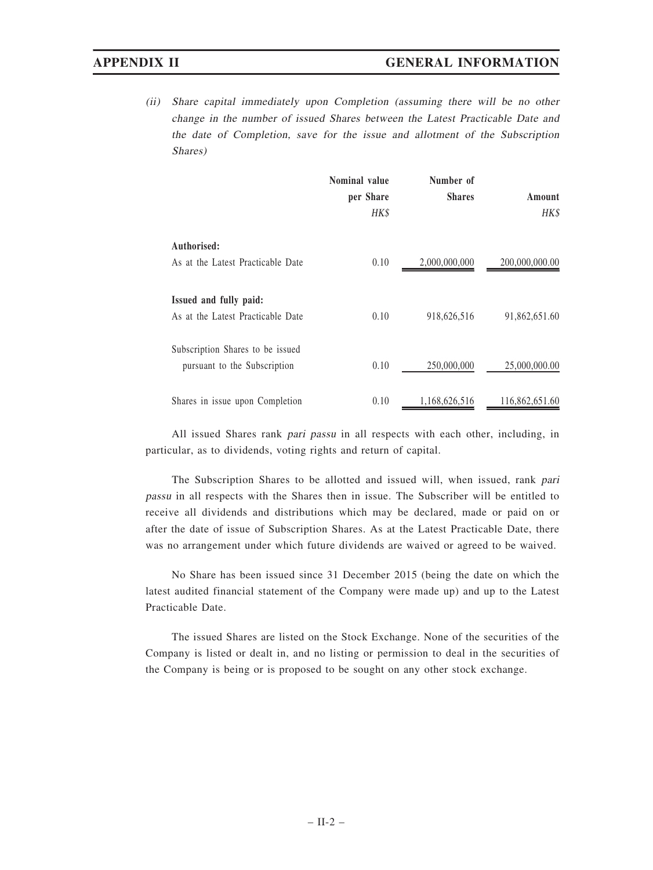(ii) Share capital immediately upon Completion (assuming there will be no other change in the number of issued Shares between the Latest Practicable Date and the date of Completion, save for the issue and allotment of the Subscription Shares)

|                                                                  | Nominal value<br>per Share<br>HK\$ | Number of<br><b>Shares</b> | Amount<br>HK\$ |
|------------------------------------------------------------------|------------------------------------|----------------------------|----------------|
| Authorised:<br>As at the Latest Practicable Date                 | 0.10                               | 2,000,000,000              | 200,000,000.00 |
| Issued and fully paid:<br>As at the Latest Practicable Date      | 0.10                               | 918,626,516                | 91,862,651.60  |
| Subscription Shares to be issued<br>pursuant to the Subscription | 0.10                               | 250,000,000                | 25,000,000.00  |
| Shares in issue upon Completion                                  | 0.10                               | 1,168,626,516              | 116,862,651.60 |

All issued Shares rank pari passu in all respects with each other, including, in particular, as to dividends, voting rights and return of capital.

The Subscription Shares to be allotted and issued will, when issued, rank pari passu in all respects with the Shares then in issue. The Subscriber will be entitled to receive all dividends and distributions which may be declared, made or paid on or after the date of issue of Subscription Shares. As at the Latest Practicable Date, there was no arrangement under which future dividends are waived or agreed to be waived.

No Share has been issued since 31 December 2015 (being the date on which the latest audited financial statement of the Company were made up) and up to the Latest Practicable Date.

The issued Shares are listed on the Stock Exchange. None of the securities of the Company is listed or dealt in, and no listing or permission to deal in the securities of the Company is being or is proposed to be sought on any other stock exchange.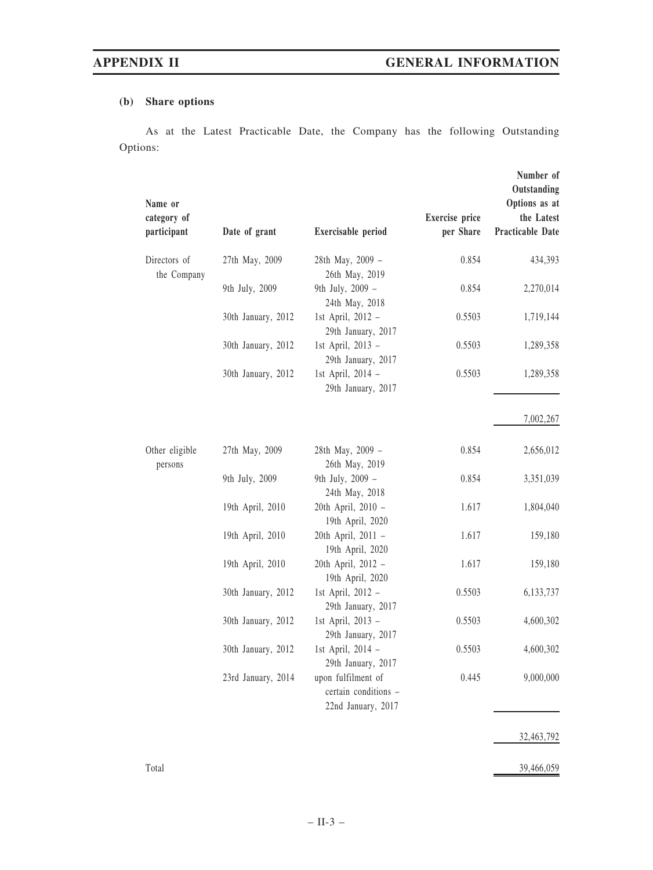# (b) Share options

As at the Latest Practicable Date, the Company has the following Outstanding Options:

| Name or<br>category of<br>participant | Date of grant      | Exercisable period                                               | <b>Exercise</b> price<br>per Share | Number of<br>Outstanding<br>Options as at<br>the Latest<br><b>Practicable Date</b> |
|---------------------------------------|--------------------|------------------------------------------------------------------|------------------------------------|------------------------------------------------------------------------------------|
| Directors of<br>the Company           | 27th May, 2009     | 28th May, 2009 -<br>26th May, 2019                               | 0.854                              | 434,393                                                                            |
|                                       | 9th July, 2009     | 9th July, 2009 -<br>24th May, 2018                               | 0.854                              | 2,270,014                                                                          |
|                                       | 30th January, 2012 | 1st April, 2012 -<br>29th January, 2017                          | 0.5503                             | 1,719,144                                                                          |
|                                       | 30th January, 2012 | 1st April, 2013 -<br>29th January, 2017                          | 0.5503                             | 1,289,358                                                                          |
|                                       | 30th January, 2012 | 1st April, 2014 -<br>29th January, 2017                          | 0.5503                             | 1,289,358                                                                          |
|                                       |                    |                                                                  |                                    | 7,002,267                                                                          |
| Other eligible<br>persons             | 27th May, 2009     | 28th May, 2009 -<br>26th May, 2019                               | 0.854                              | 2,656,012                                                                          |
|                                       | 9th July, 2009     | 9th July, 2009 -<br>24th May, 2018                               | 0.854                              | 3,351,039                                                                          |
|                                       | 19th April, 2010   | 20th April, 2010 -<br>19th April, 2020                           | 1.617                              | 1,804,040                                                                          |
|                                       | 19th April, 2010   | 20th April, 2011 -<br>19th April, 2020                           | 1.617                              | 159,180                                                                            |
|                                       | 19th April, 2010   | 20th April, 2012 -<br>19th April, 2020                           | 1.617                              | 159,180                                                                            |
|                                       | 30th January, 2012 | 1st April, 2012 -<br>29th January, 2017                          | 0.5503                             | 6,133,737                                                                          |
|                                       | 30th January, 2012 | 1st April, 2013 -<br>29th January, 2017                          | 0.5503                             | 4,600,302                                                                          |
|                                       | 30th January, 2012 | 1st April, 2014 -<br>29th January, 2017                          | 0.5503                             | 4,600,302                                                                          |
|                                       | 23rd January, 2014 | upon fulfilment of<br>certain conditions -<br>22nd January, 2017 | 0.445                              | 9,000,000                                                                          |
|                                       |                    |                                                                  |                                    | 32,463,792                                                                         |

Total 39,466,059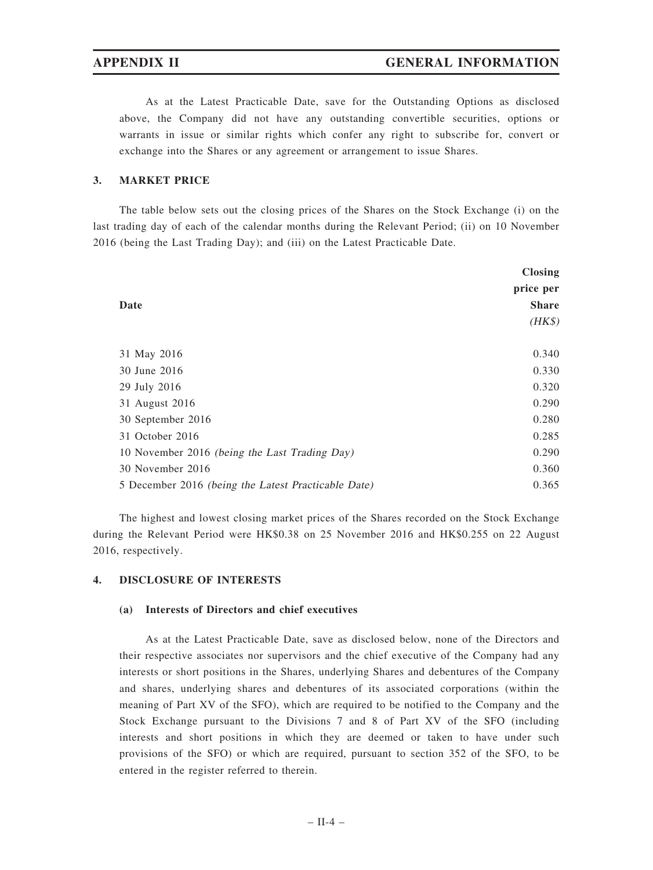As at the Latest Practicable Date, save for the Outstanding Options as disclosed above, the Company did not have any outstanding convertible securities, options or warrants in issue or similar rights which confer any right to subscribe for, convert or exchange into the Shares or any agreement or arrangement to issue Shares.

### 3. MARKET PRICE

The table below sets out the closing prices of the Shares on the Stock Exchange (i) on the last trading day of each of the calendar months during the Relevant Period; (ii) on 10 November 2016 (being the Last Trading Day); and (iii) on the Latest Practicable Date.

|                                                     | <b>Closing</b> |
|-----------------------------------------------------|----------------|
|                                                     | price per      |
| Date                                                | <b>Share</b>   |
|                                                     | $(HK\$         |
|                                                     |                |
| 31 May 2016                                         | 0.340          |
| 30 June 2016                                        | 0.330          |
| 29 July 2016                                        | 0.320          |
| 31 August 2016                                      | 0.290          |
| 30 September 2016                                   | 0.280          |
| 31 October 2016                                     | 0.285          |
| 10 November 2016 (being the Last Trading Day)       | 0.290          |
| 30 November 2016                                    | 0.360          |
| 5 December 2016 (being the Latest Practicable Date) | 0.365          |

The highest and lowest closing market prices of the Shares recorded on the Stock Exchange during the Relevant Period were HK\$0.38 on 25 November 2016 and HK\$0.255 on 22 August 2016, respectively.

### 4. DISCLOSURE OF INTERESTS

### (a) Interests of Directors and chief executives

As at the Latest Practicable Date, save as disclosed below, none of the Directors and their respective associates nor supervisors and the chief executive of the Company had any interests or short positions in the Shares, underlying Shares and debentures of the Company and shares, underlying shares and debentures of its associated corporations (within the meaning of Part XV of the SFO), which are required to be notified to the Company and the Stock Exchange pursuant to the Divisions 7 and 8 of Part XV of the SFO (including interests and short positions in which they are deemed or taken to have under such provisions of the SFO) or which are required, pursuant to section 352 of the SFO, to be entered in the register referred to therein.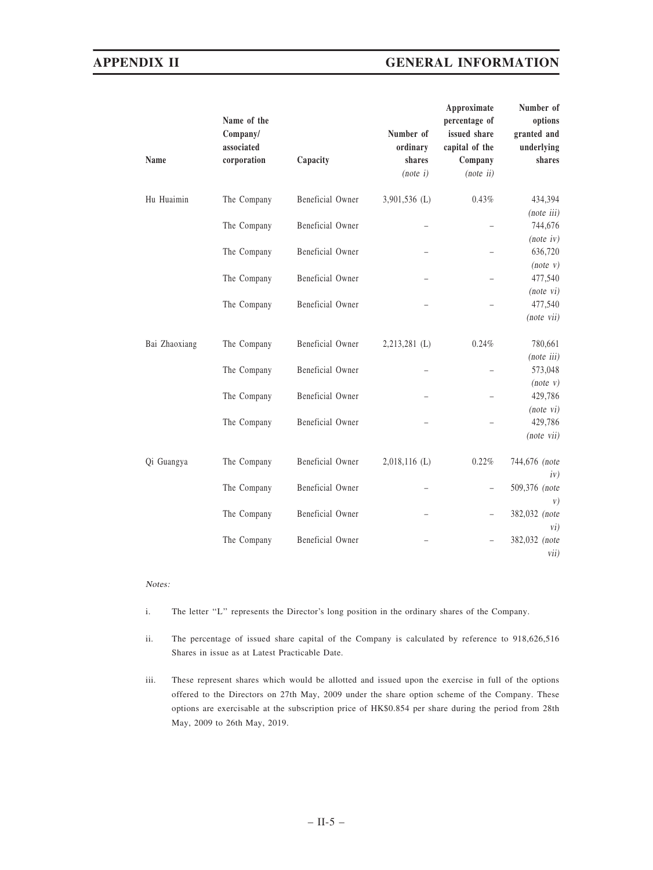# APPENDIX II GENERAL INFORMATION

|               | Name of the<br>Company/<br>associated |                  | Number of<br>ordinary | Approximate<br>percentage of<br>issued share<br>capital of the | Number of<br>options<br>granted and<br>underlying |
|---------------|---------------------------------------|------------------|-----------------------|----------------------------------------------------------------|---------------------------------------------------|
| Name          | corporation                           | Capacity         | shares                | Company                                                        | shares                                            |
|               |                                       |                  | (note i)              | $(note$ $ii)$                                                  |                                                   |
| Hu Huaimin    | The Company                           | Beneficial Owner | 3,901,536 (L)         | 0.43%                                                          | 434,394                                           |
|               |                                       |                  |                       |                                                                | (note iii)                                        |
|               | The Company                           | Beneficial Owner |                       |                                                                | 744,676                                           |
|               |                                       |                  |                       |                                                                | (note iv)                                         |
|               | The Company                           | Beneficial Owner |                       |                                                                | 636,720                                           |
|               |                                       |                  |                       |                                                                | $(note \ v)$                                      |
|               | The Company                           | Beneficial Owner |                       |                                                                | 477,540                                           |
|               |                                       |                  |                       |                                                                | $(note \ vi)$                                     |
|               | The Company                           | Beneficial Owner |                       |                                                                | 477,540                                           |
|               |                                       |                  |                       |                                                                | (note vii)                                        |
| Bai Zhaoxiang | The Company                           | Beneficial Owner | 2,213,281 (L)         | 0.24%                                                          | 780,661                                           |
|               |                                       |                  |                       |                                                                | (note iii)                                        |
|               | The Company                           | Beneficial Owner |                       |                                                                | 573,048                                           |
|               |                                       |                  |                       |                                                                | $(note \ v)$                                      |
|               | The Company                           | Beneficial Owner |                       |                                                                | 429,786                                           |
|               |                                       |                  |                       |                                                                | $(note \ vi)$                                     |
|               | The Company                           | Beneficial Owner |                       |                                                                | 429,786                                           |
|               |                                       |                  |                       |                                                                | $(note \ vii)$                                    |
| Qi Guangya    | The Company                           | Beneficial Owner | 2,018,116 (L)         | 0.22%                                                          | 744,676 (note                                     |
|               |                                       |                  |                       |                                                                | iv)                                               |
|               | The Company                           | Beneficial Owner |                       | $\overline{\phantom{0}}$                                       | 509,376 (note                                     |
|               |                                       |                  |                       |                                                                | V)                                                |
|               | The Company                           | Beneficial Owner |                       |                                                                | 382,032 (note<br>vi)                              |
|               | The Company                           | Beneficial Owner |                       |                                                                | 382,032 (note                                     |
|               |                                       |                  |                       |                                                                | V11)                                              |

### Notes:

- i. The letter "L" represents the Director's long position in the ordinary shares of the Company.
- ii. The percentage of issued share capital of the Company is calculated by reference to 918,626,516 Shares in issue as at Latest Practicable Date.
- iii. These represent shares which would be allotted and issued upon the exercise in full of the options offered to the Directors on 27th May, 2009 under the share option scheme of the Company. These options are exercisable at the subscription price of HK\$0.854 per share during the period from 28th May, 2009 to 26th May, 2019.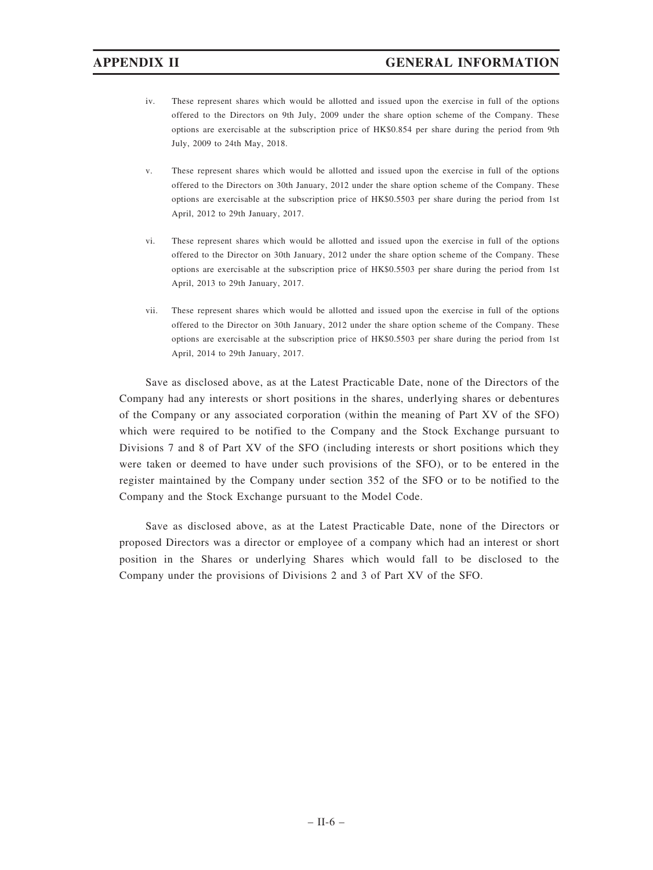- iv. These represent shares which would be allotted and issued upon the exercise in full of the options offered to the Directors on 9th July, 2009 under the share option scheme of the Company. These options are exercisable at the subscription price of HK\$0.854 per share during the period from 9th July, 2009 to 24th May, 2018.
- v. These represent shares which would be allotted and issued upon the exercise in full of the options offered to the Directors on 30th January, 2012 under the share option scheme of the Company. These options are exercisable at the subscription price of HK\$0.5503 per share during the period from 1st April, 2012 to 29th January, 2017.
- vi. These represent shares which would be allotted and issued upon the exercise in full of the options offered to the Director on 30th January, 2012 under the share option scheme of the Company. These options are exercisable at the subscription price of HK\$0.5503 per share during the period from 1st April, 2013 to 29th January, 2017.
- vii. These represent shares which would be allotted and issued upon the exercise in full of the options offered to the Director on 30th January, 2012 under the share option scheme of the Company. These options are exercisable at the subscription price of HK\$0.5503 per share during the period from 1st April, 2014 to 29th January, 2017.

Save as disclosed above, as at the Latest Practicable Date, none of the Directors of the Company had any interests or short positions in the shares, underlying shares or debentures of the Company or any associated corporation (within the meaning of Part XV of the SFO) which were required to be notified to the Company and the Stock Exchange pursuant to Divisions 7 and 8 of Part XV of the SFO (including interests or short positions which they were taken or deemed to have under such provisions of the SFO), or to be entered in the register maintained by the Company under section 352 of the SFO or to be notified to the Company and the Stock Exchange pursuant to the Model Code.

Save as disclosed above, as at the Latest Practicable Date, none of the Directors or proposed Directors was a director or employee of a company which had an interest or short position in the Shares or underlying Shares which would fall to be disclosed to the Company under the provisions of Divisions 2 and 3 of Part XV of the SFO.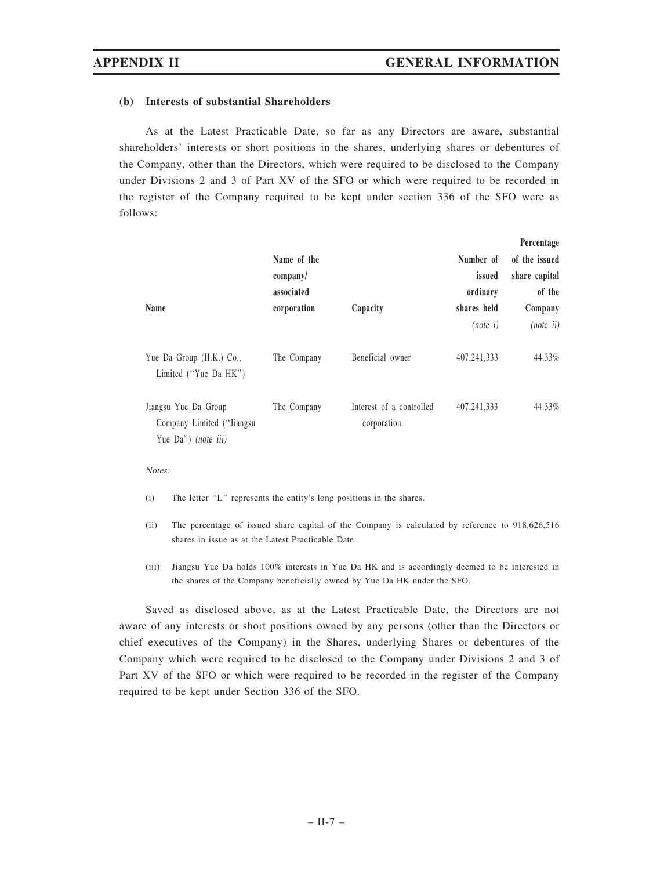### (b) Interests of substantial Shareholders

As at the Latest Practicable Date, so far as any Directors are aware, substantial shareholders' interests or short positions in the shares, underlying shares or debentures of the Company, other than the Directors, which were required to be disclosed to the Company under Divisions 2 and 3 of Part XV of the SFO or which were required to be recorded in the register of the Company required to be kept under section 336 of the SFO were as follows:

|                                                                                 |             |                                         |               | Percentage    |
|---------------------------------------------------------------------------------|-------------|-----------------------------------------|---------------|---------------|
|                                                                                 | Name of the |                                         | Number of     | of the issued |
|                                                                                 | company/    |                                         | issued        | share capital |
|                                                                                 | associated  |                                         | ordinary      | of the        |
| <b>Name</b>                                                                     | corporation | Capacity                                | shares held   | Company       |
|                                                                                 |             |                                         | (note i)      | $(note$ $ii)$ |
| Yue Da Group (H.K.) Co.,<br>Limited ("Yue Da HK")                               | The Company | Beneficial owner                        | 407, 241, 333 | 44.33%        |
| Jiangsu Yue Da Group<br>Company Limited ("Jiangsu<br>Yue Da") <i>(note iii)</i> | The Company | Interest of a controlled<br>corporation | 407.241.333   | 44.33%        |

### Notes:

- (i) The letter ''L'' represents the entity's long positions in the shares.
- (ii) The percentage of issued share capital of the Company is calculated by reference to 918,626,516 shares in issue as at the Latest Practicable Date.
- (iii) Jiangsu Yue Da holds 100% interests in Yue Da HK and is accordingly deemed to be interested in the shares of the Company beneficially owned by Yue Da HK under the SFO.

Saved as disclosed above, as at the Latest Practicable Date, the Directors are not aware of any interests or short positions owned by any persons (other than the Directors or chief executives of the Company) in the Shares, underlying Shares or debentures of the Company which were required to be disclosed to the Company under Divisions 2 and 3 of Part XV of the SFO or which were required to be recorded in the register of the Company required to be kept under Section 336 of the SFO.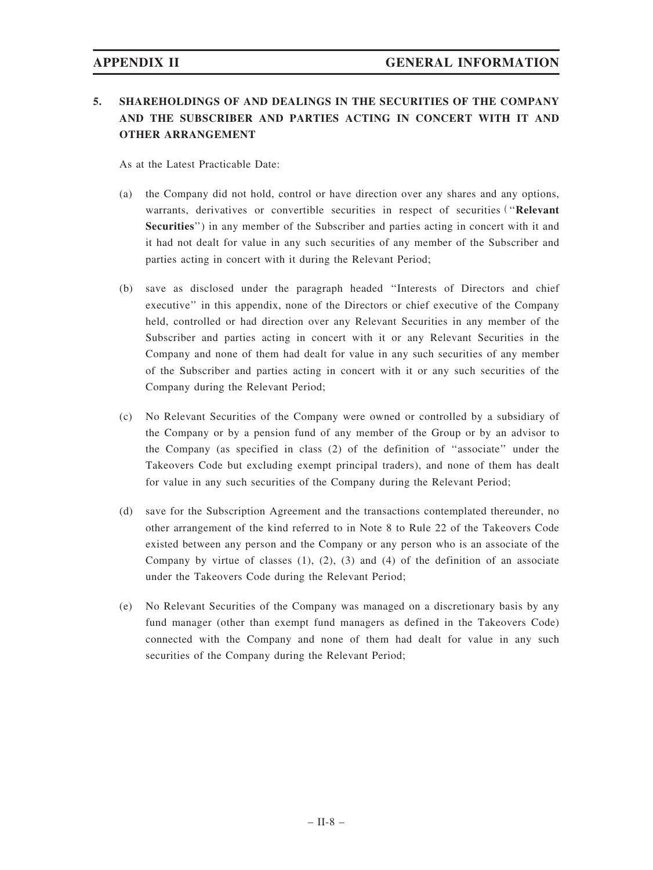# 5. SHAREHOLDINGS OF AND DEALINGS IN THE SECURITIES OF THE COMPANY AND THE SUBSCRIBER AND PARTIES ACTING IN CONCERT WITH IT AND OTHER ARRANGEMENT

As at the Latest Practicable Date:

- (a) the Company did not hold, control or have direction over any shares and any options, warrants, derivatives or convertible securities in respect of securities ("Relevant Securities'') in any member of the Subscriber and parties acting in concert with it and it had not dealt for value in any such securities of any member of the Subscriber and parties acting in concert with it during the Relevant Period;
- (b) save as disclosed under the paragraph headed ''Interests of Directors and chief executive'' in this appendix, none of the Directors or chief executive of the Company held, controlled or had direction over any Relevant Securities in any member of the Subscriber and parties acting in concert with it or any Relevant Securities in the Company and none of them had dealt for value in any such securities of any member of the Subscriber and parties acting in concert with it or any such securities of the Company during the Relevant Period;
- (c) No Relevant Securities of the Company were owned or controlled by a subsidiary of the Company or by a pension fund of any member of the Group or by an advisor to the Company (as specified in class (2) of the definition of ''associate'' under the Takeovers Code but excluding exempt principal traders), and none of them has dealt for value in any such securities of the Company during the Relevant Period;
- (d) save for the Subscription Agreement and the transactions contemplated thereunder, no other arrangement of the kind referred to in Note 8 to Rule 22 of the Takeovers Code existed between any person and the Company or any person who is an associate of the Company by virtue of classes  $(1)$ ,  $(2)$ ,  $(3)$  and  $(4)$  of the definition of an associate under the Takeovers Code during the Relevant Period;
- (e) No Relevant Securities of the Company was managed on a discretionary basis by any fund manager (other than exempt fund managers as defined in the Takeovers Code) connected with the Company and none of them had dealt for value in any such securities of the Company during the Relevant Period;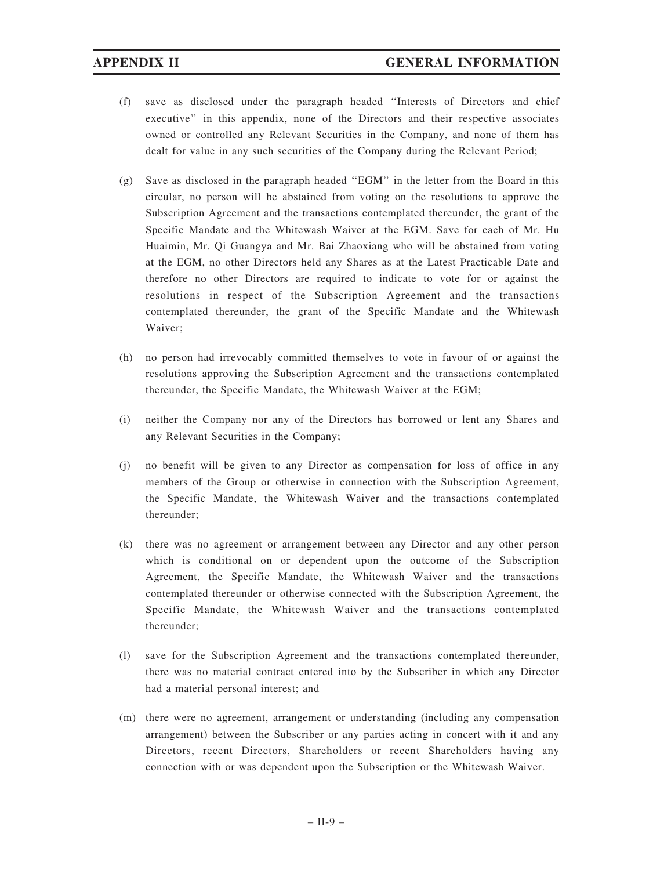- (f) save as disclosed under the paragraph headed ''Interests of Directors and chief executive'' in this appendix, none of the Directors and their respective associates owned or controlled any Relevant Securities in the Company, and none of them has dealt for value in any such securities of the Company during the Relevant Period;
- (g) Save as disclosed in the paragraph headed ''EGM'' in the letter from the Board in this circular, no person will be abstained from voting on the resolutions to approve the Subscription Agreement and the transactions contemplated thereunder, the grant of the Specific Mandate and the Whitewash Waiver at the EGM. Save for each of Mr. Hu Huaimin, Mr. Qi Guangya and Mr. Bai Zhaoxiang who will be abstained from voting at the EGM, no other Directors held any Shares as at the Latest Practicable Date and therefore no other Directors are required to indicate to vote for or against the resolutions in respect of the Subscription Agreement and the transactions contemplated thereunder, the grant of the Specific Mandate and the Whitewash Waiver;
- (h) no person had irrevocably committed themselves to vote in favour of or against the resolutions approving the Subscription Agreement and the transactions contemplated thereunder, the Specific Mandate, the Whitewash Waiver at the EGM;
- (i) neither the Company nor any of the Directors has borrowed or lent any Shares and any Relevant Securities in the Company;
- (j) no benefit will be given to any Director as compensation for loss of office in any members of the Group or otherwise in connection with the Subscription Agreement, the Specific Mandate, the Whitewash Waiver and the transactions contemplated thereunder;
- (k) there was no agreement or arrangement between any Director and any other person which is conditional on or dependent upon the outcome of the Subscription Agreement, the Specific Mandate, the Whitewash Waiver and the transactions contemplated thereunder or otherwise connected with the Subscription Agreement, the Specific Mandate, the Whitewash Waiver and the transactions contemplated thereunder;
- (l) save for the Subscription Agreement and the transactions contemplated thereunder, there was no material contract entered into by the Subscriber in which any Director had a material personal interest; and
- (m) there were no agreement, arrangement or understanding (including any compensation arrangement) between the Subscriber or any parties acting in concert with it and any Directors, recent Directors, Shareholders or recent Shareholders having any connection with or was dependent upon the Subscription or the Whitewash Waiver.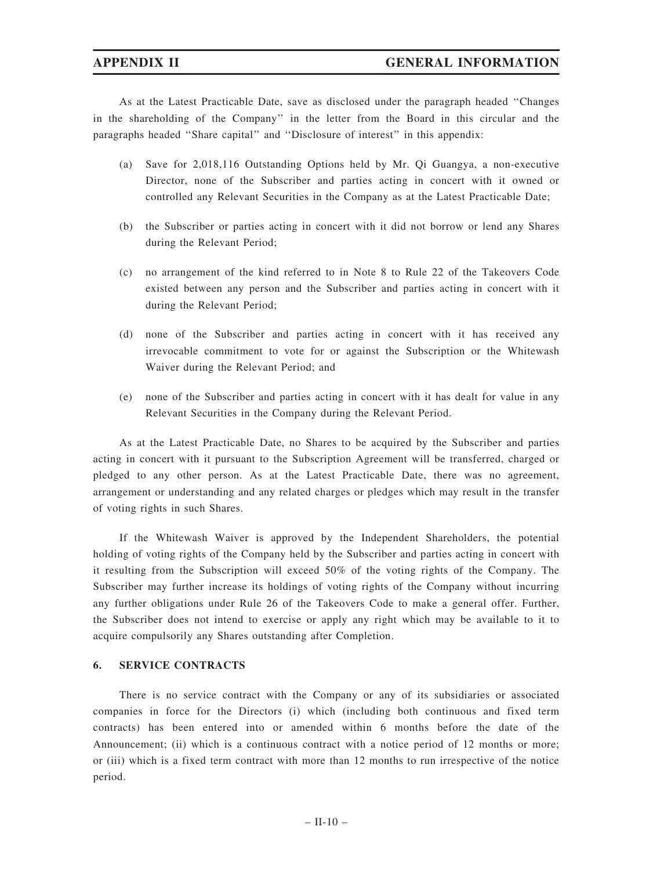As at the Latest Practicable Date, save as disclosed under the paragraph headed ''Changes in the shareholding of the Company'' in the letter from the Board in this circular and the paragraphs headed ''Share capital'' and ''Disclosure of interest'' in this appendix:

- (a) Save for 2,018,116 Outstanding Options held by Mr. Qi Guangya, a non-executive Director, none of the Subscriber and parties acting in concert with it owned or controlled any Relevant Securities in the Company as at the Latest Practicable Date;
- (b) the Subscriber or parties acting in concert with it did not borrow or lend any Shares during the Relevant Period;
- (c) no arrangement of the kind referred to in Note 8 to Rule 22 of the Takeovers Code existed between any person and the Subscriber and parties acting in concert with it during the Relevant Period;
- (d) none of the Subscriber and parties acting in concert with it has received any irrevocable commitment to vote for or against the Subscription or the Whitewash Waiver during the Relevant Period; and
- (e) none of the Subscriber and parties acting in concert with it has dealt for value in any Relevant Securities in the Company during the Relevant Period.

As at the Latest Practicable Date, no Shares to be acquired by the Subscriber and parties acting in concert with it pursuant to the Subscription Agreement will be transferred, charged or pledged to any other person. As at the Latest Practicable Date, there was no agreement, arrangement or understanding and any related charges or pledges which may result in the transfer of voting rights in such Shares.

If the Whitewash Waiver is approved by the Independent Shareholders, the potential holding of voting rights of the Company held by the Subscriber and parties acting in concert with it resulting from the Subscription will exceed 50% of the voting rights of the Company. The Subscriber may further increase its holdings of voting rights of the Company without incurring any further obligations under Rule 26 of the Takeovers Code to make a general offer. Further, the Subscriber does not intend to exercise or apply any right which may be available to it to acquire compulsorily any Shares outstanding after Completion.

### 6. SERVICE CONTRACTS

There is no service contract with the Company or any of its subsidiaries or associated companies in force for the Directors (i) which (including both continuous and fixed term contracts) has been entered into or amended within 6 months before the date of the Announcement; (ii) which is a continuous contract with a notice period of 12 months or more; or (iii) which is a fixed term contract with more than 12 months to run irrespective of the notice period.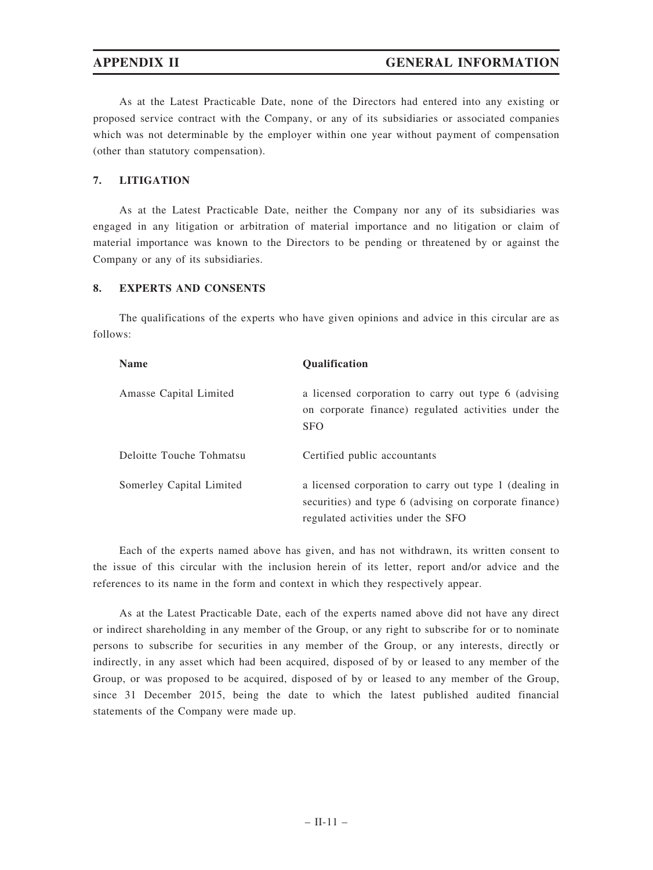As at the Latest Practicable Date, none of the Directors had entered into any existing or proposed service contract with the Company, or any of its subsidiaries or associated companies which was not determinable by the employer within one year without payment of compensation (other than statutory compensation).

### 7. LITIGATION

As at the Latest Practicable Date, neither the Company nor any of its subsidiaries was engaged in any litigation or arbitration of material importance and no litigation or claim of material importance was known to the Directors to be pending or threatened by or against the Company or any of its subsidiaries.

### 8. EXPERTS AND CONSENTS

The qualifications of the experts who have given opinions and advice in this circular are as follows:

| <b>Name</b>              | <b>Qualification</b>                                                                                                                                   |
|--------------------------|--------------------------------------------------------------------------------------------------------------------------------------------------------|
| Amasse Capital Limited   | a licensed corporation to carry out type 6 (advising<br>on corporate finance) regulated activities under the<br><b>SFO</b>                             |
| Deloitte Touche Tohmatsu | Certified public accountants                                                                                                                           |
| Somerley Capital Limited | a licensed corporation to carry out type 1 (dealing in<br>securities) and type 6 (advising on corporate finance)<br>regulated activities under the SFO |

Each of the experts named above has given, and has not withdrawn, its written consent to the issue of this circular with the inclusion herein of its letter, report and/or advice and the references to its name in the form and context in which they respectively appear.

As at the Latest Practicable Date, each of the experts named above did not have any direct or indirect shareholding in any member of the Group, or any right to subscribe for or to nominate persons to subscribe for securities in any member of the Group, or any interests, directly or indirectly, in any asset which had been acquired, disposed of by or leased to any member of the Group, or was proposed to be acquired, disposed of by or leased to any member of the Group, since 31 December 2015, being the date to which the latest published audited financial statements of the Company were made up.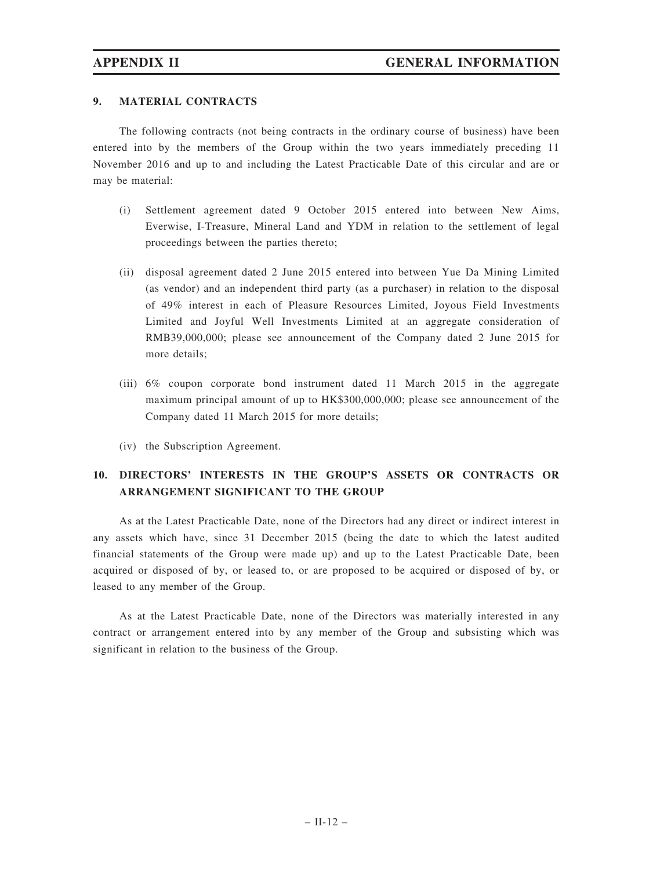### 9. MATERIAL CONTRACTS

The following contracts (not being contracts in the ordinary course of business) have been entered into by the members of the Group within the two years immediately preceding 11 November 2016 and up to and including the Latest Practicable Date of this circular and are or may be material:

- (i) Settlement agreement dated 9 October 2015 entered into between New Aims, Everwise, I-Treasure, Mineral Land and YDM in relation to the settlement of legal proceedings between the parties thereto;
- (ii) disposal agreement dated 2 June 2015 entered into between Yue Da Mining Limited (as vendor) and an independent third party (as a purchaser) in relation to the disposal of 49% interest in each of Pleasure Resources Limited, Joyous Field Investments Limited and Joyful Well Investments Limited at an aggregate consideration of RMB39,000,000; please see announcement of the Company dated 2 June 2015 for more details;
- (iii) 6% coupon corporate bond instrument dated 11 March 2015 in the aggregate maximum principal amount of up to HK\$300,000,000; please see announcement of the Company dated 11 March 2015 for more details;
- (iv) the Subscription Agreement.

# 10. DIRECTORS' INTERESTS IN THE GROUP'S ASSETS OR CONTRACTS OR ARRANGEMENT SIGNIFICANT TO THE GROUP

As at the Latest Practicable Date, none of the Directors had any direct or indirect interest in any assets which have, since 31 December 2015 (being the date to which the latest audited financial statements of the Group were made up) and up to the Latest Practicable Date, been acquired or disposed of by, or leased to, or are proposed to be acquired or disposed of by, or leased to any member of the Group.

As at the Latest Practicable Date, none of the Directors was materially interested in any contract or arrangement entered into by any member of the Group and subsisting which was significant in relation to the business of the Group.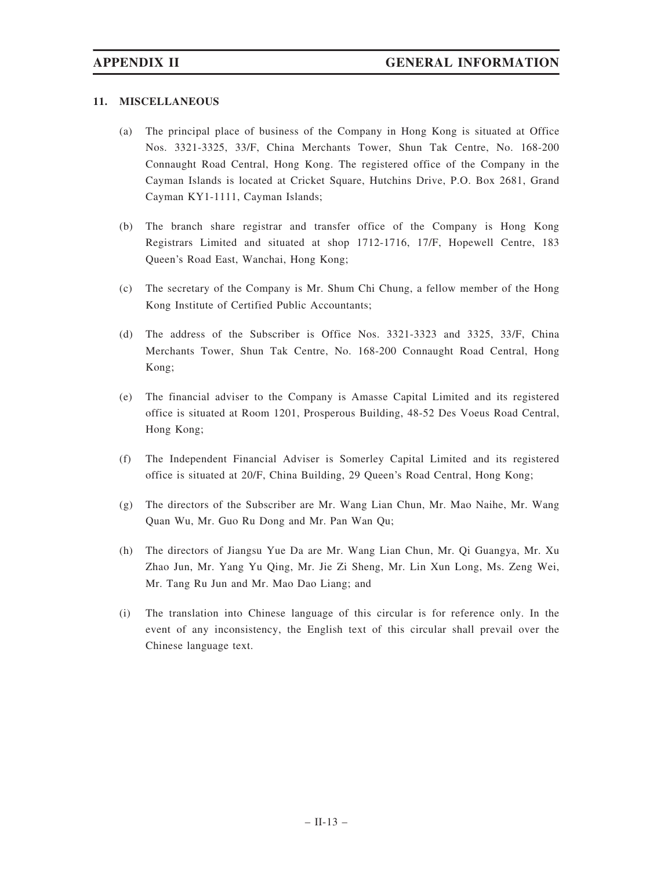### 11. MISCELLANEOUS

- (a) The principal place of business of the Company in Hong Kong is situated at Office Nos. 3321-3325, 33/F, China Merchants Tower, Shun Tak Centre, No. 168-200 Connaught Road Central, Hong Kong. The registered office of the Company in the Cayman Islands is located at Cricket Square, Hutchins Drive, P.O. Box 2681, Grand Cayman KY1-1111, Cayman Islands;
- (b) The branch share registrar and transfer office of the Company is Hong Kong Registrars Limited and situated at shop 1712-1716, 17/F, Hopewell Centre, 183 Queen's Road East, Wanchai, Hong Kong;
- (c) The secretary of the Company is Mr. Shum Chi Chung, a fellow member of the Hong Kong Institute of Certified Public Accountants;
- (d) The address of the Subscriber is Office Nos. 3321-3323 and 3325, 33/F, China Merchants Tower, Shun Tak Centre, No. 168-200 Connaught Road Central, Hong Kong;
- (e) The financial adviser to the Company is Amasse Capital Limited and its registered office is situated at Room 1201, Prosperous Building, 48-52 Des Voeus Road Central, Hong Kong;
- (f) The Independent Financial Adviser is Somerley Capital Limited and its registered office is situated at 20/F, China Building, 29 Queen's Road Central, Hong Kong;
- (g) The directors of the Subscriber are Mr. Wang Lian Chun, Mr. Mao Naihe, Mr. Wang Quan Wu, Mr. Guo Ru Dong and Mr. Pan Wan Qu;
- (h) The directors of Jiangsu Yue Da are Mr. Wang Lian Chun, Mr. Qi Guangya, Mr. Xu Zhao Jun, Mr. Yang Yu Qing, Mr. Jie Zi Sheng, Mr. Lin Xun Long, Ms. Zeng Wei, Mr. Tang Ru Jun and Mr. Mao Dao Liang; and
- (i) The translation into Chinese language of this circular is for reference only. In the event of any inconsistency, the English text of this circular shall prevail over the Chinese language text.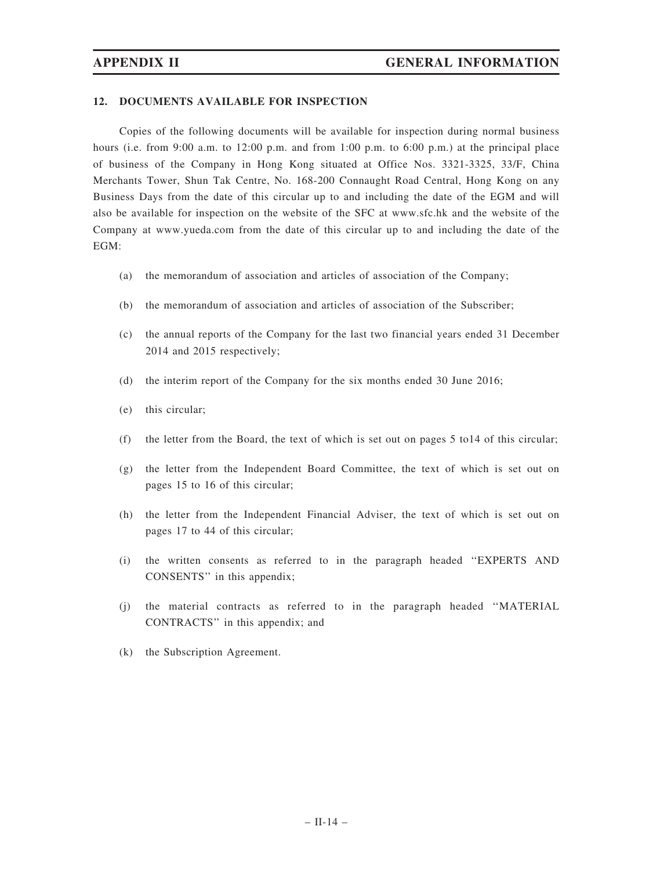### 12. DOCUMENTS AVAILABLE FOR INSPECTION

Copies of the following documents will be available for inspection during normal business hours (i.e. from 9:00 a.m. to 12:00 p.m. and from 1:00 p.m. to 6:00 p.m.) at the principal place of business of the Company in Hong Kong situated at Office Nos. 3321-3325, 33/F, China Merchants Tower, Shun Tak Centre, No. 168-200 Connaught Road Central, Hong Kong on any Business Days from the date of this circular up to and including the date of the EGM and will also be available for inspection on the website of the SFC at www.sfc.hk and the website of the Company at www.yueda.com from the date of this circular up to and including the date of the EGM:

- (a) the memorandum of association and articles of association of the Company;
- (b) the memorandum of association and articles of association of the Subscriber;
- (c) the annual reports of the Company for the last two financial years ended 31 December 2014 and 2015 respectively;
- (d) the interim report of the Company for the six months ended 30 June 2016;
- (e) this circular;
- (f) the letter from the Board, the text of which is set out on pages 5 to 14 of this circular;
- (g) the letter from the Independent Board Committee, the text of which is set out on pages 15 to 16 of this circular;
- (h) the letter from the Independent Financial Adviser, the text of which is set out on pages 17 to 44 of this circular;
- (i) the written consents as referred to in the paragraph headed ''EXPERTS AND CONSENTS'' in this appendix;
- (j) the material contracts as referred to in the paragraph headed ''MATERIAL CONTRACTS'' in this appendix; and
- (k) the Subscription Agreement.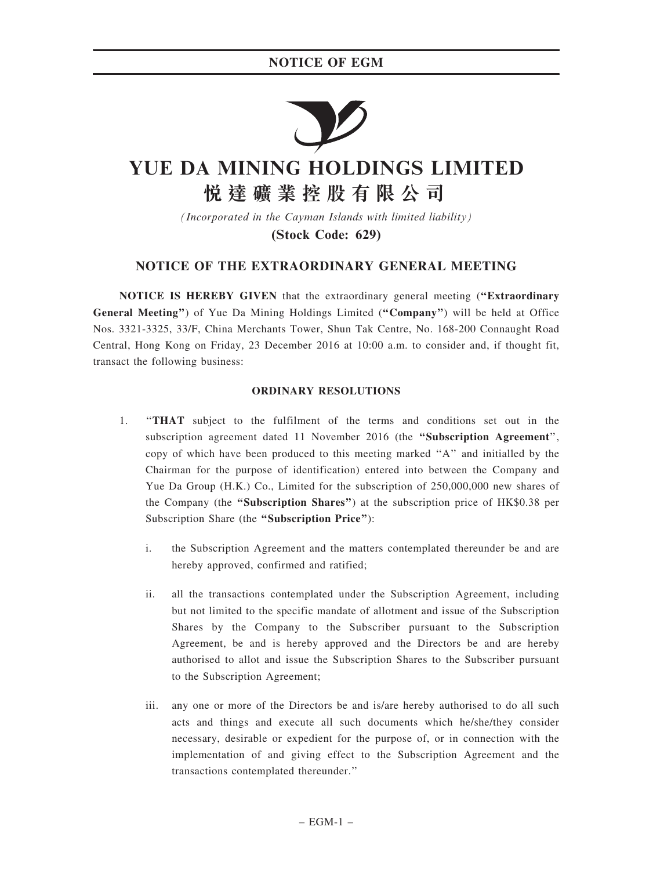# NOTICE OF EGM

# **YUE DA MINING HOLDINGS LIMITED 悅達礦業控股有限公司**

*(Incorporated in the Cayman Islands with limited liability)* **(Stock Code: 629)**

# NOTICE OF THE EXTRAORDINARY GENERAL MEETING

NOTICE IS HEREBY GIVEN that the extraordinary general meeting ("Extraordinary General Meeting'') of Yue Da Mining Holdings Limited (''Company'') will be held at Office Nos. 3321-3325, 33/F, China Merchants Tower, Shun Tak Centre, No. 168-200 Connaught Road Central, Hong Kong on Friday, 23 December 2016 at 10:00 a.m. to consider and, if thought fit, transact the following business:

### ORDINARY RESOLUTIONS

- 1. ''THAT subject to the fulfilment of the terms and conditions set out in the subscription agreement dated 11 November 2016 (the "Subscription Agreement", copy of which have been produced to this meeting marked ''A'' and initialled by the Chairman for the purpose of identification) entered into between the Company and Yue Da Group (H.K.) Co., Limited for the subscription of 250,000,000 new shares of the Company (the ''Subscription Shares'') at the subscription price of HK\$0.38 per Subscription Share (the "Subscription Price"):
	- i. the Subscription Agreement and the matters contemplated thereunder be and are hereby approved, confirmed and ratified;
	- ii. all the transactions contemplated under the Subscription Agreement, including but not limited to the specific mandate of allotment and issue of the Subscription Shares by the Company to the Subscriber pursuant to the Subscription Agreement, be and is hereby approved and the Directors be and are hereby authorised to allot and issue the Subscription Shares to the Subscriber pursuant to the Subscription Agreement;
	- iii. any one or more of the Directors be and is/are hereby authorised to do all such acts and things and execute all such documents which he/she/they consider necessary, desirable or expedient for the purpose of, or in connection with the implementation of and giving effect to the Subscription Agreement and the transactions contemplated thereunder.''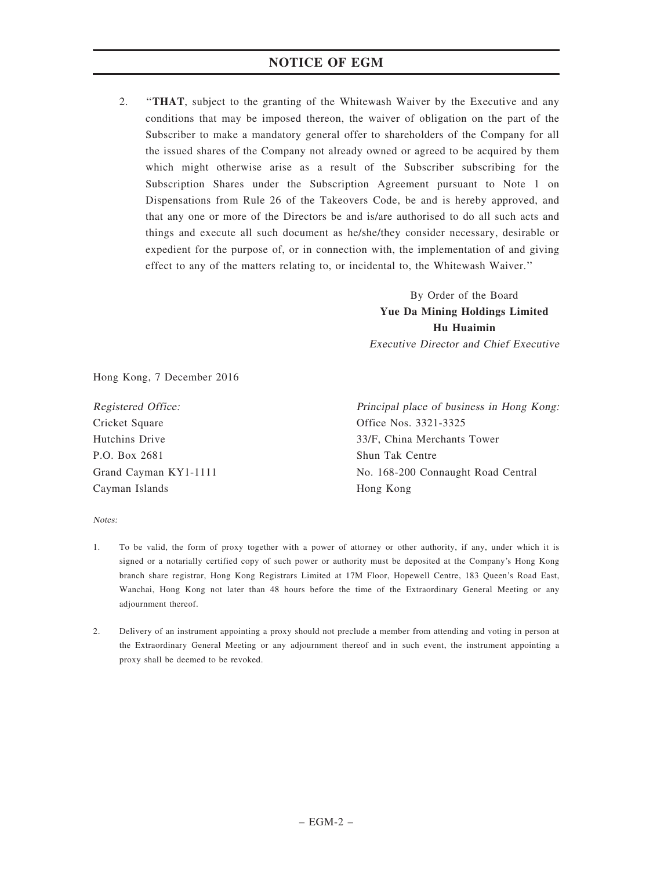# NOTICE OF EGM

2. ''THAT, subject to the granting of the Whitewash Waiver by the Executive and any conditions that may be imposed thereon, the waiver of obligation on the part of the Subscriber to make a mandatory general offer to shareholders of the Company for all the issued shares of the Company not already owned or agreed to be acquired by them which might otherwise arise as a result of the Subscriber subscribing for the Subscription Shares under the Subscription Agreement pursuant to Note 1 on Dispensations from Rule 26 of the Takeovers Code, be and is hereby approved, and that any one or more of the Directors be and is/are authorised to do all such acts and things and execute all such document as he/she/they consider necessary, desirable or expedient for the purpose of, or in connection with, the implementation of and giving effect to any of the matters relating to, or incidental to, the Whitewash Waiver.''

> By Order of the Board Yue Da Mining Holdings Limited Hu Huaimin Executive Director and Chief Executive

Hong Kong, 7 December 2016

Registered Office: Cricket Square Hutchins Drive P.O. Box 2681 Grand Cayman KY1-1111 Cayman Islands

Principal place of business in Hong Kong: Office Nos. 3321-3325 33/F, China Merchants Tower Shun Tak Centre No. 168-200 Connaught Road Central Hong Kong

Notes:

- 1. To be valid, the form of proxy together with a power of attorney or other authority, if any, under which it is signed or a notarially certified copy of such power or authority must be deposited at the Company's Hong Kong branch share registrar, Hong Kong Registrars Limited at 17M Floor, Hopewell Centre, 183 Queen's Road East, Wanchai, Hong Kong not later than 48 hours before the time of the Extraordinary General Meeting or any adjournment thereof.
- 2. Delivery of an instrument appointing a proxy should not preclude a member from attending and voting in person at the Extraordinary General Meeting or any adjournment thereof and in such event, the instrument appointing a proxy shall be deemed to be revoked.